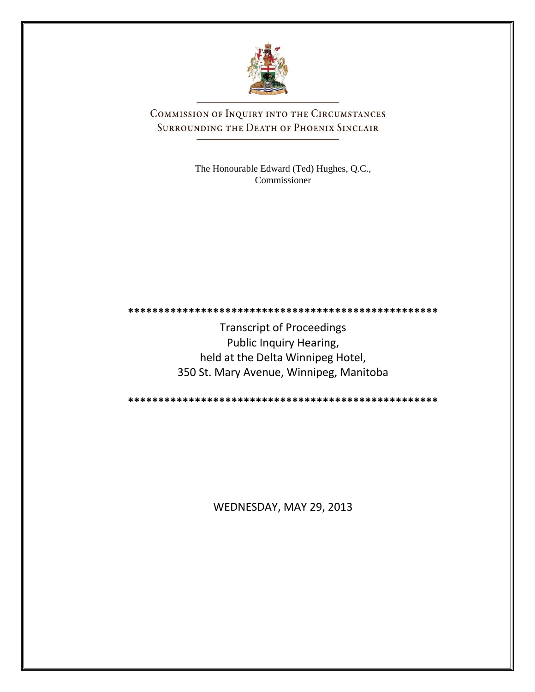

COMMISSION OF INQUIRY INTO THE CIRCUMSTANCES SURROUNDING THE DEATH OF PHOENIX SINCLAIR

> The Honourable Edward (Ted) Hughes, Q.C., Commissioner

**\*\*\*\*\*\*\*\*\*\*\*\*\*\*\*\*\*\*\*\*\*\*\*\*\*\*\*\*\*\*\*\*\*\*\*\*\*\*\*\*\*\*\*\*\*\*\*\*\*\*\***

Transcript of Proceedings Public Inquiry Hearing, held at the Delta Winnipeg Hotel, 350 St. Mary Avenue, Winnipeg, Manitoba

**\*\*\*\*\*\*\*\*\*\*\*\*\*\*\*\*\*\*\*\*\*\*\*\*\*\*\*\*\*\*\*\*\*\*\*\*\*\*\*\*\*\*\*\*\*\*\*\*\*\*\***

WEDNESDAY, MAY 29, 2013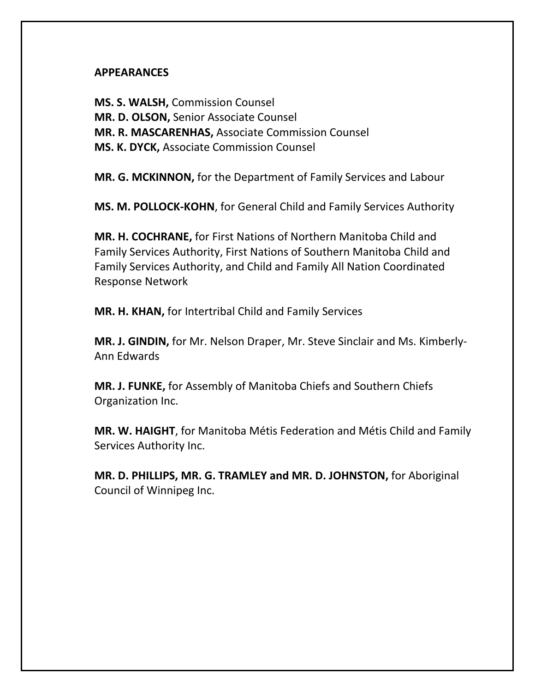## **APPEARANCES**

**MS. S. WALSH,** Commission Counsel **MR. D. OLSON,** Senior Associate Counsel **MR. R. MASCARENHAS,** Associate Commission Counsel **MS. K. DYCK,** Associate Commission Counsel

**MR. G. MCKINNON,** for the Department of Family Services and Labour

**MS. M. POLLOCK-KOHN**, for General Child and Family Services Authority

**MR. H. COCHRANE,** for First Nations of Northern Manitoba Child and Family Services Authority, First Nations of Southern Manitoba Child and Family Services Authority, and Child and Family All Nation Coordinated Response Network

**MR. H. KHAN,** for Intertribal Child and Family Services

**MR. J. GINDIN,** for Mr. Nelson Draper, Mr. Steve Sinclair and Ms. Kimberly-Ann Edwards

**MR. J. FUNKE,** for Assembly of Manitoba Chiefs and Southern Chiefs Organization Inc.

**MR. W. HAIGHT**, for Manitoba Métis Federation and Métis Child and Family Services Authority Inc.

**MR. D. PHILLIPS, MR. G. TRAMLEY and MR. D. JOHNSTON,** for Aboriginal Council of Winnipeg Inc.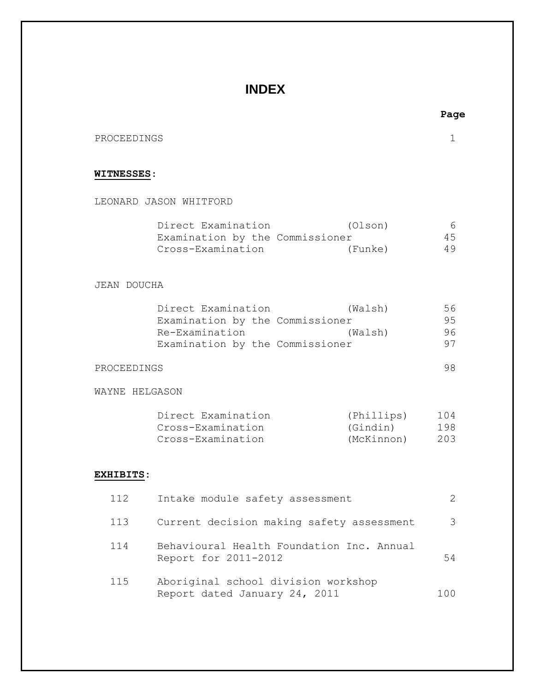# **INDEX**

PROCEEDINGS 1

### **WITNESSES**:

LEONARD JASON WHITFORD

| Direct Examination              | (Olson) | 6   |
|---------------------------------|---------|-----|
| Examination by the Commissioner |         | 45. |
| Cross-Examination               | (Funke) | 49  |

#### JEAN DOUCHA

| Direct Examination              | (Walsh) | 56 |
|---------------------------------|---------|----|
| Examination by the Commissioner |         | 95 |
| Re-Examination                  | (Walsh) | 96 |
| Examination by the Commissioner |         | 97 |

#### PROCEEDINGS 98

WAYNE HELGASON

| Direct Examination | (Phillips) | 104 |
|--------------------|------------|-----|
| Cross-Examination  | (Gindin)   | 198 |
| Cross-Examination  | (McKinnon) | 203 |

### **EXHIBITS:**

| 112 | Intake module safety assessment                                      |      |
|-----|----------------------------------------------------------------------|------|
| 113 | Current decision making safety assessment                            | 3    |
| 114 | Behavioural Health Foundation Inc. Annual<br>Report for 2011-2012    | 54   |
| 115 | Aboriginal school division workshop<br>Report dated January 24, 2011 | 100. |

**Page**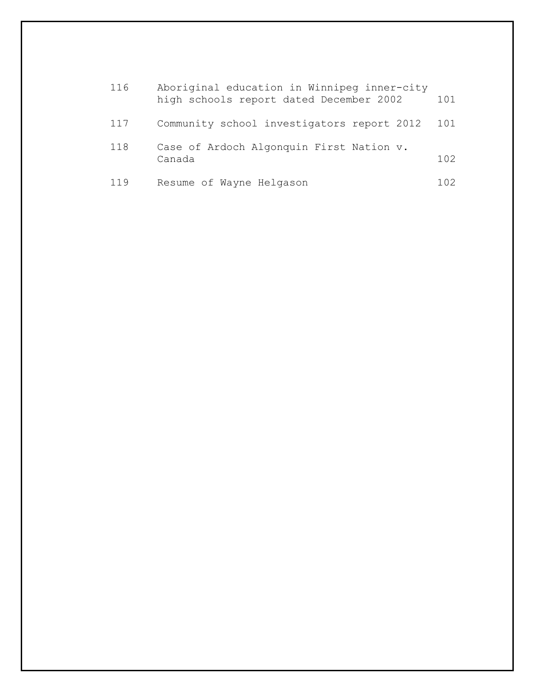| 116 | Aboriginal education in Winnipeg inner-city<br>high schools report dated December 2002 | 101  |
|-----|----------------------------------------------------------------------------------------|------|
| 117 | Community school investigators report 2012                                             | 101  |
| 118 | Case of Ardoch Algonquin First Nation v.<br>Canada                                     | 102. |
| 119 | Resume of Wayne Helgason                                                               | 102. |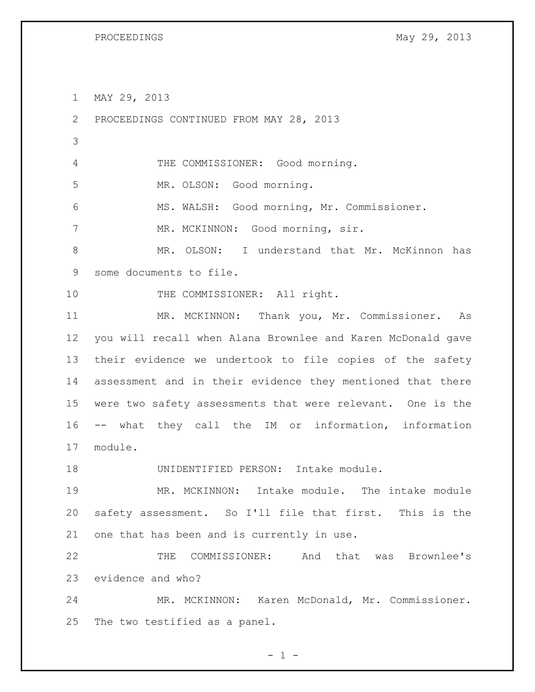MAY 29, 2013

 PROCEEDINGS CONTINUED FROM MAY 28, 2013 THE COMMISSIONER: Good morning. MR. OLSON: Good morning. MS. WALSH: Good morning, Mr. Commissioner. 7 MR. MCKINNON: Good morning, sir. MR. OLSON: I understand that Mr. McKinnon has some documents to file. 10 THE COMMISSIONER: All right. MR. MCKINNON: Thank you, Mr. Commissioner. As you will recall when Alana Brownlee and Karen McDonald gave their evidence we undertook to file copies of the safety assessment and in their evidence they mentioned that there were two safety assessments that were relevant. One is the -- what they call the IM or information, information module. 18 UNIDENTIFIED PERSON: Intake module.

 MR. MCKINNON: Intake module. The intake module safety assessment. So I'll file that first. This is the one that has been and is currently in use.

 THE COMMISSIONER: And that was Brownlee's evidence and who?

 MR. MCKINNON: Karen McDonald, Mr. Commissioner. The two testified as a panel.

 $- 1 -$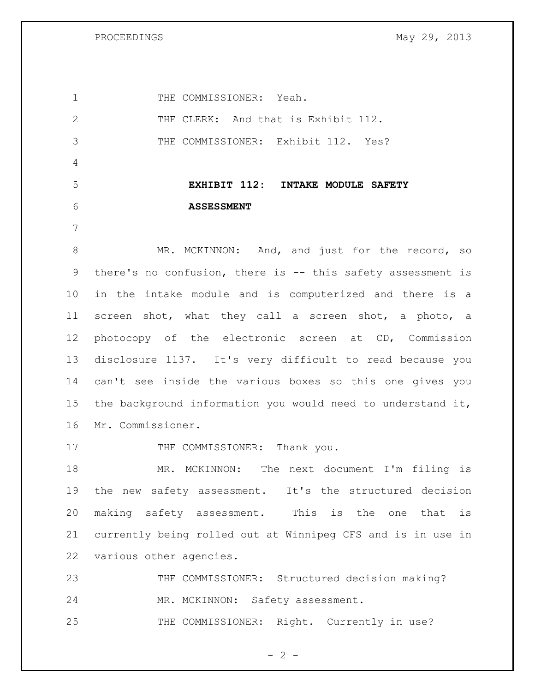PROCEEDINGS May 29, 2013

1 THE COMMISSIONER: Yeah. 2 THE CLERK: And that is Exhibit 112. THE COMMISSIONER: Exhibit 112. Yes? **EXHIBIT 112: INTAKE MODULE SAFETY ASSESSMENT** 8 MR. MCKINNON: And, and just for the record, so there's no confusion, there is -- this safety assessment is in the intake module and is computerized and there is a screen shot, what they call a screen shot, a photo, a photocopy of the electronic screen at CD, Commission disclosure 1137. It's very difficult to read because you can't see inside the various boxes so this one gives you the background information you would need to understand it, Mr. Commissioner. 17 THE COMMISSIONER: Thank you. MR. MCKINNON: The next document I'm filing is the new safety assessment. It's the structured decision making safety assessment. This is the one that is currently being rolled out at Winnipeg CFS and is in use in various other agencies. THE COMMISSIONER: Structured decision making? MR. MCKINNON: Safety assessment. 25 THE COMMISSIONER: Right. Currently in use?

 $- 2 -$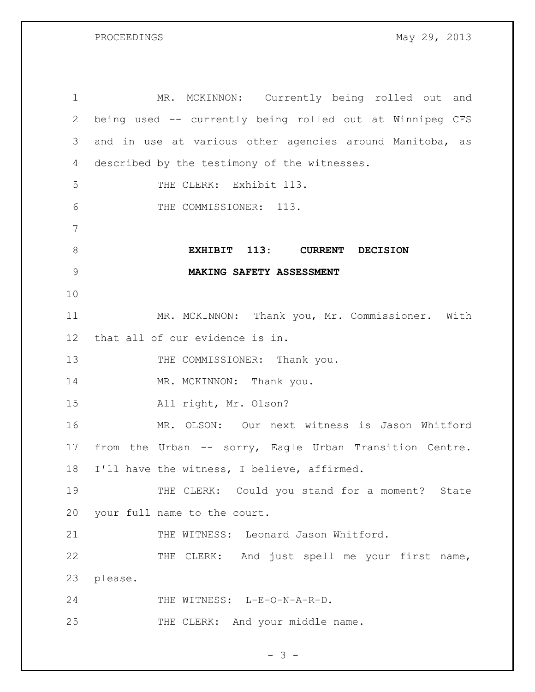PROCEEDINGS May 29, 2013

| $\mathbf 1$   | MR. MCKINNON: Currently being rolled out and             |
|---------------|----------------------------------------------------------|
| $\mathbf{2}$  | being used -- currently being rolled out at Winnipeg CFS |
| 3             | and in use at various other agencies around Manitoba, as |
| 4             | described by the testimony of the witnesses.             |
| 5             | THE CLERK: Exhibit 113.                                  |
| 6             | THE COMMISSIONER: 113.                                   |
| 7             |                                                          |
| $8\,$         | EXHIBIT 113: CURRENT DECISION                            |
| $\mathcal{G}$ | MAKING SAFETY ASSESSMENT                                 |
| 10            |                                                          |
| 11            | MR. MCKINNON: Thank you, Mr. Commissioner. With          |
| 12            | that all of our evidence is in.                          |
| 13            | THE COMMISSIONER: Thank you.                             |
| 14            | MR. MCKINNON: Thank you.                                 |
| 15            | All right, Mr. Olson?                                    |
| 16            | MR. OLSON: Our next witness is Jason Whitford            |
| 17            | from the Urban -- sorry, Eagle Urban Transition Centre.  |
| 18            | I'll have the witness, I believe, affirmed.              |
| 19            | THE CLERK: Could you stand for a moment? State           |
| 20            | your full name to the court.                             |
| 21            | THE WITNESS: Leonard Jason Whitford.                     |
| 22            | THE CLERK: And just spell me your first name,            |
| 23            | please.                                                  |
| 24            | THE WITNESS: L-E-O-N-A-R-D.                              |
| 25            | THE CLERK: And your middle name.                         |

 $- 3 -$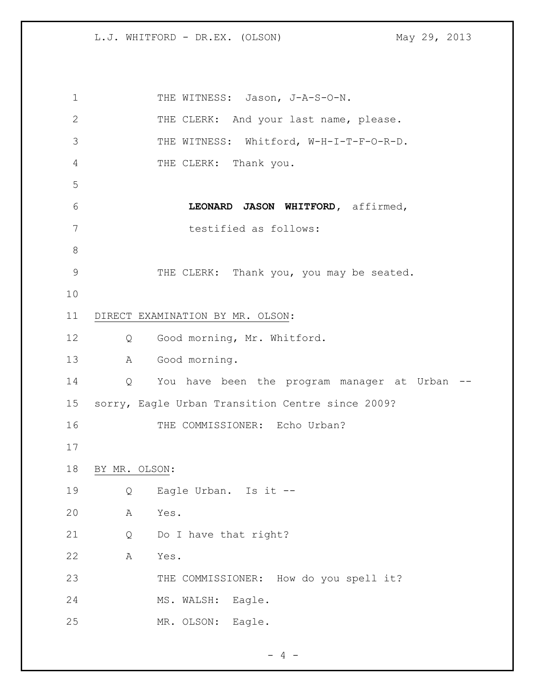1 THE WITNESS: Jason, J-A-S-O-N. THE CLERK: And your last name, please. THE WITNESS: Whitford, W-H-I-T-F-O-R-D. THE CLERK: Thank you. **LEONARD JASON WHITFORD,** affirmed, testified as follows: 9 THE CLERK: Thank you, you may be seated. DIRECT EXAMINATION BY MR. OLSON: Q Good morning, Mr. Whitford. A Good morning. Q You have been the program manager at Urban -- sorry, Eagle Urban Transition Centre since 2009? 16 THE COMMISSIONER: Echo Urban? BY MR. OLSON: Q Eagle Urban. Is it -- A Yes. Q Do I have that right? A Yes. THE COMMISSIONER: How do you spell it? 24 MS. WALSH: Eagle. MR. OLSON: Eagle.

 $- 4 -$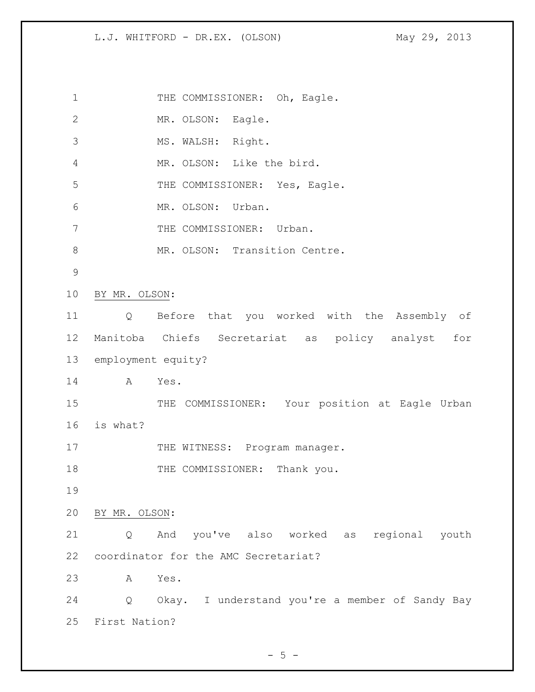1 THE COMMISSIONER: Oh, Eagle. MR. OLSON: Eagle. MS. WALSH: Right. MR. OLSON: Like the bird. 5 THE COMMISSIONER: Yes, Eagle. MR. OLSON: Urban. 7 THE COMMISSIONER: Urban. 8 MR. OLSON: Transition Centre. BY MR. OLSON: Q Before that you worked with the Assembly of Manitoba Chiefs Secretariat as policy analyst for employment equity? A Yes. 15 THE COMMISSIONER: Your position at Eagle Urban is what? 17 THE WITNESS: Program manager. 18 THE COMMISSIONER: Thank you. BY MR. OLSON: Q And you've also worked as regional youth coordinator for the AMC Secretariat? A Yes. Q Okay. I understand you're a member of Sandy Bay First Nation?

 $- 5 -$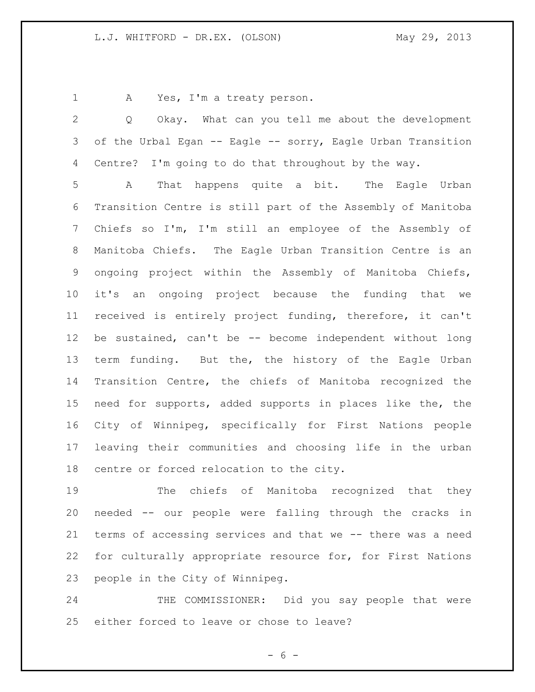A Yes, I'm a treaty person.

 Q Okay. What can you tell me about the development of the Urbal Egan -- Eagle -- sorry, Eagle Urban Transition Centre? I'm going to do that throughout by the way. A That happens quite a bit. The Eagle Urban

 Transition Centre is still part of the Assembly of Manitoba Chiefs so I'm, I'm still an employee of the Assembly of Manitoba Chiefs. The Eagle Urban Transition Centre is an ongoing project within the Assembly of Manitoba Chiefs, it's an ongoing project because the funding that we received is entirely project funding, therefore, it can't be sustained, can't be -- become independent without long 13 term funding. But the, the history of the Eagle Urban Transition Centre, the chiefs of Manitoba recognized the need for supports, added supports in places like the, the City of Winnipeg, specifically for First Nations people leaving their communities and choosing life in the urban centre or forced relocation to the city.

 The chiefs of Manitoba recognized that they needed -- our people were falling through the cracks in terms of accessing services and that we -- there was a need for culturally appropriate resource for, for First Nations people in the City of Winnipeg.

24 THE COMMISSIONER: Did you say people that were either forced to leave or chose to leave?

- 6 -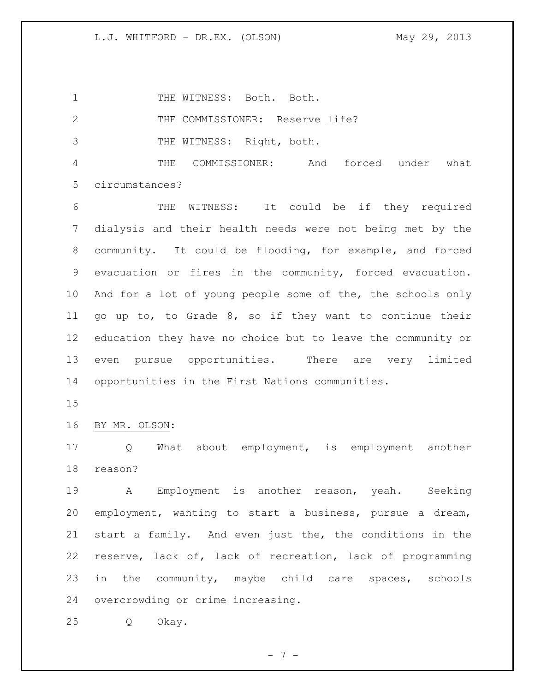1 THE WITNESS: Both. Both.

THE COMMISSIONER: Reserve life?

THE WITNESS: Right, both.

 THE COMMISSIONER: And forced under what circumstances?

 THE WITNESS: It could be if they required dialysis and their health needs were not being met by the community. It could be flooding, for example, and forced evacuation or fires in the community, forced evacuation. And for a lot of young people some of the, the schools only go up to, to Grade 8, so if they want to continue their education they have no choice but to leave the community or even pursue opportunities. There are very limited opportunities in the First Nations communities.

BY MR. OLSON:

 Q What about employment, is employment another reason?

 A Employment is another reason, yeah. Seeking employment, wanting to start a business, pursue a dream, start a family. And even just the, the conditions in the reserve, lack of, lack of recreation, lack of programming in the community, maybe child care spaces, schools overcrowding or crime increasing.

Q Okay.

- 7 -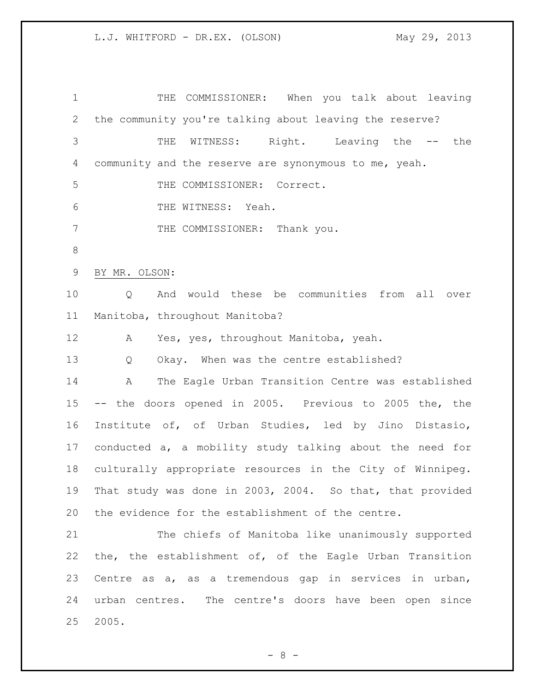THE COMMISSIONER: When you talk about leaving the community you're talking about leaving the reserve? THE WITNESS: Right. Leaving the -- the community and the reserve are synonymous to me, yeah. THE COMMISSIONER: Correct. THE WITNESS: Yeah. 7 THE COMMISSIONER: Thank you. BY MR. OLSON: Q And would these be communities from all over Manitoba, throughout Manitoba? A Yes, yes, throughout Manitoba, yeah. Q Okay. When was the centre established? A The Eagle Urban Transition Centre was established -- the doors opened in 2005. Previous to 2005 the, the Institute of, of Urban Studies, led by Jino Distasio, conducted a, a mobility study talking about the need for culturally appropriate resources in the City of Winnipeg. That study was done in 2003, 2004. So that, that provided the evidence for the establishment of the centre. The chiefs of Manitoba like unanimously supported the, the establishment of, of the Eagle Urban Transition Centre as a, as a tremendous gap in services in urban, urban centres. The centre's doors have been open since 2005.

 $- 8 -$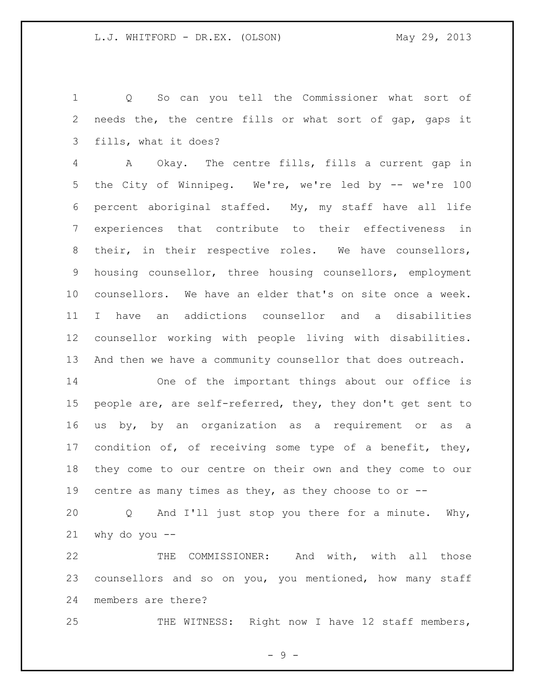Q So can you tell the Commissioner what sort of needs the, the centre fills or what sort of gap, gaps it fills, what it does?

 A Okay. The centre fills, fills a current gap in the City of Winnipeg. We're, we're led by -- we're 100 percent aboriginal staffed. My, my staff have all life experiences that contribute to their effectiveness in their, in their respective roles. We have counsellors, housing counsellor, three housing counsellors, employment counsellors. We have an elder that's on site once a week. I have an addictions counsellor and a disabilities counsellor working with people living with disabilities. And then we have a community counsellor that does outreach.

 One of the important things about our office is people are, are self-referred, they, they don't get sent to us by, by an organization as a requirement or as a 17 condition of, of receiving some type of a benefit, they, they come to our centre on their own and they come to our centre as many times as they, as they choose to or --

 Q And I'll just stop you there for a minute. Why, why do you  $-$ 

 THE COMMISSIONER: And with, with all those counsellors and so on you, you mentioned, how many staff members are there?

25 THE WITNESS: Right now I have 12 staff members,

- 9 -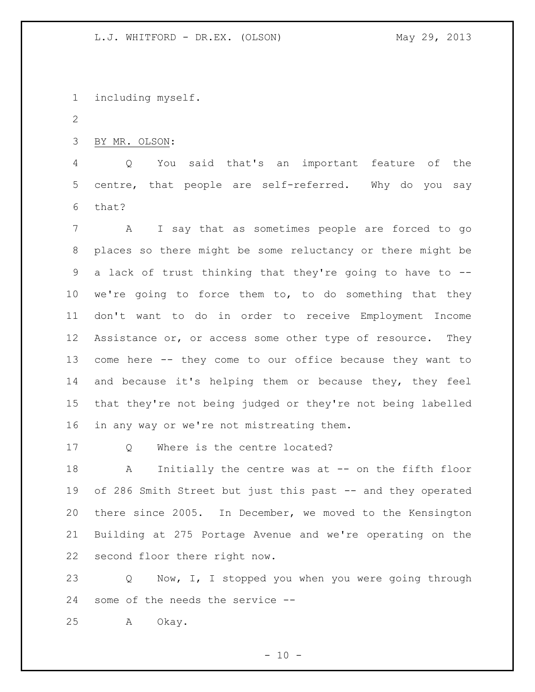including myself.

BY MR. OLSON:

 Q You said that's an important feature of the centre, that people are self-referred. Why do you say that?

 A I say that as sometimes people are forced to go places so there might be some reluctancy or there might be a lack of trust thinking that they're going to have to -- we're going to force them to, to do something that they don't want to do in order to receive Employment Income 12 Assistance or, or access some other type of resource. They come here -- they come to our office because they want to 14 and because it's helping them or because they, they feel that they're not being judged or they're not being labelled in any way or we're not mistreating them.

17 Q Where is the centre located?

 A Initially the centre was at -- on the fifth floor 19 of 286 Smith Street but just this past -- and they operated there since 2005. In December, we moved to the Kensington Building at 275 Portage Avenue and we're operating on the second floor there right now.

 Q Now, I, I stopped you when you were going through some of the needs the service --

A Okay.

 $- 10 -$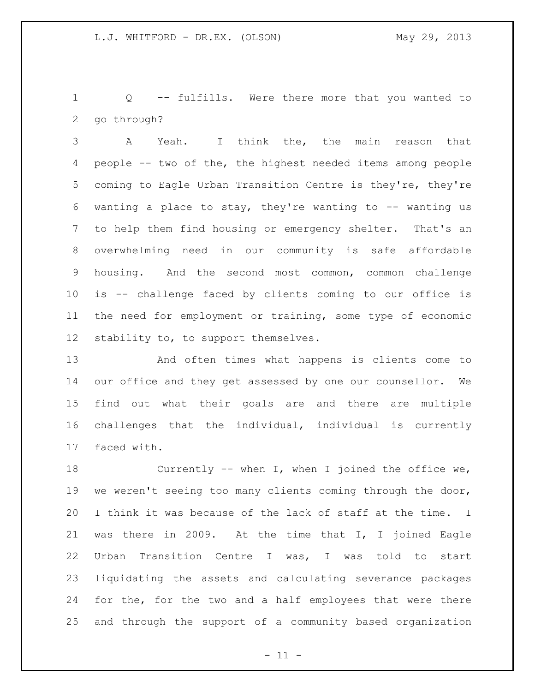Q -- fulfills. Were there more that you wanted to go through?

 A Yeah. I think the, the main reason that people -- two of the, the highest needed items among people coming to Eagle Urban Transition Centre is they're, they're 6 wanting a place to stay, they're wanting to  $-$  wanting us to help them find housing or emergency shelter. That's an overwhelming need in our community is safe affordable housing. And the second most common, common challenge is -- challenge faced by clients coming to our office is the need for employment or training, some type of economic stability to, to support themselves.

 And often times what happens is clients come to our office and they get assessed by one our counsellor. We find out what their goals are and there are multiple challenges that the individual, individual is currently faced with.

 Currently -- when I, when I joined the office we, we weren't seeing too many clients coming through the door, I think it was because of the lack of staff at the time. I was there in 2009. At the time that I, I joined Eagle Urban Transition Centre I was, I was told to start liquidating the assets and calculating severance packages for the, for the two and a half employees that were there and through the support of a community based organization

 $-11 -$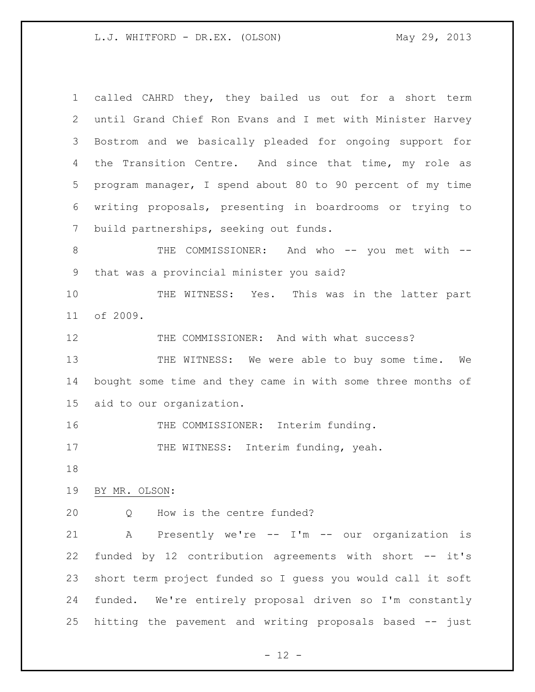called CAHRD they, they bailed us out for a short term until Grand Chief Ron Evans and I met with Minister Harvey Bostrom and we basically pleaded for ongoing support for 4 the Transition Centre. And since that time, my role as program manager, I spend about 80 to 90 percent of my time writing proposals, presenting in boardrooms or trying to build partnerships, seeking out funds. 8 THE COMMISSIONER: And who -- you met with -- that was a provincial minister you said? 10 THE WITNESS: Yes. This was in the latter part of 2009. 12 THE COMMISSIONER: And with what success? 13 THE WITNESS: We were able to buy some time. We bought some time and they came in with some three months of aid to our organization. 16 THE COMMISSIONER: Interim funding. 17 THE WITNESS: Interim funding, yeah. BY MR. OLSON: 20 0 How is the centre funded? A Presently we're -- I'm -- our organization is funded by 12 contribution agreements with short -- it's short term project funded so I guess you would call it soft funded. We're entirely proposal driven so I'm constantly hitting the pavement and writing proposals based -- just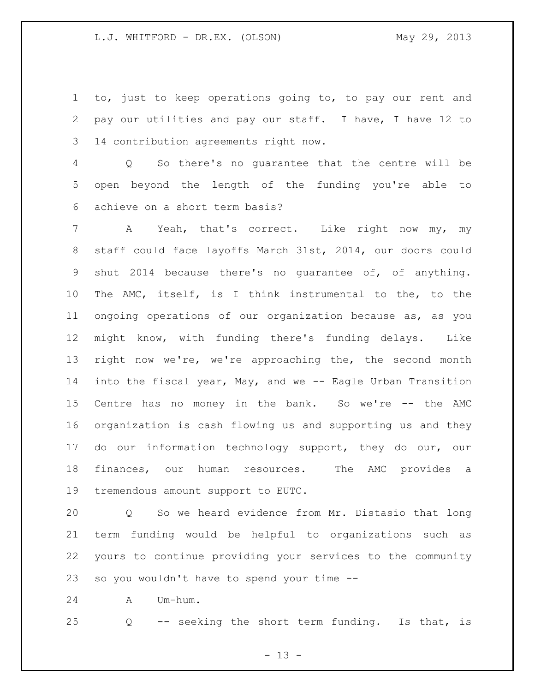to, just to keep operations going to, to pay our rent and pay our utilities and pay our staff. I have, I have 12 to 14 contribution agreements right now.

 Q So there's no guarantee that the centre will be open beyond the length of the funding you're able to achieve on a short term basis?

 A Yeah, that's correct. Like right now my, my staff could face layoffs March 31st, 2014, our doors could shut 2014 because there's no guarantee of, of anything. The AMC, itself, is I think instrumental to the, to the ongoing operations of our organization because as, as you might know, with funding there's funding delays. Like right now we're, we're approaching the, the second month into the fiscal year, May, and we -- Eagle Urban Transition Centre has no money in the bank. So we're -- the AMC organization is cash flowing us and supporting us and they do our information technology support, they do our, our finances, our human resources. The AMC provides a tremendous amount support to EUTC.

 Q So we heard evidence from Mr. Distasio that long term funding would be helpful to organizations such as yours to continue providing your services to the community so you wouldn't have to spend your time --

A Um-hum.

Q -- seeking the short term funding. Is that, is

 $- 13 -$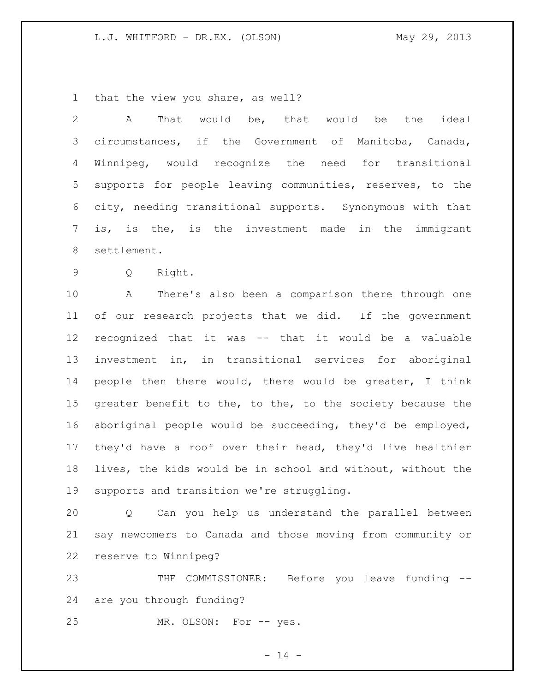that the view you share, as well?

 A That would be, that would be the ideal circumstances, if the Government of Manitoba, Canada, Winnipeg, would recognize the need for transitional supports for people leaving communities, reserves, to the city, needing transitional supports. Synonymous with that is, is the, is the investment made in the immigrant settlement. Q Right. A There's also been a comparison there through one of our research projects that we did. If the government recognized that it was -- that it would be a valuable investment in, in transitional services for aboriginal people then there would, there would be greater, I think 15 greater benefit to the, to the, to the society because the aboriginal people would be succeeding, they'd be employed, they'd have a roof over their head, they'd live healthier lives, the kids would be in school and without, without the

 supports and transition we're struggling. Q Can you help us understand the parallel between say newcomers to Canada and those moving from community or

reserve to Winnipeg?

23 THE COMMISSIONER: Before you leave funding --are you through funding?

MR. OLSON: For -- yes.

 $- 14 -$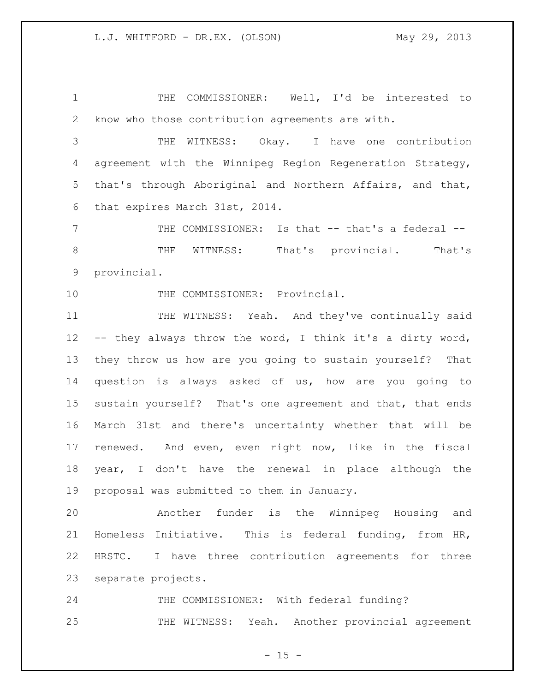THE COMMISSIONER: Well, I'd be interested to know who those contribution agreements are with.

 THE WITNESS: Okay. I have one contribution agreement with the Winnipeg Region Regeneration Strategy, that's through Aboriginal and Northern Affairs, and that, that expires March 31st, 2014.

7 THE COMMISSIONER: Is that -- that's a federal -- THE WITNESS: That's provincial. That's provincial.

10 THE COMMISSIONER: Provincial.

 THE WITNESS: Yeah. And they've continually said -- they always throw the word, I think it's a dirty word, they throw us how are you going to sustain yourself? That question is always asked of us, how are you going to sustain yourself? That's one agreement and that, that ends March 31st and there's uncertainty whether that will be renewed. And even, even right now, like in the fiscal year, I don't have the renewal in place although the proposal was submitted to them in January.

 Another funder is the Winnipeg Housing and Homeless Initiative. This is federal funding, from HR, HRSTC. I have three contribution agreements for three separate projects.

24 THE COMMISSIONER: With federal funding? THE WITNESS: Yeah. Another provincial agreement

 $- 15 -$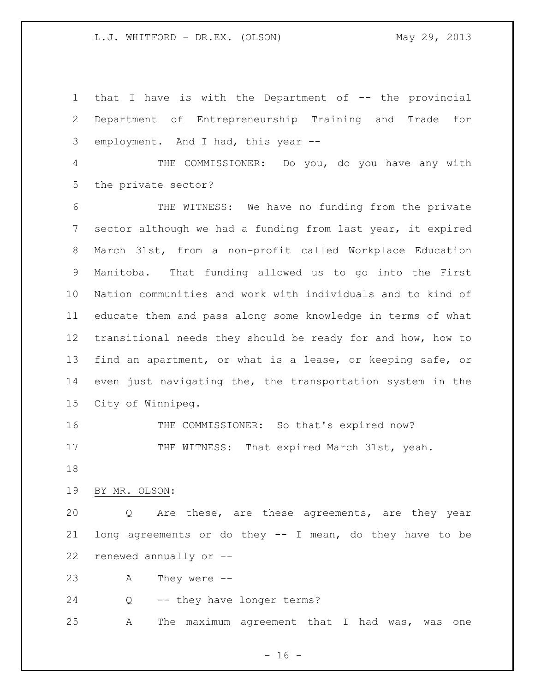that I have is with the Department of -- the provincial Department of Entrepreneurship Training and Trade for employment. And I had, this year -- THE COMMISSIONER: Do you, do you have any with the private sector? THE WITNESS: We have no funding from the private sector although we had a funding from last year, it expired March 31st, from a non-profit called Workplace Education Manitoba. That funding allowed us to go into the First Nation communities and work with individuals and to kind of educate them and pass along some knowledge in terms of what transitional needs they should be ready for and how, how to find an apartment, or what is a lease, or keeping safe, or even just navigating the, the transportation system in the City of Winnipeg. THE COMMISSIONER: So that's expired now? 17 THE WITNESS: That expired March 31st, yeah. BY MR. OLSON: Q Are these, are these agreements, are they year long agreements or do they -- I mean, do they have to be renewed annually or -- A They were -- Q -- they have longer terms? A The maximum agreement that I had was, was one

 $- 16 -$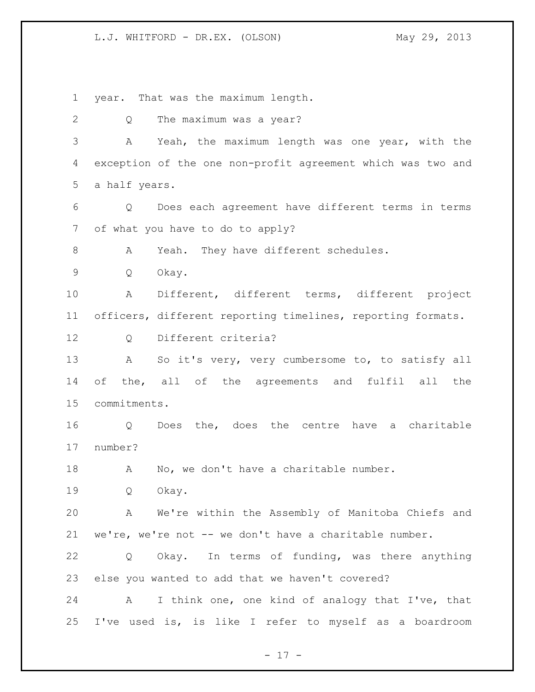year. That was the maximum length.

 Q The maximum was a year? A Yeah, the maximum length was one year, with the exception of the one non-profit agreement which was two and a half years. Q Does each agreement have different terms in terms of what you have to do to apply? A Yeah. They have different schedules. Q Okay. A Different, different terms, different project officers, different reporting timelines, reporting formats. Q Different criteria? A So it's very, very cumbersome to, to satisfy all of the, all of the agreements and fulfil all the commitments. Q Does the, does the centre have a charitable number? A No, we don't have a charitable number. Q Okay. A We're within the Assembly of Manitoba Chiefs and we're, we're not -- we don't have a charitable number. Q Okay. In terms of funding, was there anything else you wanted to add that we haven't covered? A I think one, one kind of analogy that I've, that I've used is, is like I refer to myself as a boardroom

- 17 -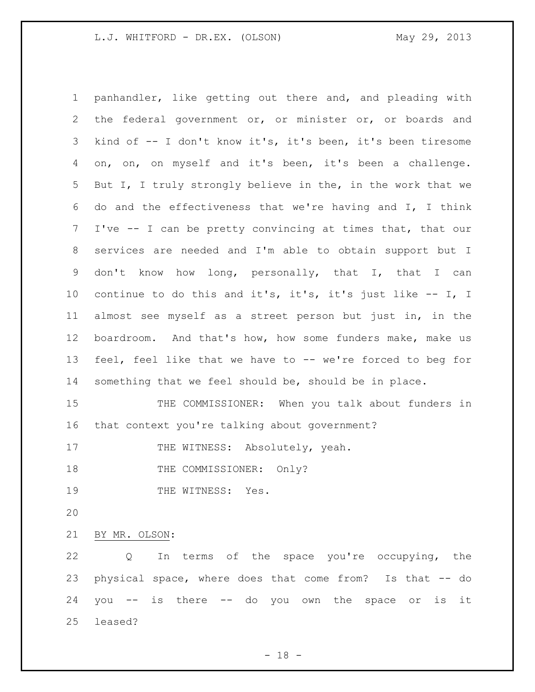panhandler, like getting out there and, and pleading with the federal government or, or minister or, or boards and kind of -- I don't know it's, it's been, it's been tiresome on, on, on myself and it's been, it's been a challenge. But I, I truly strongly believe in the, in the work that we do and the effectiveness that we're having and I, I think I've -- I can be pretty convincing at times that, that our services are needed and I'm able to obtain support but I don't know how long, personally, that I, that I can continue to do this and it's, it's, it's just like -- I, I almost see myself as a street person but just in, in the boardroom. And that's how, how some funders make, make us feel, feel like that we have to -- we're forced to beg for something that we feel should be, should be in place. 15 THE COMMISSIONER: When you talk about funders in that context you're talking about government? 17 THE WITNESS: Absolutely, yeah. 18 THE COMMISSIONER: Only? 19 THE WITNESS: Yes. BY MR. OLSON: Q In terms of the space you're occupying, the physical space, where does that come from? Is that -- do you -- is there -- do you own the space or is it leased?

 $- 18 -$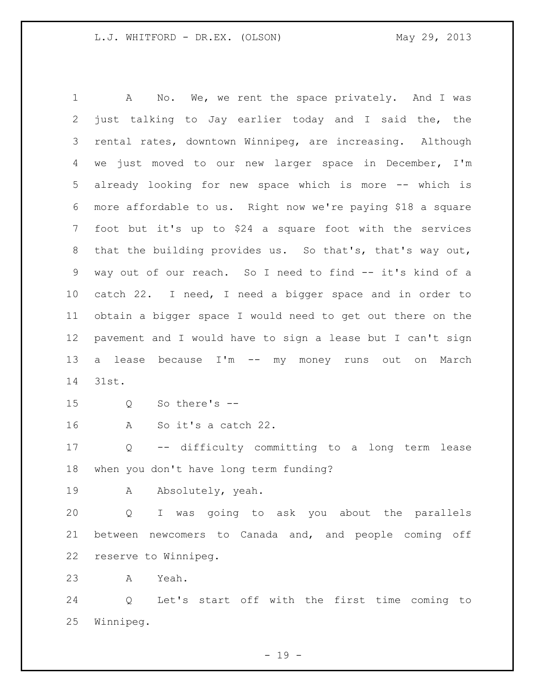1 A No. We, we rent the space privately. And I was just talking to Jay earlier today and I said the, the rental rates, downtown Winnipeg, are increasing. Although we just moved to our new larger space in December, I'm already looking for new space which is more -- which is more affordable to us. Right now we're paying \$18 a square foot but it's up to \$24 a square foot with the services that the building provides us. So that's, that's way out, way out of our reach. So I need to find -- it's kind of a catch 22. I need, I need a bigger space and in order to obtain a bigger space I would need to get out there on the pavement and I would have to sign a lease but I can't sign a lease because I'm -- my money runs out on March 31st. Q So there's -- A So it's a catch 22. Q -- difficulty committing to a long term lease when you don't have long term funding? A Absolutely, yeah. Q I was going to ask you about the parallels between newcomers to Canada and, and people coming off reserve to Winnipeg. A Yeah.

 Q Let's start off with the first time coming to Winnipeg.

- 19 -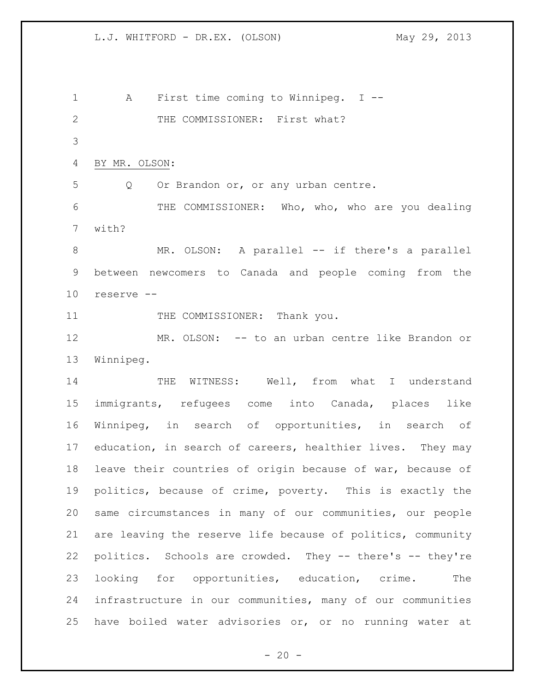A First time coming to Winnipeg. I -- 2 THE COMMISSIONER: First what? BY MR. OLSON: Q Or Brandon or, or any urban centre. 6 THE COMMISSIONER: Who, who, who are you dealing with? 8 MR. OLSON: A parallel -- if there's a parallel between newcomers to Canada and people coming from the reserve -- 11 THE COMMISSIONER: Thank you. MR. OLSON: -- to an urban centre like Brandon or Winnipeg. 14 THE WITNESS: Well, from what I understand immigrants, refugees come into Canada, places like Winnipeg, in search of opportunities, in search of education, in search of careers, healthier lives. They may leave their countries of origin because of war, because of politics, because of crime, poverty. This is exactly the same circumstances in many of our communities, our people are leaving the reserve life because of politics, community politics. Schools are crowded. They -- there's -- they're looking for opportunities, education, crime. The infrastructure in our communities, many of our communities have boiled water advisories or, or no running water at

 $- 20 -$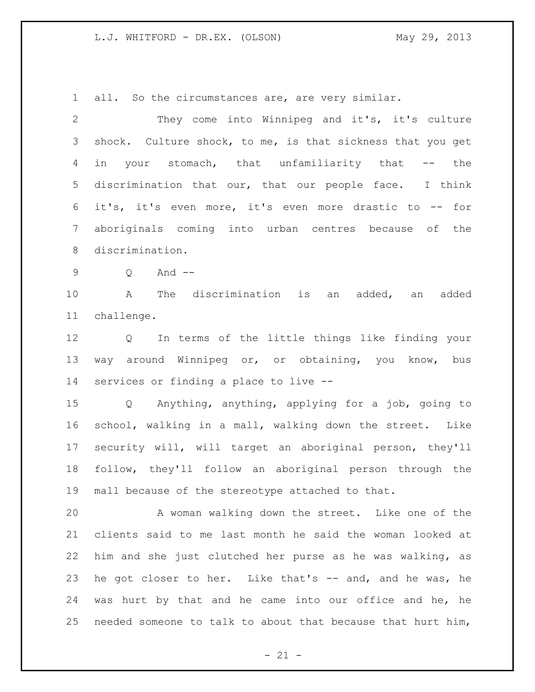all. So the circumstances are, are very similar.

 They come into Winnipeg and it's, it's culture shock. Culture shock, to me, is that sickness that you get 4 in your stomach, that unfamiliarity that -- the discrimination that our, that our people face. I think it's, it's even more, it's even more drastic to -- for aboriginals coming into urban centres because of the discrimination. Q And -- A The discrimination is an added, an added challenge. Q In terms of the little things like finding your way around Winnipeg or, or obtaining, you know, bus services or finding a place to live -- Q Anything, anything, applying for a job, going to school, walking in a mall, walking down the street. Like security will, will target an aboriginal person, they'll follow, they'll follow an aboriginal person through the mall because of the stereotype attached to that. A woman walking down the street. Like one of the clients said to me last month he said the woman looked at him and she just clutched her purse as he was walking, as he got closer to her. Like that's -- and, and he was, he was hurt by that and he came into our office and he, he needed someone to talk to about that because that hurt him,

 $- 21 -$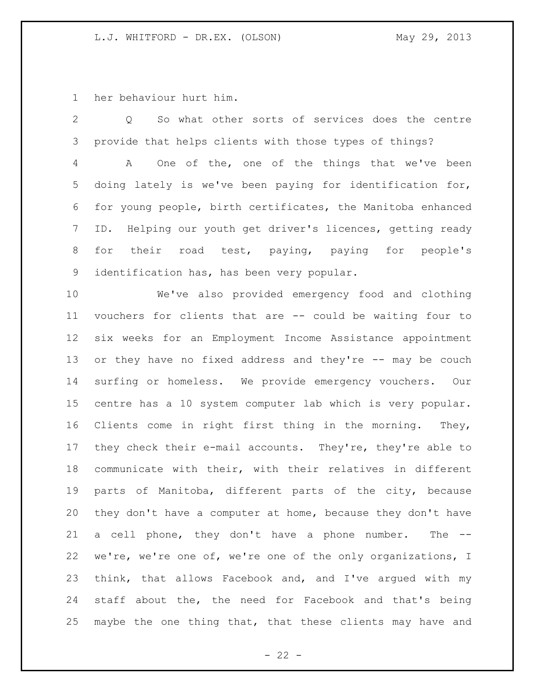her behaviour hurt him.

 Q So what other sorts of services does the centre provide that helps clients with those types of things? A One of the, one of the things that we've been doing lately is we've been paying for identification for, for young people, birth certificates, the Manitoba enhanced ID. Helping our youth get driver's licences, getting ready for their road test, paying, paying for people's identification has, has been very popular. We've also provided emergency food and clothing vouchers for clients that are -- could be waiting four to six weeks for an Employment Income Assistance appointment 13 or they have no fixed address and they're -- may be couch surfing or homeless. We provide emergency vouchers. Our centre has a 10 system computer lab which is very popular. Clients come in right first thing in the morning. They, they check their e-mail accounts. They're, they're able to communicate with their, with their relatives in different parts of Manitoba, different parts of the city, because they don't have a computer at home, because they don't have a cell phone, they don't have a phone number. The -- we're, we're one of, we're one of the only organizations, I think, that allows Facebook and, and I've argued with my staff about the, the need for Facebook and that's being maybe the one thing that, that these clients may have and

 $- 22 -$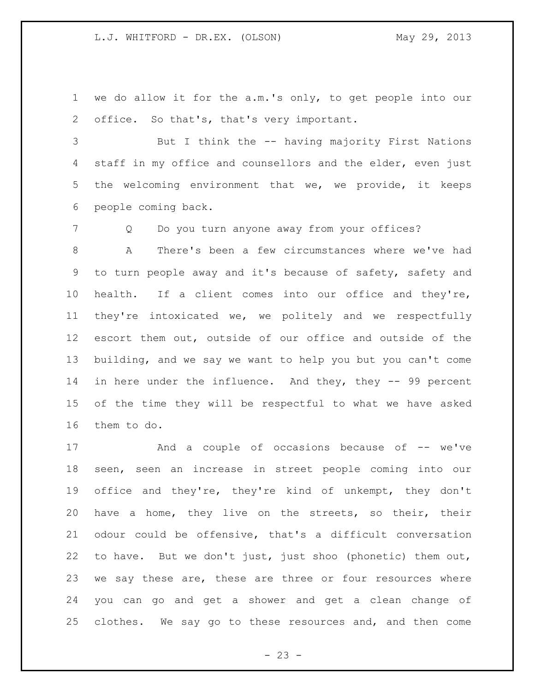we do allow it for the a.m.'s only, to get people into our 2 office. So that's, that's very important.

 But I think the -- having majority First Nations 4 staff in my office and counsellors and the elder, even just the welcoming environment that we, we provide, it keeps people coming back.

Q Do you turn anyone away from your offices?

 A There's been a few circumstances where we've had to turn people away and it's because of safety, safety and health. If a client comes into our office and they're, they're intoxicated we, we politely and we respectfully escort them out, outside of our office and outside of the building, and we say we want to help you but you can't come 14 in here under the influence. And they, they -- 99 percent of the time they will be respectful to what we have asked them to do.

17 And a couple of occasions because of -- we've seen, seen an increase in street people coming into our office and they're, they're kind of unkempt, they don't have a home, they live on the streets, so their, their odour could be offensive, that's a difficult conversation to have. But we don't just, just shoo (phonetic) them out, we say these are, these are three or four resources where you can go and get a shower and get a clean change of clothes. We say go to these resources and, and then come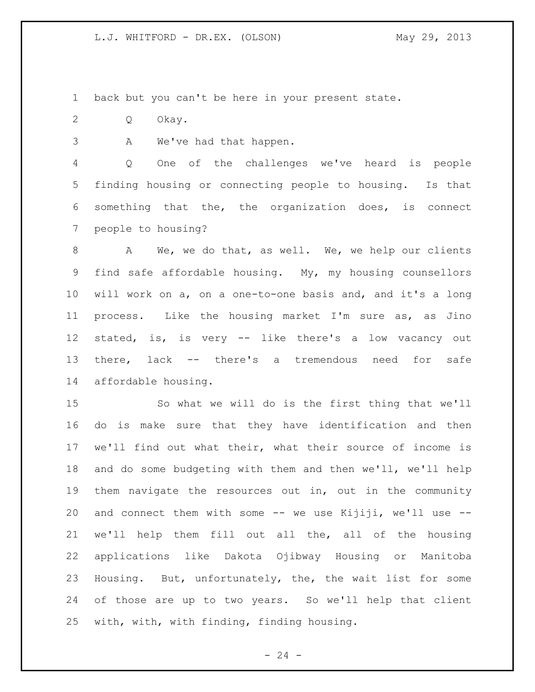back but you can't be here in your present state.

Q Okay.

A We've had that happen.

 Q One of the challenges we've heard is people finding housing or connecting people to housing. Is that something that the, the organization does, is connect people to housing?

 A We, we do that, as well. We, we help our clients find safe affordable housing. My, my housing counsellors will work on a, on a one-to-one basis and, and it's a long process. Like the housing market I'm sure as, as Jino stated, is, is very -- like there's a low vacancy out there, lack -- there's a tremendous need for safe affordable housing.

 So what we will do is the first thing that we'll do is make sure that they have identification and then we'll find out what their, what their source of income is and do some budgeting with them and then we'll, we'll help them navigate the resources out in, out in the community 20 and connect them with some -- we use Kijiji, we'll use -- we'll help them fill out all the, all of the housing applications like Dakota Ojibway Housing or Manitoba Housing. But, unfortunately, the, the wait list for some of those are up to two years. So we'll help that client with, with, with finding, finding housing.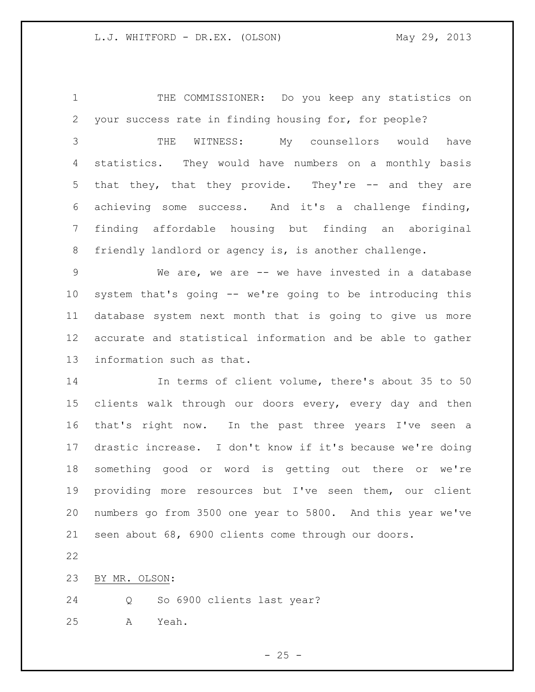THE COMMISSIONER: Do you keep any statistics on your success rate in finding housing for, for people?

 THE WITNESS: My counsellors would have statistics. They would have numbers on a monthly basis that they, that they provide. They're -- and they are achieving some success. And it's a challenge finding, finding affordable housing but finding an aboriginal friendly landlord or agency is, is another challenge.

 We are, we are -- we have invested in a database system that's going -- we're going to be introducing this database system next month that is going to give us more accurate and statistical information and be able to gather information such as that.

 In terms of client volume, there's about 35 to 50 clients walk through our doors every, every day and then that's right now. In the past three years I've seen a drastic increase. I don't know if it's because we're doing something good or word is getting out there or we're providing more resources but I've seen them, our client numbers go from 3500 one year to 5800. And this year we've seen about 68, 6900 clients come through our doors.

BY MR. OLSON:

Q So 6900 clients last year?

A Yeah.

 $- 25 -$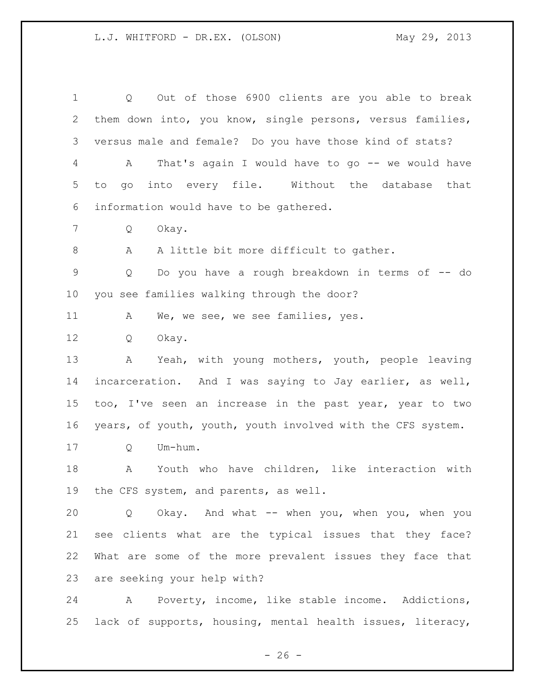Q Out of those 6900 clients are you able to break them down into, you know, single persons, versus families, versus male and female? Do you have those kind of stats? A That's again I would have to go -- we would have to go into every file. Without the database that information would have to be gathered. Q Okay. A A little bit more difficult to gather. Q Do you have a rough breakdown in terms of -- do you see families walking through the door? 11 A We, we see, we see families, yes. Q Okay. A Yeah, with young mothers, youth, people leaving incarceration. And I was saying to Jay earlier, as well, too, I've seen an increase in the past year, year to two years, of youth, youth, youth involved with the CFS system. Q Um-hum. A Youth who have children, like interaction with the CFS system, and parents, as well. Q Okay. And what -- when you, when you, when you see clients what are the typical issues that they face? What are some of the more prevalent issues they face that are seeking your help with? A Poverty, income, like stable income. Addictions,

lack of supports, housing, mental health issues, literacy,

 $- 26 -$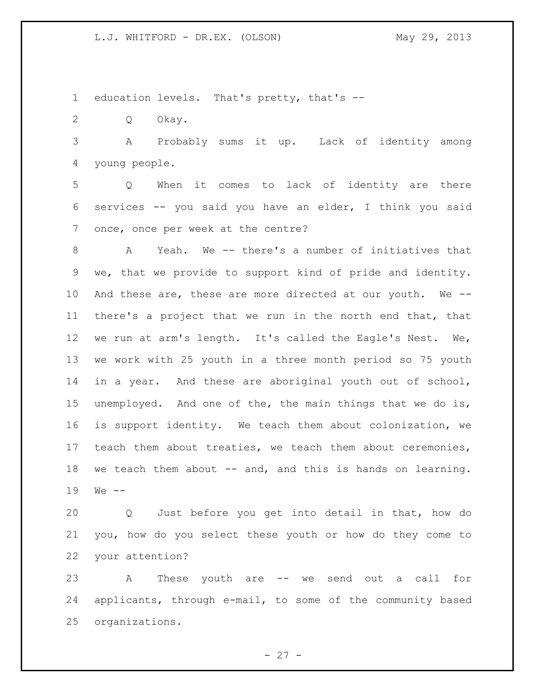education levels. That's pretty, that's --

Q Okay.

 A Probably sums it up. Lack of identity among young people.

 Q When it comes to lack of identity are there services -- you said you have an elder, I think you said once, once per week at the centre?

 A Yeah. We -- there's a number of initiatives that we, that we provide to support kind of pride and identity. And these are, these are more directed at our youth. We -- there's a project that we run in the north end that, that we run at arm's length. It's called the Eagle's Nest. We, we work with 25 youth in a three month period so 75 youth in a year. And these are aboriginal youth out of school, unemployed. And one of the, the main things that we do is, is support identity. We teach them about colonization, we teach them about treaties, we teach them about ceremonies, 18 we teach them about -- and, and this is hands on learning. We --

 Q Just before you get into detail in that, how do you, how do you select these youth or how do they come to your attention?

 A These youth are -- we send out a call for applicants, through e-mail, to some of the community based organizations.

 $- 27 -$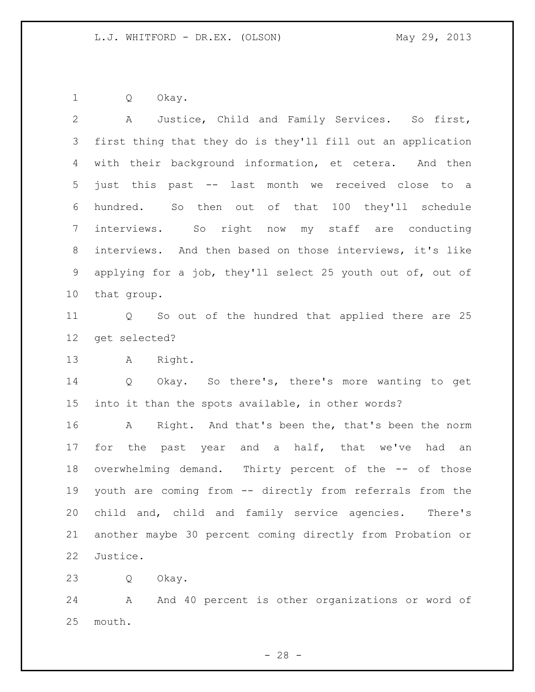Q Okay.

 A Justice, Child and Family Services. So first, first thing that they do is they'll fill out an application with their background information, et cetera. And then just this past -- last month we received close to a hundred. So then out of that 100 they'll schedule interviews. So right now my staff are conducting interviews. And then based on those interviews, it's like applying for a job, they'll select 25 youth out of, out of that group.

 Q So out of the hundred that applied there are 25 get selected?

A Right.

 Q Okay. So there's, there's more wanting to get into it than the spots available, in other words?

 A Right. And that's been the, that's been the norm 17 for the past year and a half, that we've had an overwhelming demand. Thirty percent of the -- of those youth are coming from -- directly from referrals from the child and, child and family service agencies. There's another maybe 30 percent coming directly from Probation or Justice.

Q Okay.

24 A And 40 percent is other organizations or word of mouth.

 $- 28 -$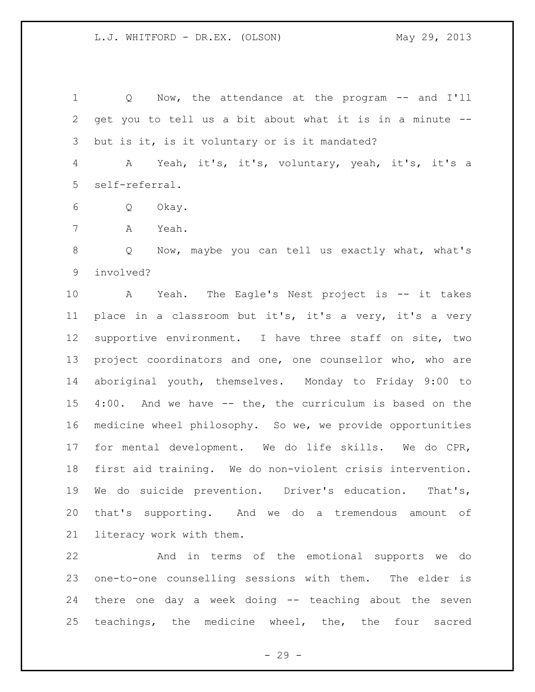Q Now, the attendance at the program -- and I'll get you to tell us a bit about what it is in a minute -- 3 but is it, is it voluntary or is it mandated?

 A Yeah, it's, it's, voluntary, yeah, it's, it's a self-referral.

- Q Okay.
- A Yeah.

 Q Now, maybe you can tell us exactly what, what's involved?

 A Yeah. The Eagle's Nest project is -- it takes place in a classroom but it's, it's a very, it's a very supportive environment. I have three staff on site, two project coordinators and one, one counsellor who, who are aboriginal youth, themselves. Monday to Friday 9:00 to 4:00. And we have -- the, the curriculum is based on the medicine wheel philosophy. So we, we provide opportunities for mental development. We do life skills. We do CPR, first aid training. We do non-violent crisis intervention. We do suicide prevention. Driver's education. That's, that's supporting. And we do a tremendous amount of literacy work with them.

 And in terms of the emotional supports we do one-to-one counselling sessions with them. The elder is there one day a week doing -- teaching about the seven teachings, the medicine wheel, the, the four sacred

 $- 29 -$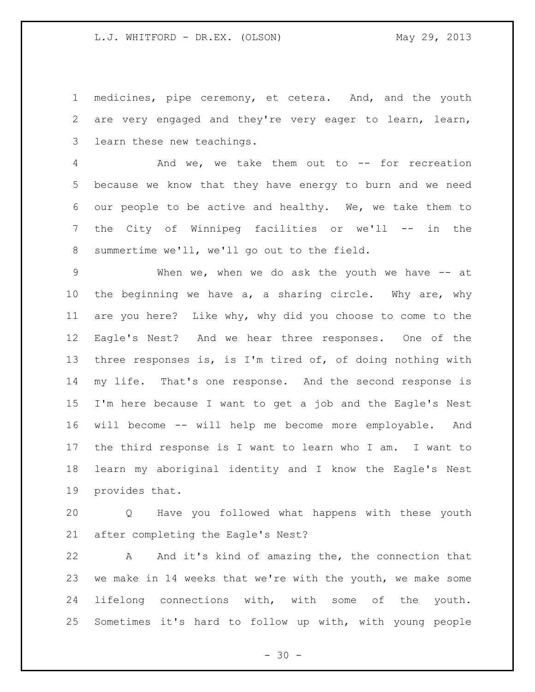medicines, pipe ceremony, et cetera. And, and the youth are very engaged and they're very eager to learn, learn, learn these new teachings.

 And we, we take them out to -- for recreation because we know that they have energy to burn and we need our people to be active and healthy. We, we take them to the City of Winnipeg facilities or we'll -- in the summertime we'll, we'll go out to the field.

 When we, when we do ask the youth we have -- at the beginning we have a, a sharing circle. Why are, why are you here? Like why, why did you choose to come to the Eagle's Nest? And we hear three responses. One of the three responses is, is I'm tired of, of doing nothing with my life. That's one response. And the second response is I'm here because I want to get a job and the Eagle's Nest will become -- will help me become more employable. And the third response is I want to learn who I am. I want to learn my aboriginal identity and I know the Eagle's Nest provides that.

 Q Have you followed what happens with these youth after completing the Eagle's Nest?

 A And it's kind of amazing the, the connection that we make in 14 weeks that we're with the youth, we make some lifelong connections with, with some of the youth. Sometimes it's hard to follow up with, with young people

 $- 30 -$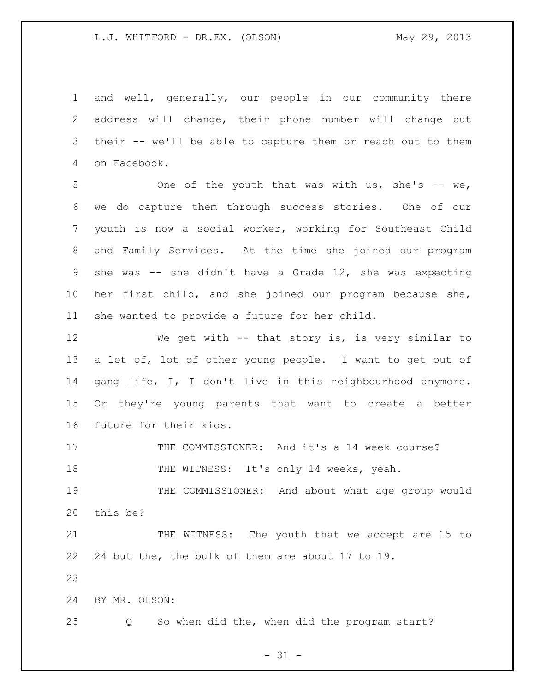and well, generally, our people in our community there address will change, their phone number will change but their -- we'll be able to capture them or reach out to them on Facebook.

5 One of the youth that was with us, she's -- we, we do capture them through success stories. One of our youth is now a social worker, working for Southeast Child and Family Services. At the time she joined our program she was -- she didn't have a Grade 12, she was expecting her first child, and she joined our program because she, she wanted to provide a future for her child.

 We get with -- that story is, is very similar to a lot of, lot of other young people. I want to get out of gang life, I, I don't live in this neighbourhood anymore. Or they're young parents that want to create a better future for their kids.

17 THE COMMISSIONER: And it's a 14 week course? 18 THE WITNESS: It's only 14 weeks, yeah.

 THE COMMISSIONER: And about what age group would this be?

 THE WITNESS: The youth that we accept are 15 to 24 but the, the bulk of them are about 17 to 19.

BY MR. OLSON:

Q So when did the, when did the program start?

 $- 31 -$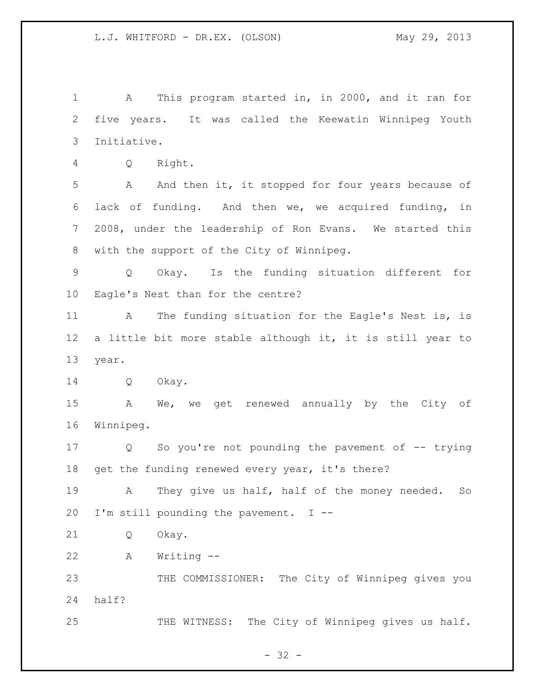A This program started in, in 2000, and it ran for five years. It was called the Keewatin Winnipeg Youth Initiative. Q Right. A And then it, it stopped for four years because of lack of funding. And then we, we acquired funding, in 2008, under the leadership of Ron Evans. We started this with the support of the City of Winnipeg. Q Okay. Is the funding situation different for Eagle's Nest than for the centre? 11 A The funding situation for the Eagle's Nest is, is a little bit more stable although it, it is still year to year. Q Okay. A We, we get renewed annually by the City of Winnipeg. Q So you're not pounding the pavement of -- trying 18 get the funding renewed every year, it's there? A They give us half, half of the money needed. So I'm still pounding the pavement. I -- Q Okay. A Writing -- THE COMMISSIONER: The City of Winnipeg gives you half? 25 THE WITNESS: The City of Winnipeg gives us half.

 $- 32 -$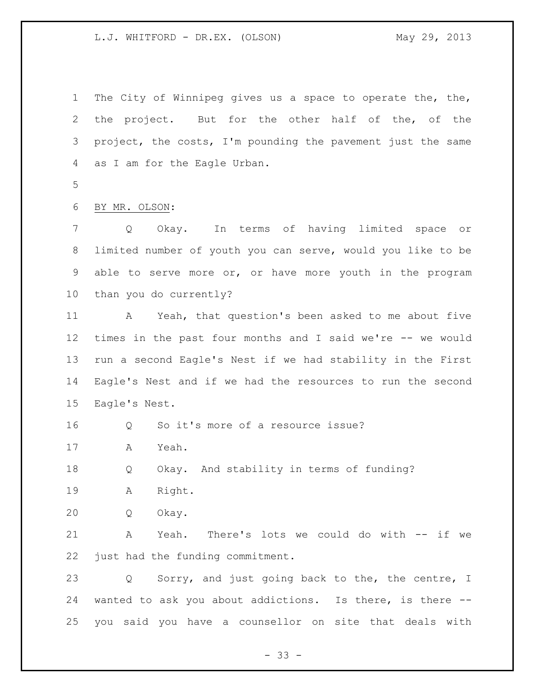L.J. WHITFORD - DR.EX. (OLSON) May 29, 2013

 The City of Winnipeg gives us a space to operate the, the, the project. But for the other half of the, of the project, the costs, I'm pounding the pavement just the same as I am for the Eagle Urban.

BY MR. OLSON:

 Q Okay. In terms of having limited space or limited number of youth you can serve, would you like to be able to serve more or, or have more youth in the program than you do currently?

 A Yeah, that question's been asked to me about five times in the past four months and I said we're -- we would run a second Eagle's Nest if we had stability in the First Eagle's Nest and if we had the resources to run the second Eagle's Nest.

Q So it's more of a resource issue?

A Yeah.

Q Okay. And stability in terms of funding?

A Right.

Q Okay.

 A Yeah. There's lots we could do with -- if we just had the funding commitment.

 Q Sorry, and just going back to the, the centre, I wanted to ask you about addictions. Is there, is there -- you said you have a counsellor on site that deals with

 $- 33 -$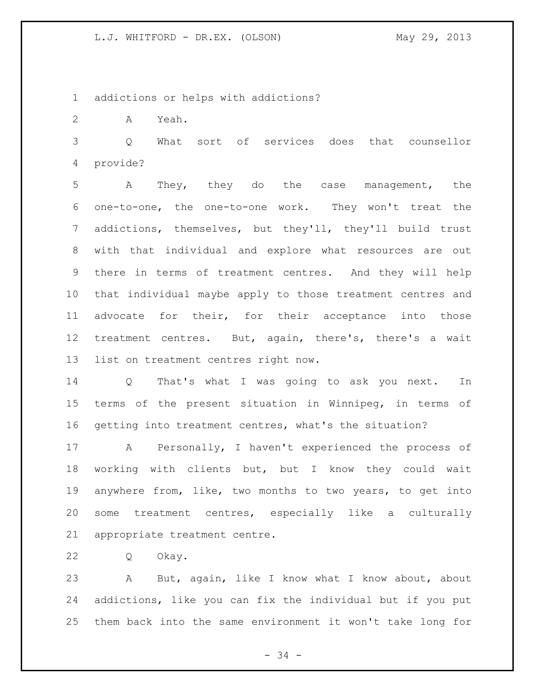L.J. WHITFORD - DR.EX. (OLSON) May 29, 2013

addictions or helps with addictions?

A Yeah.

 Q What sort of services does that counsellor provide?

 A They, they do the case management, the one-to-one, the one-to-one work. They won't treat the addictions, themselves, but they'll, they'll build trust with that individual and explore what resources are out there in terms of treatment centres. And they will help that individual maybe apply to those treatment centres and advocate for their, for their acceptance into those treatment centres. But, again, there's, there's a wait list on treatment centres right now.

 Q That's what I was going to ask you next. In terms of the present situation in Winnipeg, in terms of getting into treatment centres, what's the situation?

 A Personally, I haven't experienced the process of working with clients but, but I know they could wait anywhere from, like, two months to two years, to get into some treatment centres, especially like a culturally appropriate treatment centre.

Q Okay.

 A But, again, like I know what I know about, about addictions, like you can fix the individual but if you put them back into the same environment it won't take long for

- 34 -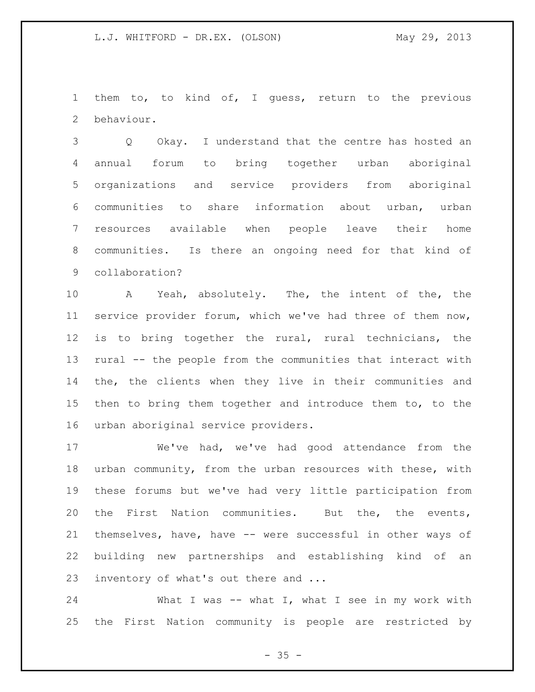them to, to kind of, I guess, return to the previous behaviour.

 Q Okay. I understand that the centre has hosted an annual forum to bring together urban aboriginal organizations and service providers from aboriginal communities to share information about urban, urban resources available when people leave their home communities. Is there an ongoing need for that kind of collaboration?

 A Yeah, absolutely. The, the intent of the, the service provider forum, which we've had three of them now, is to bring together the rural, rural technicians, the rural -- the people from the communities that interact with the, the clients when they live in their communities and then to bring them together and introduce them to, to the urban aboriginal service providers.

 We've had, we've had good attendance from the urban community, from the urban resources with these, with these forums but we've had very little participation from the First Nation communities. But the, the events, themselves, have, have -- were successful in other ways of building new partnerships and establishing kind of an inventory of what's out there and ...

24 What I was -- what I, what I see in my work with the First Nation community is people are restricted by

 $- 35 -$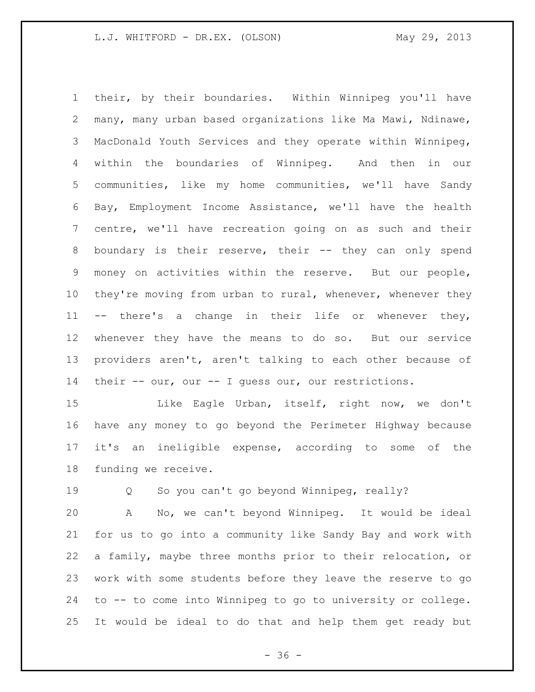their, by their boundaries. Within Winnipeg you'll have many, many urban based organizations like Ma Mawi, Ndinawe, MacDonald Youth Services and they operate within Winnipeg, within the boundaries of Winnipeg. And then in our communities, like my home communities, we'll have Sandy Bay, Employment Income Assistance, we'll have the health centre, we'll have recreation going on as such and their 8 boundary is their reserve, their -- they can only spend money on activities within the reserve. But our people, 10 they're moving from urban to rural, whenever, whenever they -- there's a change in their life or whenever they, whenever they have the means to do so. But our service providers aren't, aren't talking to each other because of their -- our, our -- I guess our, our restrictions.

15 Like Eagle Urban, itself, right now, we don't have any money to go beyond the Perimeter Highway because it's an ineligible expense, according to some of the funding we receive.

19 0 So you can't go beyond Winnipeg, really?

 A No, we can't beyond Winnipeg. It would be ideal for us to go into a community like Sandy Bay and work with a family, maybe three months prior to their relocation, or work with some students before they leave the reserve to go to -- to come into Winnipeg to go to university or college. It would be ideal to do that and help them get ready but

 $- 36 -$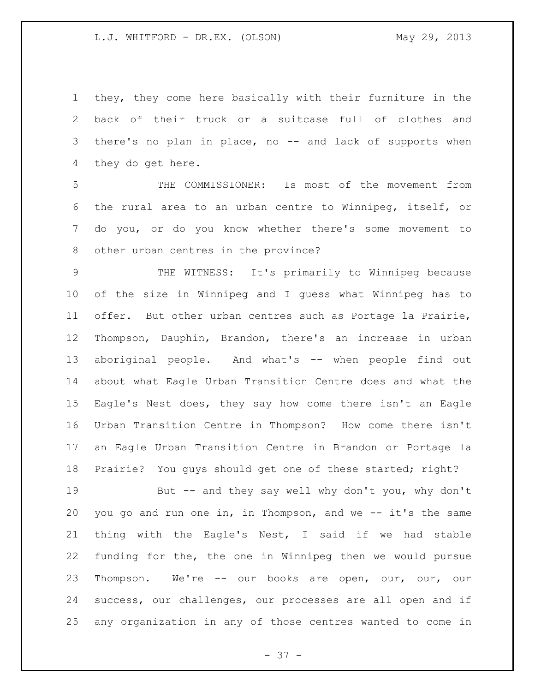they, they come here basically with their furniture in the back of their truck or a suitcase full of clothes and there's no plan in place, no -- and lack of supports when they do get here.

 THE COMMISSIONER: Is most of the movement from the rural area to an urban centre to Winnipeg, itself, or do you, or do you know whether there's some movement to other urban centres in the province?

 THE WITNESS: It's primarily to Winnipeg because of the size in Winnipeg and I guess what Winnipeg has to offer. But other urban centres such as Portage la Prairie, Thompson, Dauphin, Brandon, there's an increase in urban aboriginal people. And what's -- when people find out about what Eagle Urban Transition Centre does and what the Eagle's Nest does, they say how come there isn't an Eagle Urban Transition Centre in Thompson? How come there isn't an Eagle Urban Transition Centre in Brandon or Portage la Prairie? You guys should get one of these started; right?

 But -- and they say well why don't you, why don't you go and run one in, in Thompson, and we -- it's the same thing with the Eagle's Nest, I said if we had stable funding for the, the one in Winnipeg then we would pursue Thompson. We're -- our books are open, our, our, our success, our challenges, our processes are all open and if any organization in any of those centres wanted to come in

- 37 -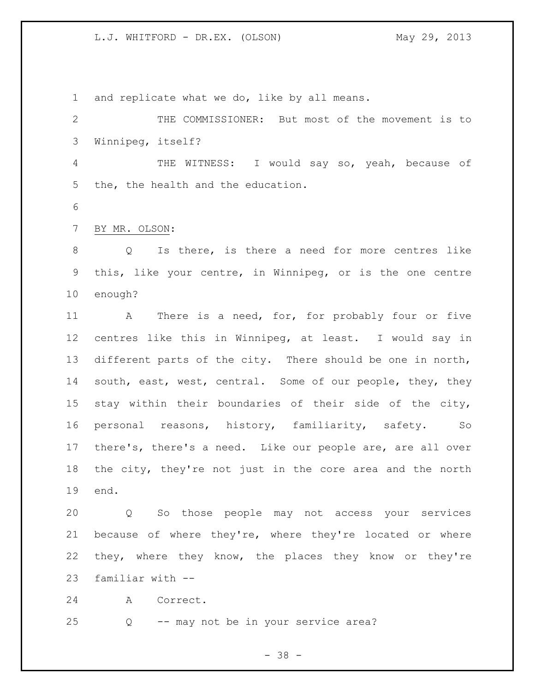L.J. WHITFORD - DR.EX. (OLSON) May 29, 2013

and replicate what we do, like by all means.

 THE COMMISSIONER: But most of the movement is to Winnipeg, itself? THE WITNESS: I would say so, yeah, because of the, the health and the education. BY MR. OLSON: Q Is there, is there a need for more centres like this, like your centre, in Winnipeg, or is the one centre enough? A There is a need, for, for probably four or five centres like this in Winnipeg, at least. I would say in different parts of the city. There should be one in north, 14 south, east, west, central. Some of our people, they, they stay within their boundaries of their side of the city, personal reasons, history, familiarity, safety. So there's, there's a need. Like our people are, are all over the city, they're not just in the core area and the north end.

 Q So those people may not access your services because of where they're, where they're located or where they, where they know, the places they know or they're familiar with --

A Correct.

Q -- may not be in your service area?

- 38 -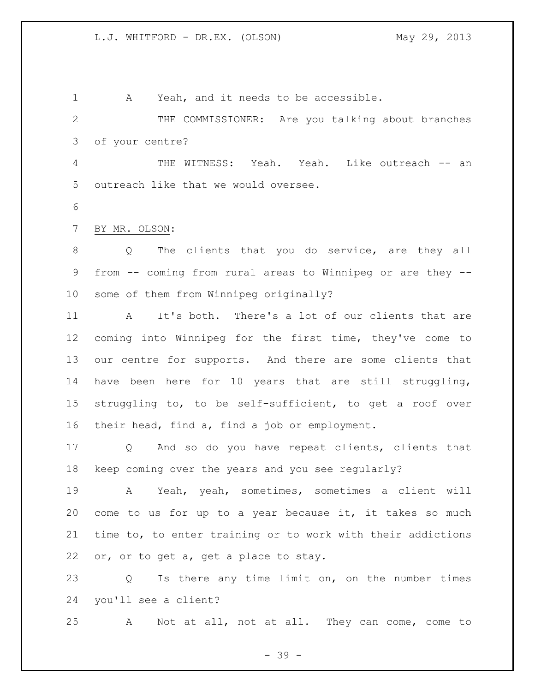A Yeah, and it needs to be accessible. THE COMMISSIONER: Are you talking about branches of your centre? THE WITNESS: Yeah. Yeah. Like outreach -- an outreach like that we would oversee. BY MR. OLSON: Q The clients that you do service, are they all from -- coming from rural areas to Winnipeg or are they -- some of them from Winnipeg originally? A It's both. There's a lot of our clients that are coming into Winnipeg for the first time, they've come to our centre for supports. And there are some clients that have been here for 10 years that are still struggling, struggling to, to be self-sufficient, to get a roof over their head, find a, find a job or employment. Q And so do you have repeat clients, clients that

keep coming over the years and you see regularly?

 A Yeah, yeah, sometimes, sometimes a client will come to us for up to a year because it, it takes so much time to, to enter training or to work with their addictions or, or to get a, get a place to stay.

 Q Is there any time limit on, on the number times you'll see a client?

A Not at all, not at all. They can come, come to

- 39 -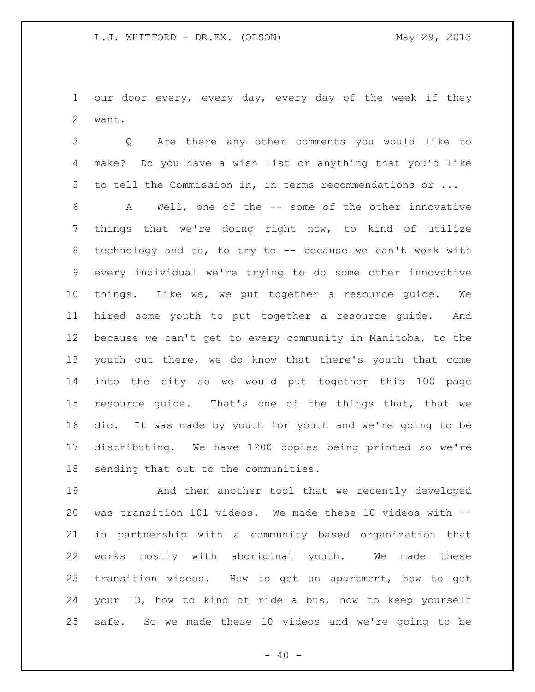our door every, every day, every day of the week if they want.

 Q Are there any other comments you would like to make? Do you have a wish list or anything that you'd like to tell the Commission in, in terms recommendations or ...

 A Well, one of the -- some of the other innovative things that we're doing right now, to kind of utilize technology and to, to try to -- because we can't work with every individual we're trying to do some other innovative things. Like we, we put together a resource guide. We hired some youth to put together a resource guide. And because we can't get to every community in Manitoba, to the youth out there, we do know that there's youth that come into the city so we would put together this 100 page resource guide. That's one of the things that, that we did. It was made by youth for youth and we're going to be distributing. We have 1200 copies being printed so we're sending that out to the communities.

 And then another tool that we recently developed was transition 101 videos. We made these 10 videos with -- in partnership with a community based organization that works mostly with aboriginal youth. We made these transition videos. How to get an apartment, how to get your ID, how to kind of ride a bus, how to keep yourself safe. So we made these 10 videos and we're going to be

 $- 40 -$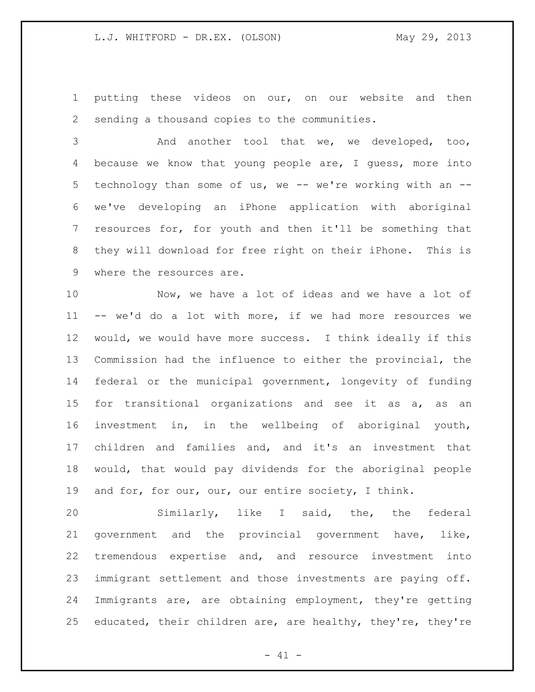putting these videos on our, on our website and then sending a thousand copies to the communities.

 And another tool that we, we developed, too, because we know that young people are, I guess, more into 5 technology than some of us, we -- we're working with an -- we've developing an iPhone application with aboriginal resources for, for youth and then it'll be something that they will download for free right on their iPhone. This is where the resources are.

 Now, we have a lot of ideas and we have a lot of -- we'd do a lot with more, if we had more resources we would, we would have more success. I think ideally if this Commission had the influence to either the provincial, the federal or the municipal government, longevity of funding 15 for transitional organizations and see it as a, as an investment in, in the wellbeing of aboriginal youth, children and families and, and it's an investment that would, that would pay dividends for the aboriginal people 19 and for, for our, our, our entire society, I think.

 Similarly, like I said, the, the federal government and the provincial government have, like, tremendous expertise and, and resource investment into immigrant settlement and those investments are paying off. Immigrants are, are obtaining employment, they're getting educated, their children are, are healthy, they're, they're

 $- 41 -$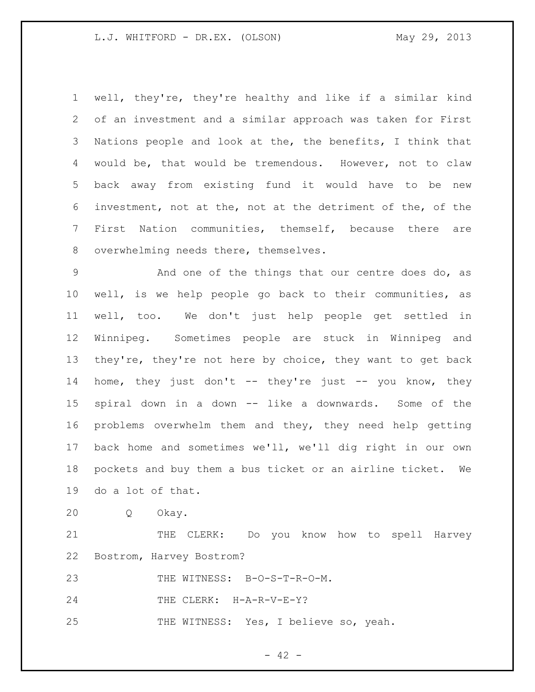### L.J. WHITFORD - DR.EX. (OLSON) May 29, 2013

 well, they're, they're healthy and like if a similar kind of an investment and a similar approach was taken for First Nations people and look at the, the benefits, I think that would be, that would be tremendous. However, not to claw back away from existing fund it would have to be new investment, not at the, not at the detriment of the, of the First Nation communities, themself, because there are overwhelming needs there, themselves.

 And one of the things that our centre does do, as well, is we help people go back to their communities, as well, too. We don't just help people get settled in Winnipeg. Sometimes people are stuck in Winnipeg and they're, they're not here by choice, they want to get back 14 home, they just don't -- they're just -- you know, they spiral down in a down -- like a downwards. Some of the problems overwhelm them and they, they need help getting back home and sometimes we'll, we'll dig right in our own pockets and buy them a bus ticket or an airline ticket. We do a lot of that.

Q Okay.

21 THE CLERK: Do you know how to spell Harvey Bostrom, Harvey Bostrom?

THE WITNESS: B-O-S-T-R-O-M.

24 THE CLERK: H-A-R-V-E-Y?

THE WITNESS: Yes, I believe so, yeah.

 $- 42 -$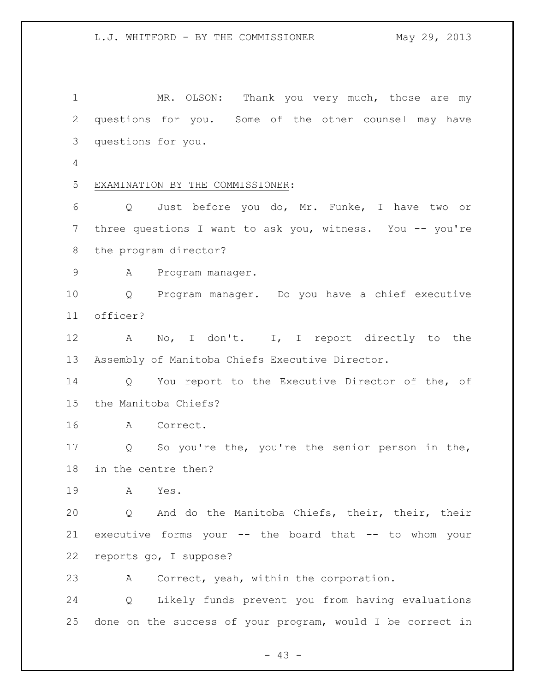MR. OLSON: Thank you very much, those are my questions for you. Some of the other counsel may have questions for you. EXAMINATION BY THE COMMISSIONER: Q Just before you do, Mr. Funke, I have two or three questions I want to ask you, witness. You -- you're the program director? A Program manager. Q Program manager. Do you have a chief executive officer? 12 A No, I don't. I, I report directly to the Assembly of Manitoba Chiefs Executive Director. Q You report to the Executive Director of the, of the Manitoba Chiefs? A Correct. Q So you're the, you're the senior person in the, in the centre then? A Yes. Q And do the Manitoba Chiefs, their, their, their executive forms your -- the board that -- to whom your reports go, I suppose? A Correct, yeah, within the corporation. Q Likely funds prevent you from having evaluations done on the success of your program, would I be correct in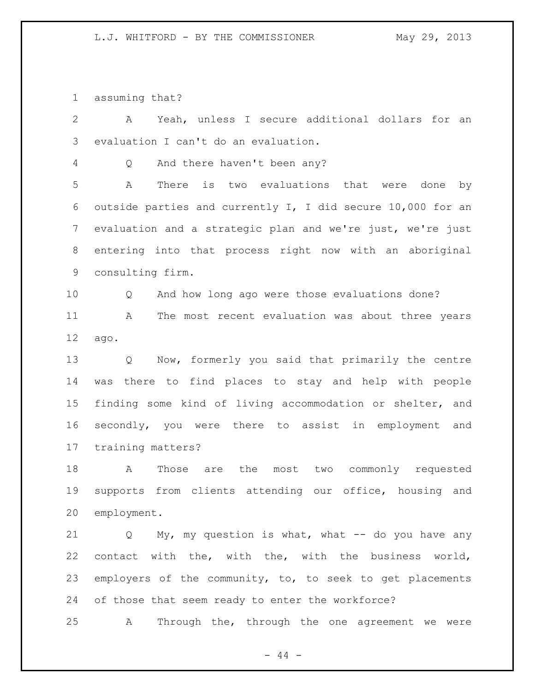assuming that?

 A Yeah, unless I secure additional dollars for an evaluation I can't do an evaluation. Q And there haven't been any? A There is two evaluations that were done by outside parties and currently I, I did secure 10,000 for an evaluation and a strategic plan and we're just, we're just entering into that process right now with an aboriginal consulting firm. Q And how long ago were those evaluations done? A The most recent evaluation was about three years ago. Q Now, formerly you said that primarily the centre was there to find places to stay and help with people finding some kind of living accommodation or shelter, and secondly, you were there to assist in employment and training matters? A Those are the most two commonly requested supports from clients attending our office, housing and employment. Q My, my question is what, what -- do you have any contact with the, with the, with the business world, employers of the community, to, to seek to get placements of those that seem ready to enter the workforce? A Through the, through the one agreement we were

 $-44 -$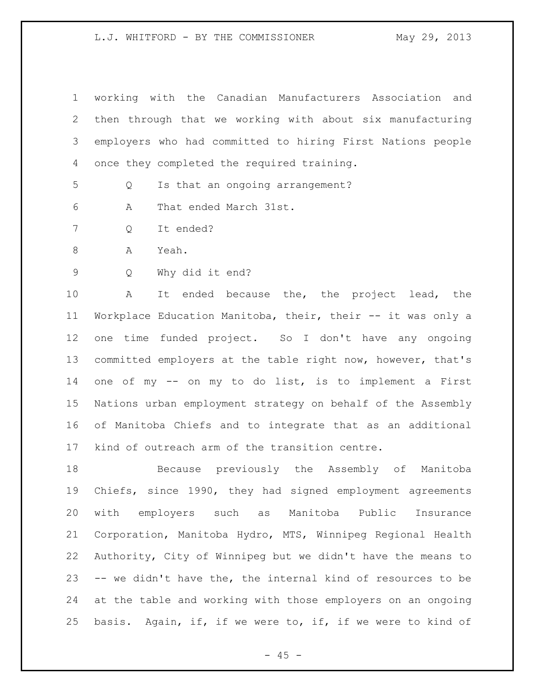#### L.J. WHITFORD - BY THE COMMISSIONER May 29, 2013

| 1 working with the Canadian Manufacturers Association and    |
|--------------------------------------------------------------|
| 2 then through that we working with about six manufacturing  |
| 3 employers who had committed to hiring First Nations people |
| 4 once they completed the required training.                 |

Q Is that an ongoing arrangement?

A That ended March 31st.

- Q It ended?
- A Yeah.
- Q Why did it end?

 A It ended because the, the project lead, the Workplace Education Manitoba, their, their -- it was only a one time funded project. So I don't have any ongoing committed employers at the table right now, however, that's one of my -- on my to do list, is to implement a First Nations urban employment strategy on behalf of the Assembly of Manitoba Chiefs and to integrate that as an additional kind of outreach arm of the transition centre.

 Because previously the Assembly of Manitoba Chiefs, since 1990, they had signed employment agreements with employers such as Manitoba Public Insurance Corporation, Manitoba Hydro, MTS, Winnipeg Regional Health Authority, City of Winnipeg but we didn't have the means to -- we didn't have the, the internal kind of resources to be at the table and working with those employers on an ongoing basis. Again, if, if we were to, if, if we were to kind of

 $- 45 -$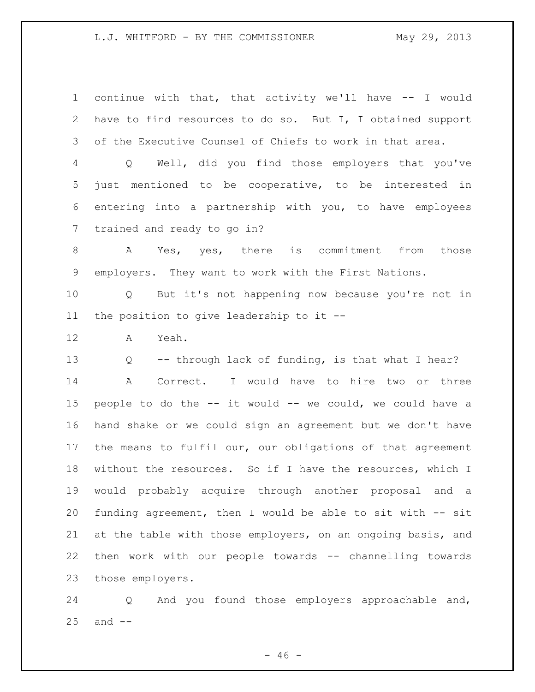## L.J. WHITFORD - BY THE COMMISSIONER May 29, 2013

 continue with that, that activity we'll have -- I would have to find resources to do so. But I, I obtained support of the Executive Counsel of Chiefs to work in that area.

 Q Well, did you find those employers that you've just mentioned to be cooperative, to be interested in entering into a partnership with you, to have employees trained and ready to go in?

 A Yes, yes, there is commitment from those employers. They want to work with the First Nations.

 Q But it's not happening now because you're not in the position to give leadership to it --

A Yeah.

 Q -- through lack of funding, is that what I hear? A Correct. I would have to hire two or three people to do the -- it would -- we could, we could have a hand shake or we could sign an agreement but we don't have the means to fulfil our, our obligations of that agreement without the resources. So if I have the resources, which I would probably acquire through another proposal and a funding agreement, then I would be able to sit with -- sit at the table with those employers, on an ongoing basis, and then work with our people towards -- channelling towards those employers.

 Q And you found those employers approachable and, and  $-$ 

 $- 46 -$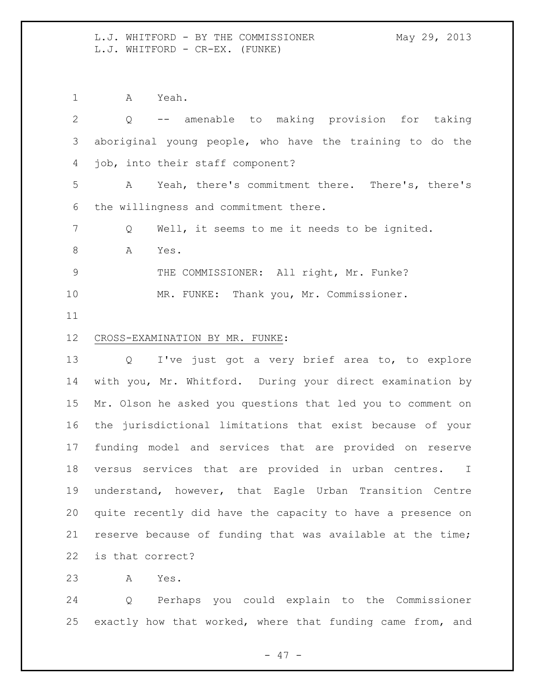L.J. WHITFORD - BY THE COMMISSIONER May 29, 2013 L.J. WHITFORD - CR-EX. (FUNKE)

A Yeah.

 Q -- amenable to making provision for taking aboriginal young people, who have the training to do the job, into their staff component? A Yeah, there's commitment there. There's, there's the willingness and commitment there. Q Well, it seems to me it needs to be ignited. 8 A Yes. THE COMMISSIONER: All right, Mr. Funke? MR. FUNKE: Thank you, Mr. Commissioner. CROSS-EXAMINATION BY MR. FUNKE: Q I've just got a very brief area to, to explore with you, Mr. Whitford. During your direct examination by Mr. Olson he asked you questions that led you to comment on the jurisdictional limitations that exist because of your funding model and services that are provided on reserve versus services that are provided in urban centres. I understand, however, that Eagle Urban Transition Centre quite recently did have the capacity to have a presence on reserve because of funding that was available at the time; is that correct?

A Yes.

 Q Perhaps you could explain to the Commissioner exactly how that worked, where that funding came from, and

- 47 -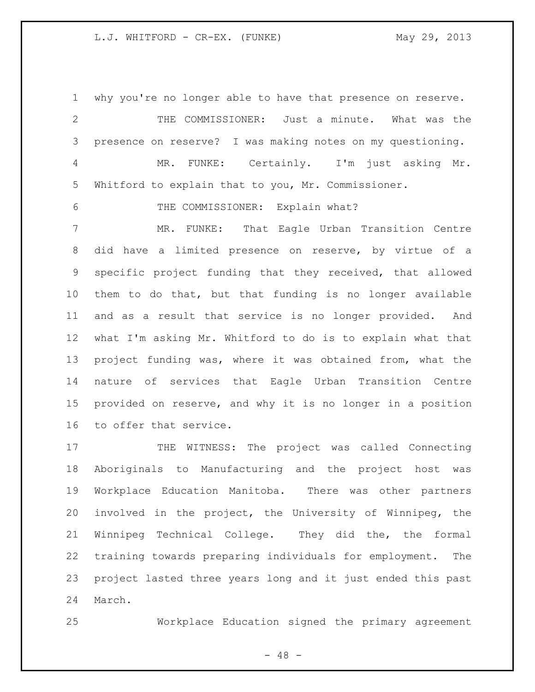### L.J. WHITFORD - CR-EX. (FUNKE) May 29, 2013

 why you're no longer able to have that presence on reserve. THE COMMISSIONER: Just a minute. What was the presence on reserve? I was making notes on my questioning. MR. FUNKE: Certainly. I'm just asking Mr. Whitford to explain that to you, Mr. Commissioner. THE COMMISSIONER: Explain what? MR. FUNKE: That Eagle Urban Transition Centre did have a limited presence on reserve, by virtue of a specific project funding that they received, that allowed them to do that, but that funding is no longer available and as a result that service is no longer provided. And what I'm asking Mr. Whitford to do is to explain what that project funding was, where it was obtained from, what the nature of services that Eagle Urban Transition Centre provided on reserve, and why it is no longer in a position to offer that service. 17 THE WITNESS: The project was called Connecting Aboriginals to Manufacturing and the project host was Workplace Education Manitoba. There was other partners

 involved in the project, the University of Winnipeg, the Winnipeg Technical College. They did the, the formal training towards preparing individuals for employment. The project lasted three years long and it just ended this past March.

Workplace Education signed the primary agreement

- 48 -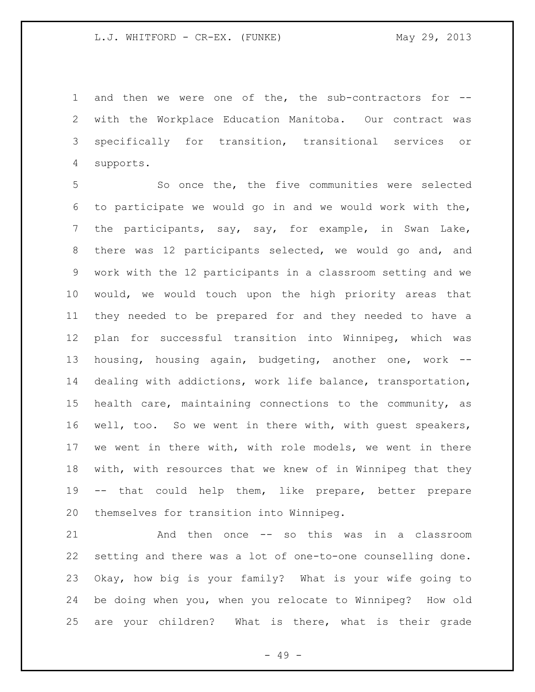and then we were one of the, the sub-contractors for -- with the Workplace Education Manitoba. Our contract was specifically for transition, transitional services or supports.

 So once the, the five communities were selected to participate we would go in and we would work with the, the participants, say, say, for example, in Swan Lake, there was 12 participants selected, we would go and, and work with the 12 participants in a classroom setting and we would, we would touch upon the high priority areas that they needed to be prepared for and they needed to have a plan for successful transition into Winnipeg, which was housing, housing again, budgeting, another one, work -- dealing with addictions, work life balance, transportation, health care, maintaining connections to the community, as well, too. So we went in there with, with guest speakers, we went in there with, with role models, we went in there with, with resources that we knew of in Winnipeg that they -- that could help them, like prepare, better prepare themselves for transition into Winnipeg.

 And then once -- so this was in a classroom setting and there was a lot of one-to-one counselling done. Okay, how big is your family? What is your wife going to be doing when you, when you relocate to Winnipeg? How old are your children? What is there, what is their grade

- 49 -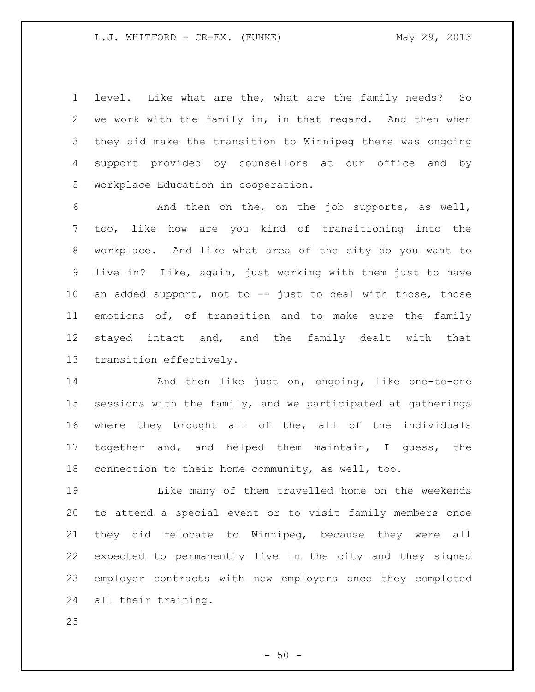level. Like what are the, what are the family needs? So we work with the family in, in that regard. And then when they did make the transition to Winnipeg there was ongoing support provided by counsellors at our office and by Workplace Education in cooperation.

 And then on the, on the job supports, as well, too, like how are you kind of transitioning into the workplace. And like what area of the city do you want to live in? Like, again, just working with them just to have an added support, not to -- just to deal with those, those emotions of, of transition and to make sure the family stayed intact and, and the family dealt with that transition effectively.

14 And then like just on, ongoing, like one-to-one sessions with the family, and we participated at gatherings where they brought all of the, all of the individuals together and, and helped them maintain, I guess, the connection to their home community, as well, too.

 Like many of them travelled home on the weekends to attend a special event or to visit family members once they did relocate to Winnipeg, because they were all expected to permanently live in the city and they signed employer contracts with new employers once they completed all their training.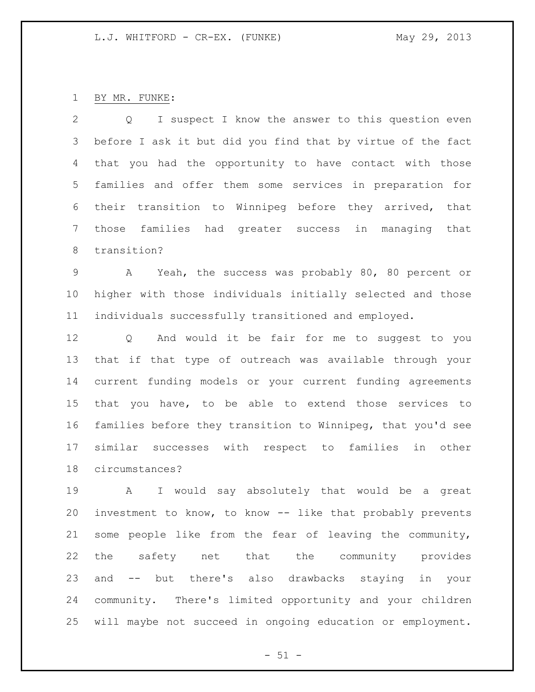# BY MR. FUNKE:

 Q I suspect I know the answer to this question even before I ask it but did you find that by virtue of the fact that you had the opportunity to have contact with those families and offer them some services in preparation for their transition to Winnipeg before they arrived, that those families had greater success in managing that transition?

 A Yeah, the success was probably 80, 80 percent or higher with those individuals initially selected and those individuals successfully transitioned and employed.

 Q And would it be fair for me to suggest to you that if that type of outreach was available through your current funding models or your current funding agreements that you have, to be able to extend those services to families before they transition to Winnipeg, that you'd see similar successes with respect to families in other circumstances?

 A I would say absolutely that would be a great investment to know, to know -- like that probably prevents some people like from the fear of leaving the community, the safety net that the community provides and -- but there's also drawbacks staying in your community. There's limited opportunity and your children will maybe not succeed in ongoing education or employment.

 $- 51 -$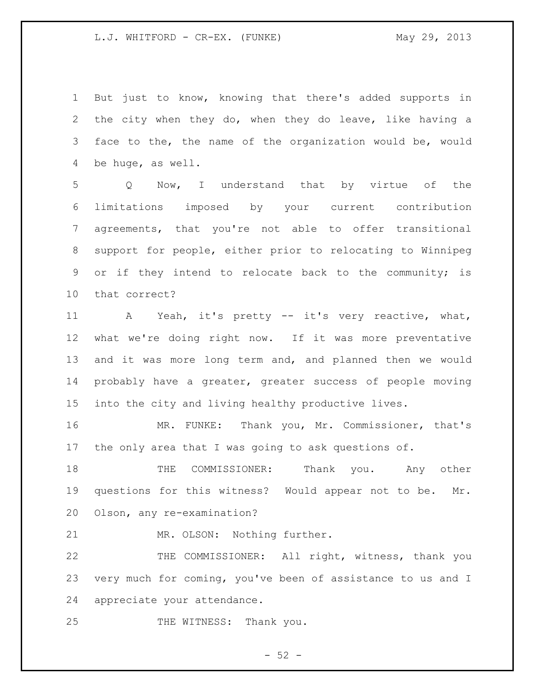L.J. WHITFORD - CR-EX. (FUNKE) May 29, 2013

 But just to know, knowing that there's added supports in the city when they do, when they do leave, like having a face to the, the name of the organization would be, would be huge, as well.

 Q Now, I understand that by virtue of the limitations imposed by your current contribution agreements, that you're not able to offer transitional support for people, either prior to relocating to Winnipeg or if they intend to relocate back to the community; is that correct?

 A Yeah, it's pretty -- it's very reactive, what, what we're doing right now. If it was more preventative and it was more long term and, and planned then we would probably have a greater, greater success of people moving into the city and living healthy productive lives.

 MR. FUNKE: Thank you, Mr. Commissioner, that's the only area that I was going to ask questions of.

 THE COMMISSIONER: Thank you. Any other questions for this witness? Would appear not to be. Mr. Olson, any re-examination?

MR. OLSON: Nothing further.

 THE COMMISSIONER: All right, witness, thank you very much for coming, you've been of assistance to us and I appreciate your attendance.

25 THE WITNESS: Thank you.

 $-52 -$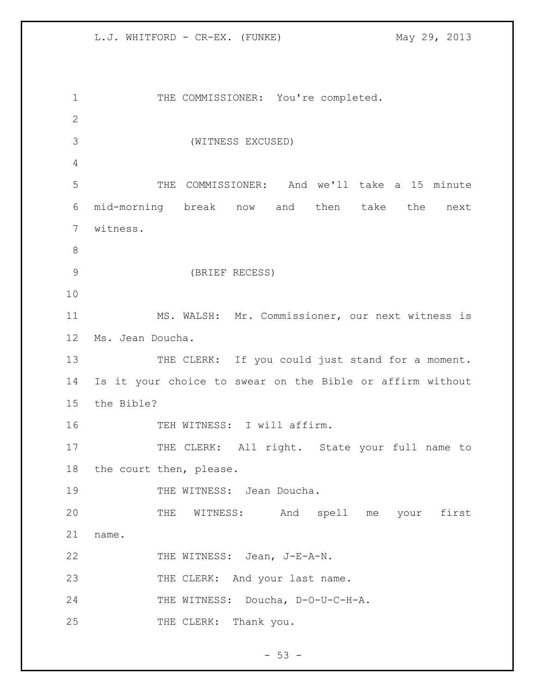L.J. WHITFORD - CR-EX. (FUNKE) May 29, 2013

1 THE COMMISSIONER: You're completed. 2 3 (WITNESS EXCUSED) 4 5 THE COMMISSIONER: And we'll take a 15 minute 6 mid-morning break now and then take the next 7 witness. 8 9 (BRIEF RECESS) 10 11 MS. WALSH: Mr. Commissioner, our next witness is 12 Ms. Jean Doucha. 13 THE CLERK: If you could just stand for a moment. 14 Is it your choice to swear on the Bible or affirm without 15 the Bible? 16 TEH WITNESS: I will affirm. 17 THE CLERK: All right. State your full name to 18 the court then, please. 19 THE WITNESS: Jean Doucha. 20 THE WITNESS: And spell me your first 21 name. 22 THE WITNESS: Jean, J-E-A-N. 23 THE CLERK: And your last name. 24 THE WITNESS: Doucha, D-O-U-C-H-A. 25 THE CLERK: Thank you.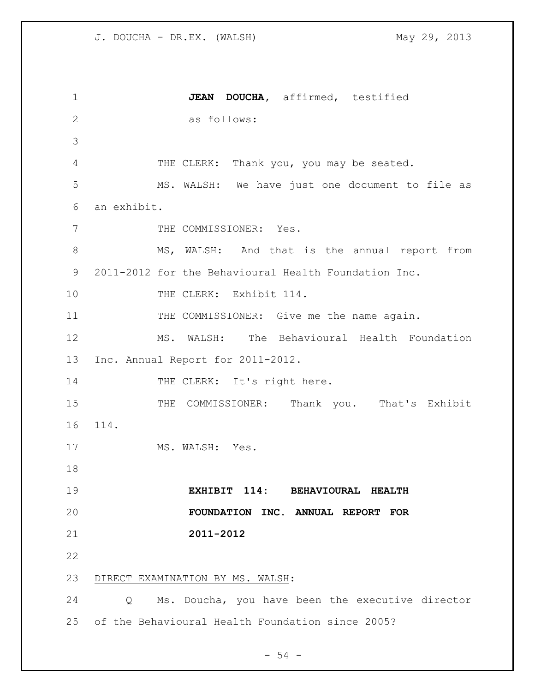**JEAN DOUCHA,** affirmed, testified as follows: THE CLERK: Thank you, you may be seated. MS. WALSH: We have just one document to file as an exhibit. 7 THE COMMISSIONER: Yes. MS, WALSH: And that is the annual report from 2011-2012 for the Behavioural Health Foundation Inc. 10 THE CLERK: Exhibit 114. 11 THE COMMISSIONER: Give me the name again. MS. WALSH: The Behavioural Health Foundation Inc. Annual Report for 2011-2012. 14 THE CLERK: It's right here. 15 THE COMMISSIONER: Thank you. That's Exhibit 114. 17 MS. WALSH: Yes. **EXHIBIT 114: BEHAVIOURAL HEALTH FOUNDATION INC. ANNUAL REPORT FOR 2011-2012** DIRECT EXAMINATION BY MS. WALSH: Q Ms. Doucha, you have been the executive director of the Behavioural Health Foundation since 2005?

 $-54 -$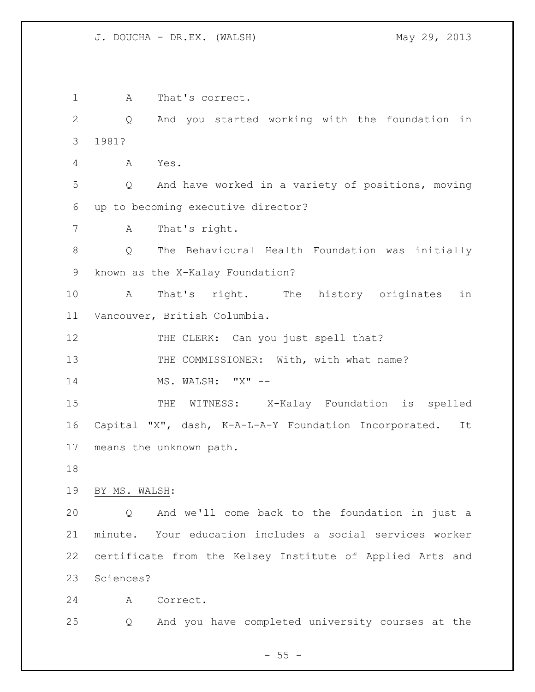A That's correct. Q And you started working with the foundation in 1981? A Yes. Q And have worked in a variety of positions, moving up to becoming executive director? A That's right. Q The Behavioural Health Foundation was initially known as the X-Kalay Foundation? A That's right. The history originates in Vancouver, British Columbia. 12 THE CLERK: Can you just spell that? 13 THE COMMISSIONER: With, with what name? 14 MS. WALSH: "X" -- THE WITNESS: X-Kalay Foundation is spelled Capital "X", dash, K-A-L-A-Y Foundation Incorporated. It means the unknown path. BY MS. WALSH: Q And we'll come back to the foundation in just a minute. Your education includes a social services worker certificate from the Kelsey Institute of Applied Arts and Sciences? A Correct. Q And you have completed university courses at the

 $- 55 -$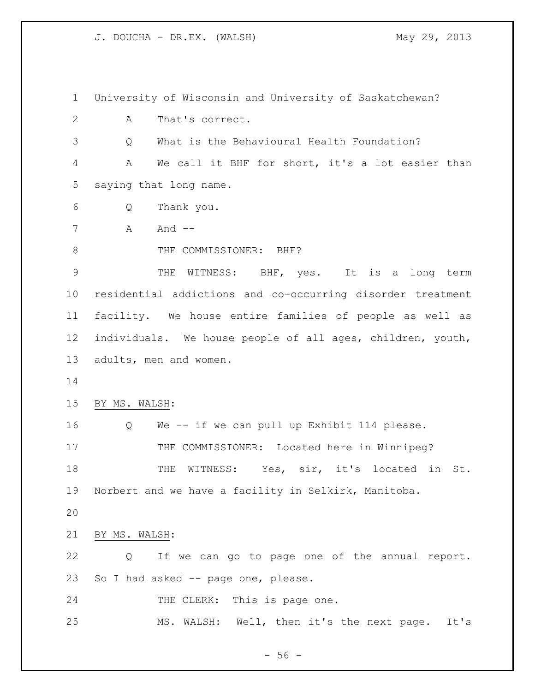University of Wisconsin and University of Saskatchewan? A That's correct. Q What is the Behavioural Health Foundation? A We call it BHF for short, it's a lot easier than saying that long name. Q Thank you. A  $A$  And  $-$ 8 THE COMMISSIONER: BHF? 9 THE WITNESS: BHF, yes. It is a long term residential addictions and co-occurring disorder treatment facility. We house entire families of people as well as individuals. We house people of all ages, children, youth, adults, men and women. BY MS. WALSH: Q We -- if we can pull up Exhibit 114 please. 17 THE COMMISSIONER: Located here in Winnipeg? 18 THE WITNESS: Yes, sir, it's located in St. Norbert and we have a facility in Selkirk, Manitoba. BY MS. WALSH: Q If we can go to page one of the annual report. So I had asked -- page one, please. 24 THE CLERK: This is page one. MS. WALSH: Well, then it's the next page. It's

 $-56 -$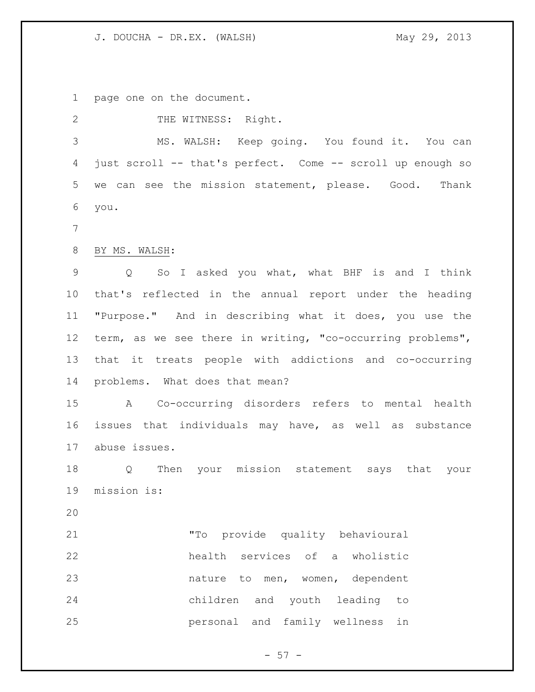page one on the document.

2 THE WITNESS: Right.

 MS. WALSH: Keep going. You found it. You can just scroll -- that's perfect. Come -- scroll up enough so we can see the mission statement, please. Good. Thank you.

BY MS. WALSH:

 Q So I asked you what, what BHF is and I think that's reflected in the annual report under the heading "Purpose." And in describing what it does, you use the term, as we see there in writing, "co-occurring problems", that it treats people with addictions and co-occurring problems. What does that mean?

 A Co-occurring disorders refers to mental health issues that individuals may have, as well as substance abuse issues.

 Q Then your mission statement says that your mission is:

 "To provide quality behavioural health services of a wholistic nature to men, women, dependent children and youth leading to personal and family wellness in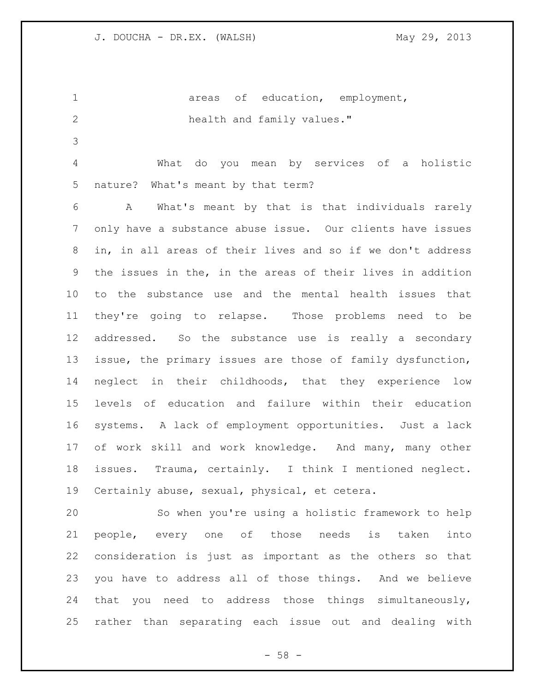1 areas of education, employment, 2 health and family values."

 What do you mean by services of a holistic nature? What's meant by that term?

 A What's meant by that is that individuals rarely only have a substance abuse issue. Our clients have issues in, in all areas of their lives and so if we don't address the issues in the, in the areas of their lives in addition to the substance use and the mental health issues that they're going to relapse. Those problems need to be addressed. So the substance use is really a secondary issue, the primary issues are those of family dysfunction, neglect in their childhoods, that they experience low levels of education and failure within their education systems. A lack of employment opportunities. Just a lack of work skill and work knowledge. And many, many other issues. Trauma, certainly. I think I mentioned neglect. Certainly abuse, sexual, physical, et cetera.

 So when you're using a holistic framework to help people, every one of those needs is taken into consideration is just as important as the others so that you have to address all of those things. And we believe that you need to address those things simultaneously, rather than separating each issue out and dealing with

 $- 58 -$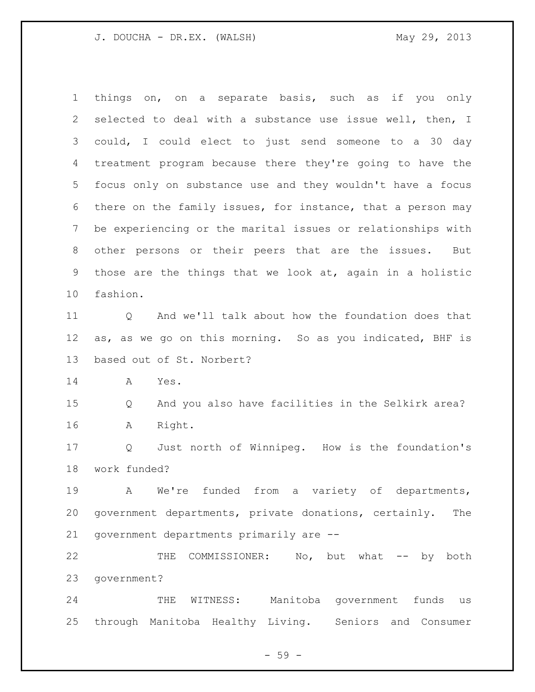things on, on a separate basis, such as if you only selected to deal with a substance use issue well, then, I could, I could elect to just send someone to a 30 day treatment program because there they're going to have the focus only on substance use and they wouldn't have a focus there on the family issues, for instance, that a person may be experiencing or the marital issues or relationships with other persons or their peers that are the issues. But those are the things that we look at, again in a holistic fashion. 11 O And we'll talk about how the foundation does that as, as we go on this morning. So as you indicated, BHF is based out of St. Norbert? A Yes. Q And you also have facilities in the Selkirk area? A Right. Q Just north of Winnipeg. How is the foundation's work funded? A We're funded from a variety of departments, government departments, private donations, certainly. The government departments primarily are -- 22 THE COMMISSIONER: No, but what -- by both government? THE WITNESS: Manitoba government funds us

- 59 -

through Manitoba Healthy Living. Seniors and Consumer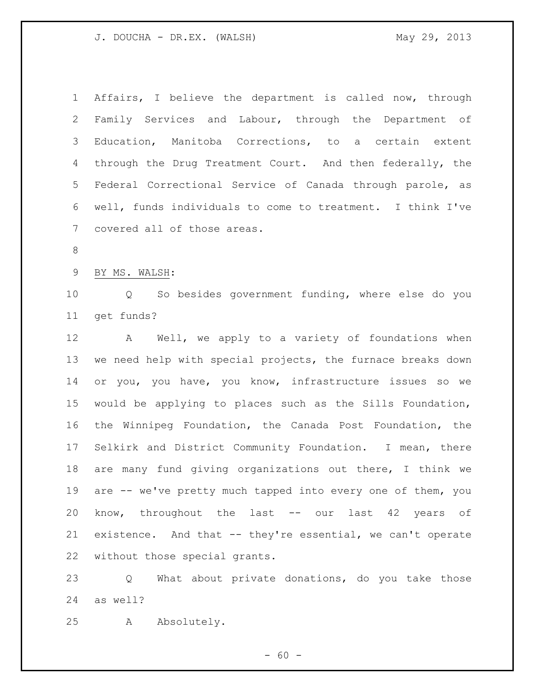Affairs, I believe the department is called now, through Family Services and Labour, through the Department of Education, Manitoba Corrections, to a certain extent through the Drug Treatment Court. And then federally, the Federal Correctional Service of Canada through parole, as well, funds individuals to come to treatment. I think I've covered all of those areas. BY MS. WALSH: Q So besides government funding, where else do you get funds? A Well, we apply to a variety of foundations when we need help with special projects, the furnace breaks down or you, you have, you know, infrastructure issues so we would be applying to places such as the Sills Foundation, the Winnipeg Foundation, the Canada Post Foundation, the Selkirk and District Community Foundation. I mean, there are many fund giving organizations out there, I think we are -- we've pretty much tapped into every one of them, you know, throughout the last -- our last 42 years of existence. And that -- they're essential, we can't operate without those special grants.

 Q What about private donations, do you take those as well?

A Absolutely.

 $- 60 -$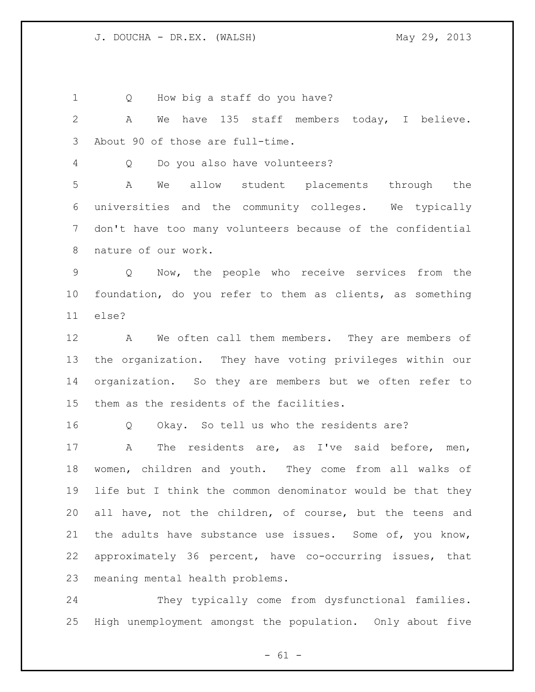1 Q How big a staff do you have?

 A We have 135 staff members today, I believe. About 90 of those are full-time.

Q Do you also have volunteers?

 A We allow student placements through the universities and the community colleges. We typically don't have too many volunteers because of the confidential nature of our work.

 Q Now, the people who receive services from the foundation, do you refer to them as clients, as something else?

 A We often call them members. They are members of the organization. They have voting privileges within our organization. So they are members but we often refer to them as the residents of the facilities.

Q Okay. So tell us who the residents are?

 A The residents are, as I've said before, men, women, children and youth. They come from all walks of life but I think the common denominator would be that they all have, not the children, of course, but the teens and 21 the adults have substance use issues. Some of, you know, approximately 36 percent, have co-occurring issues, that meaning mental health problems.

 They typically come from dysfunctional families. High unemployment amongst the population. Only about five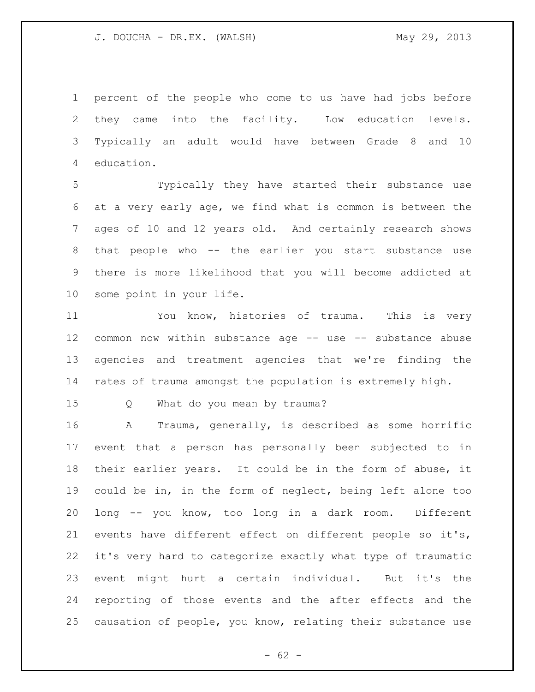percent of the people who come to us have had jobs before they came into the facility. Low education levels. Typically an adult would have between Grade 8 and 10 education.

 Typically they have started their substance use at a very early age, we find what is common is between the ages of 10 and 12 years old. And certainly research shows that people who -- the earlier you start substance use there is more likelihood that you will become addicted at some point in your life.

 You know, histories of trauma. This is very common now within substance age -- use -- substance abuse agencies and treatment agencies that we're finding the rates of trauma amongst the population is extremely high.

Q What do you mean by trauma?

 A Trauma, generally, is described as some horrific event that a person has personally been subjected to in their earlier years. It could be in the form of abuse, it could be in, in the form of neglect, being left alone too long -- you know, too long in a dark room. Different events have different effect on different people so it's, it's very hard to categorize exactly what type of traumatic event might hurt a certain individual. But it's the reporting of those events and the after effects and the causation of people, you know, relating their substance use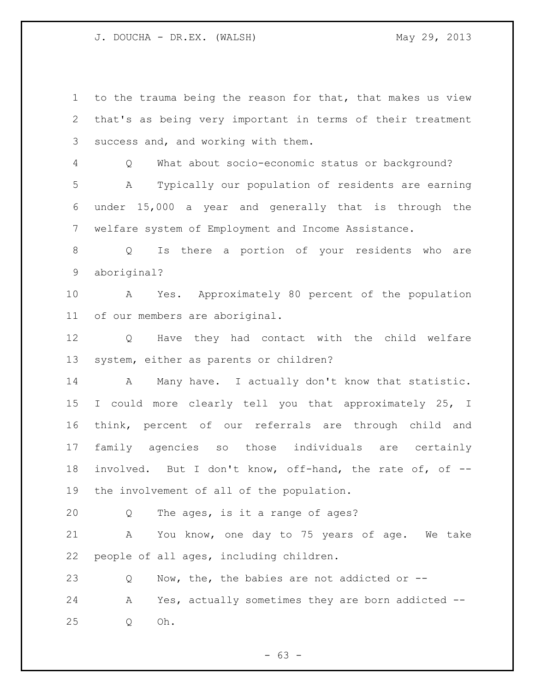to the trauma being the reason for that, that makes us view that's as being very important in terms of their treatment success and, and working with them. Q What about socio-economic status or background? A Typically our population of residents are earning under 15,000 a year and generally that is through the welfare system of Employment and Income Assistance. Q Is there a portion of your residents who are aboriginal? A Yes. Approximately 80 percent of the population of our members are aboriginal. Q Have they had contact with the child welfare system, either as parents or children? 14 A Many have. I actually don't know that statistic. I could more clearly tell you that approximately 25, I think, percent of our referrals are through child and family agencies so those individuals are certainly involved. But I don't know, off-hand, the rate of, of -- the involvement of all of the population. Q The ages, is it a range of ages? A You know, one day to 75 years of age. We take people of all ages, including children. 23 Q Now, the, the babies are not addicted or -- A Yes, actually sometimes they are born addicted -- Q Oh.

 $- 63 -$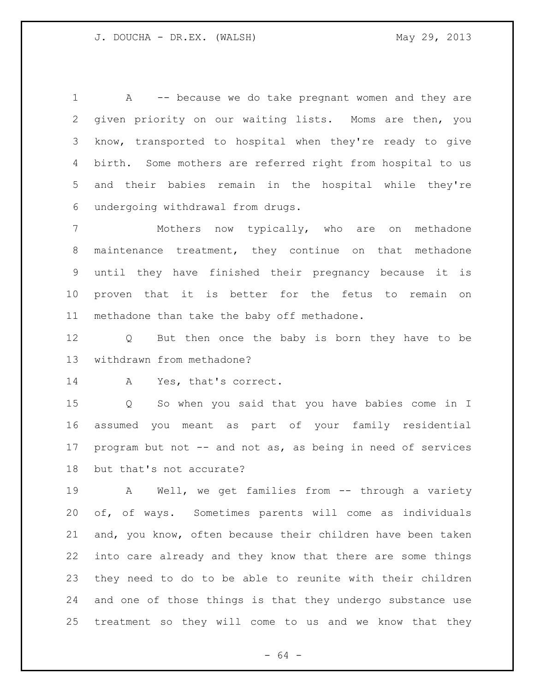1 A -- because we do take pregnant women and they are given priority on our waiting lists. Moms are then, you know, transported to hospital when they're ready to give birth. Some mothers are referred right from hospital to us and their babies remain in the hospital while they're undergoing withdrawal from drugs.

 Mothers now typically, who are on methadone maintenance treatment, they continue on that methadone until they have finished their pregnancy because it is proven that it is better for the fetus to remain on methadone than take the baby off methadone.

 Q But then once the baby is born they have to be withdrawn from methadone?

A Yes, that's correct.

 Q So when you said that you have babies come in I assumed you meant as part of your family residential 17 program but not -- and not as, as being in need of services but that's not accurate?

 A Well, we get families from -- through a variety of, of ways. Sometimes parents will come as individuals and, you know, often because their children have been taken into care already and they know that there are some things they need to do to be able to reunite with their children and one of those things is that they undergo substance use treatment so they will come to us and we know that they

- 64 -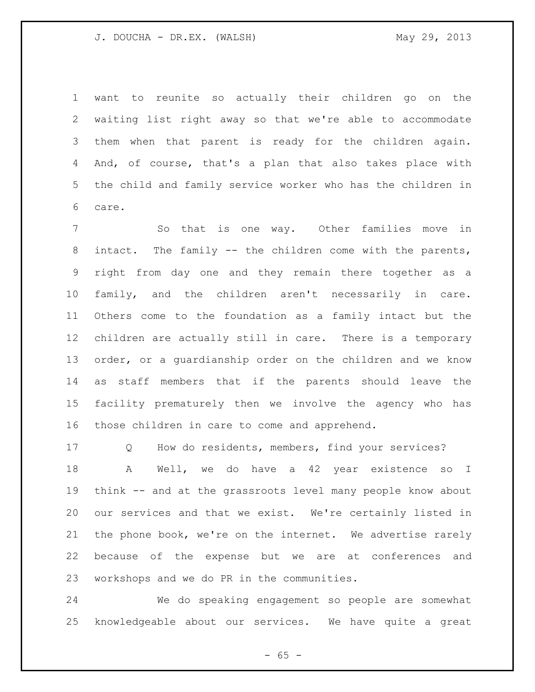want to reunite so actually their children go on the waiting list right away so that we're able to accommodate them when that parent is ready for the children again. And, of course, that's a plan that also takes place with the child and family service worker who has the children in care.

7 5 So that is one way. Other families move in intact. The family -- the children come with the parents, right from day one and they remain there together as a family, and the children aren't necessarily in care. Others come to the foundation as a family intact but the children are actually still in care. There is a temporary order, or a guardianship order on the children and we know as staff members that if the parents should leave the facility prematurely then we involve the agency who has those children in care to come and apprehend.

 Q How do residents, members, find your services? 18 A Well, we do have a 42 year existence so I think -- and at the grassroots level many people know about our services and that we exist. We're certainly listed in the phone book, we're on the internet. We advertise rarely because of the expense but we are at conferences and workshops and we do PR in the communities.

 We do speaking engagement so people are somewhat knowledgeable about our services. We have quite a great

 $- 65 -$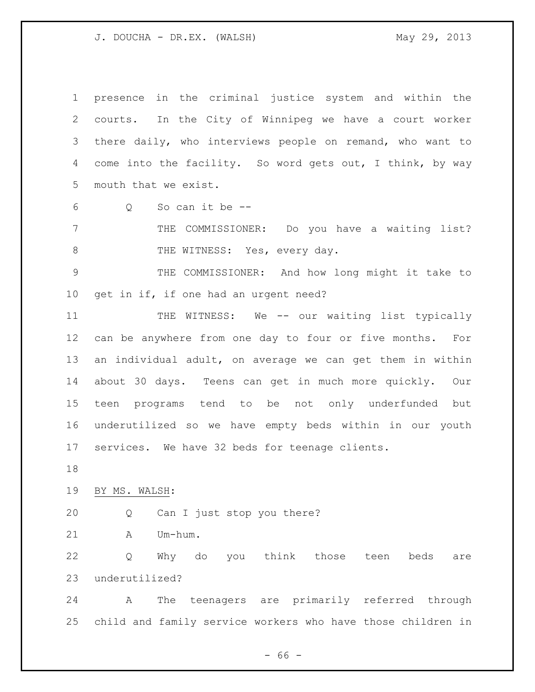presence in the criminal justice system and within the courts. In the City of Winnipeg we have a court worker there daily, who interviews people on remand, who want to come into the facility. So word gets out, I think, by way mouth that we exist.

Q So can it be --

 THE COMMISSIONER: Do you have a waiting list? 8 THE WITNESS: Yes, every day.

 THE COMMISSIONER: And how long might it take to get in if, if one had an urgent need?

11 THE WITNESS: We -- our waiting list typically can be anywhere from one day to four or five months. For an individual adult, on average we can get them in within about 30 days. Teens can get in much more quickly. Our teen programs tend to be not only underfunded but underutilized so we have empty beds within in our youth services. We have 32 beds for teenage clients.

BY MS. WALSH:

Q Can I just stop you there?

A Um-hum.

 Q Why do you think those teen beds are underutilized?

 A The teenagers are primarily referred through child and family service workers who have those children in

 $- 66 -$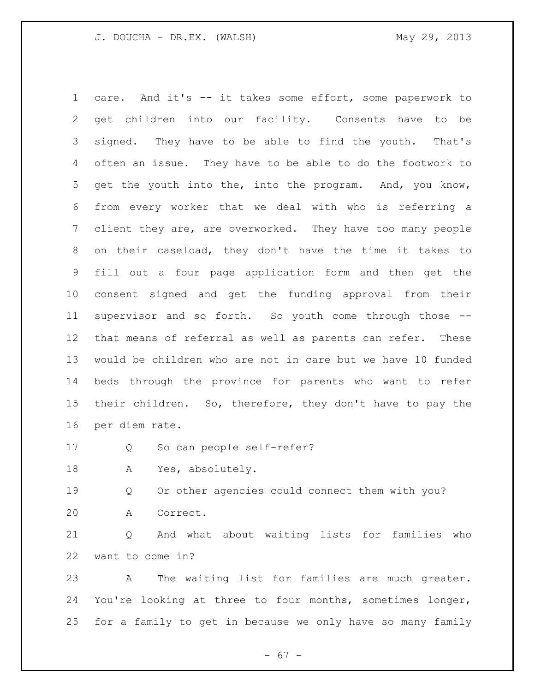care. And it's -- it takes some effort, some paperwork to get children into our facility. Consents have to be signed. They have to be able to find the youth. That's often an issue. They have to be able to do the footwork to get the youth into the, into the program. And, you know, from every worker that we deal with who is referring a client they are, are overworked. They have too many people on their caseload, they don't have the time it takes to fill out a four page application form and then get the consent signed and get the funding approval from their supervisor and so forth. So youth come through those -- that means of referral as well as parents can refer. These would be children who are not in care but we have 10 funded beds through the province for parents who want to refer their children. So, therefore, they don't have to pay the per diem rate.

Q So can people self-refer?

A Yes, absolutely.

 Q Or other agencies could connect them with you? A Correct.

 Q And what about waiting lists for families who want to come in?

 A The waiting list for families are much greater. You're looking at three to four months, sometimes longer, for a family to get in because we only have so many family

- 67 -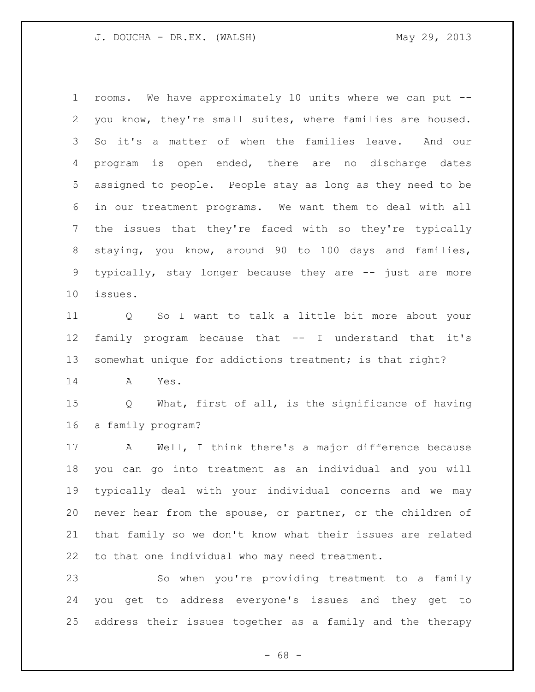rooms. We have approximately 10 units where we can put -- you know, they're small suites, where families are housed. So it's a matter of when the families leave. And our program is open ended, there are no discharge dates assigned to people. People stay as long as they need to be in our treatment programs. We want them to deal with all the issues that they're faced with so they're typically staying, you know, around 90 to 100 days and families, typically, stay longer because they are -- just are more issues.

 Q So I want to talk a little bit more about your family program because that -- I understand that it's somewhat unique for addictions treatment; is that right?

A Yes.

 Q What, first of all, is the significance of having a family program?

 A Well, I think there's a major difference because you can go into treatment as an individual and you will typically deal with your individual concerns and we may never hear from the spouse, or partner, or the children of that family so we don't know what their issues are related to that one individual who may need treatment.

 So when you're providing treatment to a family you get to address everyone's issues and they get to address their issues together as a family and the therapy

- 68 -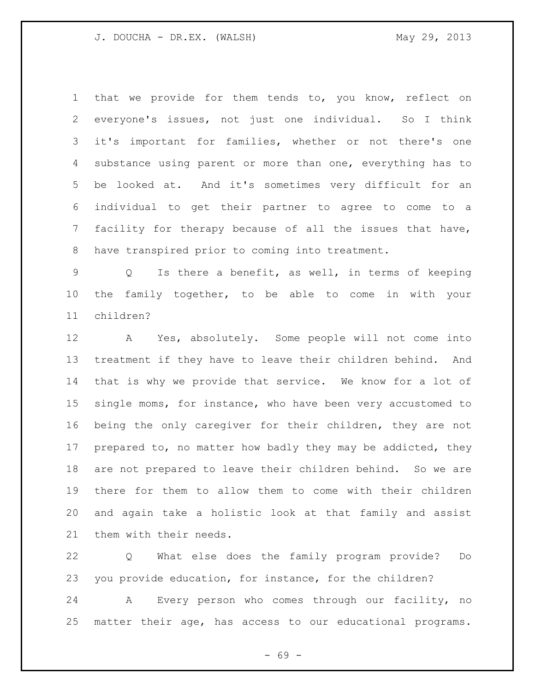that we provide for them tends to, you know, reflect on everyone's issues, not just one individual. So I think it's important for families, whether or not there's one substance using parent or more than one, everything has to be looked at. And it's sometimes very difficult for an individual to get their partner to agree to come to a facility for therapy because of all the issues that have, have transpired prior to coming into treatment.

 Q Is there a benefit, as well, in terms of keeping the family together, to be able to come in with your children?

 A Yes, absolutely. Some people will not come into treatment if they have to leave their children behind. And that is why we provide that service. We know for a lot of single moms, for instance, who have been very accustomed to being the only caregiver for their children, they are not prepared to, no matter how badly they may be addicted, they are not prepared to leave their children behind. So we are there for them to allow them to come with their children and again take a holistic look at that family and assist them with their needs.

 Q What else does the family program provide? Do you provide education, for instance, for the children?

 A Every person who comes through our facility, no matter their age, has access to our educational programs.

- 69 -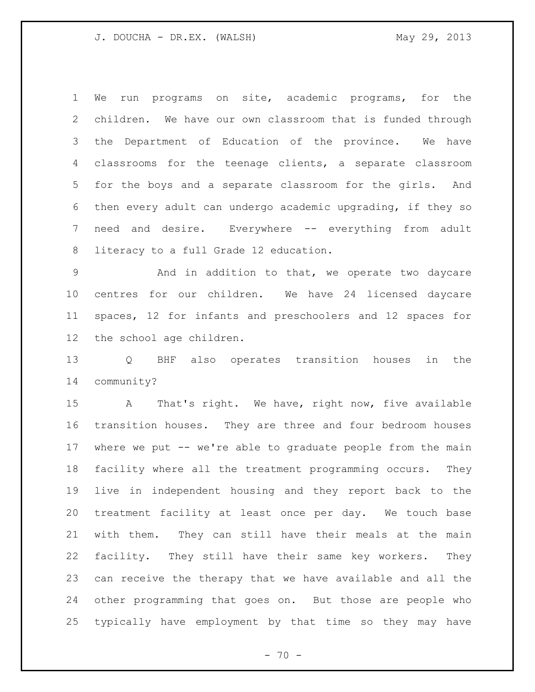We run programs on site, academic programs, for the children. We have our own classroom that is funded through the Department of Education of the province. We have classrooms for the teenage clients, a separate classroom for the boys and a separate classroom for the girls. And then every adult can undergo academic upgrading, if they so need and desire. Everywhere -- everything from adult literacy to a full Grade 12 education.

 And in addition to that, we operate two daycare centres for our children. We have 24 licensed daycare spaces, 12 for infants and preschoolers and 12 spaces for the school age children.

 Q BHF also operates transition houses in the community?

 A That's right. We have, right now, five available transition houses. They are three and four bedroom houses where we put -- we're able to graduate people from the main facility where all the treatment programming occurs. They live in independent housing and they report back to the treatment facility at least once per day. We touch base with them. They can still have their meals at the main facility. They still have their same key workers. They can receive the therapy that we have available and all the other programming that goes on. But those are people who typically have employment by that time so they may have

 $- 70 -$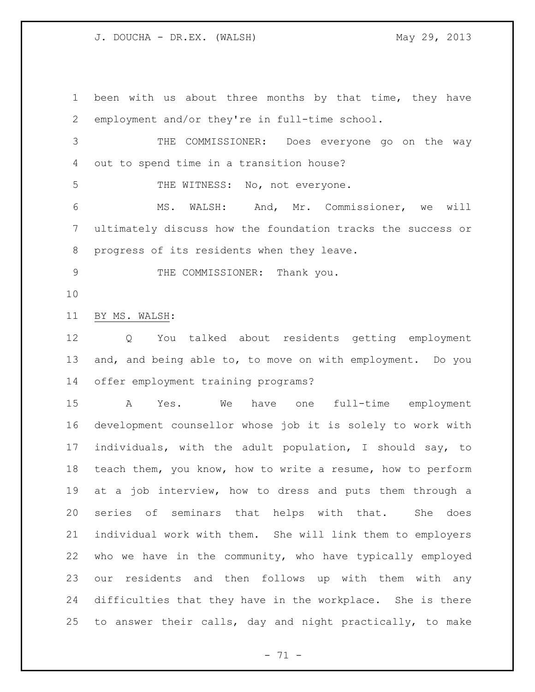been with us about three months by that time, they have employment and/or they're in full-time school. THE COMMISSIONER: Does everyone go on the way out to spend time in a transition house? 5 THE WITNESS: No, not everyone. MS. WALSH: And, Mr. Commissioner, we will ultimately discuss how the foundation tracks the success or progress of its residents when they leave. 9 THE COMMISSIONER: Thank you. BY MS. WALSH: Q You talked about residents getting employment and, and being able to, to move on with employment. Do you offer employment training programs? A Yes. We have one full-time employment development counsellor whose job it is solely to work with individuals, with the adult population, I should say, to teach them, you know, how to write a resume, how to perform at a job interview, how to dress and puts them through a series of seminars that helps with that. She does individual work with them. She will link them to employers who we have in the community, who have typically employed our residents and then follows up with them with any difficulties that they have in the workplace. She is there to answer their calls, day and night practically, to make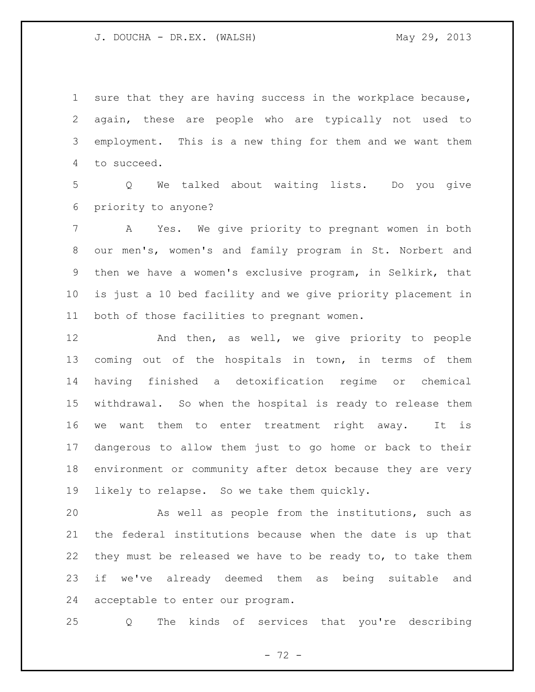sure that they are having success in the workplace because, again, these are people who are typically not used to employment. This is a new thing for them and we want them to succeed.

 Q We talked about waiting lists. Do you give priority to anyone?

 A Yes. We give priority to pregnant women in both our men's, women's and family program in St. Norbert and then we have a women's exclusive program, in Selkirk, that is just a 10 bed facility and we give priority placement in both of those facilities to pregnant women.

 And then, as well, we give priority to people coming out of the hospitals in town, in terms of them having finished a detoxification regime or chemical withdrawal. So when the hospital is ready to release them we want them to enter treatment right away. It is dangerous to allow them just to go home or back to their environment or community after detox because they are very likely to relapse. So we take them quickly.

 As well as people from the institutions, such as the federal institutions because when the date is up that they must be released we have to be ready to, to take them if we've already deemed them as being suitable and acceptable to enter our program.

Q The kinds of services that you're describing

 $- 72 -$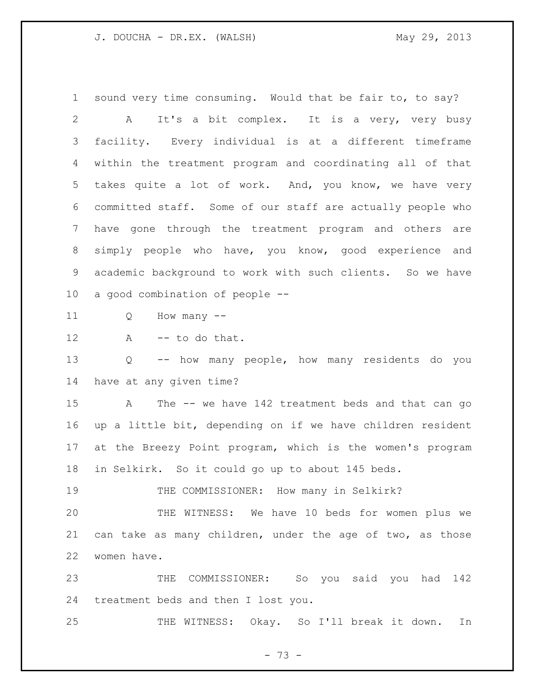sound very time consuming. Would that be fair to, to say? A It's a bit complex. It is a very, very busy facility. Every individual is at a different timeframe within the treatment program and coordinating all of that takes quite a lot of work. And, you know, we have very committed staff. Some of our staff are actually people who have gone through the treatment program and others are simply people who have, you know, good experience and academic background to work with such clients. So we have a good combination of people --

Q How many --

A -- to do that.

 Q -- how many people, how many residents do you have at any given time?

 A The -- we have 142 treatment beds and that can go up a little bit, depending on if we have children resident at the Breezy Point program, which is the women's program in Selkirk. So it could go up to about 145 beds.

THE COMMISSIONER: How many in Selkirk?

 THE WITNESS: We have 10 beds for women plus we can take as many children, under the age of two, as those women have.

 THE COMMISSIONER: So you said you had 142 treatment beds and then I lost you.

THE WITNESS: Okay. So I'll break it down. In

- 73 -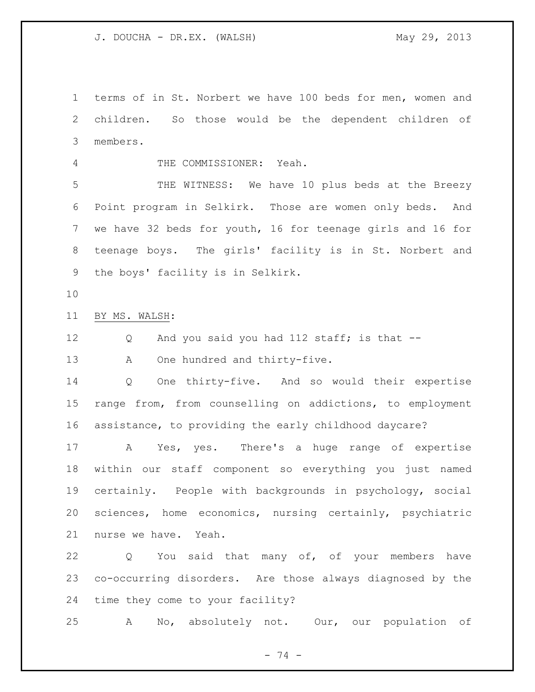terms of in St. Norbert we have 100 beds for men, women and children. So those would be the dependent children of members.

THE COMMISSIONER: Yeah.

 THE WITNESS: We have 10 plus beds at the Breezy Point program in Selkirk. Those are women only beds. And we have 32 beds for youth, 16 for teenage girls and 16 for teenage boys. The girls' facility is in St. Norbert and the boys' facility is in Selkirk.

BY MS. WALSH:

Q And you said you had 112 staff; is that --

13 A One hundred and thirty-five.

 Q One thirty-five. And so would their expertise range from, from counselling on addictions, to employment assistance, to providing the early childhood daycare?

 A Yes, yes. There's a huge range of expertise within our staff component so everything you just named certainly. People with backgrounds in psychology, social sciences, home economics, nursing certainly, psychiatric nurse we have. Yeah.

 Q You said that many of, of your members have co-occurring disorders. Are those always diagnosed by the time they come to your facility?

A No, absolutely not. Our, our population of

- 74 -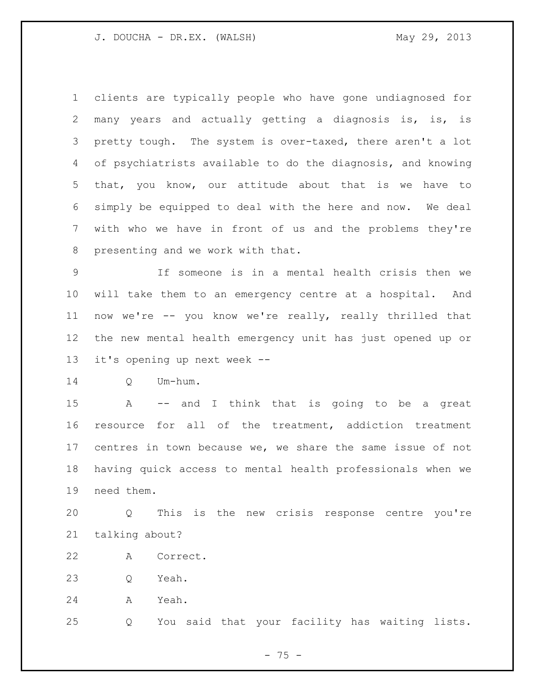clients are typically people who have gone undiagnosed for many years and actually getting a diagnosis is, is, is pretty tough. The system is over-taxed, there aren't a lot of psychiatrists available to do the diagnosis, and knowing that, you know, our attitude about that is we have to simply be equipped to deal with the here and now. We deal with who we have in front of us and the problems they're presenting and we work with that.

 If someone is in a mental health crisis then we will take them to an emergency centre at a hospital. And now we're -- you know we're really, really thrilled that the new mental health emergency unit has just opened up or it's opening up next week --

Q Um-hum.

 A -- and I think that is going to be a great resource for all of the treatment, addiction treatment centres in town because we, we share the same issue of not having quick access to mental health professionals when we need them.

 Q This is the new crisis response centre you're talking about?

A Correct.

Q Yeah.

A Yeah.

Q You said that your facility has waiting lists.

- 75 -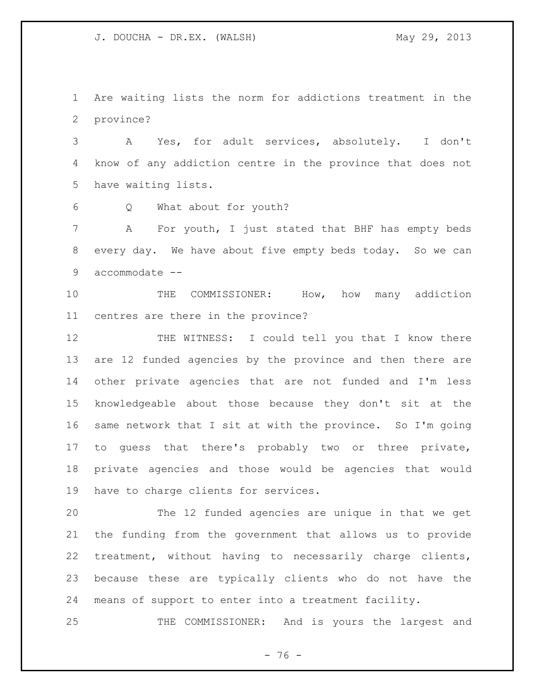Are waiting lists the norm for addictions treatment in the province?

 A Yes, for adult services, absolutely. I don't know of any addiction centre in the province that does not have waiting lists.

Q What about for youth?

 A For youth, I just stated that BHF has empty beds every day. We have about five empty beds today. So we can accommodate --

10 THE COMMISSIONER: How, how many addiction centres are there in the province?

 THE WITNESS: I could tell you that I know there are 12 funded agencies by the province and then there are other private agencies that are not funded and I'm less knowledgeable about those because they don't sit at the same network that I sit at with the province. So I'm going to guess that there's probably two or three private, private agencies and those would be agencies that would have to charge clients for services.

 The 12 funded agencies are unique in that we get the funding from the government that allows us to provide treatment, without having to necessarily charge clients, because these are typically clients who do not have the means of support to enter into a treatment facility.

THE COMMISSIONER: And is yours the largest and

- 76 -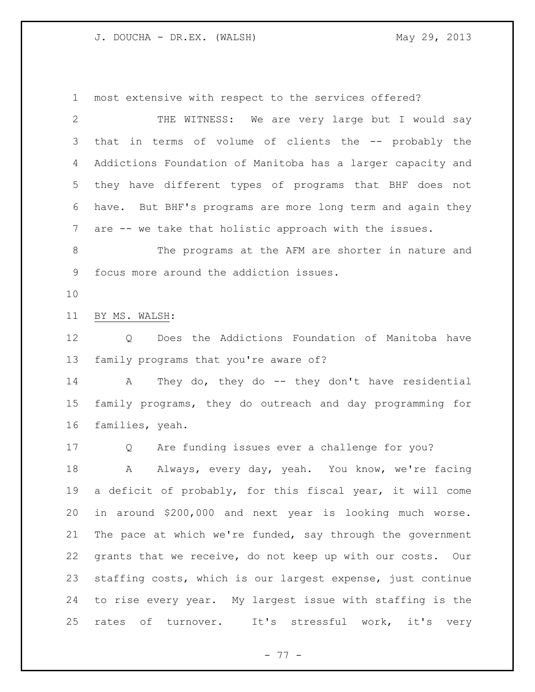most extensive with respect to the services offered?

 THE WITNESS: We are very large but I would say that in terms of volume of clients the -- probably the Addictions Foundation of Manitoba has a larger capacity and they have different types of programs that BHF does not have. But BHF's programs are more long term and again they are -- we take that holistic approach with the issues.

8 The programs at the AFM are shorter in nature and focus more around the addiction issues.

BY MS. WALSH:

 Q Does the Addictions Foundation of Manitoba have family programs that you're aware of?

 A They do, they do -- they don't have residential family programs, they do outreach and day programming for families, yeah.

Q Are funding issues ever a challenge for you?

 A Always, every day, yeah. You know, we're facing a deficit of probably, for this fiscal year, it will come in around \$200,000 and next year is looking much worse. The pace at which we're funded, say through the government grants that we receive, do not keep up with our costs. Our staffing costs, which is our largest expense, just continue to rise every year. My largest issue with staffing is the rates of turnover. It's stressful work, it's very

- 77 -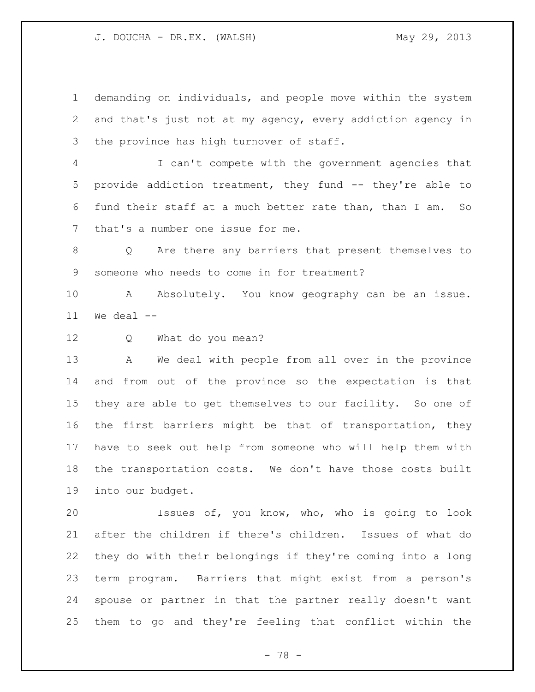demanding on individuals, and people move within the system and that's just not at my agency, every addiction agency in 3 the province has high turnover of staff.

 I can't compete with the government agencies that provide addiction treatment, they fund -- they're able to fund their staff at a much better rate than, than I am. So that's a number one issue for me.

 Q Are there any barriers that present themselves to someone who needs to come in for treatment?

10 A Absolutely. You know geography can be an issue. We deal  $-$ 

Q What do you mean?

 A We deal with people from all over in the province and from out of the province so the expectation is that they are able to get themselves to our facility. So one of the first barriers might be that of transportation, they have to seek out help from someone who will help them with the transportation costs. We don't have those costs built into our budget.

 Issues of, you know, who, who is going to look after the children if there's children. Issues of what do they do with their belongings if they're coming into a long term program. Barriers that might exist from a person's spouse or partner in that the partner really doesn't want them to go and they're feeling that conflict within the

- 78 -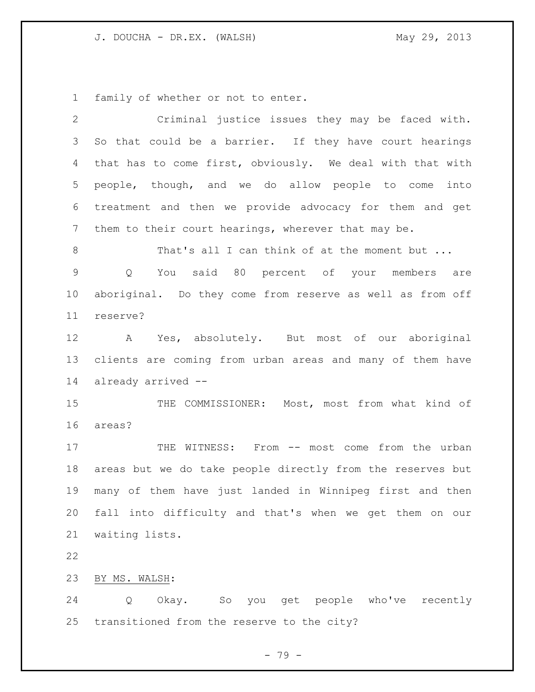family of whether or not to enter.

| $\mathbf{2}$ | Criminal justice issues they may be faced with.              |
|--------------|--------------------------------------------------------------|
| 3            | So that could be a barrier. If they have court hearings      |
| 4            | that has to come first, obviously. We deal with that with    |
| 5            | people, though, and we do allow people to come<br>into       |
| 6            | treatment and then we provide advocacy for them and get      |
| 7            | them to their court hearings, wherever that may be.          |
| 8            | That's all I can think of at the moment but                  |
| 9            | You said 80 percent of your members are<br>$Q \qquad \qquad$ |
| 10           | aboriginal. Do they come from reserve as well as from off    |
| 11           | reserve?                                                     |
| 12           | A Yes, absolutely. But most of our aboriginal                |
| 13           | clients are coming from urban areas and many of them have    |
| 14           | already arrived --                                           |
| 15           | THE COMMISSIONER: Most, most from what kind of               |
| 16           | areas?                                                       |
| 17           | THE WITNESS: From -- most come from the urban                |
| 18           | areas but we do take people directly from the reserves but   |
| 19           | many of them have just landed in Winnipeg first and then     |
| 20           | fall into difficulty and that's when we get them on our      |
| 21           | waiting lists.                                               |
| 22           |                                                              |
| 23           | BY MS. WALSH:                                                |
| 24           | Okay. So you get people who've recently<br>Q                 |
| 25           | transitioned from the reserve to the city?                   |

- 79 -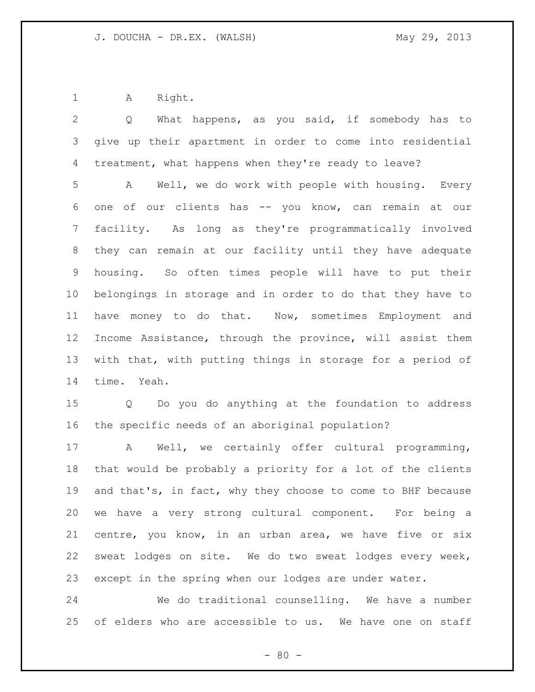A Right.

| 2               | What happens, as you said, if somebody has to<br>Q          |
|-----------------|-------------------------------------------------------------|
| 3               | give up their apartment in order to come into residential   |
| 4               | treatment, what happens when they're ready to leave?        |
| 5               | Well, we do work with people with housing. Every<br>A       |
| 6               | of our clients has -- you know, can remain at our<br>one    |
| 7               | facility. As long as they're programmatically involved      |
| 8               | they can remain at our facility until they have adequate    |
| 9               | housing. So often times people will have to put their       |
| 10 <sub>o</sub> | belongings in storage and in order to do that they have to  |
| 11              | have money to do that. Now, sometimes Employment and        |
| 12              | Income Assistance, through the province, will assist them   |
| 13              | with that, with putting things in storage for a period of   |
| 14              | time. Yeah.                                                 |
| 15              | Q Do you do anything at the foundation to address           |
| 16              | the specific needs of an aboriginal population?             |
| 17              | Well, we certainly offer cultural programming,<br>A         |
| 18              | that would be probably a priority for a lot of the clients  |
| 19              | and that's, in fact, why they choose to come to BHF because |
| 20              | we have a very strong cultural component. For being a       |
| 21              | centre, you know, in an urban area, we have five or six     |
| 22              | sweat lodges on site. We do two sweat lodges every week,    |
| 23              | except in the spring when our lodges are under water.       |
| 24              | We do traditional counselling. We have a number             |
| 25              | of elders who are accessible to us. We have one on staff    |

- 80 -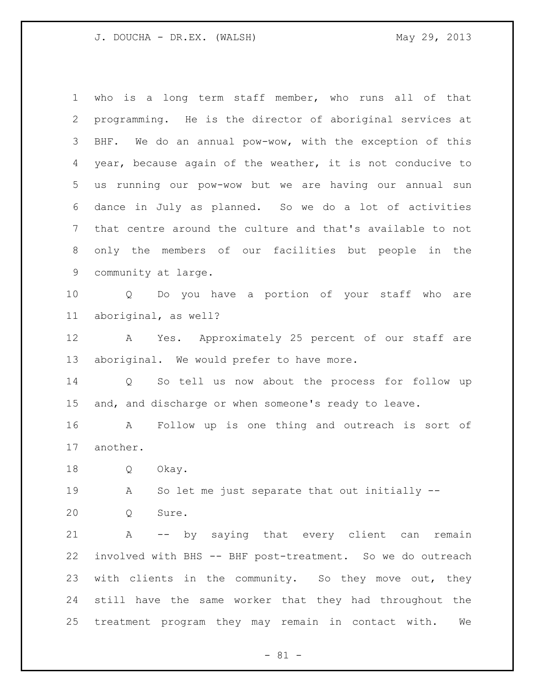| $\mathbf 1$     | who is a long term staff member, who runs all of that          |
|-----------------|----------------------------------------------------------------|
| $\mathbf{2}$    | programming. He is the director of aboriginal services at      |
| 3               | BHF. We do an annual pow-wow, with the exception of this       |
| 4               | year, because again of the weather, it is not conducive to     |
| 5 <sup>5</sup>  | us running our pow-wow but we are having our annual sun        |
| 6               | dance in July as planned. So we do a lot of activities         |
| $7\phantom{.0}$ | that centre around the culture and that's available to not     |
| 8               | only the members of our facilities but people in the           |
| 9               | community at large.                                            |
| 10 <sub>o</sub> | Q Do you have a portion of your staff who are                  |
| 11              | aboriginal, as well?                                           |
| 12              | A Yes. Approximately 25 percent of our staff are               |
| 13              | aboriginal. We would prefer to have more.                      |
| 14              | Q So tell us now about the process for follow up               |
| 15              | and, and discharge or when someone's ready to leave.           |
| 16              | Follow up is one thing and outreach is sort of<br>$\mathbf{A}$ |
| 17              | another.                                                       |
| 18              | $Q \qquad \qquad$<br>Okay.                                     |
| 19              | So let me just separate that out initially --<br>$\mathbf{A}$  |
| 20              | Sure.<br>Q                                                     |
| 21              | -- by saying that every client can remain<br>A                 |
| 22              | involved with BHS -- BHF post-treatment. So we do outreach     |
| 23              | with clients in the community. So they move out, they          |
| 24              | still have the same worker that they had throughout the        |
| 25              | treatment program they may remain in contact with.<br>We       |
|                 |                                                                |

- 81 -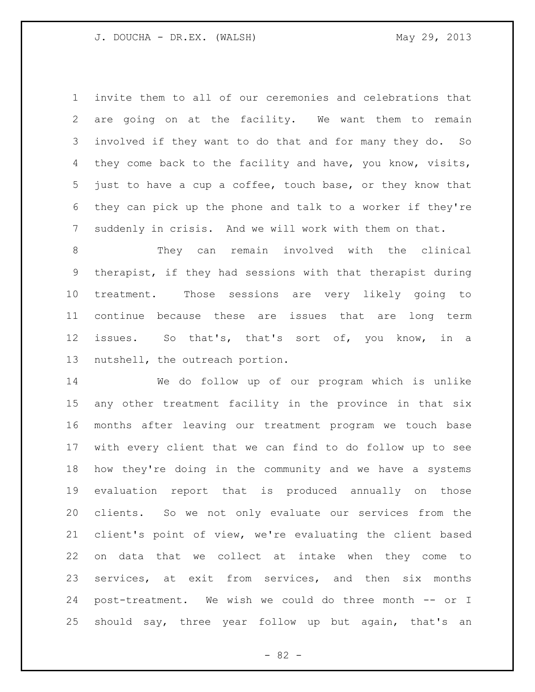invite them to all of our ceremonies and celebrations that are going on at the facility. We want them to remain involved if they want to do that and for many they do. So they come back to the facility and have, you know, visits, just to have a cup a coffee, touch base, or they know that they can pick up the phone and talk to a worker if they're suddenly in crisis. And we will work with them on that.

 They can remain involved with the clinical therapist, if they had sessions with that therapist during treatment. Those sessions are very likely going to continue because these are issues that are long term issues. So that's, that's sort of, you know, in a nutshell, the outreach portion.

 We do follow up of our program which is unlike any other treatment facility in the province in that six months after leaving our treatment program we touch base with every client that we can find to do follow up to see how they're doing in the community and we have a systems evaluation report that is produced annually on those clients. So we not only evaluate our services from the client's point of view, we're evaluating the client based on data that we collect at intake when they come to services, at exit from services, and then six months post-treatment. We wish we could do three month -- or I should say, three year follow up but again, that's an

 $- 82 -$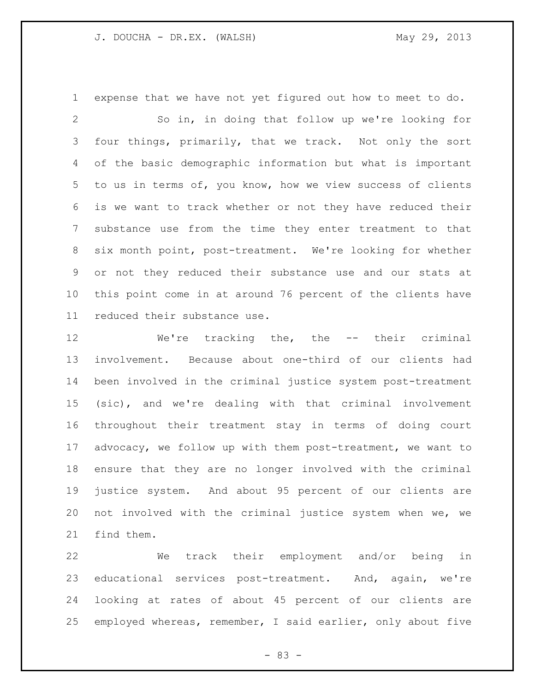expense that we have not yet figured out how to meet to do. So in, in doing that follow up we're looking for four things, primarily, that we track. Not only the sort of the basic demographic information but what is important to us in terms of, you know, how we view success of clients is we want to track whether or not they have reduced their substance use from the time they enter treatment to that six month point, post-treatment. We're looking for whether or not they reduced their substance use and our stats at this point come in at around 76 percent of the clients have reduced their substance use.

 We're tracking the, the -- their criminal involvement. Because about one-third of our clients had been involved in the criminal justice system post-treatment (sic), and we're dealing with that criminal involvement throughout their treatment stay in terms of doing court advocacy, we follow up with them post-treatment, we want to ensure that they are no longer involved with the criminal justice system. And about 95 percent of our clients are not involved with the criminal justice system when we, we find them.

 We track their employment and/or being in educational services post-treatment. And, again, we're looking at rates of about 45 percent of our clients are employed whereas, remember, I said earlier, only about five

- 83 -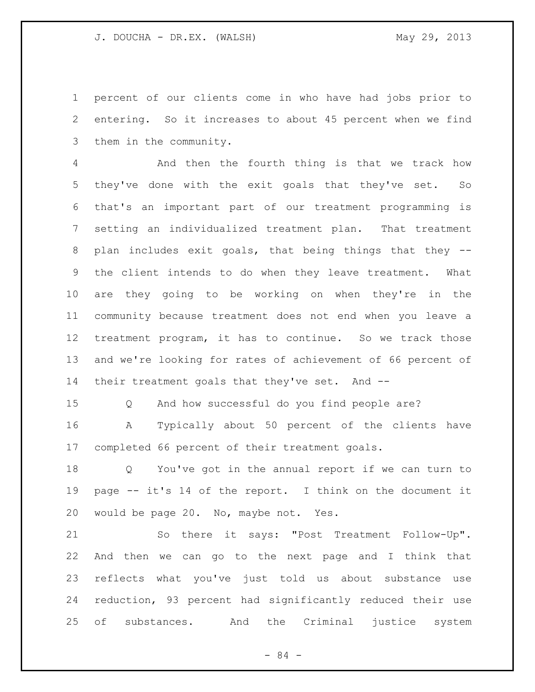percent of our clients come in who have had jobs prior to entering. So it increases to about 45 percent when we find them in the community.

 And then the fourth thing is that we track how they've done with the exit goals that they've set. So that's an important part of our treatment programming is setting an individualized treatment plan. That treatment plan includes exit goals, that being things that they -- the client intends to do when they leave treatment. What are they going to be working on when they're in the community because treatment does not end when you leave a treatment program, it has to continue. So we track those and we're looking for rates of achievement of 66 percent of 14 their treatment goals that they've set. And --

Q And how successful do you find people are?

 A Typically about 50 percent of the clients have completed 66 percent of their treatment goals.

 Q You've got in the annual report if we can turn to page -- it's 14 of the report. I think on the document it would be page 20. No, maybe not. Yes.

 So there it says: "Post Treatment Follow-Up". And then we can go to the next page and I think that reflects what you've just told us about substance use reduction, 93 percent had significantly reduced their use of substances. And the Criminal justice system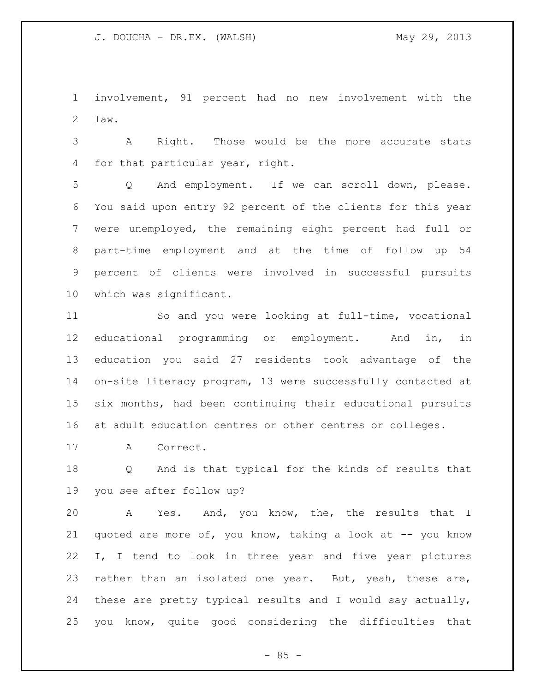involvement, 91 percent had no new involvement with the law.

 A Right. Those would be the more accurate stats for that particular year, right.

 Q And employment. If we can scroll down, please. You said upon entry 92 percent of the clients for this year were unemployed, the remaining eight percent had full or part-time employment and at the time of follow up 54 percent of clients were involved in successful pursuits which was significant.

 So and you were looking at full-time, vocational educational programming or employment. And in, in education you said 27 residents took advantage of the on-site literacy program, 13 were successfully contacted at six months, had been continuing their educational pursuits at adult education centres or other centres or colleges.

A Correct.

 Q And is that typical for the kinds of results that you see after follow up?

 A Yes. And, you know, the, the results that I 21 quoted are more of, you know, taking a look at -- you know I, I tend to look in three year and five year pictures 23 rather than an isolated one year. But, yeah, these are, these are pretty typical results and I would say actually, you know, quite good considering the difficulties that

 $- 85 -$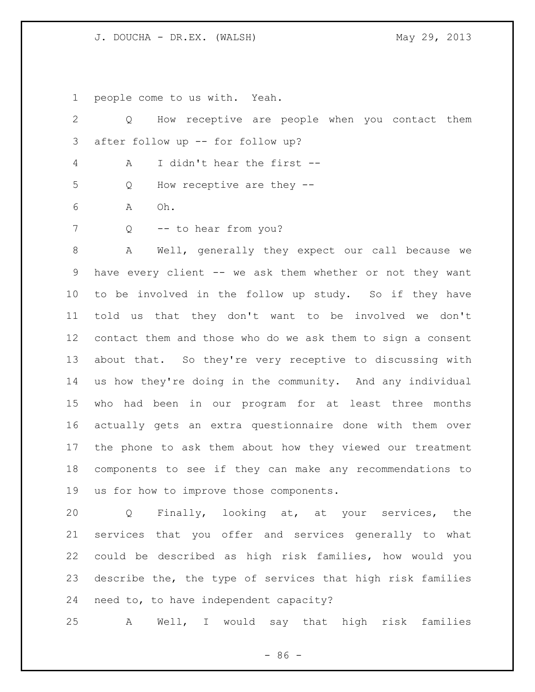people come to us with. Yeah.

| 2  | How receptive are people when you contact them<br>Q         |
|----|-------------------------------------------------------------|
| 3  | after follow up -- for follow up?                           |
| 4  | I didn't hear the first --<br>А                             |
| 5  | How receptive are they --<br>Q                              |
| 6  | Oh.<br>Α                                                    |
| 7  | -- to hear from you?<br>Q                                   |
| 8  | Well, generally they expect our call because we<br>Α        |
| 9  | have every client -- we ask them whether or not they want   |
| 10 | to be involved in the follow up study. So if they have      |
| 11 | told us that they don't want to be involved we don't        |
| 12 | contact them and those who do we ask them to sign a consent |
| 13 | about that. So they're very receptive to discussing with    |
| 14 | us how they're doing in the community. And any individual   |
| 15 | who had been in our program for at least three months       |
| 16 | actually gets an extra questionnaire done with them over    |
| 17 | the phone to ask them about how they viewed our treatment   |
| 18 | components to see if they can make any recommendations to   |
| 19 | us for how to improve those components.                     |

 Q Finally, looking at, at your services, the services that you offer and services generally to what could be described as high risk families, how would you describe the, the type of services that high risk families need to, to have independent capacity?

A Well, I would say that high risk families

- 86 -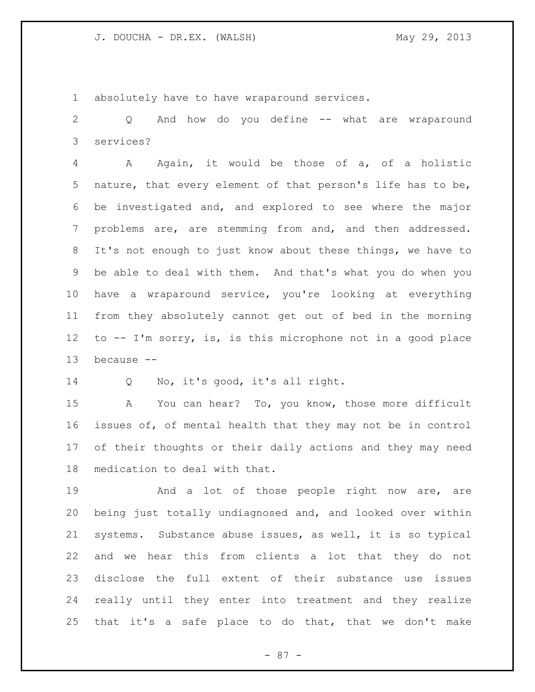absolutely have to have wraparound services.

 Q And how do you define -- what are wraparound services?

 A Again, it would be those of a, of a holistic nature, that every element of that person's life has to be, be investigated and, and explored to see where the major problems are, are stemming from and, and then addressed. It's not enough to just know about these things, we have to be able to deal with them. And that's what you do when you have a wraparound service, you're looking at everything from they absolutely cannot get out of bed in the morning to -- I'm sorry, is, is this microphone not in a good place because --

Q No, it's good, it's all right.

 A You can hear? To, you know, those more difficult issues of, of mental health that they may not be in control of their thoughts or their daily actions and they may need medication to deal with that.

19 And a lot of those people right now are, are being just totally undiagnosed and, and looked over within systems. Substance abuse issues, as well, it is so typical and we hear this from clients a lot that they do not disclose the full extent of their substance use issues really until they enter into treatment and they realize that it's a safe place to do that, that we don't make

- 87 -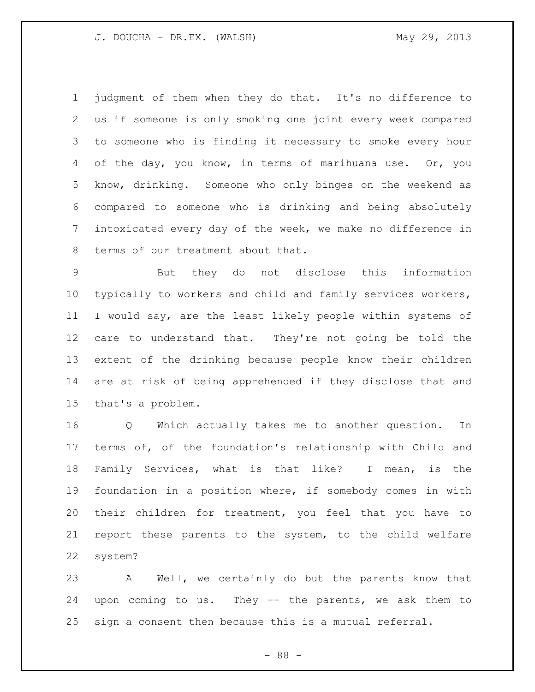judgment of them when they do that. It's no difference to us if someone is only smoking one joint every week compared to someone who is finding it necessary to smoke every hour 4 of the day, you know, in terms of marihuana use. Or, you know, drinking. Someone who only binges on the weekend as compared to someone who is drinking and being absolutely intoxicated every day of the week, we make no difference in terms of our treatment about that.

 But they do not disclose this information typically to workers and child and family services workers, I would say, are the least likely people within systems of care to understand that. They're not going be told the extent of the drinking because people know their children are at risk of being apprehended if they disclose that and that's a problem.

 Q Which actually takes me to another question. In terms of, of the foundation's relationship with Child and Family Services, what is that like? I mean, is the foundation in a position where, if somebody comes in with their children for treatment, you feel that you have to report these parents to the system, to the child welfare system?

 A Well, we certainly do but the parents know that upon coming to us. They -- the parents, we ask them to sign a consent then because this is a mutual referral.

- 88 -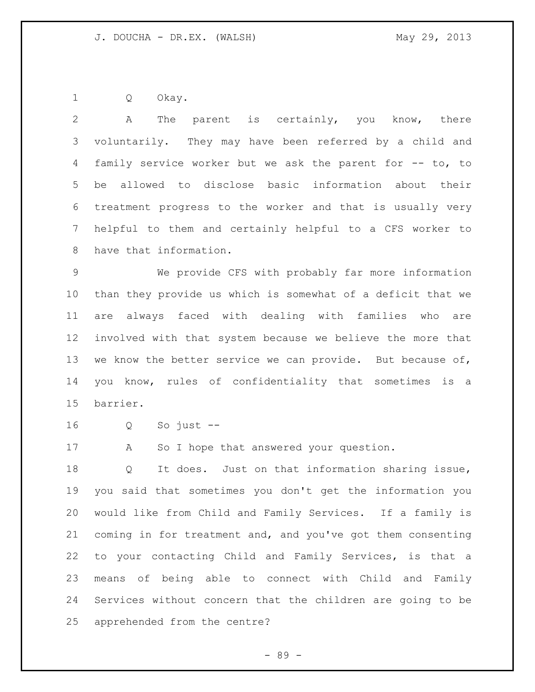Q Okay.

 A The parent is certainly, you know, there voluntarily. They may have been referred by a child and family service worker but we ask the parent for -- to, to be allowed to disclose basic information about their treatment progress to the worker and that is usually very helpful to them and certainly helpful to a CFS worker to have that information. We provide CFS with probably far more information than they provide us which is somewhat of a deficit that we are always faced with dealing with families who are involved with that system because we believe the more that 13 we know the better service we can provide. But because of, you know, rules of confidentiality that sometimes is a barrier. Q So just -- 17 A So I hope that answered your question. Q It does. Just on that information sharing issue, you said that sometimes you don't get the information you would like from Child and Family Services. If a family is coming in for treatment and, and you've got them consenting to your contacting Child and Family Services, is that a means of being able to connect with Child and Family Services without concern that the children are going to be apprehended from the centre?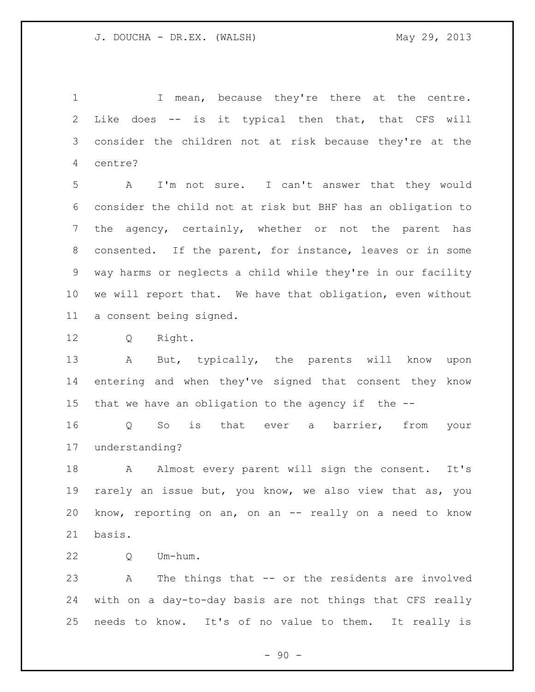1 I mean, because they're there at the centre. Like does -- is it typical then that, that CFS will consider the children not at risk because they're at the centre?

 A I'm not sure. I can't answer that they would consider the child not at risk but BHF has an obligation to the agency, certainly, whether or not the parent has consented. If the parent, for instance, leaves or in some way harms or neglects a child while they're in our facility we will report that. We have that obligation, even without a consent being signed.

Q Right.

 A But, typically, the parents will know upon entering and when they've signed that consent they know that we have an obligation to the agency if the --

 Q So is that ever a barrier, from your understanding?

 A Almost every parent will sign the consent. It's rarely an issue but, you know, we also view that as, you know, reporting on an, on an -- really on a need to know basis.

Q Um-hum.

 A The things that -- or the residents are involved with on a day-to-day basis are not things that CFS really needs to know. It's of no value to them. It really is

 $-90 -$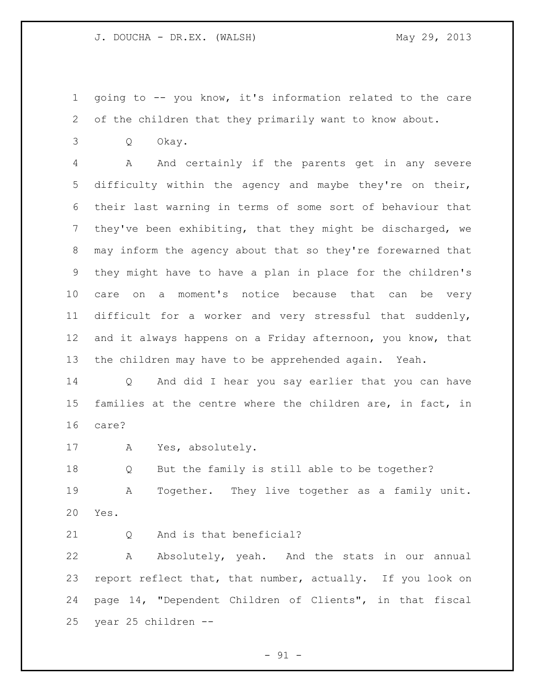going to -- you know, it's information related to the care of the children that they primarily want to know about.

Q Okay.

 A And certainly if the parents get in any severe difficulty within the agency and maybe they're on their, their last warning in terms of some sort of behaviour that they've been exhibiting, that they might be discharged, we may inform the agency about that so they're forewarned that they might have to have a plan in place for the children's care on a moment's notice because that can be very difficult for a worker and very stressful that suddenly, 12 and it always happens on a Friday afternoon, you know, that the children may have to be apprehended again. Yeah.

 Q And did I hear you say earlier that you can have families at the centre where the children are, in fact, in care?

A Yes, absolutely.

 Q But the family is still able to be together? A Together. They live together as a family unit. Yes.

21 0 And is that beneficial?

 A Absolutely, yeah. And the stats in our annual report reflect that, that number, actually. If you look on page 14, "Dependent Children of Clients", in that fiscal year 25 children --

 $-91 -$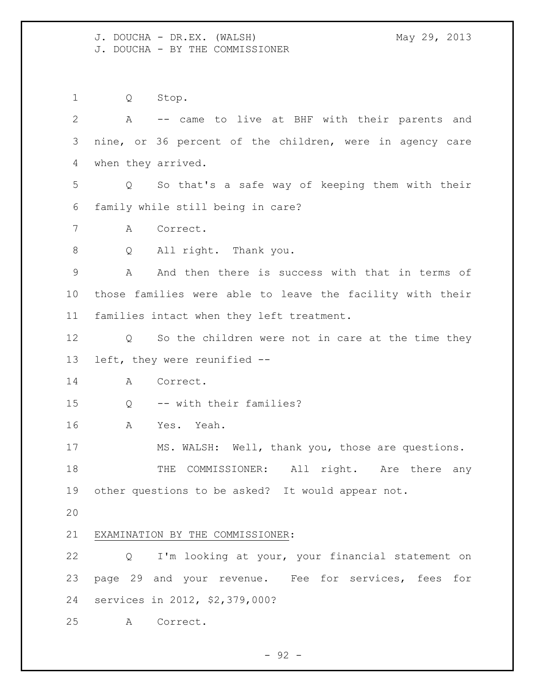J. DOUCHA - DR.EX. (WALSH) May 29, 2013 J. DOUCHA - BY THE COMMISSIONER

 Q Stop. A -- came to live at BHF with their parents and nine, or 36 percent of the children, were in agency care when they arrived. Q So that's a safe way of keeping them with their family while still being in care? A Correct. 8 Q All right. Thank you. A And then there is success with that in terms of those families were able to leave the facility with their families intact when they left treatment. Q So the children were not in care at the time they left, they were reunified -- A Correct. Q -- with their families? A Yes. Yeah. MS. WALSH: Well, thank you, those are questions. 18 THE COMMISSIONER: All right. Are there any other questions to be asked? It would appear not. EXAMINATION BY THE COMMISSIONER: Q I'm looking at your, your financial statement on page 29 and your revenue. Fee for services, fees for services in 2012, \$2,379,000? A Correct.

 $-92 -$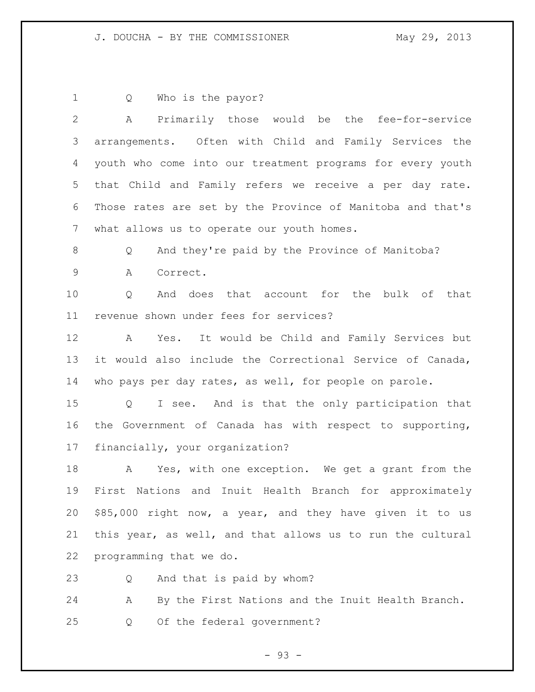J. DOUCHA - BY THE COMMISSIONER May 29, 2013

Q Who is the payor?

 A Primarily those would be the fee-for-service arrangements. Often with Child and Family Services the youth who come into our treatment programs for every youth that Child and Family refers we receive a per day rate. Those rates are set by the Province of Manitoba and that's what allows us to operate our youth homes. Q And they're paid by the Province of Manitoba? A Correct. Q And does that account for the bulk of that revenue shown under fees for services? A Yes. It would be Child and Family Services but it would also include the Correctional Service of Canada, who pays per day rates, as well, for people on parole. Q I see. And is that the only participation that the Government of Canada has with respect to supporting, financially, your organization? A Yes, with one exception. We get a grant from the First Nations and Inuit Health Branch for approximately \$85,000 right now, a year, and they have given it to us this year, as well, and that allows us to run the cultural programming that we do. Q And that is paid by whom? A By the First Nations and the Inuit Health Branch.

Q Of the federal government?

- 93 -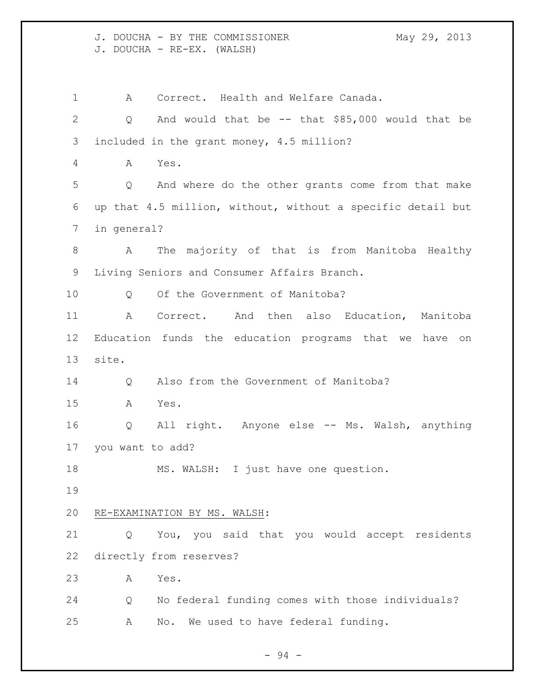J. DOUCHA - BY THE COMMISSIONER May 29, 2013 J. DOUCHA - RE-EX. (WALSH)

 A Correct. Health and Welfare Canada. Q And would that be -- that \$85,000 would that be included in the grant money, 4.5 million? A Yes. Q And where do the other grants come from that make up that 4.5 million, without, without a specific detail but in general? A The majority of that is from Manitoba Healthy Living Seniors and Consumer Affairs Branch. 10 0 Of the Government of Manitoba? 11 A Correct. And then also Education, Manitoba Education funds the education programs that we have on site. 14 Q Also from the Government of Manitoba? A Yes. Q All right. Anyone else -- Ms. Walsh, anything you want to add? 18 MS. WALSH: I just have one question. RE-EXAMINATION BY MS. WALSH: Q You, you said that you would accept residents directly from reserves? A Yes. Q No federal funding comes with those individuals? A No. We used to have federal funding.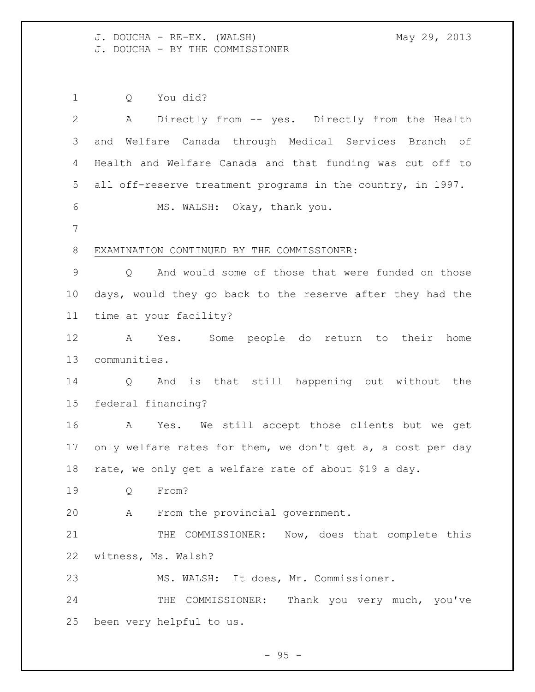J. DOUCHA - RE-EX. (WALSH) May 29, 2013 J. DOUCHA - BY THE COMMISSIONER

 Q You did? A Directly from -- yes. Directly from the Health and Welfare Canada through Medical Services Branch of Health and Welfare Canada and that funding was cut off to all off-reserve treatment programs in the country, in 1997. MS. WALSH: Okay, thank you. EXAMINATION CONTINUED BY THE COMMISSIONER: Q And would some of those that were funded on those days, would they go back to the reserve after they had the time at your facility? A Yes. Some people do return to their home communities. Q And is that still happening but without the federal financing? A Yes. We still accept those clients but we get 17 only welfare rates for them, we don't get a, a cost per day rate, we only get a welfare rate of about \$19 a day. Q From? A From the provincial government. 21 THE COMMISSIONER: Now, does that complete this witness, Ms. Walsh? MS. WALSH: It does, Mr. Commissioner. 24 THE COMMISSIONER: Thank you very much, you've been very helpful to us.

 $-95 -$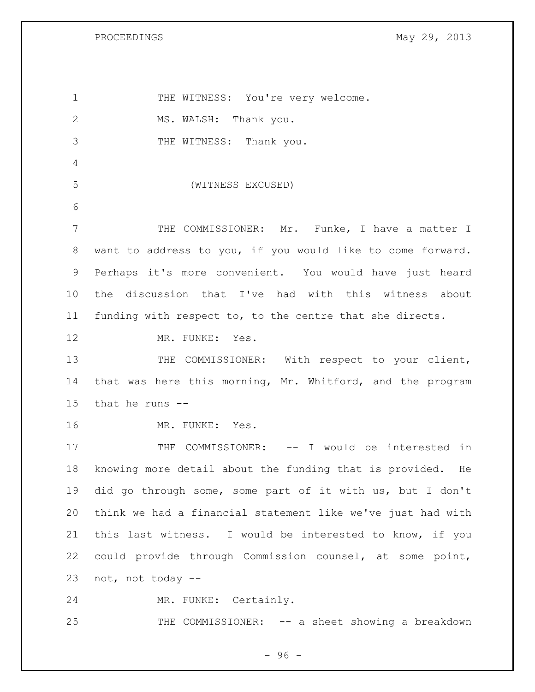1 THE WITNESS: You're very welcome. 2 MS. WALSH: Thank you. 3 THE WITNESS: Thank you. (WITNESS EXCUSED) THE COMMISSIONER: Mr. Funke, I have a matter I want to address to you, if you would like to come forward. Perhaps it's more convenient. You would have just heard the discussion that I've had with this witness about funding with respect to, to the centre that she directs. 12 MR. FUNKE: Yes. 13 THE COMMISSIONER: With respect to your client, that was here this morning, Mr. Whitford, and the program that he runs -- MR. FUNKE: Yes. 17 THE COMMISSIONER: -- I would be interested in knowing more detail about the funding that is provided. He did go through some, some part of it with us, but I don't think we had a financial statement like we've just had with this last witness. I would be interested to know, if you could provide through Commission counsel, at some point, not, not today -- MR. FUNKE: Certainly. THE COMMISSIONER: -- a sheet showing a breakdown

- 96 -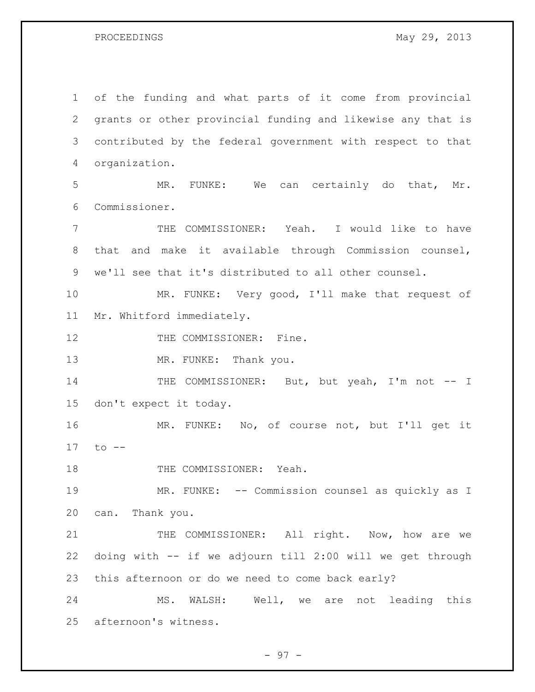of the funding and what parts of it come from provincial grants or other provincial funding and likewise any that is contributed by the federal government with respect to that organization. MR. FUNKE: We can certainly do that, Mr. Commissioner. THE COMMISSIONER: Yeah. I would like to have that and make it available through Commission counsel, we'll see that it's distributed to all other counsel. MR. FUNKE: Very good, I'll make that request of Mr. Whitford immediately. 12 THE COMMISSIONER: Fine. 13 MR. FUNKE: Thank you. 14 THE COMMISSIONER: But, but yeah, I'm not -- I don't expect it today. MR. FUNKE: No, of course not, but I'll get it to -- 18 THE COMMISSIONER: Yeah. MR. FUNKE: -- Commission counsel as quickly as I can. Thank you. 21 THE COMMISSIONER: All right. Now, how are we doing with -- if we adjourn till 2:00 will we get through this afternoon or do we need to come back early? MS. WALSH: Well, we are not leading this afternoon's witness.

- 97 -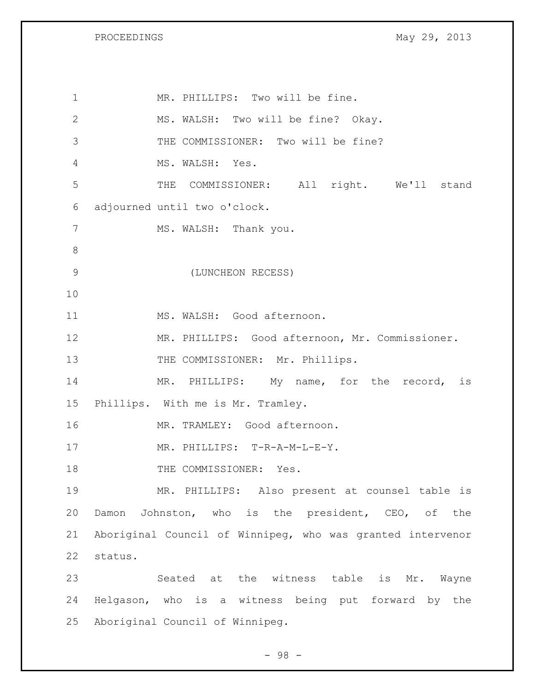MR. PHILLIPS: Two will be fine. MS. WALSH: Two will be fine? Okay. THE COMMISSIONER: Two will be fine? MS. WALSH: Yes. THE COMMISSIONER: All right. We'll stand adjourned until two o'clock. 7 MS. WALSH: Thank you. (LUNCHEON RECESS) MS. WALSH: Good afternoon. MR. PHILLIPS: Good afternoon, Mr. Commissioner. 13 THE COMMISSIONER: Mr. Phillips. 14 MR. PHILLIPS: My name, for the record, is Phillips. With me is Mr. Tramley. MR. TRAMLEY: Good afternoon. 17 MR. PHILLIPS: T-R-A-M-L-E-Y. 18 THE COMMISSIONER: Yes. MR. PHILLIPS: Also present at counsel table is Damon Johnston, who is the president, CEO, of the Aboriginal Council of Winnipeg, who was granted intervenor status. Seated at the witness table is Mr. Wayne Helgason, who is a witness being put forward by the Aboriginal Council of Winnipeg.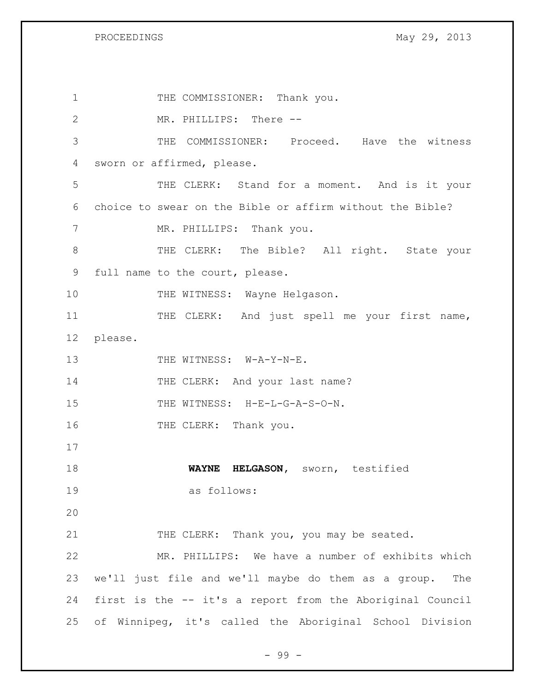1 THE COMMISSIONER: Thank you. 2 MR. PHILLIPS: There -- 3 THE COMMISSIONER: Proceed. Have the witness 4 sworn or affirmed, please. 5 THE CLERK: Stand for a moment. And is it your 6 choice to swear on the Bible or affirm without the Bible? 7 MR. PHILLIPS: Thank you. 8 THE CLERK: The Bible? All right. State your 9 full name to the court, please. 10 THE WITNESS: Wayne Helgason. 11 THE CLERK: And just spell me your first name, 12 please. 13 THE WITNESS: W-A-Y-N-E. 14 THE CLERK: And your last name? 15 THE WITNESS: H-E-L-G-A-S-O-N. 16 THE CLERK: Thank you. 17 18 **WAYNE HELGASON,** sworn, testified 19 as follows: 20 21 THE CLERK: Thank you, you may be seated. 22 MR. PHILLIPS: We have a number of exhibits which 23 we'll just file and we'll maybe do them as a group. The 24 first is the -- it's a report from the Aboriginal Council 25 of Winnipeg, it's called the Aboriginal School Division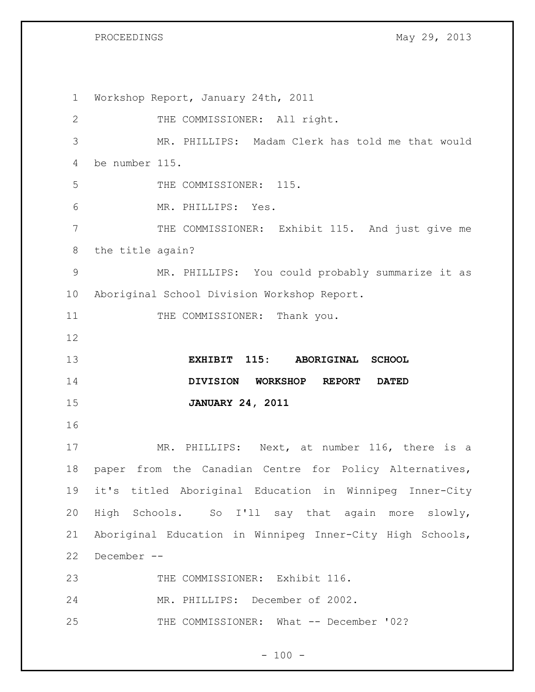Workshop Report, January 24th, 2011 THE COMMISSIONER: All right. MR. PHILLIPS: Madam Clerk has told me that would be number 115. 5 THE COMMISSIONER: 115. MR. PHILLIPS: Yes. THE COMMISSIONER: Exhibit 115. And just give me the title again? MR. PHILLIPS: You could probably summarize it as Aboriginal School Division Workshop Report. 11 THE COMMISSIONER: Thank you. **EXHIBIT 115: ABORIGINAL SCHOOL DIVISION WORKSHOP REPORT DATED JANUARY 24, 2011** 17 MR. PHILLIPS: Next, at number 116, there is a paper from the Canadian Centre for Policy Alternatives, it's titled Aboriginal Education in Winnipeg Inner-City High Schools. So I'll say that again more slowly, Aboriginal Education in Winnipeg Inner-City High Schools, December -- 23 THE COMMISSIONER: Exhibit 116. MR. PHILLIPS: December of 2002. THE COMMISSIONER: What -- December '02?

 $- 100 -$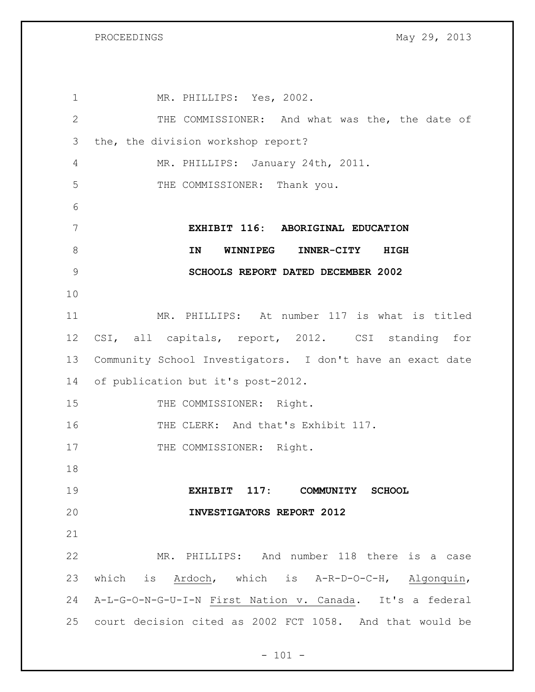1 MR. PHILLIPS: Yes, 2002. THE COMMISSIONER: And what was the, the date of the, the division workshop report? MR. PHILLIPS: January 24th, 2011. THE COMMISSIONER: Thank you. **EXHIBIT 116: ABORIGINAL EDUCATION IN WINNIPEG INNER-CITY HIGH SCHOOLS REPORT DATED DECEMBER 2002** MR. PHILLIPS: At number 117 is what is titled CSI, all capitals, report, 2012. CSI standing for Community School Investigators. I don't have an exact date of publication but it's post-2012. 15 THE COMMISSIONER: Right. 16 THE CLERK: And that's Exhibit 117. 17 THE COMMISSIONER: Right. **EXHIBIT 117: COMMUNITY SCHOOL INVESTIGATORS REPORT 2012** MR. PHILLIPS: And number 118 there is a case which is Ardoch, which is A-R-D-O-C-H, Algonquin, A-L-G-O-N-G-U-I-N First Nation v. Canada. It's a federal court decision cited as 2002 FCT 1058. And that would be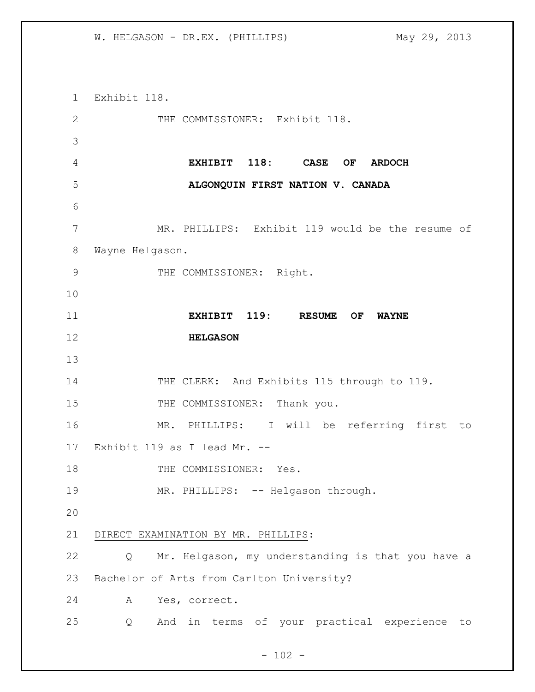W. HELGASON - DR.EX. (PHILLIPS) May 29, 2013

 Exhibit 118. 2 THE COMMISSIONER: Exhibit 118. **EXHIBIT 118: CASE OF ARDOCH ALGONQUIN FIRST NATION V. CANADA** MR. PHILLIPS: Exhibit 119 would be the resume of Wayne Helgason. 9 THE COMMISSIONER: Right. **EXHIBIT 119: RESUME OF WAYNE HELGASON** 14 THE CLERK: And Exhibits 115 through to 119. 15 THE COMMISSIONER: Thank you. MR. PHILLIPS: I will be referring first to Exhibit 119 as I lead Mr. -- 18 THE COMMISSIONER: Yes. 19 MR. PHILLIPS: -- Helgason through. DIRECT EXAMINATION BY MR. PHILLIPS: Q Mr. Helgason, my understanding is that you have a Bachelor of Arts from Carlton University? A Yes, correct. Q And in terms of your practical experience to

 $- 102 -$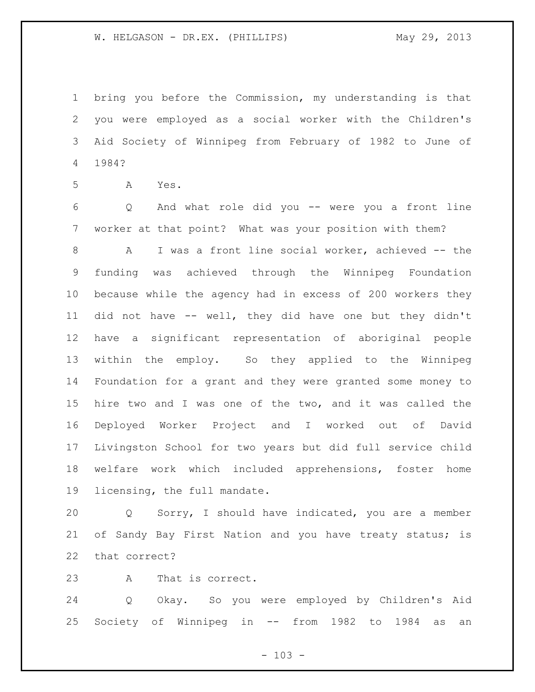W. HELGASON - DR.EX. (PHILLIPS) May 29, 2013

 bring you before the Commission, my understanding is that you were employed as a social worker with the Children's Aid Society of Winnipeg from February of 1982 to June of 1984?

A Yes.

 Q And what role did you -- were you a front line worker at that point? What was your position with them?

8 A I was a front line social worker, achieved -- the funding was achieved through the Winnipeg Foundation because while the agency had in excess of 200 workers they did not have -- well, they did have one but they didn't have a significant representation of aboriginal people within the employ. So they applied to the Winnipeg Foundation for a grant and they were granted some money to hire two and I was one of the two, and it was called the Deployed Worker Project and I worked out of David Livingston School for two years but did full service child welfare work which included apprehensions, foster home licensing, the full mandate.

 Q Sorry, I should have indicated, you are a member 21 of Sandy Bay First Nation and you have treaty status; is that correct?

A That is correct.

 Q Okay. So you were employed by Children's Aid Society of Winnipeg in -- from 1982 to 1984 as an

 $- 103 -$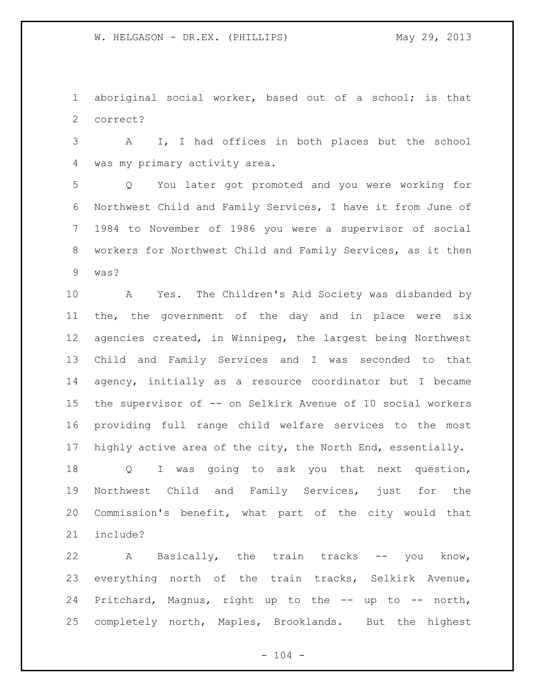aboriginal social worker, based out of a school; is that correct?

 A I, I had offices in both places but the school was my primary activity area.

 Q You later got promoted and you were working for Northwest Child and Family Services, I have it from June of 1984 to November of 1986 you were a supervisor of social workers for Northwest Child and Family Services, as it then was?

 A Yes. The Children's Aid Society was disbanded by the, the government of the day and in place were six agencies created, in Winnipeg, the largest being Northwest Child and Family Services and I was seconded to that agency, initially as a resource coordinator but I became the supervisor of -- on Selkirk Avenue of 10 social workers providing full range child welfare services to the most highly active area of the city, the North End, essentially.

 Q I was going to ask you that next question, Northwest Child and Family Services, just for the Commission's benefit, what part of the city would that include?

 A Basically, the train tracks -- you know, everything north of the train tracks, Selkirk Avenue, Pritchard, Magnus, right up to the -- up to -- north, completely north, Maples, Brooklands. But the highest

 $- 104 -$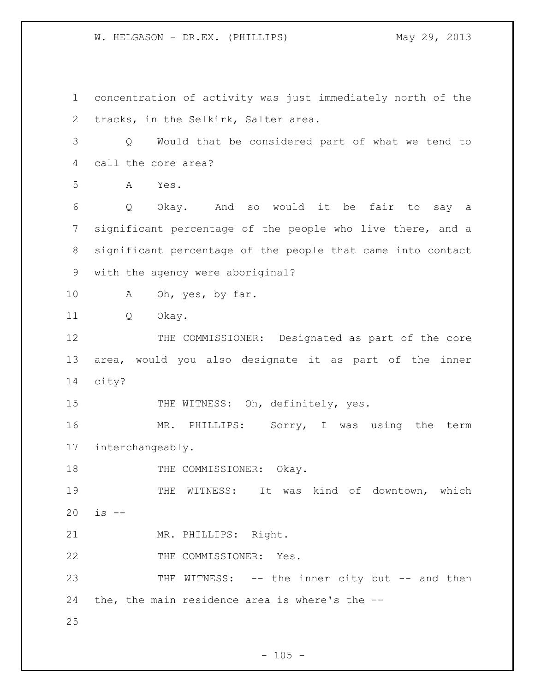concentration of activity was just immediately north of the tracks, in the Selkirk, Salter area. Q Would that be considered part of what we tend to call the core area? A Yes. Q Okay. And so would it be fair to say a significant percentage of the people who live there, and a significant percentage of the people that came into contact with the agency were aboriginal? 10 A Oh, yes, by far. Q Okay. 12 THE COMMISSIONER: Designated as part of the core area, would you also designate it as part of the inner city? 15 THE WITNESS: Oh, definitely, yes. 16 MR. PHILLIPS: Sorry, I was using the term interchangeably. 18 THE COMMISSIONER: Okay. THE WITNESS: It was kind of downtown, which is -- MR. PHILLIPS: Right. 22 THE COMMISSIONER: Yes. 23 THE WITNESS: -- the inner city but -- and then the, the main residence area is where's the -- 

 $- 105 -$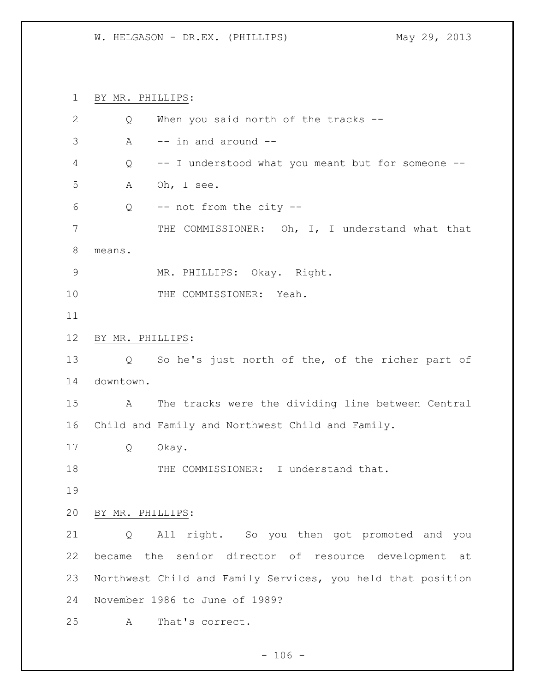BY MR. PHILLIPS:

| 2             | Q                 | When you said north of the tracks --                        |
|---------------|-------------------|-------------------------------------------------------------|
| 3             | A                 | -- in and around --                                         |
| 4             | Q                 | -- I understood what you meant but for someone --           |
| 5             | А                 | Oh, I see.                                                  |
| 6             | Q                 | -- not from the city --                                     |
| 7             |                   | THE COMMISSIONER: Oh, I, I understand what that             |
| 8             | means.            |                                                             |
| $\mathcal{G}$ |                   | MR. PHILLIPS: Okay. Right.                                  |
| 10            |                   | THE COMMISSIONER: Yeah.                                     |
| 11            |                   |                                                             |
| 12            | BY MR. PHILLIPS:  |                                                             |
| 13            | $Q \qquad \qquad$ | So he's just north of the, of the richer part of            |
| 14            | downtown.         |                                                             |
| 15            | A                 | The tracks were the dividing line between Central           |
| 16            |                   | Child and Family and Northwest Child and Family.            |
| 17            | Q                 | Okay.                                                       |
| 18            |                   | THE COMMISSIONER: I understand that.                        |
| 19            |                   |                                                             |
| 20            | BY MR. PHILLIPS:  |                                                             |
| 21            | Q                 | All right. So you then got promoted and you                 |
| 22            |                   | became the senior director of resource development at       |
| 23            |                   | Northwest Child and Family Services, you held that position |
| 24            |                   | November 1986 to June of 1989?                              |
| 25            | А                 | That's correct.                                             |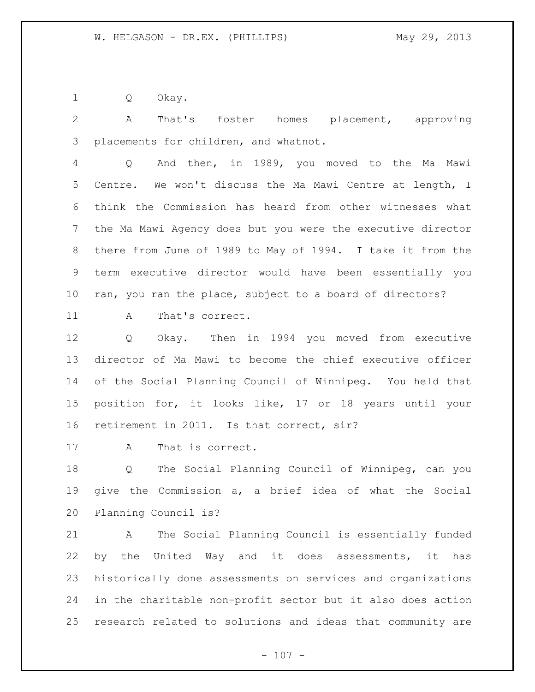Q Okay.

 A That's foster homes placement, approving placements for children, and whatnot.

 Q And then, in 1989, you moved to the Ma Mawi Centre. We won't discuss the Ma Mawi Centre at length, I think the Commission has heard from other witnesses what the Ma Mawi Agency does but you were the executive director there from June of 1989 to May of 1994. I take it from the term executive director would have been essentially you ran, you ran the place, subject to a board of directors?

11 A That's correct.

 Q Okay. Then in 1994 you moved from executive director of Ma Mawi to become the chief executive officer of the Social Planning Council of Winnipeg. You held that position for, it looks like, 17 or 18 years until your retirement in 2011. Is that correct, sir?

A That is correct.

 Q The Social Planning Council of Winnipeg, can you give the Commission a, a brief idea of what the Social Planning Council is?

 A The Social Planning Council is essentially funded by the United Way and it does assessments, it has historically done assessments on services and organizations in the charitable non-profit sector but it also does action research related to solutions and ideas that community are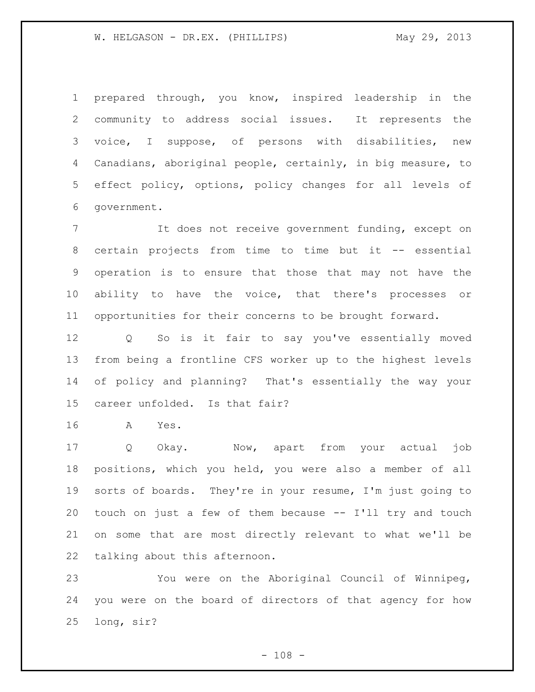prepared through, you know, inspired leadership in the community to address social issues. It represents the voice, I suppose, of persons with disabilities, new Canadians, aboriginal people, certainly, in big measure, to effect policy, options, policy changes for all levels of government.

 It does not receive government funding, except on certain projects from time to time but it -- essential operation is to ensure that those that may not have the ability to have the voice, that there's processes or opportunities for their concerns to be brought forward.

 Q So is it fair to say you've essentially moved from being a frontline CFS worker up to the highest levels of policy and planning? That's essentially the way your career unfolded. Is that fair?

A Yes.

 Q Okay. Now, apart from your actual job positions, which you held, you were also a member of all sorts of boards. They're in your resume, I'm just going to touch on just a few of them because -- I'll try and touch on some that are most directly relevant to what we'll be talking about this afternoon.

 You were on the Aboriginal Council of Winnipeg, you were on the board of directors of that agency for how long, sir?

 $- 108 -$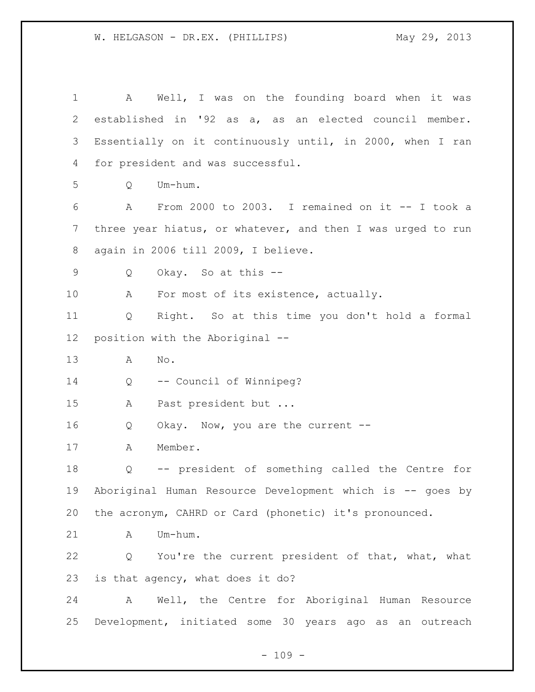A Well, I was on the founding board when it was established in '92 as a, as an elected council member. Essentially on it continuously until, in 2000, when I ran for president and was successful. Q Um-hum. A From 2000 to 2003. I remained on it -- I took a three year hiatus, or whatever, and then I was urged to run again in 2006 till 2009, I believe. Q Okay. So at this -- 10 A For most of its existence, actually. Q Right. So at this time you don't hold a formal position with the Aboriginal -- A No. Q -- Council of Winnipeg? A Past president but ... 16 Q Okay. Now, you are the current -- A Member. Q -- president of something called the Centre for Aboriginal Human Resource Development which is -- goes by the acronym, CAHRD or Card (phonetic) it's pronounced. A Um-hum. Q You're the current president of that, what, what is that agency, what does it do? A Well, the Centre for Aboriginal Human Resource Development, initiated some 30 years ago as an outreach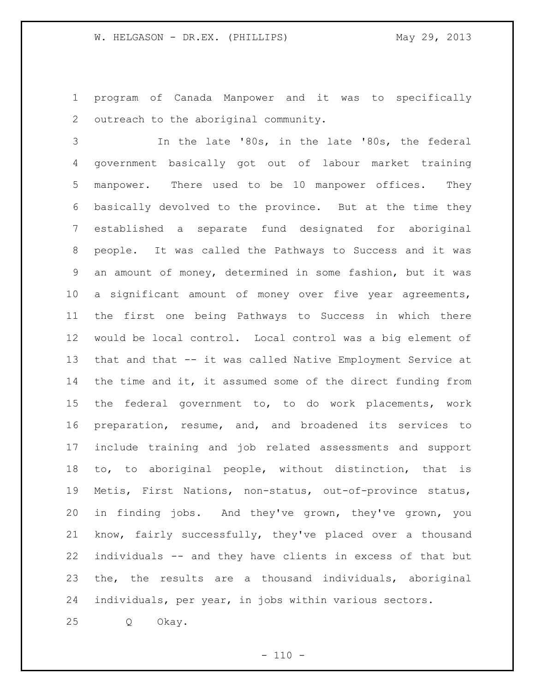program of Canada Manpower and it was to specifically outreach to the aboriginal community.

 In the late '80s, in the late '80s, the federal government basically got out of labour market training manpower. There used to be 10 manpower offices. They basically devolved to the province. But at the time they established a separate fund designated for aboriginal people. It was called the Pathways to Success and it was an amount of money, determined in some fashion, but it was a significant amount of money over five year agreements, the first one being Pathways to Success in which there would be local control. Local control was a big element of that and that -- it was called Native Employment Service at 14 the time and it, it assumed some of the direct funding from the federal government to, to do work placements, work preparation, resume, and, and broadened its services to include training and job related assessments and support to, to aboriginal people, without distinction, that is Metis, First Nations, non-status, out-of-province status, in finding jobs. And they've grown, they've grown, you know, fairly successfully, they've placed over a thousand individuals -- and they have clients in excess of that but the, the results are a thousand individuals, aboriginal individuals, per year, in jobs within various sectors.

Q Okay.

 $- 110 -$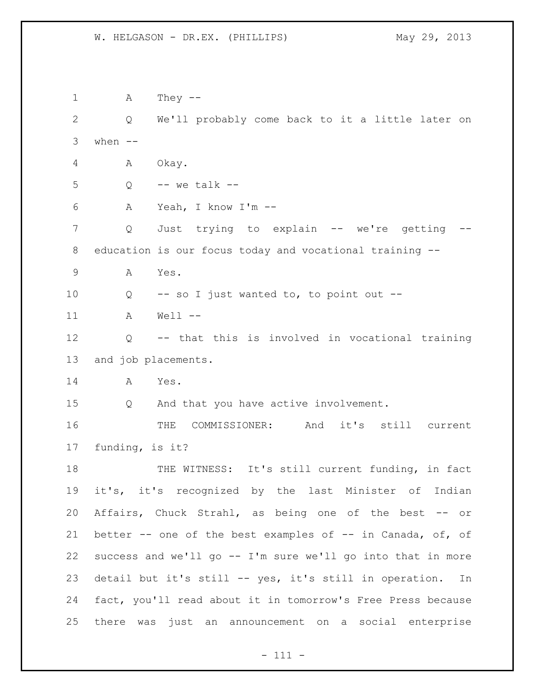A They -- Q We'll probably come back to it a little later on when  $--$  A Okay. Q  $-$  we talk  $-$  A Yeah, I know I'm -- Q Just trying to explain -- we're getting -- education is our focus today and vocational training -- A Yes. Q -- so I just wanted to, to point out -- A Well -- Q -- that this is involved in vocational training and job placements. A Yes. Q And that you have active involvement. 16 THE COMMISSIONER: And it's still current funding, is it? 18 THE WITNESS: It's still current funding, in fact it's, it's recognized by the last Minister of Indian Affairs, Chuck Strahl, as being one of the best -- or better -- one of the best examples of -- in Canada, of, of success and we'll go -- I'm sure we'll go into that in more detail but it's still -- yes, it's still in operation. In fact, you'll read about it in tomorrow's Free Press because there was just an announcement on a social enterprise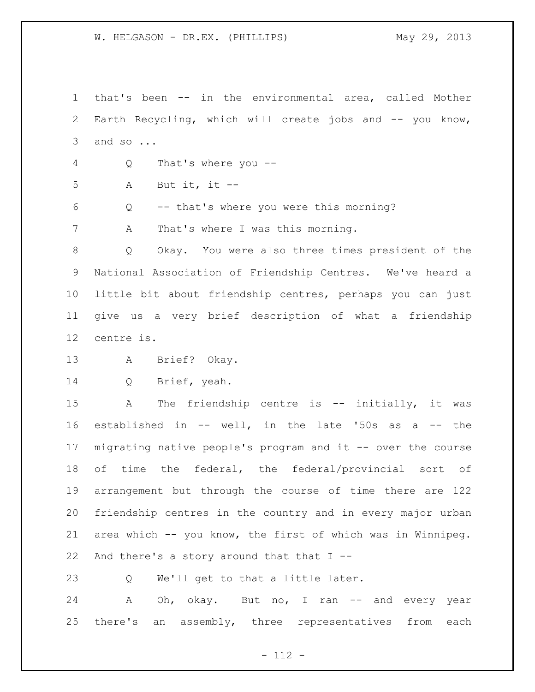that's been -- in the environmental area, called Mother Earth Recycling, which will create jobs and -- you know, and so ...

Q That's where you --

A But it, it --

Q -- that's where you were this morning?

A That's where I was this morning.

 Q Okay. You were also three times president of the National Association of Friendship Centres. We've heard a little bit about friendship centres, perhaps you can just give us a very brief description of what a friendship centre is.

A Brief? Okay.

Q Brief, yeah.

15 A The friendship centre is -- initially, it was established in -- well, in the late '50s as a -- the migrating native people's program and it -- over the course of time the federal, the federal/provincial sort of arrangement but through the course of time there are 122 friendship centres in the country and in every major urban area which -- you know, the first of which was in Winnipeg. 22 And there's a story around that that  $I$  --

Q We'll get to that a little later.

24 A Oh, okay. But no, I ran -- and every year there's an assembly, three representatives from each

- 112 -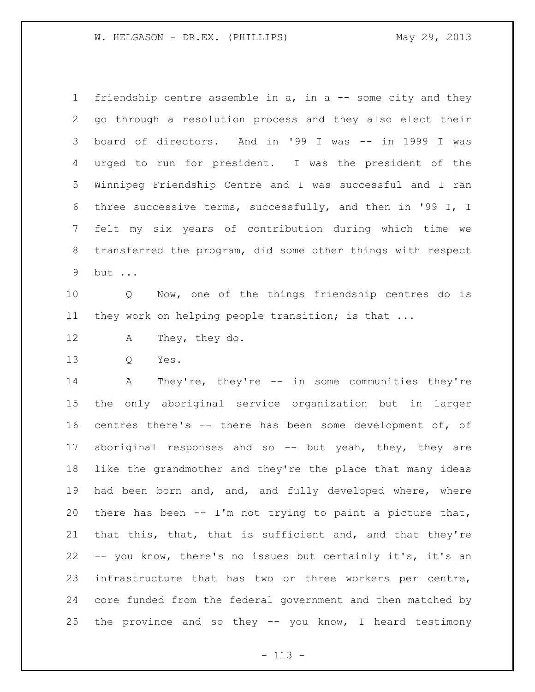friendship centre assemble in a, in a -- some city and they go through a resolution process and they also elect their board of directors. And in '99 I was -- in 1999 I was urged to run for president. I was the president of the Winnipeg Friendship Centre and I was successful and I ran three successive terms, successfully, and then in '99 I, I felt my six years of contribution during which time we transferred the program, did some other things with respect but ...

 Q Now, one of the things friendship centres do is they work on helping people transition; is that ...

- A They, they do.
- Q Yes.

 A They're, they're -- in some communities they're the only aboriginal service organization but in larger centres there's -- there has been some development of, of aboriginal responses and so -- but yeah, they, they are like the grandmother and they're the place that many ideas had been born and, and, and fully developed where, where there has been -- I'm not trying to paint a picture that, that this, that, that is sufficient and, and that they're -- you know, there's no issues but certainly it's, it's an infrastructure that has two or three workers per centre, core funded from the federal government and then matched by the province and so they -- you know, I heard testimony

- 113 -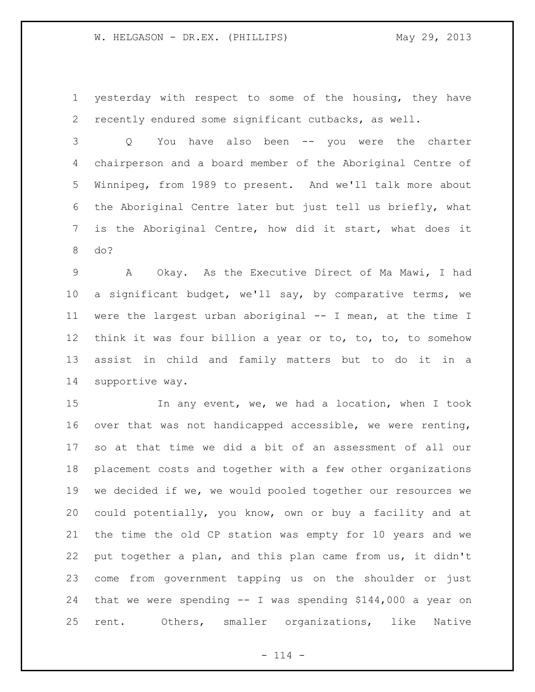yesterday with respect to some of the housing, they have recently endured some significant cutbacks, as well.

 Q You have also been -- you were the charter chairperson and a board member of the Aboriginal Centre of Winnipeg, from 1989 to present. And we'll talk more about the Aboriginal Centre later but just tell us briefly, what is the Aboriginal Centre, how did it start, what does it do?

 A Okay. As the Executive Direct of Ma Mawi, I had a significant budget, we'll say, by comparative terms, we were the largest urban aboriginal -- I mean, at the time I think it was four billion a year or to, to, to, to somehow assist in child and family matters but to do it in a supportive way.

15 In any event, we, we had a location, when I took over that was not handicapped accessible, we were renting, so at that time we did a bit of an assessment of all our placement costs and together with a few other organizations we decided if we, we would pooled together our resources we could potentially, you know, own or buy a facility and at the time the old CP station was empty for 10 years and we put together a plan, and this plan came from us, it didn't come from government tapping us on the shoulder or just that we were spending -- I was spending \$144,000 a year on rent. Others, smaller organizations, like Native

 $- 114 -$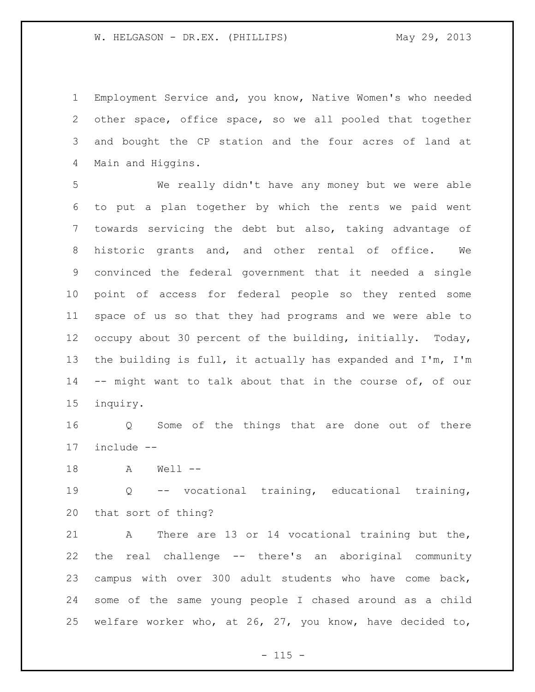Employment Service and, you know, Native Women's who needed other space, office space, so we all pooled that together and bought the CP station and the four acres of land at Main and Higgins.

 We really didn't have any money but we were able to put a plan together by which the rents we paid went towards servicing the debt but also, taking advantage of historic grants and, and other rental of office. We convinced the federal government that it needed a single point of access for federal people so they rented some space of us so that they had programs and we were able to occupy about 30 percent of the building, initially. Today, the building is full, it actually has expanded and I'm, I'm -- might want to talk about that in the course of, of our inquiry.

 Q Some of the things that are done out of there include --

A Well --

 Q -- vocational training, educational training, that sort of thing?

 A There are 13 or 14 vocational training but the, the real challenge -- there's an aboriginal community campus with over 300 adult students who have come back, some of the same young people I chased around as a child welfare worker who, at 26, 27, you know, have decided to,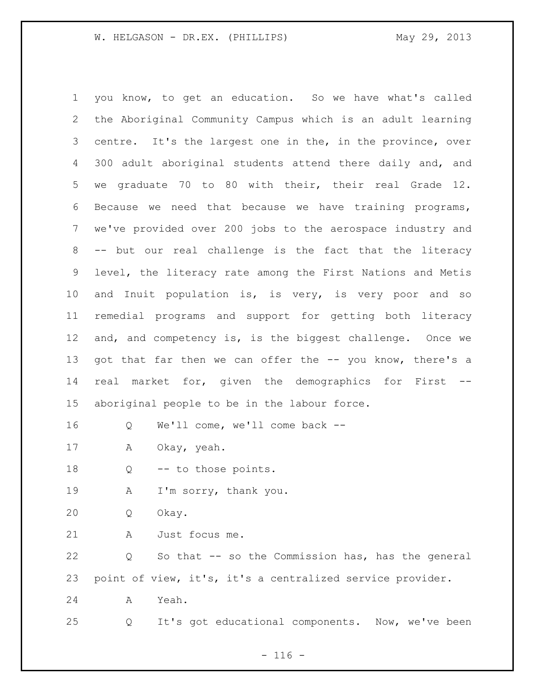you know, to get an education. So we have what's called the Aboriginal Community Campus which is an adult learning centre. It's the largest one in the, in the province, over 300 adult aboriginal students attend there daily and, and we graduate 70 to 80 with their, their real Grade 12. Because we need that because we have training programs, we've provided over 200 jobs to the aerospace industry and -- but our real challenge is the fact that the literacy level, the literacy rate among the First Nations and Metis and Inuit population is, is very, is very poor and so remedial programs and support for getting both literacy and, and competency is, is the biggest challenge. Once we 13 got that far then we can offer the -- you know, there's a real market for, given the demographics for First -- aboriginal people to be in the labour force. Q We'll come, we'll come back -- A Okay, yeah. 18 Q -- to those points. A I'm sorry, thank you. Q Okay. A Just focus me. Q So that -- so the Commission has, has the general point of view, it's, it's a centralized service provider. A Yeah. Q It's got educational components. Now, we've been

 $- 116 -$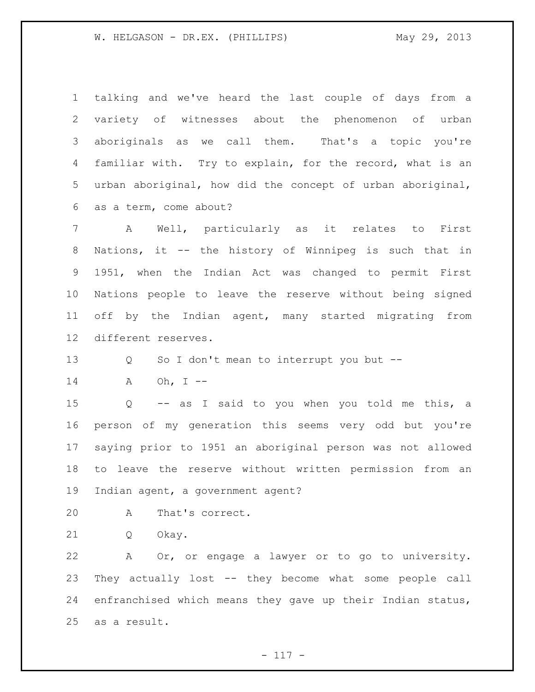talking and we've heard the last couple of days from a variety of witnesses about the phenomenon of urban aboriginals as we call them. That's a topic you're familiar with. Try to explain, for the record, what is an urban aboriginal, how did the concept of urban aboriginal, as a term, come about?

 A Well, particularly as it relates to First Nations, it -- the history of Winnipeg is such that in 1951, when the Indian Act was changed to permit First Nations people to leave the reserve without being signed off by the Indian agent, many started migrating from different reserves.

Q So I don't mean to interrupt you but --

A Oh, I --

 Q -- as I said to you when you told me this, a person of my generation this seems very odd but you're saying prior to 1951 an aboriginal person was not allowed to leave the reserve without written permission from an Indian agent, a government agent?

A That's correct.

Q Okay.

 A Or, or engage a lawyer or to go to university. They actually lost -- they become what some people call enfranchised which means they gave up their Indian status, as a result.

 $- 117 -$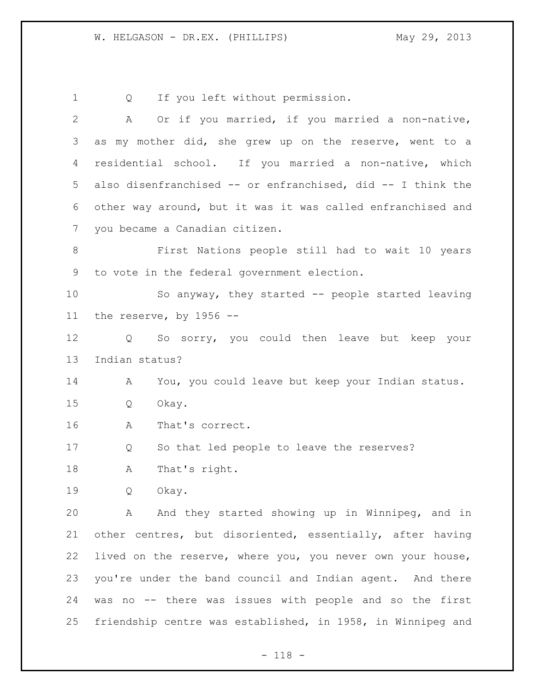Q If you left without permission. A Or if you married, if you married a non-native, as my mother did, she grew up on the reserve, went to a residential school. If you married a non-native, which also disenfranchised -- or enfranchised, did -- I think the other way around, but it was it was called enfranchised and you became a Canadian citizen. First Nations people still had to wait 10 years to vote in the federal government election. So anyway, they started -- people started leaving the reserve, by 1956 -- Q So sorry, you could then leave but keep your Indian status? A You, you could leave but keep your Indian status. Q Okay. A That's correct. Q So that led people to leave the reserves? A That's right. Q Okay. A And they started showing up in Winnipeg, and in other centres, but disoriented, essentially, after having lived on the reserve, where you, you never own your house, you're under the band council and Indian agent. And there was no -- there was issues with people and so the first friendship centre was established, in 1958, in Winnipeg and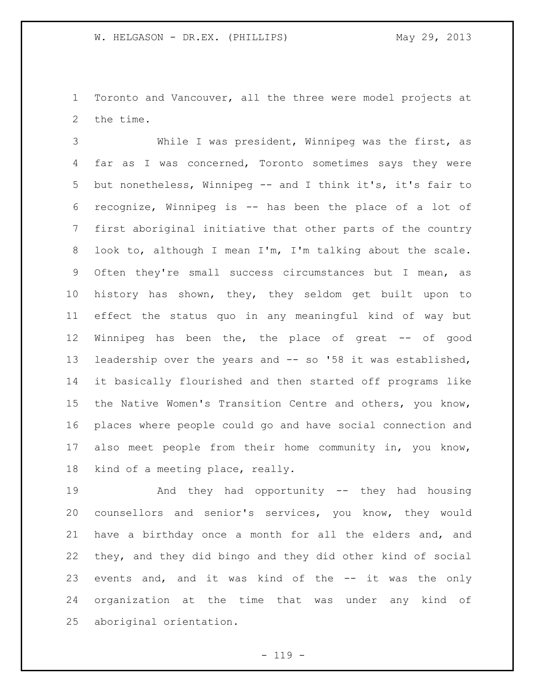Toronto and Vancouver, all the three were model projects at the time.

 While I was president, Winnipeg was the first, as far as I was concerned, Toronto sometimes says they were but nonetheless, Winnipeg -- and I think it's, it's fair to recognize, Winnipeg is -- has been the place of a lot of first aboriginal initiative that other parts of the country look to, although I mean I'm, I'm talking about the scale. Often they're small success circumstances but I mean, as history has shown, they, they seldom get built upon to effect the status quo in any meaningful kind of way but 12 Winnipeg has been the, the place of great -- of good leadership over the years and -- so '58 it was established, it basically flourished and then started off programs like the Native Women's Transition Centre and others, you know, places where people could go and have social connection and also meet people from their home community in, you know, kind of a meeting place, really.

 And they had opportunity -- they had housing counsellors and senior's services, you know, they would have a birthday once a month for all the elders and, and they, and they did bingo and they did other kind of social 23 events and, and it was kind of the -- it was the only organization at the time that was under any kind of aboriginal orientation.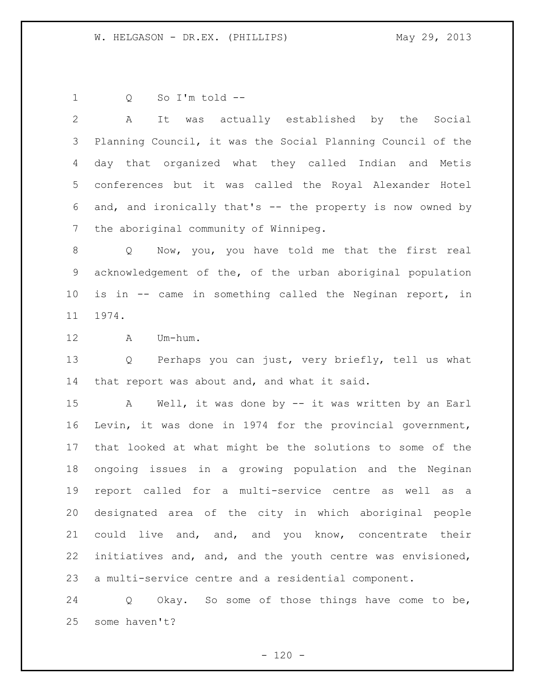Q So I'm told --

 A It was actually established by the Social Planning Council, it was the Social Planning Council of the day that organized what they called Indian and Metis conferences but it was called the Royal Alexander Hotel and, and ironically that's -- the property is now owned by the aboriginal community of Winnipeg.

8 Q Now, you, you have told me that the first real acknowledgement of the, of the urban aboriginal population is in -- came in something called the Neginan report, in 1974.

A Um-hum.

 Q Perhaps you can just, very briefly, tell us what that report was about and, and what it said.

 A Well, it was done by -- it was written by an Earl Levin, it was done in 1974 for the provincial government, that looked at what might be the solutions to some of the ongoing issues in a growing population and the Neginan report called for a multi-service centre as well as a designated area of the city in which aboriginal people could live and, and, and you know, concentrate their initiatives and, and, and the youth centre was envisioned, a multi-service centre and a residential component.

 Q Okay. So some of those things have come to be, some haven't?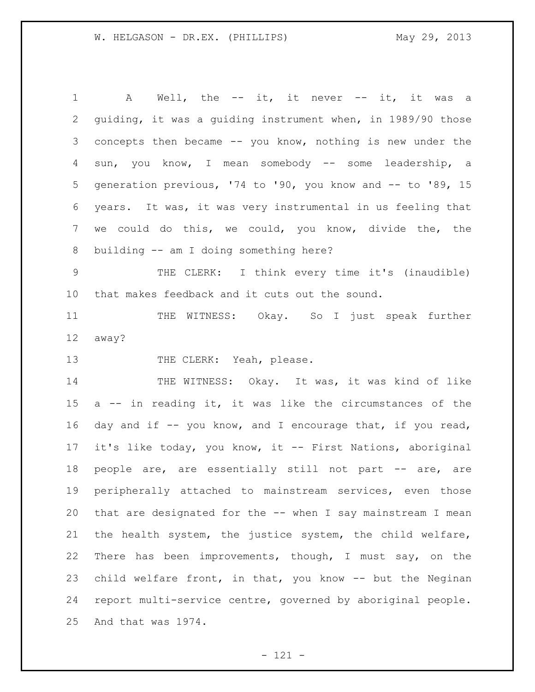| $\mathbf 1$     | A Well, the -- it, it never -- it, it was a                 |
|-----------------|-------------------------------------------------------------|
| $\overline{2}$  | guiding, it was a guiding instrument when, in 1989/90 those |
| 3               | concepts then became -- you know, nothing is new under the  |
| 4               | sun, you know, I mean somebody -- some leadership, a        |
| 5               | generation previous, '74 to '90, you know and -- to '89, 15 |
| 6               | years. It was, it was very instrumental in us feeling that  |
| 7               | we could do this, we could, you know, divide the, the       |
| 8               | building -- am I doing something here?                      |
| $\mathsf 9$     | THE CLERK: I think every time it's (inaudible)              |
| 10 <sub>o</sub> | that makes feedback and it cuts out the sound.              |
| 11              | THE WITNESS: Okay. So I just speak further                  |
| 12              | away?                                                       |
| 13              | THE CLERK: Yeah, please.                                    |
| 14              | THE WITNESS: Okay. It was, it was kind of like              |
| 15              | a -- in reading it, it was like the circumstances of the    |
| 16              | day and if -- you know, and I encourage that, if you read,  |
| 17              | it's like today, you know, it -- First Nations, aboriginal  |
| 18              | people are, are essentially still not part -- are, are      |
| 19              | peripherally attached to mainstream services, even those    |
| 20              | that are designated for the -- when I say mainstream I mean |
| 21              | the health system, the justice system, the child welfare,   |
| 22              | There has been improvements, though, I must say, on the     |
| 23              | child welfare front, in that, you know -- but the Neginan   |
| 24              | report multi-service centre, governed by aboriginal people. |
| 25              | And that was 1974.                                          |

- 121 -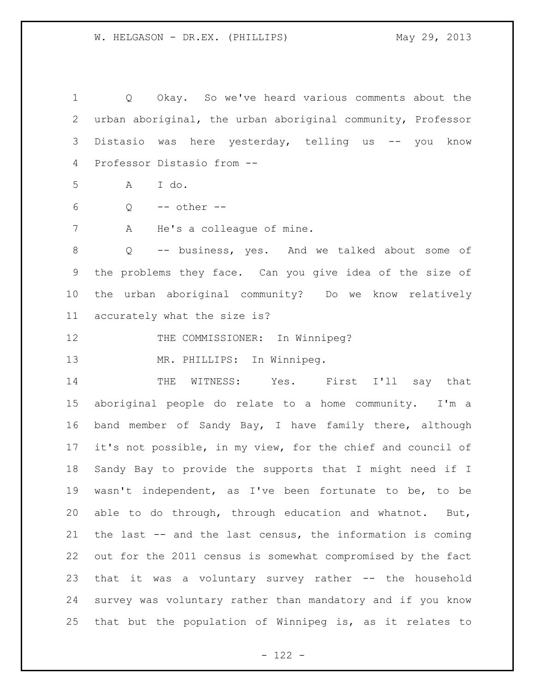Q Okay. So we've heard various comments about the urban aboriginal, the urban aboriginal community, Professor Distasio was here yesterday, telling us -- you know Professor Distasio from -- A I do. Q -- other -- A He's a colleague of mine. Q -- business, yes. And we talked about some of the problems they face. Can you give idea of the size of the urban aboriginal community? Do we know relatively accurately what the size is? 12 THE COMMISSIONER: In Winnipeg? MR. PHILLIPS: In Winnipeg. THE WITNESS: Yes. First I'll say that aboriginal people do relate to a home community. I'm a band member of Sandy Bay, I have family there, although it's not possible, in my view, for the chief and council of Sandy Bay to provide the supports that I might need if I wasn't independent, as I've been fortunate to be, to be able to do through, through education and whatnot. But, the last -- and the last census, the information is coming out for the 2011 census is somewhat compromised by the fact that it was a voluntary survey rather -- the household survey was voluntary rather than mandatory and if you know that but the population of Winnipeg is, as it relates to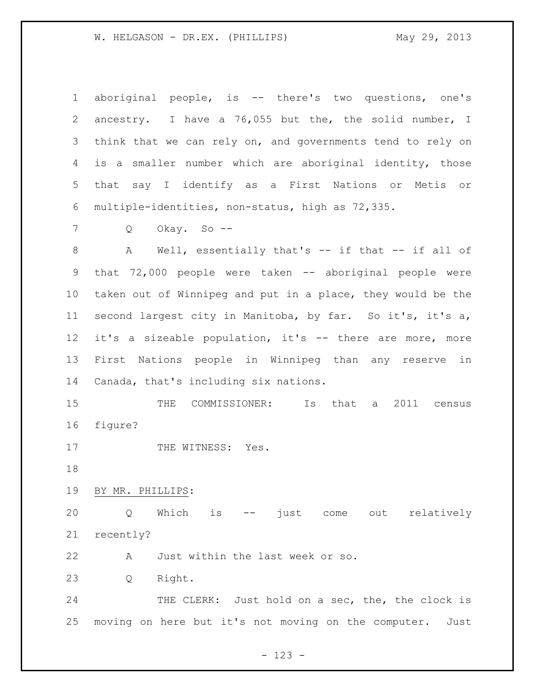aboriginal people, is -- there's two questions, one's ancestry. I have a 76,055 but the, the solid number, I think that we can rely on, and governments tend to rely on is a smaller number which are aboriginal identity, those that say I identify as a First Nations or Metis or multiple-identities, non-status, high as 72,335. Q Okay. So -- A Well, essentially that's -- if that -- if all of that 72,000 people were taken -- aboriginal people were taken out of Winnipeg and put in a place, they would be the

 second largest city in Manitoba, by far. So it's, it's a, it's a sizeable population, it's -- there are more, more First Nations people in Winnipeg than any reserve in Canada, that's including six nations.

 THE COMMISSIONER: Is that a 2011 census figure?

17 THE WITNESS: Yes.

BY MR. PHILLIPS:

 Q Which is -- just come out relatively recently?

A Just within the last week or so.

Q Right.

24 THE CLERK: Just hold on a sec, the, the clock is moving on here but it's not moving on the computer. Just

- 123 -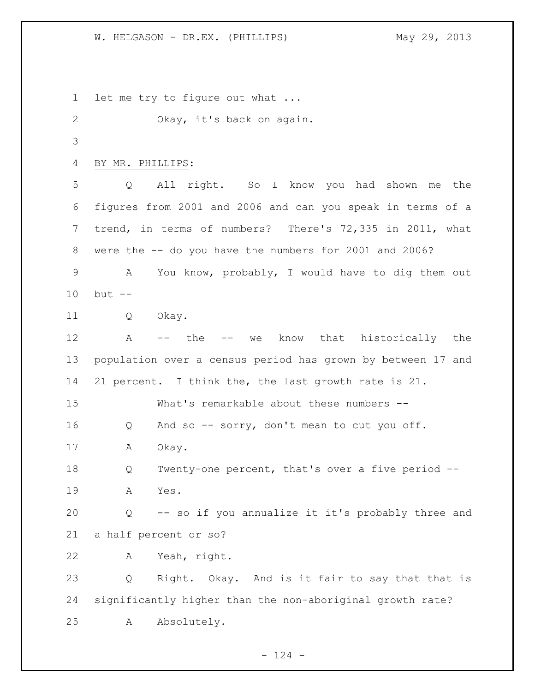let me try to figure out what ... Okay, it's back on again. BY MR. PHILLIPS: Q All right. So I know you had shown me the figures from 2001 and 2006 and can you speak in terms of a trend, in terms of numbers? There's 72,335 in 2011, what were the -- do you have the numbers for 2001 and 2006? A You know, probably, I would have to dig them out but -- Q Okay. A -- the -- we know that historically the population over a census period has grown by between 17 and 21 percent. I think the, the last growth rate is 21. What's remarkable about these numbers -- Q And so -- sorry, don't mean to cut you off. A Okay. Q Twenty-one percent, that's over a five period -- A Yes. Q -- so if you annualize it it's probably three and a half percent or so? A Yeah, right. Q Right. Okay. And is it fair to say that that is significantly higher than the non-aboriginal growth rate? A Absolutely.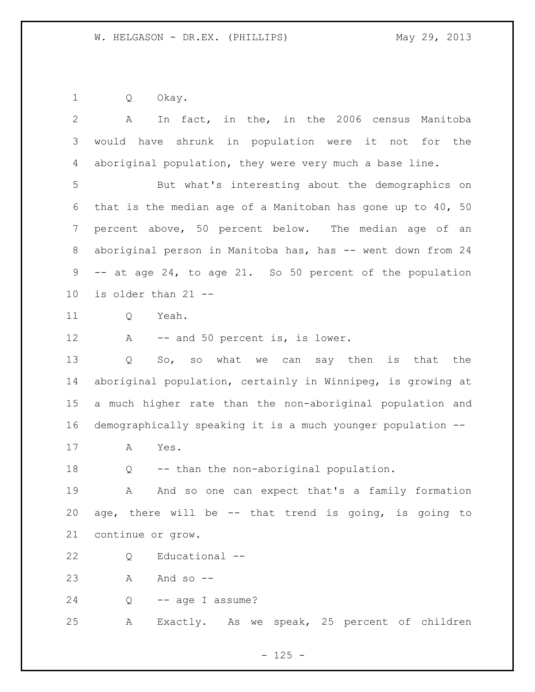Q Okay.

| $\overline{2}$ | In fact, in the, in the 2006 census Manitoba<br>A           |
|----------------|-------------------------------------------------------------|
| 3              | would have shrunk in population were it not for the         |
| 4              | aboriginal population, they were very much a base line.     |
| 5              | But what's interesting about the demographics on            |
| 6              | that is the median age of a Manitoban has gone up to 40, 50 |
| 7              | percent above, 50 percent below. The median age of an       |
| 8              | aboriginal person in Manitoba has, has -- went down from 24 |
| 9              | -- at age 24, to age 21. So 50 percent of the population    |
| 10             | is older than 21 --                                         |
| 11             | Yeah.<br>Q                                                  |
| 12             | -- and 50 percent is, is lower.<br>A                        |
| 13             | So, so what we can say then is that the<br>Q                |
| 14             | aboriginal population, certainly in Winnipeg, is growing at |
| 15             | a much higher rate than the non-aboriginal population and   |
| 16             | demographically speaking it is a much younger population -- |
| 17             | Yes.<br>А                                                   |
| 18             | -- than the non-aboriginal population.<br>Q                 |
| 19             | And so one can expect that's a family formation<br>Α        |
| 20             | age, there will be -- that trend is going, is going to      |
| 21             | continue or grow.                                           |
| 22             | Educational --<br>Q                                         |
| 23             | And so $-$<br>A                                             |
| 24             | -- age I assume?<br>Q                                       |
| 25             | Exactly. As we speak, 25 percent of children<br>Α           |
|                |                                                             |

- 125 -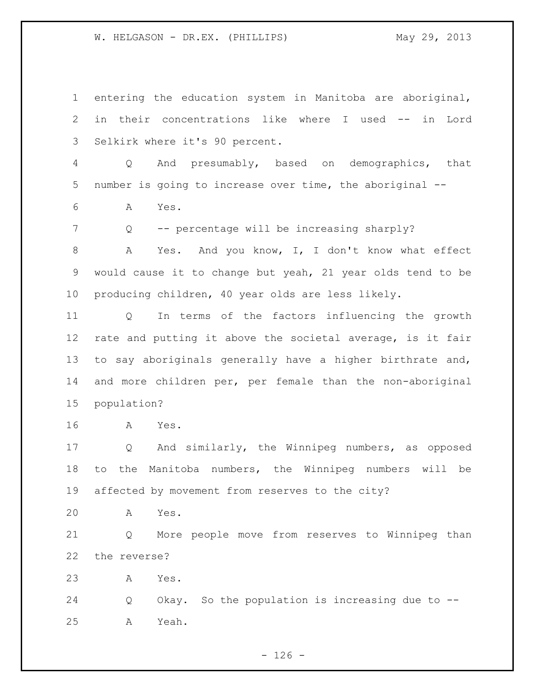entering the education system in Manitoba are aboriginal, in their concentrations like where I used -- in Lord Selkirk where it's 90 percent. Q And presumably, based on demographics, that number is going to increase over time, the aboriginal -- A Yes. Q -- percentage will be increasing sharply? 8 A Yes. And you know, I, I don't know what effect would cause it to change but yeah, 21 year olds tend to be producing children, 40 year olds are less likely. Q In terms of the factors influencing the growth rate and putting it above the societal average, is it fair to say aboriginals generally have a higher birthrate and, and more children per, per female than the non-aboriginal population? A Yes. Q And similarly, the Winnipeg numbers, as opposed to the Manitoba numbers, the Winnipeg numbers will be affected by movement from reserves to the city? A Yes. Q More people move from reserves to Winnipeg than the reverse? A Yes. Q Okay. So the population is increasing due to -- A Yeah.

 $- 126 -$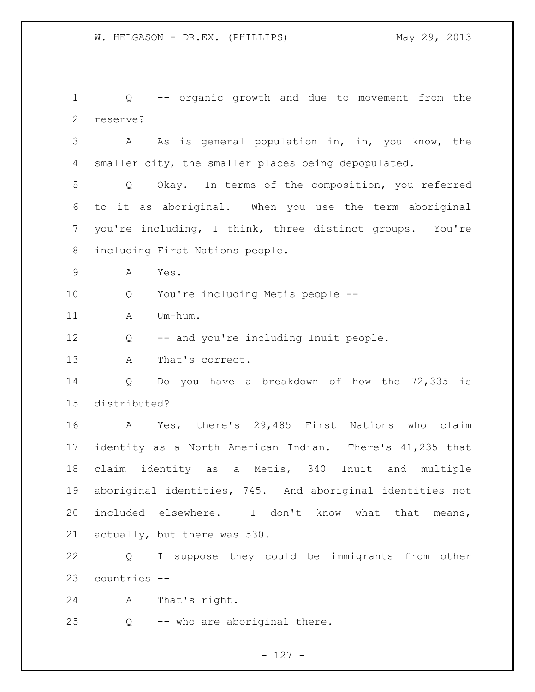Q -- organic growth and due to movement from the reserve?

 A As is general population in, in, you know, the 4 smaller city, the smaller places being depopulated.

 Q Okay. In terms of the composition, you referred to it as aboriginal. When you use the term aboriginal you're including, I think, three distinct groups. You're including First Nations people.

A Yes.

Q You're including Metis people --

11 A Um-hum.

Q -- and you're including Inuit people.

A That's correct.

 Q Do you have a breakdown of how the 72,335 is distributed?

 A Yes, there's 29,485 First Nations who claim identity as a North American Indian. There's 41,235 that claim identity as a Metis, 340 Inuit and multiple aboriginal identities, 745. And aboriginal identities not included elsewhere. I don't know what that means, actually, but there was 530.

 Q I suppose they could be immigrants from other countries --

A That's right.

Q -- who are aboriginal there.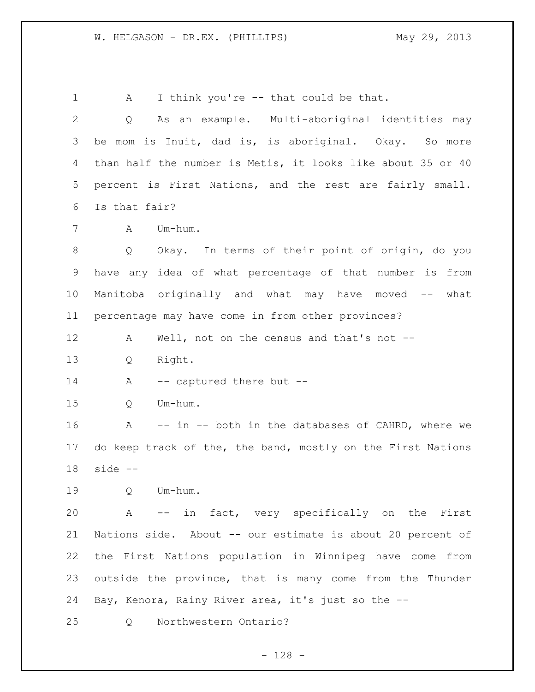1 A I think you're -- that could be that. Q As an example. Multi-aboriginal identities may be mom is Inuit, dad is, is aboriginal. Okay. So more than half the number is Metis, it looks like about 35 or 40 percent is First Nations, and the rest are fairly small. Is that fair? A Um-hum. Q Okay. In terms of their point of origin, do you have any idea of what percentage of that number is from Manitoba originally and what may have moved -- what percentage may have come in from other provinces? A Well, not on the census and that's not -- Q Right. 14 A -- captured there but -- Q Um-hum. A -- in -- both in the databases of CAHRD, where we do keep track of the, the band, mostly on the First Nations side -- Q Um-hum. A -- in fact, very specifically on the First Nations side. About -- our estimate is about 20 percent of the First Nations population in Winnipeg have come from outside the province, that is many come from the Thunder Bay, Kenora, Rainy River area, it's just so the -- Q Northwestern Ontario?

- 128 -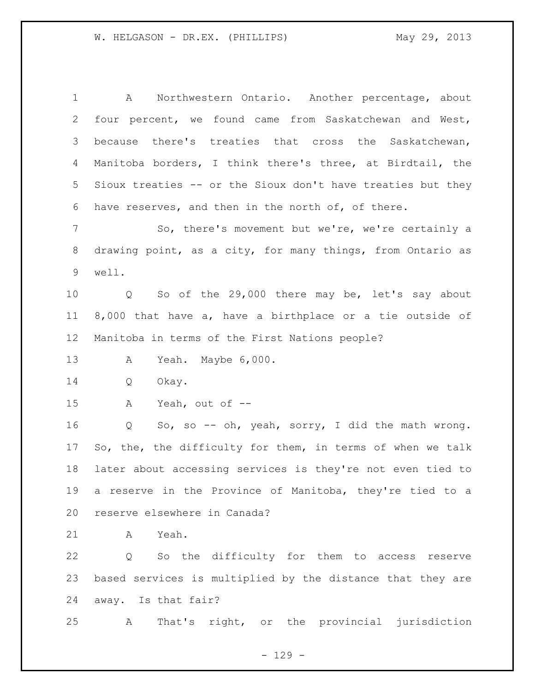A Northwestern Ontario. Another percentage, about four percent, we found came from Saskatchewan and West, because there's treaties that cross the Saskatchewan, Manitoba borders, I think there's three, at Birdtail, the Sioux treaties -- or the Sioux don't have treaties but they have reserves, and then in the north of, of there. So, there's movement but we're, we're certainly a drawing point, as a city, for many things, from Ontario as well. Q So of the 29,000 there may be, let's say about 8,000 that have a, have a birthplace or a tie outside of Manitoba in terms of the First Nations people? A Yeah. Maybe 6,000. Q Okay. A Yeah, out of -- Q So, so -- oh, yeah, sorry, I did the math wrong. So, the, the difficulty for them, in terms of when we talk later about accessing services is they're not even tied to a reserve in the Province of Manitoba, they're tied to a reserve elsewhere in Canada? A Yeah. Q So the difficulty for them to access reserve based services is multiplied by the distance that they are away. Is that fair? A That's right, or the provincial jurisdiction

 $- 129 -$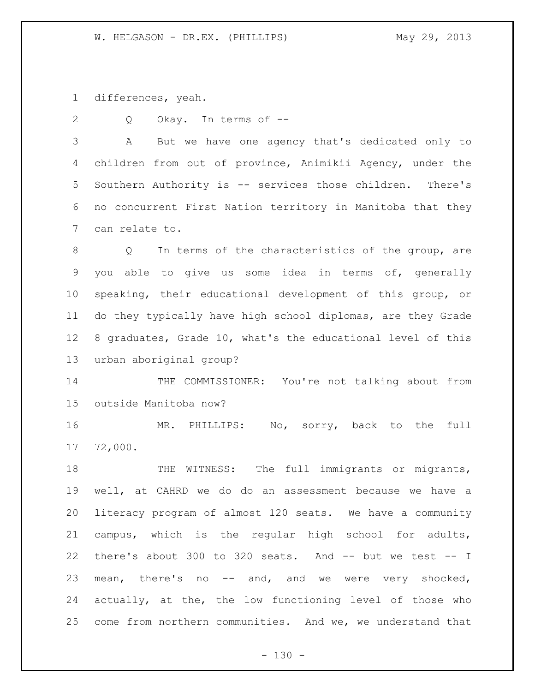differences, yeah.

2 Q Okay. In terms of --

 A But we have one agency that's dedicated only to children from out of province, Animikii Agency, under the Southern Authority is -- services those children. There's no concurrent First Nation territory in Manitoba that they can relate to.

 Q In terms of the characteristics of the group, are you able to give us some idea in terms of, generally speaking, their educational development of this group, or do they typically have high school diplomas, are they Grade 8 graduates, Grade 10, what's the educational level of this urban aboriginal group?

 THE COMMISSIONER: You're not talking about from outside Manitoba now?

 MR. PHILLIPS: No, sorry, back to the full 72,000.

18 THE WITNESS: The full immigrants or migrants, well, at CAHRD we do do an assessment because we have a literacy program of almost 120 seats. We have a community campus, which is the regular high school for adults, 22 there's about 300 to 320 seats. And -- but we test -- I mean, there's no -- and, and we were very shocked, actually, at the, the low functioning level of those who come from northern communities. And we, we understand that

 $- 130 -$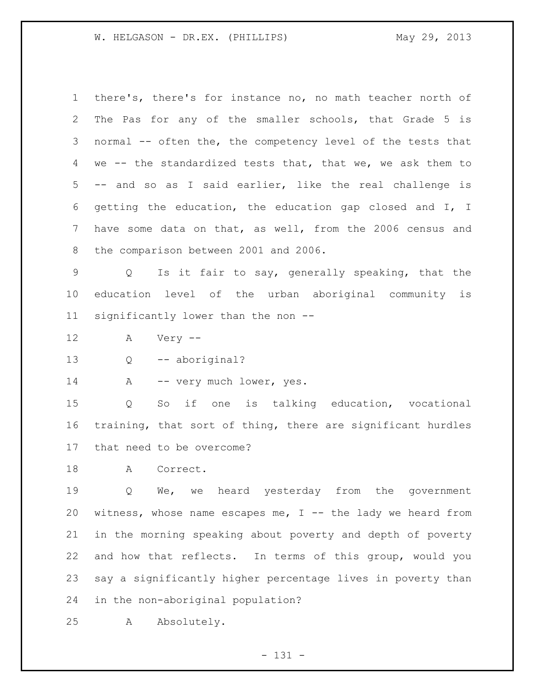there's, there's for instance no, no math teacher north of The Pas for any of the smaller schools, that Grade 5 is normal -- often the, the competency level of the tests that we -- the standardized tests that, that we, we ask them to -- and so as I said earlier, like the real challenge is getting the education, the education gap closed and I, I have some data on that, as well, from the 2006 census and the comparison between 2001 and 2006.

 Q Is it fair to say, generally speaking, that the education level of the urban aboriginal community is significantly lower than the non --

- A Very --
- Q -- aboriginal?

14 A -- very much lower, yes.

 Q So if one is talking education, vocational training, that sort of thing, there are significant hurdles that need to be overcome?

18 A Correct.

 Q We, we heard yesterday from the government 20 witness, whose name escapes me,  $I$  -- the lady we heard from in the morning speaking about poverty and depth of poverty and how that reflects. In terms of this group, would you say a significantly higher percentage lives in poverty than in the non-aboriginal population?

A Absolutely.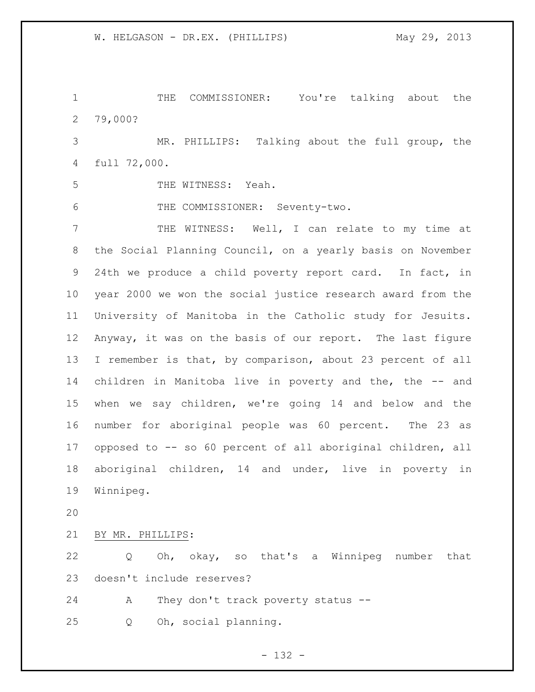THE COMMISSIONER: You're talking about the 79,000?

 MR. PHILLIPS: Talking about the full group, the full 72,000.

THE WITNESS: Yeah.

THE COMMISSIONER: Seventy-two.

 THE WITNESS: Well, I can relate to my time at the Social Planning Council, on a yearly basis on November 24th we produce a child poverty report card. In fact, in year 2000 we won the social justice research award from the University of Manitoba in the Catholic study for Jesuits. Anyway, it was on the basis of our report. The last figure I remember is that, by comparison, about 23 percent of all children in Manitoba live in poverty and the, the -- and when we say children, we're going 14 and below and the number for aboriginal people was 60 percent. The 23 as opposed to -- so 60 percent of all aboriginal children, all aboriginal children, 14 and under, live in poverty in Winnipeg.

BY MR. PHILLIPS:

 Q Oh, okay, so that's a Winnipeg number that doesn't include reserves?

A They don't track poverty status --

Q Oh, social planning.

- 132 -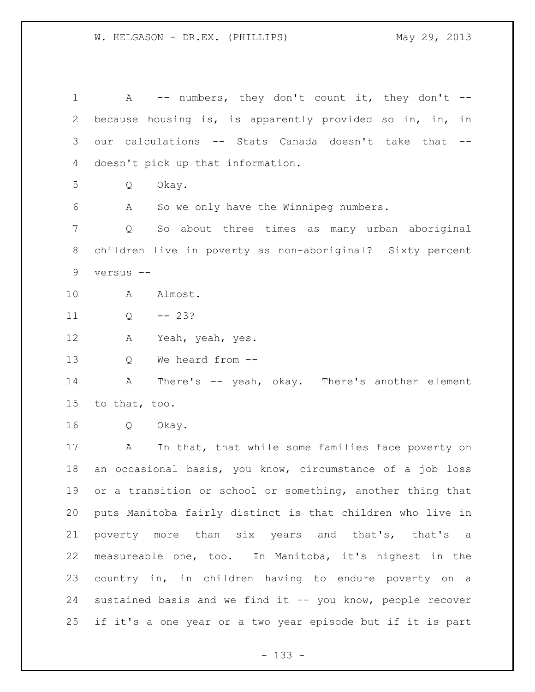1 A -- numbers, they don't count it, they don't -- because housing is, is apparently provided so in, in, in our calculations -- Stats Canada doesn't take that -- doesn't pick up that information. Q Okay. A So we only have the Winnipeg numbers. Q So about three times as many urban aboriginal children live in poverty as non-aboriginal? Sixty percent versus -- A Almost.  $11 \tQ \t -- 23?$  A Yeah, yeah, yes. Q We heard from -- A There's -- yeah, okay. There's another element to that, too. Q Okay. A In that, that while some families face poverty on an occasional basis, you know, circumstance of a job loss or a transition or school or something, another thing that puts Manitoba fairly distinct is that children who live in poverty more than six years and that's, that's a measureable one, too. In Manitoba, it's highest in the country in, in children having to endure poverty on a sustained basis and we find it -- you know, people recover if it's a one year or a two year episode but if it is part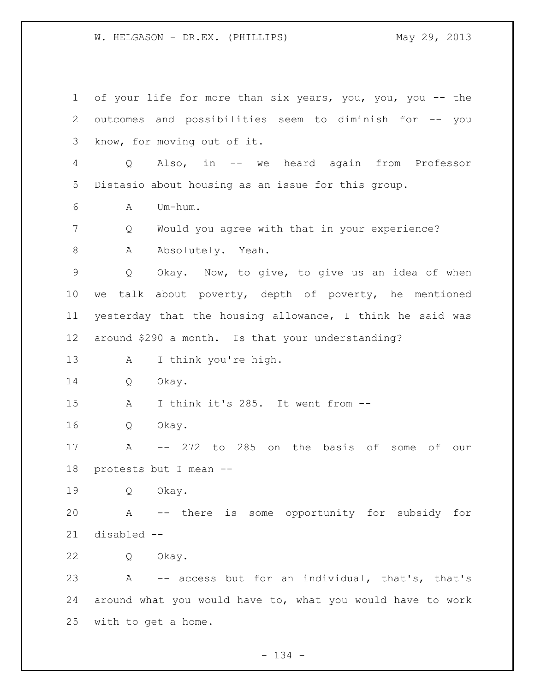of your life for more than six years, you, you, you -- the outcomes and possibilities seem to diminish for -- you know, for moving out of it. Q Also, in -- we heard again from Professor Distasio about housing as an issue for this group. A Um-hum. Q Would you agree with that in your experience? 8 A Absolutely. Yeah. Q Okay. Now, to give, to give us an idea of when we talk about poverty, depth of poverty, he mentioned yesterday that the housing allowance, I think he said was around \$290 a month. Is that your understanding? A I think you're high. Q Okay. A I think it's 285. It went from -- Q Okay. A -- 272 to 285 on the basis of some of our protests but I mean -- Q Okay. A -- there is some opportunity for subsidy for disabled -- Q Okay. A -- access but for an individual, that's, that's around what you would have to, what you would have to work with to get a home.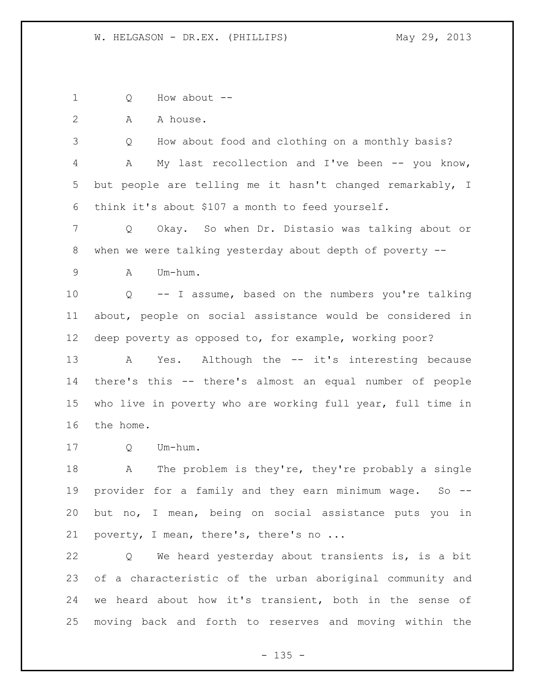Q How about --

2 A A house.

 Q How about food and clothing on a monthly basis? A My last recollection and I've been -- you know, but people are telling me it hasn't changed remarkably, I think it's about \$107 a month to feed yourself.

 Q Okay. So when Dr. Distasio was talking about or when we were talking yesterday about depth of poverty --

A Um-hum.

 Q -- I assume, based on the numbers you're talking about, people on social assistance would be considered in deep poverty as opposed to, for example, working poor?

13 A Yes. Although the -- it's interesting because there's this -- there's almost an equal number of people who live in poverty who are working full year, full time in the home.

Q Um-hum.

 A The problem is they're, they're probably a single provider for a family and they earn minimum wage. So -- but no, I mean, being on social assistance puts you in 21 poverty, I mean, there's, there's no ...

 Q We heard yesterday about transients is, is a bit of a characteristic of the urban aboriginal community and we heard about how it's transient, both in the sense of moving back and forth to reserves and moving within the

 $- 135 -$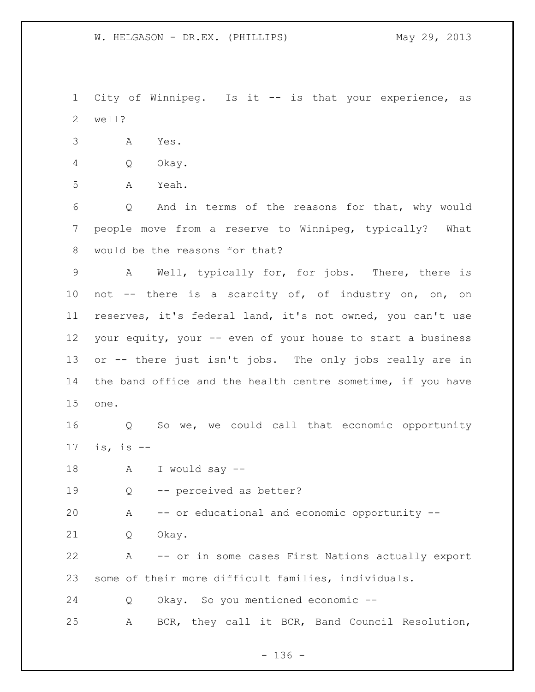City of Winnipeg. Is it -- is that your experience, as well?

- A Yes.
- Q Okay.
- A Yeah.

 Q And in terms of the reasons for that, why would people move from a reserve to Winnipeg, typically? What would be the reasons for that?

 A Well, typically for, for jobs. There, there is not -- there is a scarcity of, of industry on, on, on reserves, it's federal land, it's not owned, you can't use your equity, your -- even of your house to start a business or -- there just isn't jobs. The only jobs really are in 14 the band office and the health centre sometime, if you have one.

 Q So we, we could call that economic opportunity is, is --

A I would say --

Q -- perceived as better?

A -- or educational and economic opportunity --

Q Okay.

 A -- or in some cases First Nations actually export some of their more difficult families, individuals.

Q Okay. So you mentioned economic --

A BCR, they call it BCR, Band Council Resolution,

- 136 -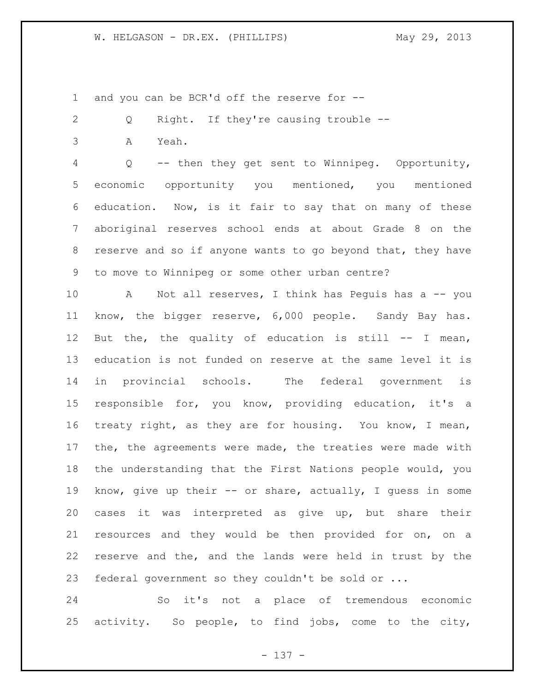and you can be BCR'd off the reserve for --

- Q Right. If they're causing trouble --
- A Yeah.

 Q -- then they get sent to Winnipeg. Opportunity, economic opportunity you mentioned, you mentioned education. Now, is it fair to say that on many of these aboriginal reserves school ends at about Grade 8 on the reserve and so if anyone wants to go beyond that, they have to move to Winnipeg or some other urban centre?

 A Not all reserves, I think has Peguis has a -- you know, the bigger reserve, 6,000 people. Sandy Bay has. But the, the quality of education is still -- I mean, education is not funded on reserve at the same level it is in provincial schools. The federal government is responsible for, you know, providing education, it's a treaty right, as they are for housing. You know, I mean, the, the agreements were made, the treaties were made with the understanding that the First Nations people would, you know, give up their -- or share, actually, I guess in some cases it was interpreted as give up, but share their resources and they would be then provided for on, on a reserve and the, and the lands were held in trust by the federal government so they couldn't be sold or ...

 So it's not a place of tremendous economic activity. So people, to find jobs, come to the city,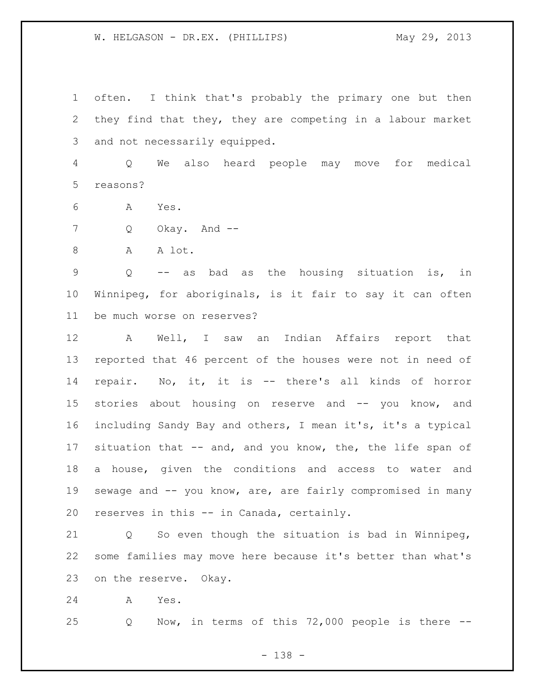often. I think that's probably the primary one but then they find that they, they are competing in a labour market and not necessarily equipped.

 Q We also heard people may move for medical reasons?

- A Yes.
- Q Okay. And --
- 8 A A lot.

 Q -- as bad as the housing situation is, in Winnipeg, for aboriginals, is it fair to say it can often be much worse on reserves?

 A Well, I saw an Indian Affairs report that reported that 46 percent of the houses were not in need of repair. No, it, it is -- there's all kinds of horror stories about housing on reserve and -- you know, and including Sandy Bay and others, I mean it's, it's a typical 17 situation that -- and, and you know, the, the life span of a house, given the conditions and access to water and sewage and -- you know, are, are fairly compromised in many reserves in this -- in Canada, certainly.

 Q So even though the situation is bad in Winnipeg, some families may move here because it's better than what's on the reserve. Okay.

A Yes.

Q Now, in terms of this 72,000 people is there --

- 138 -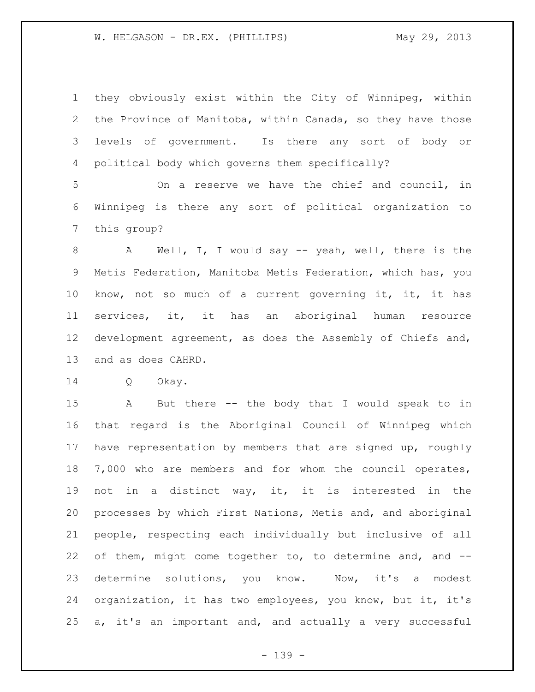they obviously exist within the City of Winnipeg, within the Province of Manitoba, within Canada, so they have those levels of government. Is there any sort of body or political body which governs them specifically?

 On a reserve we have the chief and council, in Winnipeg is there any sort of political organization to this group?

 A Well, I, I would say -- yeah, well, there is the Metis Federation, Manitoba Metis Federation, which has, you know, not so much of a current governing it, it, it has services, it, it has an aboriginal human resource development agreement, as does the Assembly of Chiefs and, and as does CAHRD.

Q Okay.

 A But there -- the body that I would speak to in that regard is the Aboriginal Council of Winnipeg which have representation by members that are signed up, roughly 7,000 who are members and for whom the council operates, not in a distinct way, it, it is interested in the processes by which First Nations, Metis and, and aboriginal people, respecting each individually but inclusive of all 22 of them, might come together to, to determine and, and --23 determine solutions, you know. Now, it's a modest organization, it has two employees, you know, but it, it's a, it's an important and, and actually a very successful

- 139 -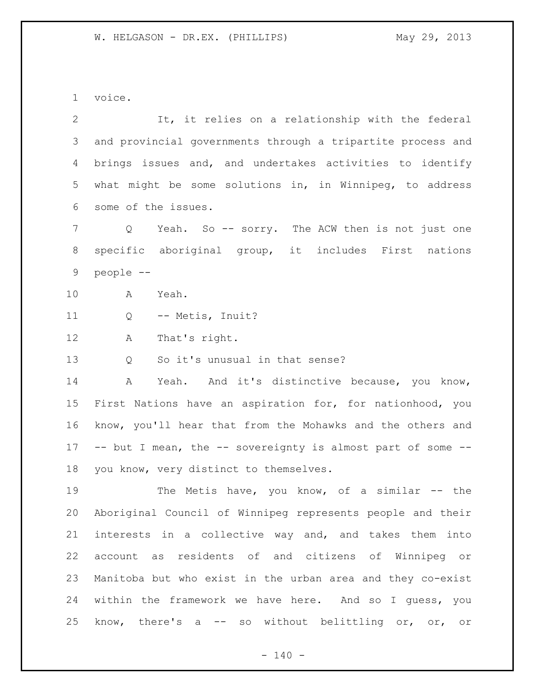voice.

 It, it relies on a relationship with the federal and provincial governments through a tripartite process and brings issues and, and undertakes activities to identify what might be some solutions in, in Winnipeg, to address some of the issues.

 Q Yeah. So -- sorry. The ACW then is not just one specific aboriginal group, it includes First nations people --

A Yeah.

Q -- Metis, Inuit?

A That's right.

Q So it's unusual in that sense?

14 A Yeah. And it's distinctive because, you know, First Nations have an aspiration for, for nationhood, you know, you'll hear that from the Mohawks and the others and -- but I mean, the -- sovereignty is almost part of some -- you know, very distinct to themselves.

 The Metis have, you know, of a similar -- the Aboriginal Council of Winnipeg represents people and their interests in a collective way and, and takes them into account as residents of and citizens of Winnipeg or Manitoba but who exist in the urban area and they co-exist within the framework we have here. And so I guess, you know, there's a -- so without belittling or, or, or

 $- 140 -$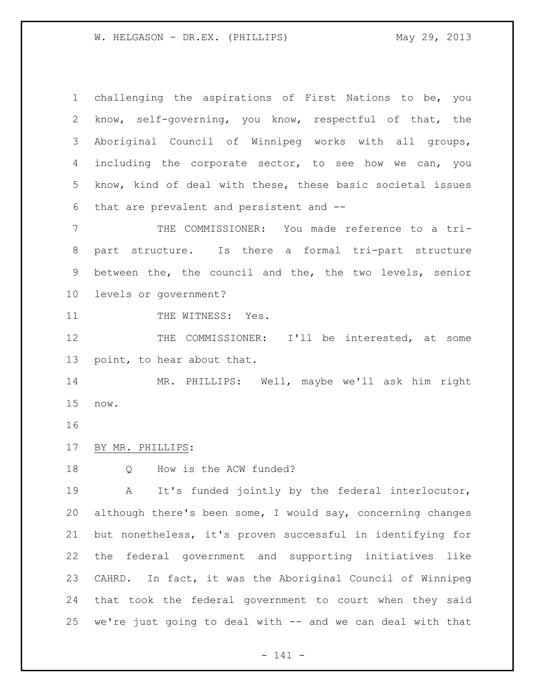challenging the aspirations of First Nations to be, you know, self-governing, you know, respectful of that, the Aboriginal Council of Winnipeg works with all groups, 4 including the corporate sector, to see how we can, you know, kind of deal with these, these basic societal issues that are prevalent and persistent and --

 THE COMMISSIONER: You made reference to a tri- part structure. Is there a formal tri-part structure between the, the council and the, the two levels, senior levels or government?

11 THE WITNESS: Yes.

 THE COMMISSIONER: I'll be interested, at some point, to hear about that.

 MR. PHILLIPS: Well, maybe we'll ask him right now.

BY MR. PHILLIPS:

Q How is the ACW funded?

 A It's funded jointly by the federal interlocutor, although there's been some, I would say, concerning changes but nonetheless, it's proven successful in identifying for the federal government and supporting initiatives like CAHRD. In fact, it was the Aboriginal Council of Winnipeg that took the federal government to court when they said we're just going to deal with -- and we can deal with that

- 141 -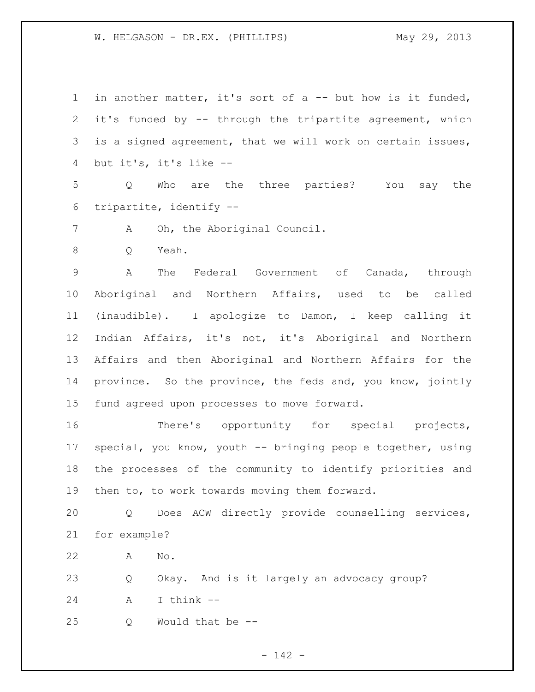1 in another matter, it's sort of a -- but how is it funded, it's funded by -- through the tripartite agreement, which is a signed agreement, that we will work on certain issues, but it's, it's like --

 Q Who are the three parties? You say the tripartite, identify --

A Oh, the Aboriginal Council.

Q Yeah.

 A The Federal Government of Canada, through Aboriginal and Northern Affairs, used to be called (inaudible). I apologize to Damon, I keep calling it Indian Affairs, it's not, it's Aboriginal and Northern Affairs and then Aboriginal and Northern Affairs for the province. So the province, the feds and, you know, jointly fund agreed upon processes to move forward.

 There's opportunity for special projects, special, you know, youth -- bringing people together, using the processes of the community to identify priorities and then to, to work towards moving them forward.

 Q Does ACW directly provide counselling services, for example?

A No.

Q Okay. And is it largely an advocacy group?

A I think --

Q Would that be --

- 142 -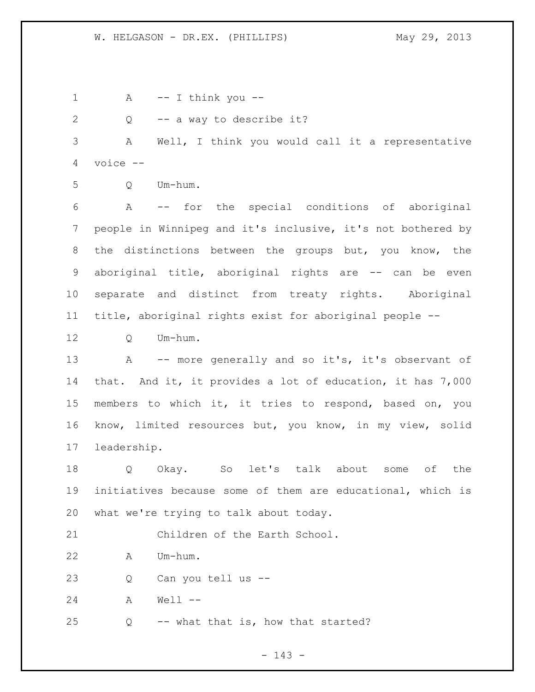A  $-$  I think you  $-$  Q -- a way to describe it? A Well, I think you would call it a representative voice -- Q Um-hum. A -- for the special conditions of aboriginal people in Winnipeg and it's inclusive, it's not bothered by 8 the distinctions between the groups but, you know, the aboriginal title, aboriginal rights are -- can be even separate and distinct from treaty rights. Aboriginal title, aboriginal rights exist for aboriginal people -- Q Um-hum. A -- more generally and so it's, it's observant of that. And it, it provides a lot of education, it has 7,000 members to which it, it tries to respond, based on, you know, limited resources but, you know, in my view, solid leadership. Q Okay. So let's talk about some of the initiatives because some of them are educational, which is what we're trying to talk about today. Children of the Earth School. A Um-hum. Q Can you tell us -- A Well -- Q -- what that is, how that started?

- 143 -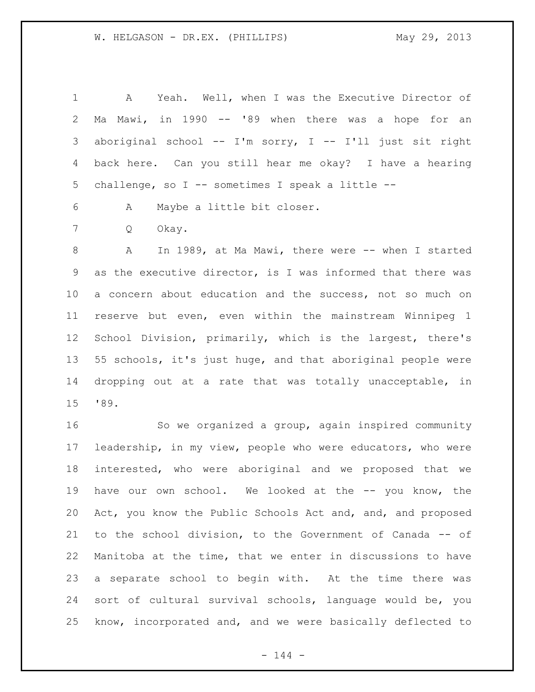A Yeah. Well, when I was the Executive Director of Ma Mawi, in 1990 -- '89 when there was a hope for an aboriginal school -- I'm sorry, I -- I'll just sit right back here. Can you still hear me okay? I have a hearing challenge, so I -- sometimes I speak a little --

A Maybe a little bit closer.

Q Okay.

 A In 1989, at Ma Mawi, there were -- when I started as the executive director, is I was informed that there was a concern about education and the success, not so much on reserve but even, even within the mainstream Winnipeg 1 School Division, primarily, which is the largest, there's 55 schools, it's just huge, and that aboriginal people were dropping out at a rate that was totally unacceptable, in '89.

 So we organized a group, again inspired community leadership, in my view, people who were educators, who were interested, who were aboriginal and we proposed that we have our own school. We looked at the -- you know, the Act, you know the Public Schools Act and, and, and proposed to the school division, to the Government of Canada -- of Manitoba at the time, that we enter in discussions to have a separate school to begin with. At the time there was sort of cultural survival schools, language would be, you know, incorporated and, and we were basically deflected to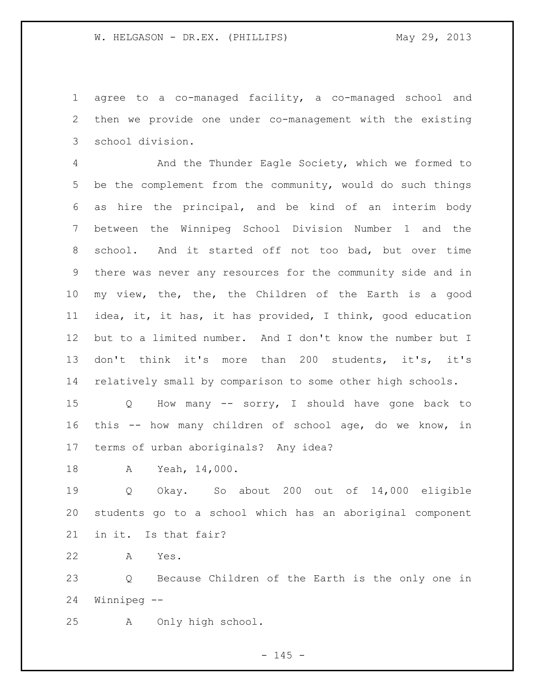agree to a co-managed facility, a co-managed school and then we provide one under co-management with the existing school division.

 And the Thunder Eagle Society, which we formed to be the complement from the community, would do such things as hire the principal, and be kind of an interim body between the Winnipeg School Division Number 1 and the school. And it started off not too bad, but over time there was never any resources for the community side and in my view, the, the, the Children of the Earth is a good idea, it, it has, it has provided, I think, good education but to a limited number. And I don't know the number but I don't think it's more than 200 students, it's, it's relatively small by comparison to some other high schools.

 Q How many -- sorry, I should have gone back to this -- how many children of school age, do we know, in terms of urban aboriginals? Any idea?

A Yeah, 14,000.

 Q Okay. So about 200 out of 14,000 eligible students go to a school which has an aboriginal component in it. Is that fair?

A Yes.

 Q Because Children of the Earth is the only one in Winnipeg --

A Only high school.

 $- 145 -$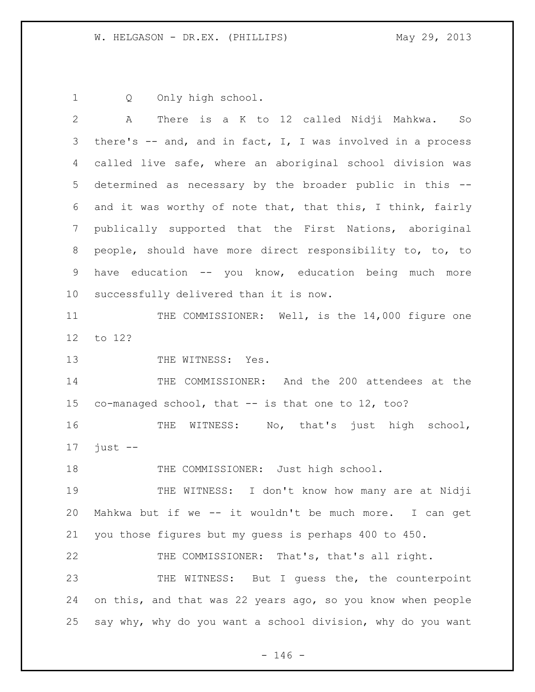Q Only high school.

 A There is a K to 12 called Nidji Mahkwa. So there's -- and, and in fact, I, I was involved in a process called live safe, where an aboriginal school division was determined as necessary by the broader public in this -- and it was worthy of note that, that this, I think, fairly publically supported that the First Nations, aboriginal people, should have more direct responsibility to, to, to have education -- you know, education being much more successfully delivered than it is now. 11 THE COMMISSIONER: Well, is the 14,000 figure one to 12? 13 THE WITNESS: Yes. THE COMMISSIONER: And the 200 attendees at the co-managed school, that -- is that one to 12, too? 16 THE WITNESS: No, that's just high school, just  $-$ 18 THE COMMISSIONER: Just high school. THE WITNESS: I don't know how many are at Nidji Mahkwa but if we -- it wouldn't be much more. I can get you those figures but my guess is perhaps 400 to 450. THE COMMISSIONER: That's, that's all right. 23 THE WITNESS: But I guess the, the counterpoint on this, and that was 22 years ago, so you know when people say why, why do you want a school division, why do you want

 $- 146 -$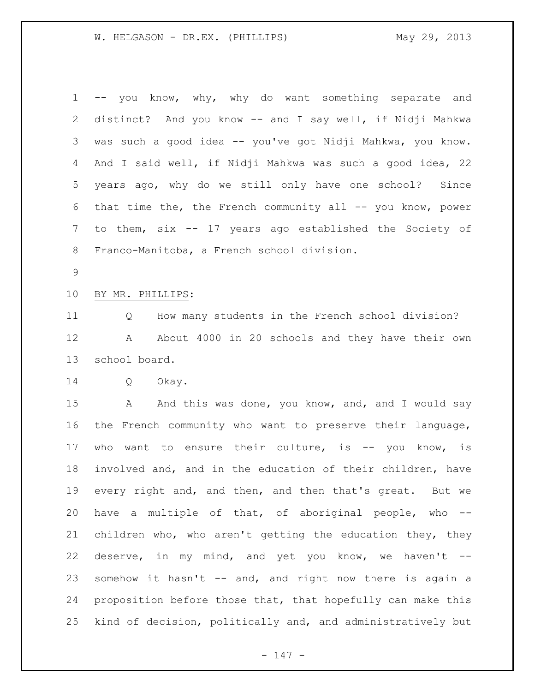| $\mathbf 1$    | -- you know, why, why do want something separate and        |
|----------------|-------------------------------------------------------------|
| $\overline{2}$ | distinct? And you know -- and I say well, if Nidji Mahkwa   |
| 3              | was such a good idea -- you've got Nidji Mahkwa, you know.  |
| 4              | And I said well, if Nidji Mahkwa was such a good idea, 22   |
| 5              | years ago, why do we still only have one school? Since      |
| 6              | that time the, the French community all -- you know, power  |
| 7              | to them, six -- 17 years ago established the Society of     |
| 8              | Franco-Manitoba, a French school division.                  |
| 9              |                                                             |
| 10             | BY MR. PHILLIPS:                                            |
| 11             | How many students in the French school division?<br>Q       |
| 12             | About 4000 in 20 schools and they have their own<br>A       |
| 13             | school board.                                               |
| 14             | Q<br>Okay.                                                  |
| 15             | And this was done, you know, and, and I would say<br>A      |
| 16             | the French community who want to preserve their language,   |
| 17             | want to ensure their culture, is -- you know, is<br>who     |
| 18             | involved and, and in the education of their children, have  |
| 19             | every right and, and then, and then that's great. But we    |
| 20             | have a multiple of that, of aboriginal people, who --       |
| 21             | children who, who aren't getting the education they, they   |
| 22             | deserve, in my mind, and yet you know, we haven't --        |
| 23             | somehow it hasn't -- and, and right now there is again a    |
| 24             | proposition before those that, that hopefully can make this |
| 25             | kind of decision, politically and, and administratively but |

- 147 -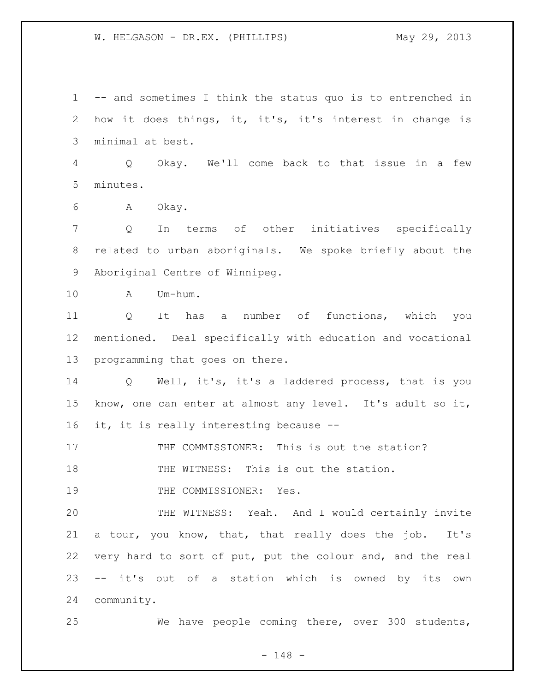-- and sometimes I think the status quo is to entrenched in how it does things, it, it's, it's interest in change is minimal at best. Q Okay. We'll come back to that issue in a few minutes. A Okay. Q In terms of other initiatives specifically related to urban aboriginals. We spoke briefly about the Aboriginal Centre of Winnipeg. A Um-hum. Q It has a number of functions, which you mentioned. Deal specifically with education and vocational programming that goes on there. Q Well, it's, it's a laddered process, that is you know, one can enter at almost any level. It's adult so it, it, it is really interesting because -- 17 THE COMMISSIONER: This is out the station? 18 THE WITNESS: This is out the station. 19 THE COMMISSIONER: Yes. THE WITNESS: Yeah. And I would certainly invite a tour, you know, that, that really does the job. It's very hard to sort of put, put the colour and, and the real -- it's out of a station which is owned by its own community. We have people coming there, over 300 students,

- 148 -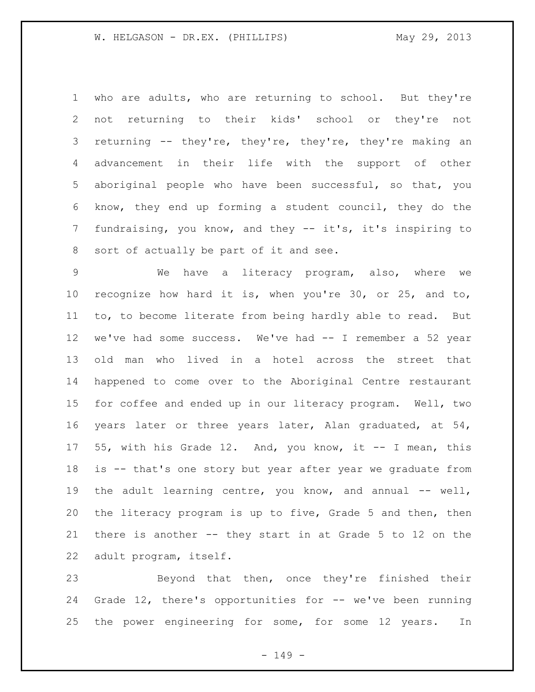who are adults, who are returning to school. But they're not returning to their kids' school or they're not returning -- they're, they're, they're, they're making an advancement in their life with the support of other aboriginal people who have been successful, so that, you know, they end up forming a student council, they do the fundraising, you know, and they -- it's, it's inspiring to sort of actually be part of it and see.

 We have a literacy program, also, where we recognize how hard it is, when you're 30, or 25, and to, to, to become literate from being hardly able to read. But we've had some success. We've had -- I remember a 52 year old man who lived in a hotel across the street that happened to come over to the Aboriginal Centre restaurant for coffee and ended up in our literacy program. Well, two years later or three years later, Alan graduated, at 54, 55, with his Grade 12. And, you know, it -- I mean, this is -- that's one story but year after year we graduate from the adult learning centre, you know, and annual -- well, the literacy program is up to five, Grade 5 and then, then there is another -- they start in at Grade 5 to 12 on the adult program, itself.

 Beyond that then, once they're finished their Grade 12, there's opportunities for -- we've been running the power engineering for some, for some 12 years. In

- 149 -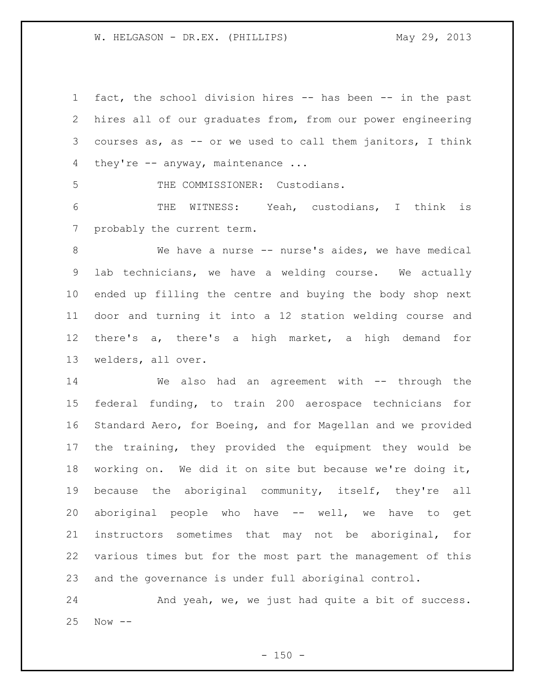fact, the school division hires -- has been -- in the past hires all of our graduates from, from our power engineering courses as, as -- or we used to call them janitors, I think 4 they're -- anyway, maintenance ...

THE COMMISSIONER: Custodians.

 THE WITNESS: Yeah, custodians, I think is probably the current term.

8 We have a nurse -- nurse's aides, we have medical lab technicians, we have a welding course. We actually ended up filling the centre and buying the body shop next door and turning it into a 12 station welding course and there's a, there's a high market, a high demand for welders, all over.

 We also had an agreement with -- through the federal funding, to train 200 aerospace technicians for Standard Aero, for Boeing, and for Magellan and we provided the training, they provided the equipment they would be working on. We did it on site but because we're doing it, because the aboriginal community, itself, they're all aboriginal people who have -- well, we have to get instructors sometimes that may not be aboriginal, for various times but for the most part the management of this and the governance is under full aboriginal control.

24 And yeah, we, we just had quite a bit of success. Now --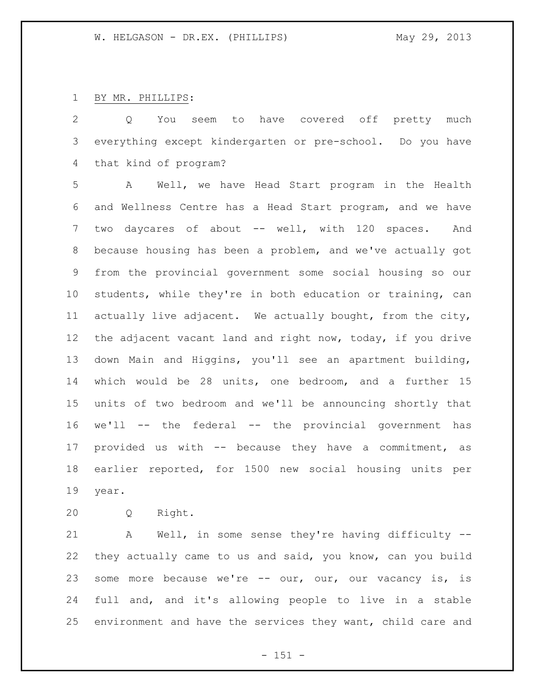## BY MR. PHILLIPS:

 Q You seem to have covered off pretty much everything except kindergarten or pre-school. Do you have that kind of program?

 A Well, we have Head Start program in the Health and Wellness Centre has a Head Start program, and we have 7 two daycares of about -- well, with 120 spaces. And because housing has been a problem, and we've actually got from the provincial government some social housing so our students, while they're in both education or training, can actually live adjacent. We actually bought, from the city, the adjacent vacant land and right now, today, if you drive down Main and Higgins, you'll see an apartment building, which would be 28 units, one bedroom, and a further 15 units of two bedroom and we'll be announcing shortly that we'll -- the federal -- the provincial government has provided us with -- because they have a commitment, as earlier reported, for 1500 new social housing units per year.

Q Right.

 A Well, in some sense they're having difficulty -- they actually came to us and said, you know, can you build some more because we're -- our, our, our vacancy is, is full and, and it's allowing people to live in a stable environment and have the services they want, child care and

 $- 151 -$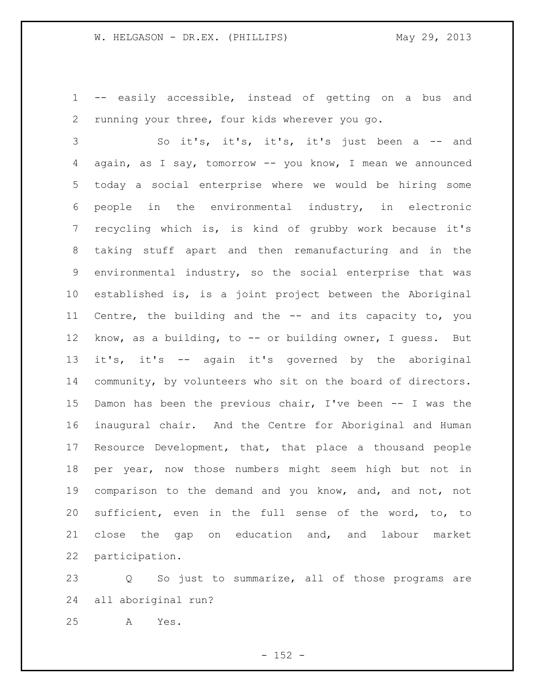-- easily accessible, instead of getting on a bus and running your three, four kids wherever you go.

 So it's, it's, it's, it's just been a -- and again, as I say, tomorrow -- you know, I mean we announced today a social enterprise where we would be hiring some people in the environmental industry, in electronic recycling which is, is kind of grubby work because it's taking stuff apart and then remanufacturing and in the environmental industry, so the social enterprise that was established is, is a joint project between the Aboriginal Centre, the building and the -- and its capacity to, you know, as a building, to -- or building owner, I guess. But it's, it's -- again it's governed by the aboriginal community, by volunteers who sit on the board of directors. Damon has been the previous chair, I've been -- I was the inaugural chair. And the Centre for Aboriginal and Human Resource Development, that, that place a thousand people per year, now those numbers might seem high but not in comparison to the demand and you know, and, and not, not sufficient, even in the full sense of the word, to, to close the gap on education and, and labour market participation.

 Q So just to summarize, all of those programs are all aboriginal run?

A Yes.

 $- 152 -$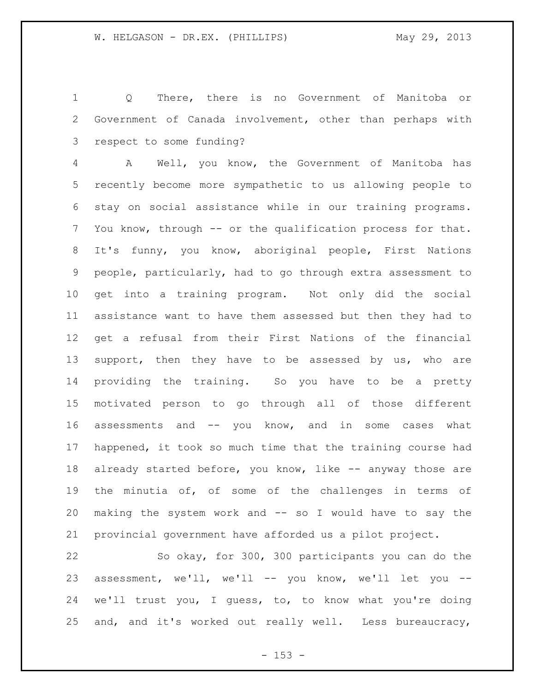Q There, there is no Government of Manitoba or Government of Canada involvement, other than perhaps with respect to some funding?

 A Well, you know, the Government of Manitoba has recently become more sympathetic to us allowing people to stay on social assistance while in our training programs. You know, through -- or the qualification process for that. It's funny, you know, aboriginal people, First Nations people, particularly, had to go through extra assessment to get into a training program. Not only did the social assistance want to have them assessed but then they had to get a refusal from their First Nations of the financial 13 support, then they have to be assessed by us, who are providing the training. So you have to be a pretty motivated person to go through all of those different assessments and -- you know, and in some cases what happened, it took so much time that the training course had 18 already started before, you know, like -- anyway those are the minutia of, of some of the challenges in terms of making the system work and -- so I would have to say the provincial government have afforded us a pilot project.

 So okay, for 300, 300 participants you can do the assessment, we'll, we'll -- you know, we'll let you -- we'll trust you, I guess, to, to know what you're doing and, and it's worked out really well. Less bureaucracy,

 $- 153 -$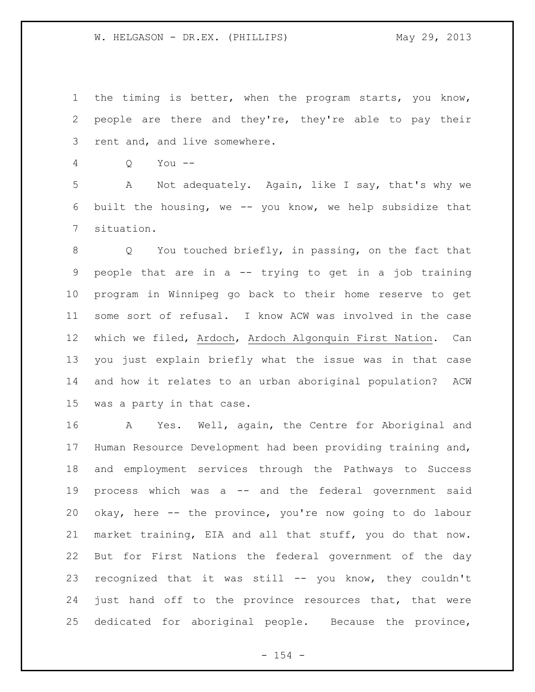the timing is better, when the program starts, you know, people are there and they're, they're able to pay their rent and, and live somewhere.

Q You --

 A Not adequately. Again, like I say, that's why we built the housing, we -- you know, we help subsidize that situation.

 Q You touched briefly, in passing, on the fact that people that are in a -- trying to get in a job training program in Winnipeg go back to their home reserve to get some sort of refusal. I know ACW was involved in the case which we filed, Ardoch, Ardoch Algonquin First Nation. Can you just explain briefly what the issue was in that case and how it relates to an urban aboriginal population? ACW was a party in that case.

 A Yes. Well, again, the Centre for Aboriginal and Human Resource Development had been providing training and, and employment services through the Pathways to Success process which was a -- and the federal government said okay, here -- the province, you're now going to do labour market training, EIA and all that stuff, you do that now. But for First Nations the federal government of the day recognized that it was still -- you know, they couldn't just hand off to the province resources that, that were dedicated for aboriginal people. Because the province,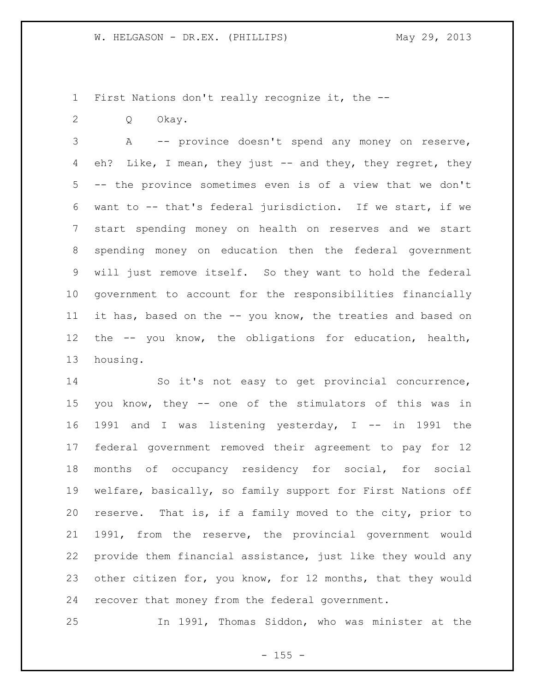First Nations don't really recognize it, the --

Q Okay.

 A -- province doesn't spend any money on reserve, 4 eh? Like, I mean, they just -- and they, they regret, they -- the province sometimes even is of a view that we don't want to -- that's federal jurisdiction. If we start, if we start spending money on health on reserves and we start spending money on education then the federal government will just remove itself. So they want to hold the federal government to account for the responsibilities financially it has, based on the -- you know, the treaties and based on the -- you know, the obligations for education, health, housing.

 So it's not easy to get provincial concurrence, you know, they -- one of the stimulators of this was in 1991 and I was listening yesterday, I -- in 1991 the federal government removed their agreement to pay for 12 months of occupancy residency for social, for social welfare, basically, so family support for First Nations off reserve. That is, if a family moved to the city, prior to 1991, from the reserve, the provincial government would provide them financial assistance, just like they would any other citizen for, you know, for 12 months, that they would recover that money from the federal government.

In 1991, Thomas Siddon, who was minister at the

 $- 155 -$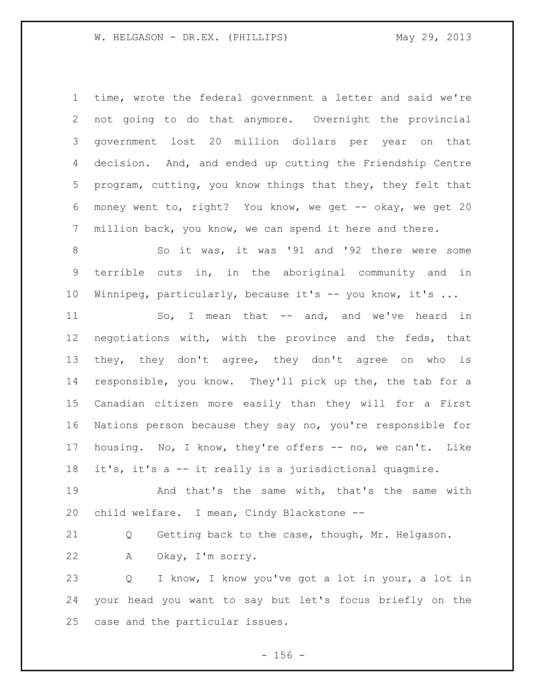time, wrote the federal government a letter and said we're not going to do that anymore. Overnight the provincial government lost 20 million dollars per year on that decision. And, and ended up cutting the Friendship Centre program, cutting, you know things that they, they felt that money went to, right? You know, we get -- okay, we get 20 million back, you know, we can spend it here and there.

 So it was, it was '91 and '92 there were some terrible cuts in, in the aboriginal community and in Winnipeg, particularly, because it's -- you know, it's ...

11 So, I mean that -- and, and we've heard in negotiations with, with the province and the feds, that they, they don't agree, they don't agree on who is responsible, you know. They'll pick up the, the tab for a Canadian citizen more easily than they will for a First Nations person because they say no, you're responsible for housing. No, I know, they're offers -- no, we can't. Like it's, it's a -- it really is a jurisdictional quagmire.

 And that's the same with, that's the same with child welfare. I mean, Cindy Blackstone --

Q Getting back to the case, though, Mr. Helgason.

A Okay, I'm sorry.

 Q I know, I know you've got a lot in your, a lot in your head you want to say but let's focus briefly on the case and the particular issues.

 $- 156 -$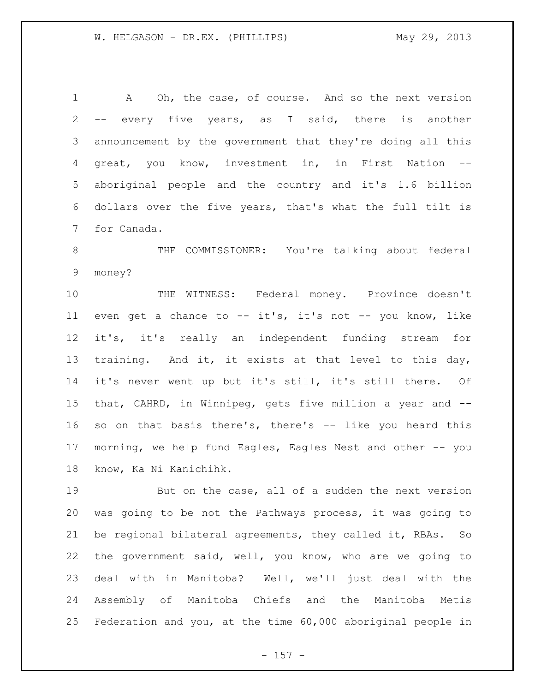A Oh, the case, of course. And so the next version -- every five years, as I said, there is another announcement by the government that they're doing all this great, you know, investment in, in First Nation -- aboriginal people and the country and it's 1.6 billion dollars over the five years, that's what the full tilt is for Canada.

 THE COMMISSIONER: You're talking about federal money?

 THE WITNESS: Federal money. Province doesn't even get a chance to -- it's, it's not -- you know, like it's, it's really an independent funding stream for training. And it, it exists at that level to this day, it's never went up but it's still, it's still there. Of that, CAHRD, in Winnipeg, gets five million a year and -- so on that basis there's, there's -- like you heard this morning, we help fund Eagles, Eagles Nest and other -- you know, Ka Ni Kanichihk.

 But on the case, all of a sudden the next version was going to be not the Pathways process, it was going to be regional bilateral agreements, they called it, RBAs. So the government said, well, you know, who are we going to deal with in Manitoba? Well, we'll just deal with the Assembly of Manitoba Chiefs and the Manitoba Metis Federation and you, at the time 60,000 aboriginal people in

- 157 -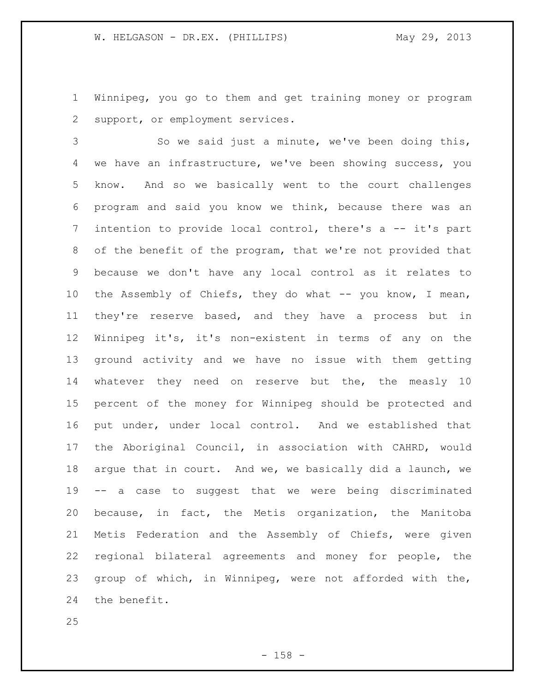Winnipeg, you go to them and get training money or program support, or employment services.

 So we said just a minute, we've been doing this, we have an infrastructure, we've been showing success, you know. And so we basically went to the court challenges program and said you know we think, because there was an intention to provide local control, there's a -- it's part of the benefit of the program, that we're not provided that because we don't have any local control as it relates to the Assembly of Chiefs, they do what -- you know, I mean, they're reserve based, and they have a process but in Winnipeg it's, it's non-existent in terms of any on the ground activity and we have no issue with them getting whatever they need on reserve but the, the measly 10 percent of the money for Winnipeg should be protected and put under, under local control. And we established that the Aboriginal Council, in association with CAHRD, would argue that in court. And we, we basically did a launch, we -- a case to suggest that we were being discriminated because, in fact, the Metis organization, the Manitoba Metis Federation and the Assembly of Chiefs, were given regional bilateral agreements and money for people, the group of which, in Winnipeg, were not afforded with the, the benefit.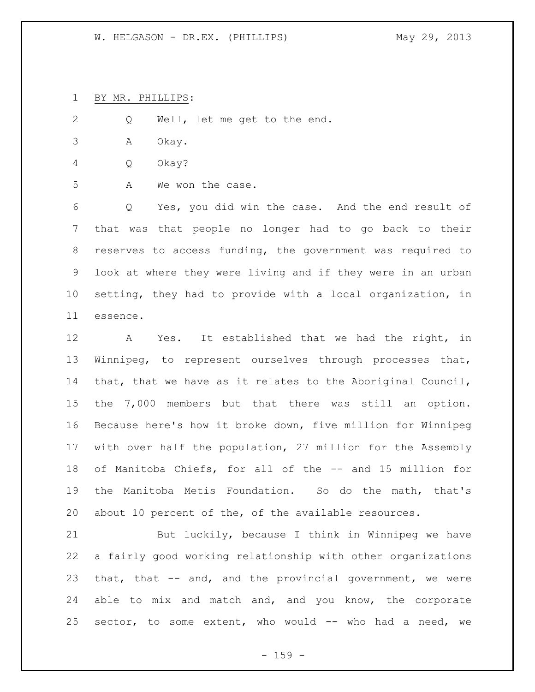BY MR. PHILLIPS:

Q Well, let me get to the end.

- A Okay.
- Q Okay?
- A We won the case.

 Q Yes, you did win the case. And the end result of that was that people no longer had to go back to their reserves to access funding, the government was required to look at where they were living and if they were in an urban setting, they had to provide with a local organization, in essence.

 A Yes. It established that we had the right, in Winnipeg, to represent ourselves through processes that, that, that we have as it relates to the Aboriginal Council, the 7,000 members but that there was still an option. Because here's how it broke down, five million for Winnipeg with over half the population, 27 million for the Assembly of Manitoba Chiefs, for all of the -- and 15 million for the Manitoba Metis Foundation. So do the math, that's about 10 percent of the, of the available resources.

 But luckily, because I think in Winnipeg we have a fairly good working relationship with other organizations that, that -- and, and the provincial government, we were able to mix and match and, and you know, the corporate sector, to some extent, who would -- who had a need, we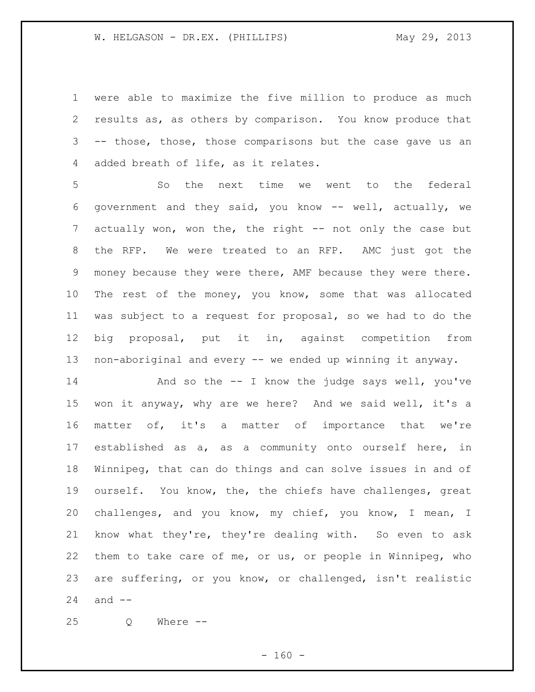were able to maximize the five million to produce as much results as, as others by comparison. You know produce that -- those, those, those comparisons but the case gave us an added breath of life, as it relates.

 So the next time we went to the federal government and they said, you know -- well, actually, we 7 actually won, won the, the right -- not only the case but the RFP. We were treated to an RFP. AMC just got the money because they were there, AMF because they were there. The rest of the money, you know, some that was allocated was subject to a request for proposal, so we had to do the big proposal, put it in, against competition from non-aboriginal and every -- we ended up winning it anyway.

 And so the -- I know the judge says well, you've won it anyway, why are we here? And we said well, it's a matter of, it's a matter of importance that we're established as a, as a community onto ourself here, in Winnipeg, that can do things and can solve issues in and of ourself. You know, the, the chiefs have challenges, great challenges, and you know, my chief, you know, I mean, I know what they're, they're dealing with. So even to ask them to take care of me, or us, or people in Winnipeg, who are suffering, or you know, or challenged, isn't realistic and --

Q Where --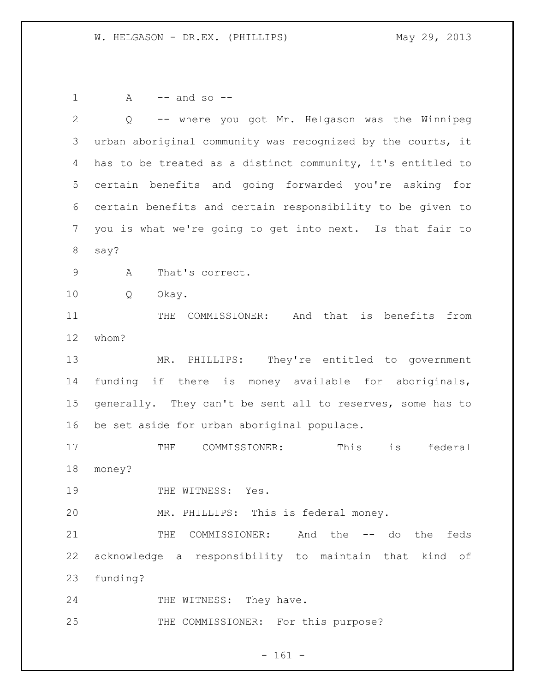A  $-$  and so  $-$  Q -- where you got Mr. Helgason was the Winnipeg urban aboriginal community was recognized by the courts, it has to be treated as a distinct community, it's entitled to certain benefits and going forwarded you're asking for certain benefits and certain responsibility to be given to you is what we're going to get into next. Is that fair to say? A That's correct. Q Okay. 11 THE COMMISSIONER: And that is benefits from whom? MR. PHILLIPS: They're entitled to government funding if there is money available for aboriginals, generally. They can't be sent all to reserves, some has to be set aside for urban aboriginal populace. THE COMMISSIONER: This is federal money? 19 THE WITNESS: Yes. MR. PHILLIPS: This is federal money. THE COMMISSIONER: And the -- do the feds acknowledge a responsibility to maintain that kind of funding? 24 THE WITNESS: They have. 25 THE COMMISSIONER: For this purpose?

- 161 -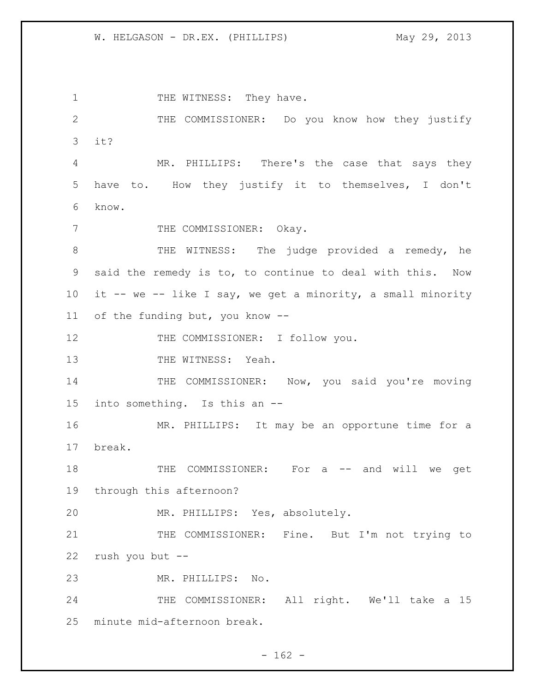1 THE WITNESS: They have. 2 THE COMMISSIONER: Do you know how they justify 3 it? 4 MR. PHILLIPS: There's the case that says they 5 have to. How they justify it to themselves, I don't 6 know. 7 THE COMMISSIONER: Okay. 8 THE WITNESS: The judge provided a remedy, he 9 said the remedy is to, to continue to deal with this. Now 10 it -- we -- like I say, we get a minority, a small minority 11 of the funding but, you know -- 12 THE COMMISSIONER: I follow you. 13 THE WITNESS: Yeah. 14 THE COMMISSIONER: Now, you said you're moving 15 into something. Is this an -- 16 MR. PHILLIPS: It may be an opportune time for a 17 break. 18 THE COMMISSIONER: For a -- and will we get 19 through this afternoon? 20 MR. PHILLIPS: Yes, absolutely. 21 THE COMMISSIONER: Fine. But I'm not trying to 22 rush you but -- 23 MR. PHILLIPS: No. 24 THE COMMISSIONER: All right. We'll take a 15 25 minute mid-afternoon break.

 $- 162 -$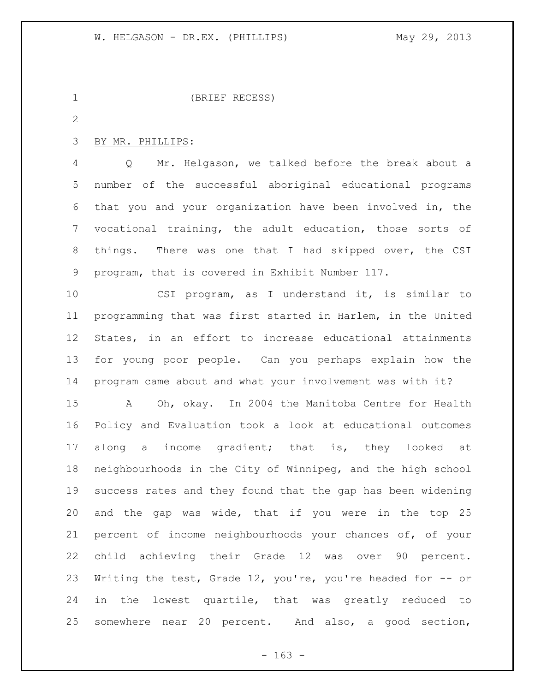```
1 (BRIEF RECESS)
```
## BY MR. PHILLIPS:

 Q Mr. Helgason, we talked before the break about a number of the successful aboriginal educational programs that you and your organization have been involved in, the vocational training, the adult education, those sorts of things. There was one that I had skipped over, the CSI program, that is covered in Exhibit Number 117.

 CSI program, as I understand it, is similar to programming that was first started in Harlem, in the United States, in an effort to increase educational attainments for young poor people. Can you perhaps explain how the program came about and what your involvement was with it? A Oh, okay. In 2004 the Manitoba Centre for Health Policy and Evaluation took a look at educational outcomes 17 along a income gradient; that is, they looked at neighbourhoods in the City of Winnipeg, and the high school success rates and they found that the gap has been widening and the gap was wide, that if you were in the top 25 percent of income neighbourhoods your chances of, of your child achieving their Grade 12 was over 90 percent. Writing the test, Grade 12, you're, you're headed for -- or in the lowest quartile, that was greatly reduced to somewhere near 20 percent. And also, a good section,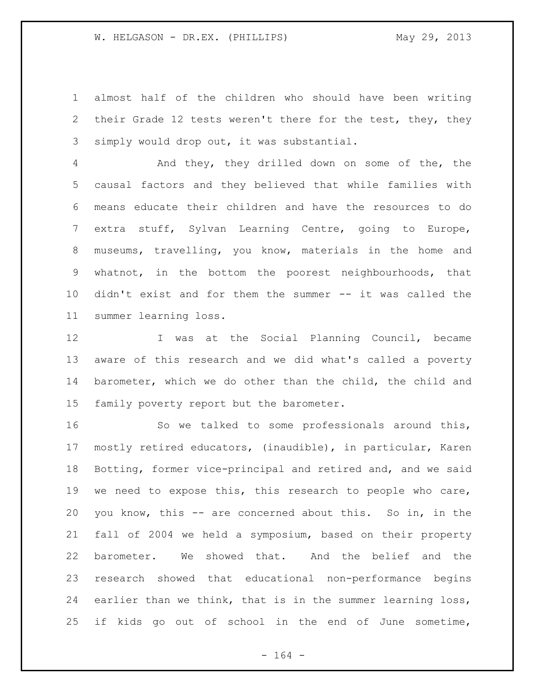almost half of the children who should have been writing their Grade 12 tests weren't there for the test, they, they simply would drop out, it was substantial.

 And they, they drilled down on some of the, the causal factors and they believed that while families with means educate their children and have the resources to do extra stuff, Sylvan Learning Centre, going to Europe, museums, travelling, you know, materials in the home and whatnot, in the bottom the poorest neighbourhoods, that didn't exist and for them the summer -- it was called the summer learning loss.

12 I was at the Social Planning Council, became aware of this research and we did what's called a poverty barometer, which we do other than the child, the child and family poverty report but the barometer.

 So we talked to some professionals around this, mostly retired educators, (inaudible), in particular, Karen Botting, former vice-principal and retired and, and we said we need to expose this, this research to people who care, you know, this -- are concerned about this. So in, in the fall of 2004 we held a symposium, based on their property barometer. We showed that. And the belief and the research showed that educational non-performance begins 24 earlier than we think, that is in the summer learning loss, if kids go out of school in the end of June sometime,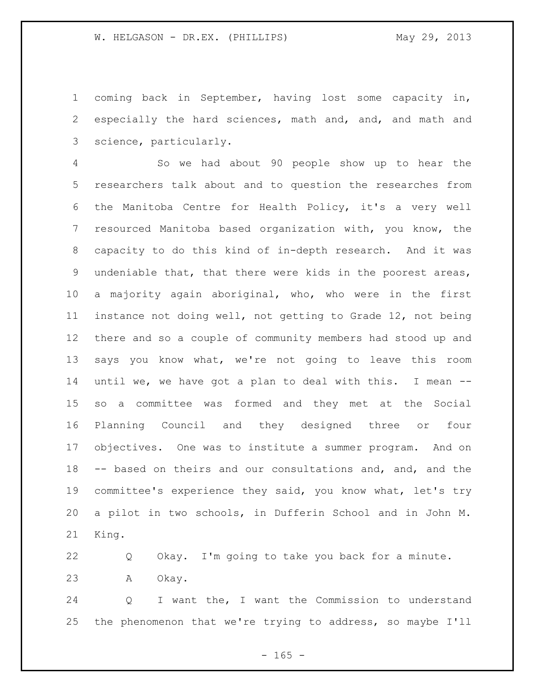coming back in September, having lost some capacity in, especially the hard sciences, math and, and, and math and science, particularly.

 So we had about 90 people show up to hear the researchers talk about and to question the researches from the Manitoba Centre for Health Policy, it's a very well resourced Manitoba based organization with, you know, the capacity to do this kind of in-depth research. And it was undeniable that, that there were kids in the poorest areas, a majority again aboriginal, who, who were in the first instance not doing well, not getting to Grade 12, not being there and so a couple of community members had stood up and says you know what, we're not going to leave this room until we, we have got a plan to deal with this. I mean -- so a committee was formed and they met at the Social Planning Council and they designed three or four objectives. One was to institute a summer program. And on -- based on theirs and our consultations and, and, and the committee's experience they said, you know what, let's try a pilot in two schools, in Dufferin School and in John M. King.

 Q Okay. I'm going to take you back for a minute. A Okay.

 Q I want the, I want the Commission to understand the phenomenon that we're trying to address, so maybe I'll

 $- 165 -$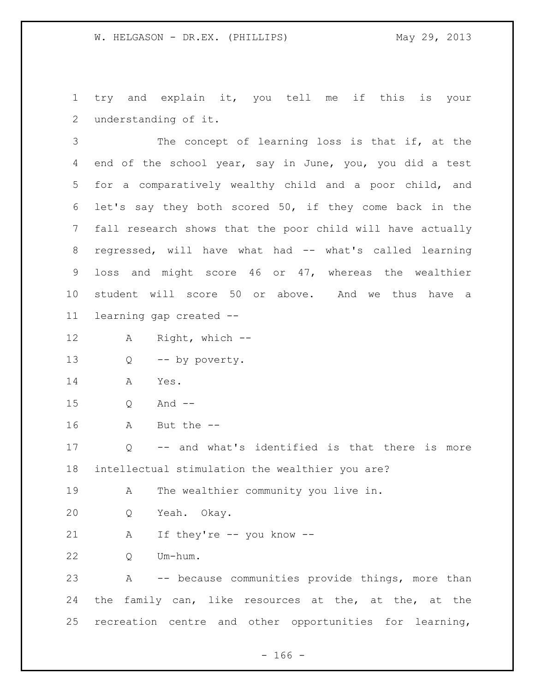try and explain it, you tell me if this is your understanding of it.

 The concept of learning loss is that if, at the end of the school year, say in June, you, you did a test for a comparatively wealthy child and a poor child, and let's say they both scored 50, if they come back in the fall research shows that the poor child will have actually 8 regressed, will have what had -- what's called learning loss and might score 46 or 47, whereas the wealthier student will score 50 or above. And we thus have a learning gap created --

A Right, which --

Q -- by poverty.

- A Yes.
- Q And --
- A But the --

 Q -- and what's identified is that there is more intellectual stimulation the wealthier you are?

A The wealthier community you live in.

Q Yeah. Okay.

A If they're -- you know --

Q Um-hum.

 A -- because communities provide things, more than the family can, like resources at the, at the, at the recreation centre and other opportunities for learning,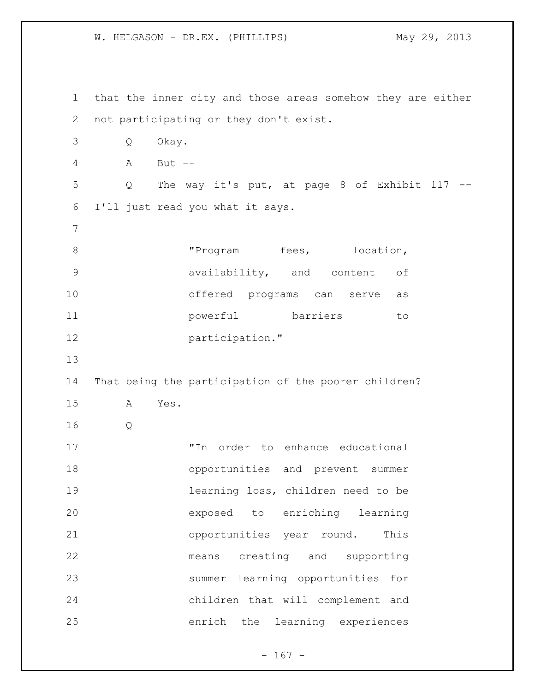that the inner city and those areas somehow they are either not participating or they don't exist. Q Okay. A But -- Q The way it's put, at page 8 of Exhibit 117 -- I'll just read you what it says. 8 The Program fees, location, availability, and content of offered programs can serve as powerful barriers to **participation.**" That being the participation of the poorer children? A Yes. Q "In order to enhance educational opportunities and prevent summer learning loss, children need to be exposed to enriching learning opportunities year round. This means creating and supporting summer learning opportunities for children that will complement and enrich the learning experiences

 $- 167 -$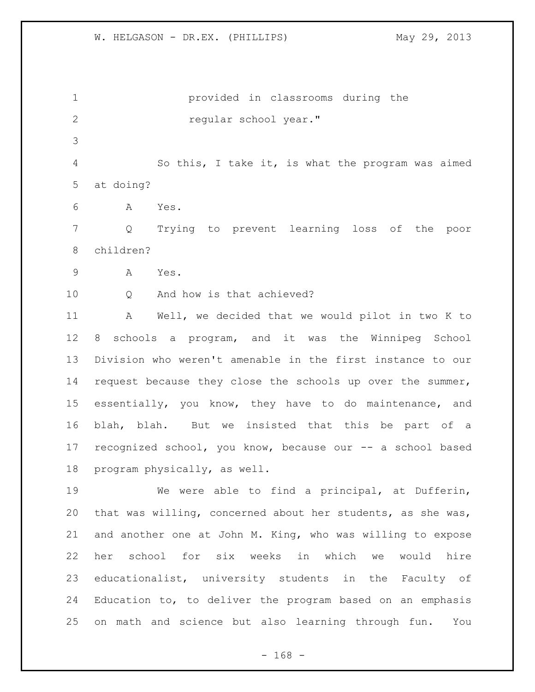provided in classrooms during the *regular school year.*  So this, I take it, is what the program was aimed at doing? A Yes. Q Trying to prevent learning loss of the poor children? A Yes. 10 0 And how is that achieved? A Well, we decided that we would pilot in two K to 8 schools a program, and it was the Winnipeg School Division who weren't amenable in the first instance to our request because they close the schools up over the summer, essentially, you know, they have to do maintenance, and blah, blah. But we insisted that this be part of a recognized school, you know, because our -- a school based program physically, as well. We were able to find a principal, at Dufferin, that was willing, concerned about her students, as she was, and another one at John M. King, who was willing to expose her school for six weeks in which we would hire educationalist, university students in the Faculty of

 Education to, to deliver the program based on an emphasis on math and science but also learning through fun. You

- 168 -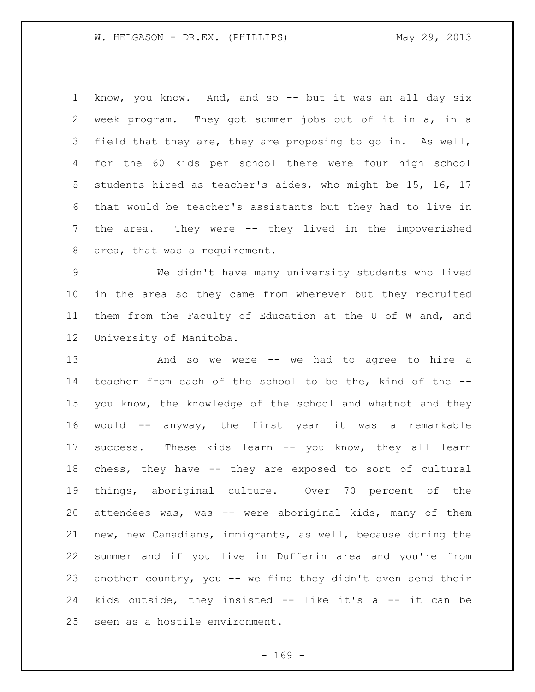know, you know. And, and so -- but it was an all day six week program. They got summer jobs out of it in a, in a field that they are, they are proposing to go in. As well, for the 60 kids per school there were four high school students hired as teacher's aides, who might be 15, 16, 17 that would be teacher's assistants but they had to live in the area. They were -- they lived in the impoverished area, that was a requirement.

 We didn't have many university students who lived in the area so they came from wherever but they recruited them from the Faculty of Education at the U of W and, and University of Manitoba.

 And so we were -- we had to agree to hire a teacher from each of the school to be the, kind of the -- you know, the knowledge of the school and whatnot and they would -- anyway, the first year it was a remarkable success. These kids learn -- you know, they all learn chess, they have -- they are exposed to sort of cultural things, aboriginal culture. Over 70 percent of the attendees was, was -- were aboriginal kids, many of them new, new Canadians, immigrants, as well, because during the summer and if you live in Dufferin area and you're from another country, you -- we find they didn't even send their kids outside, they insisted -- like it's a -- it can be seen as a hostile environment.

 $- 169 -$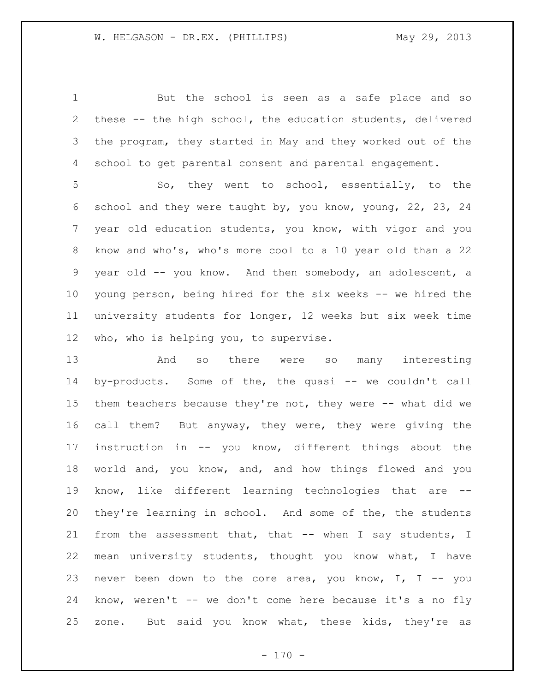But the school is seen as a safe place and so these -- the high school, the education students, delivered the program, they started in May and they worked out of the school to get parental consent and parental engagement.

 So, they went to school, essentially, to the school and they were taught by, you know, young, 22, 23, 24 year old education students, you know, with vigor and you know and who's, who's more cool to a 10 year old than a 22 year old -- you know. And then somebody, an adolescent, a young person, being hired for the six weeks -- we hired the university students for longer, 12 weeks but six week time who, who is helping you, to supervise.

 And so there were so many interesting 14 by-products. Some of the, the quasi -- we couldn't call them teachers because they're not, they were -- what did we call them? But anyway, they were, they were giving the instruction in -- you know, different things about the world and, you know, and, and how things flowed and you know, like different learning technologies that are -- they're learning in school. And some of the, the students 21 from the assessment that, that -- when I say students, I mean university students, thought you know what, I have never been down to the core area, you know, I, I -- you know, weren't -- we don't come here because it's a no fly zone. But said you know what, these kids, they're as

 $- 170 -$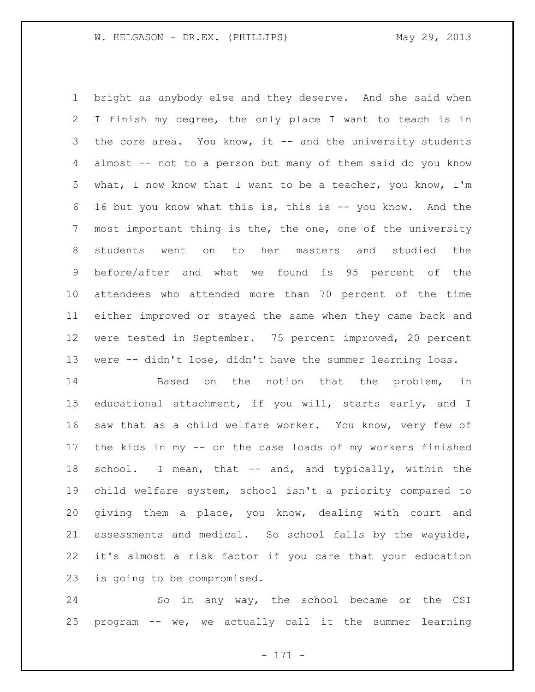bright as anybody else and they deserve. And she said when I finish my degree, the only place I want to teach is in 3 the core area. You know, it -- and the university students almost -- not to a person but many of them said do you know what, I now know that I want to be a teacher, you know, I'm 16 but you know what this is, this is -- you know. And the most important thing is the, the one, one of the university students went on to her masters and studied the before/after and what we found is 95 percent of the attendees who attended more than 70 percent of the time either improved or stayed the same when they came back and were tested in September. 75 percent improved, 20 percent were -- didn't lose, didn't have the summer learning loss.

14 Based on the notion that the problem, in educational attachment, if you will, starts early, and I saw that as a child welfare worker. You know, very few of the kids in my -- on the case loads of my workers finished 18 school. I mean, that -- and, and typically, within the child welfare system, school isn't a priority compared to giving them a place, you know, dealing with court and assessments and medical. So school falls by the wayside, it's almost a risk factor if you care that your education is going to be compromised.

 So in any way, the school became or the CSI program -- we, we actually call it the summer learning

- 171 -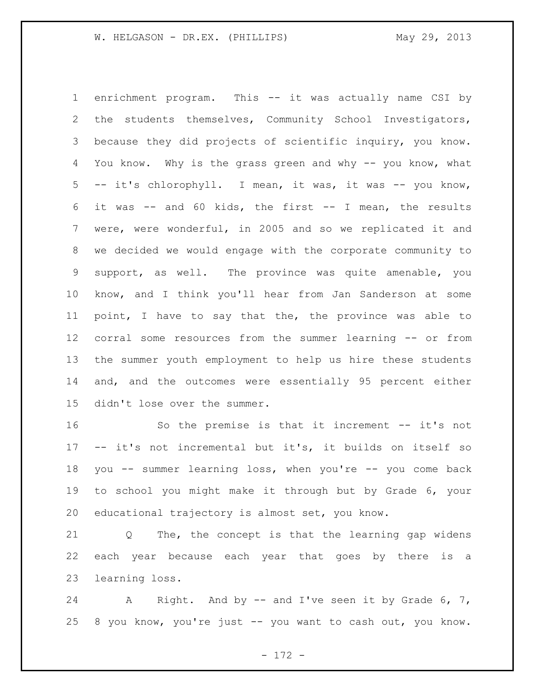enrichment program. This -- it was actually name CSI by the students themselves, Community School Investigators, because they did projects of scientific inquiry, you know. You know. Why is the grass green and why -- you know, what -- it's chlorophyll. I mean, it was, it was -- you know, it was -- and 60 kids, the first -- I mean, the results were, were wonderful, in 2005 and so we replicated it and we decided we would engage with the corporate community to support, as well. The province was quite amenable, you know, and I think you'll hear from Jan Sanderson at some point, I have to say that the, the province was able to corral some resources from the summer learning -- or from the summer youth employment to help us hire these students and, and the outcomes were essentially 95 percent either didn't lose over the summer.

 So the premise is that it increment -- it's not -- it's not incremental but it's, it builds on itself so you -- summer learning loss, when you're -- you come back to school you might make it through but by Grade 6, your educational trajectory is almost set, you know.

 Q The, the concept is that the learning gap widens each year because each year that goes by there is a learning loss.

24 A Right. And by -- and I've seen it by Grade 6, 7, 8 you know, you're just -- you want to cash out, you know.

- 172 -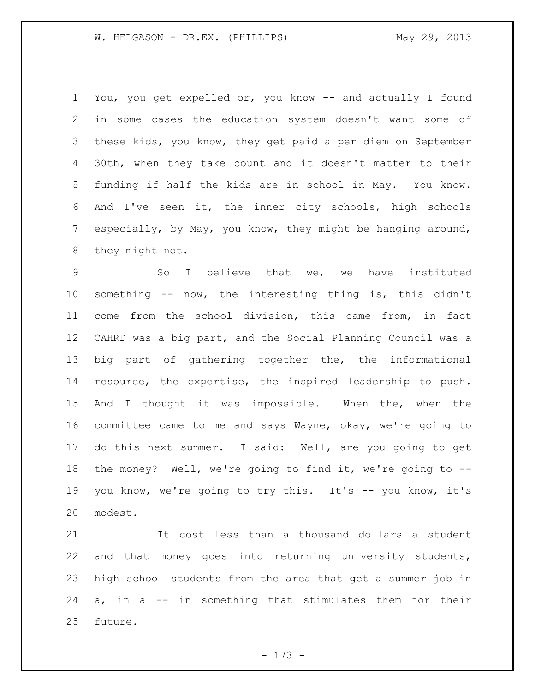You, you get expelled or, you know -- and actually I found in some cases the education system doesn't want some of these kids, you know, they get paid a per diem on September 30th, when they take count and it doesn't matter to their funding if half the kids are in school in May. You know. And I've seen it, the inner city schools, high schools especially, by May, you know, they might be hanging around, they might not.

 So I believe that we, we have instituted something -- now, the interesting thing is, this didn't come from the school division, this came from, in fact CAHRD was a big part, and the Social Planning Council was a big part of gathering together the, the informational resource, the expertise, the inspired leadership to push. 15 And I thought it was impossible. When the, when the committee came to me and says Wayne, okay, we're going to do this next summer. I said: Well, are you going to get the money? Well, we're going to find it, we're going to -- 19 you know, we're going to try this. It's -- you know, it's modest.

 It cost less than a thousand dollars a student and that money goes into returning university students, high school students from the area that get a summer job in a, in a -- in something that stimulates them for their future.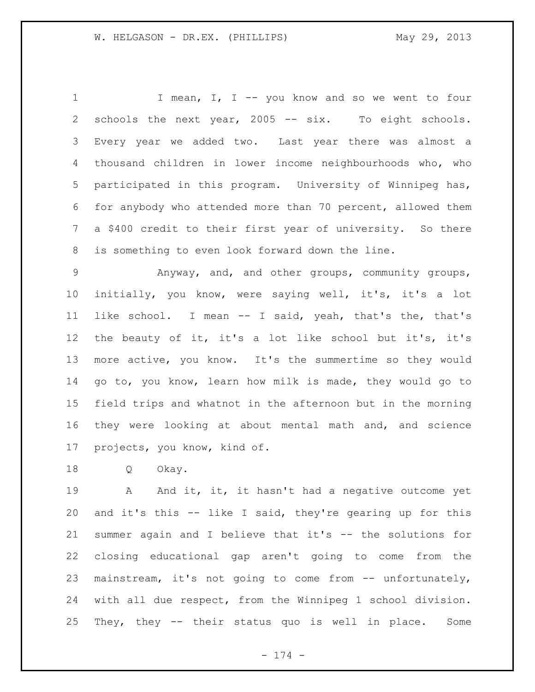1 I mean, I, I -- you know and so we went to four schools the next year, 2005 -- six. To eight schools. Every year we added two. Last year there was almost a thousand children in lower income neighbourhoods who, who participated in this program. University of Winnipeg has, for anybody who attended more than 70 percent, allowed them a \$400 credit to their first year of university. So there is something to even look forward down the line.

 Anyway, and, and other groups, community groups, initially, you know, were saying well, it's, it's a lot like school. I mean -- I said, yeah, that's the, that's the beauty of it, it's a lot like school but it's, it's more active, you know. It's the summertime so they would go to, you know, learn how milk is made, they would go to field trips and whatnot in the afternoon but in the morning they were looking at about mental math and, and science projects, you know, kind of.

Q Okay.

19 A And it, it, it hasn't had a negative outcome yet and it's this -- like I said, they're gearing up for this summer again and I believe that it's -- the solutions for closing educational gap aren't going to come from the mainstream, it's not going to come from -- unfortunately, with all due respect, from the Winnipeg 1 school division. They, they -- their status quo is well in place. Some

- 174 -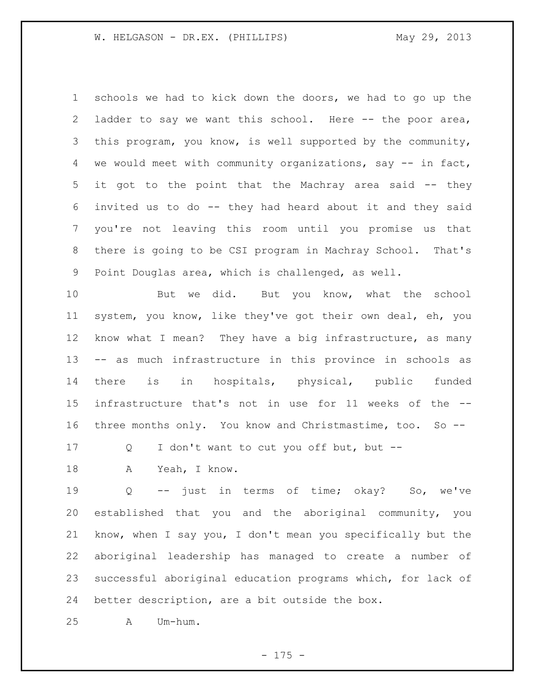schools we had to kick down the doors, we had to go up the ladder to say we want this school. Here -- the poor area, this program, you know, is well supported by the community, we would meet with community organizations, say -- in fact, it got to the point that the Machray area said -- they invited us to do -- they had heard about it and they said you're not leaving this room until you promise us that there is going to be CSI program in Machray School. That's Point Douglas area, which is challenged, as well.

10 But we did. But you know, what the school system, you know, like they've got their own deal, eh, you know what I mean? They have a big infrastructure, as many -- as much infrastructure in this province in schools as there is in hospitals, physical, public funded infrastructure that's not in use for 11 weeks of the -- three months only. You know and Christmastime, too. So --

Q I don't want to cut you off but, but --

18 A Yeah, I know.

 Q -- just in terms of time; okay? So, we've established that you and the aboriginal community, you know, when I say you, I don't mean you specifically but the aboriginal leadership has managed to create a number of successful aboriginal education programs which, for lack of better description, are a bit outside the box.

A Um-hum.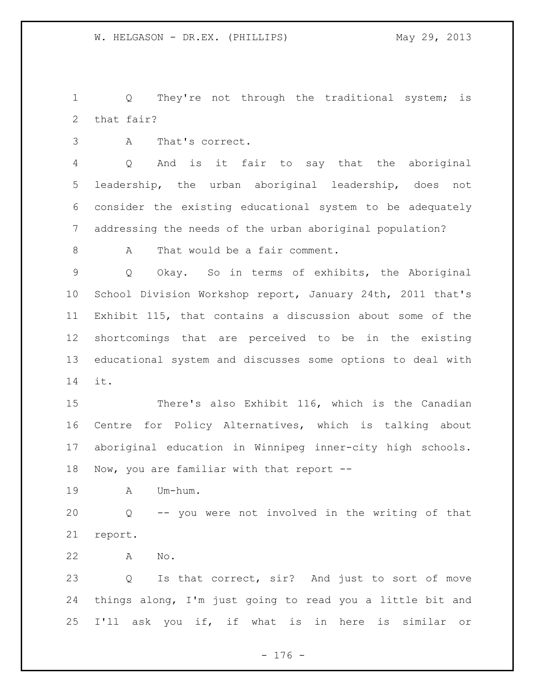1 Q They're not through the traditional system; is that fair?

A That's correct.

 Q And is it fair to say that the aboriginal leadership, the urban aboriginal leadership, does not consider the existing educational system to be adequately addressing the needs of the urban aboriginal population?

8 A That would be a fair comment.

 Q Okay. So in terms of exhibits, the Aboriginal School Division Workshop report, January 24th, 2011 that's Exhibit 115, that contains a discussion about some of the shortcomings that are perceived to be in the existing educational system and discusses some options to deal with it.

 There's also Exhibit 116, which is the Canadian Centre for Policy Alternatives, which is talking about aboriginal education in Winnipeg inner-city high schools. 18 Now, you are familiar with that report --

A Um-hum.

 Q -- you were not involved in the writing of that report.

A No.

 Q Is that correct, sir? And just to sort of move things along, I'm just going to read you a little bit and I'll ask you if, if what is in here is similar or

- 176 -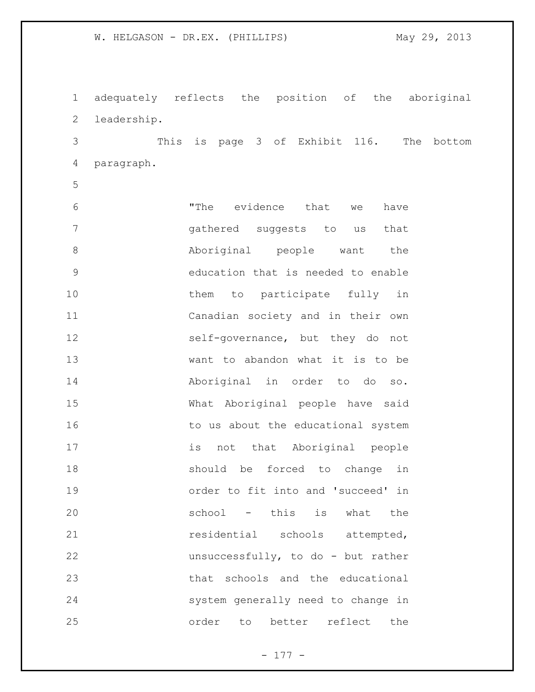adequately reflects the position of the aboriginal leadership.

 This is page 3 of Exhibit 116. The bottom paragraph.

 "The evidence that we have gathered suggests to us that Aboriginal people want the education that is needed to enable 10 them to participate fully in Canadian society and in their own self-governance, but they do not want to abandon what it is to be Aboriginal in order to do so. What Aboriginal people have said 16 to us about the educational system is not that Aboriginal people should be forced to change in order to fit into and 'succeed' in school - this is what the 21 residential schools attempted, unsuccessfully, to do - but rather that schools and the educational system generally need to change in order to better reflect the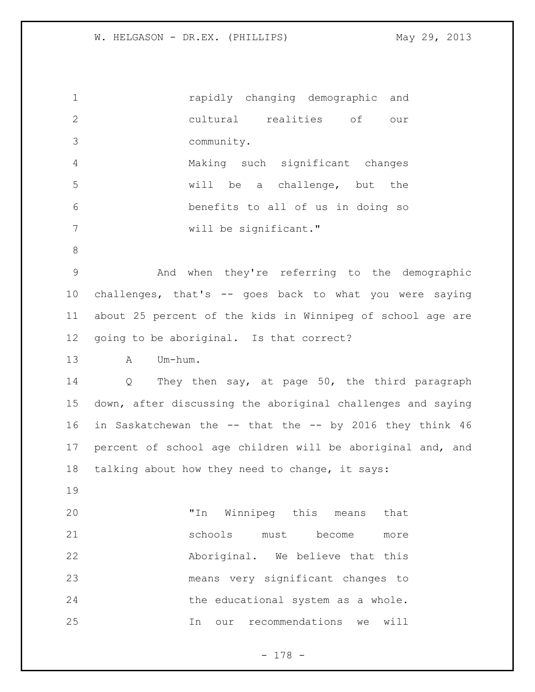| $\mathbf 1$    | rapidly changing demographic and                                    |  |  |  |  |  |  |  |  |
|----------------|---------------------------------------------------------------------|--|--|--|--|--|--|--|--|
| $\mathbf{2}$   | cultural realities of<br>our                                        |  |  |  |  |  |  |  |  |
| $\mathcal{S}$  | community.                                                          |  |  |  |  |  |  |  |  |
| $\overline{4}$ | Making such significant changes                                     |  |  |  |  |  |  |  |  |
| 5              | will be a challenge, but the                                        |  |  |  |  |  |  |  |  |
| 6              | benefits to all of us in doing so                                   |  |  |  |  |  |  |  |  |
| 7              | will be significant."                                               |  |  |  |  |  |  |  |  |
| $\,8\,$        |                                                                     |  |  |  |  |  |  |  |  |
| $\mathsf 9$    | And when they're referring to the demographic                       |  |  |  |  |  |  |  |  |
| 10             | challenges, that's -- goes back to what you were saying             |  |  |  |  |  |  |  |  |
| 11             | about 25 percent of the kids in Winnipeg of school age are          |  |  |  |  |  |  |  |  |
| 12             | going to be aboriginal. Is that correct?                            |  |  |  |  |  |  |  |  |
| 13             | Um-hum.<br>$\mathbb A$                                              |  |  |  |  |  |  |  |  |
| 14             | They then say, at page 50, the third paragraph<br>$Q \qquad \qquad$ |  |  |  |  |  |  |  |  |
| 15             | down, after discussing the aboriginal challenges and saying         |  |  |  |  |  |  |  |  |
| 16             | in Saskatchewan the -- that the -- by 2016 they think 46            |  |  |  |  |  |  |  |  |
| 17             | percent of school age children will be aboriginal and, and          |  |  |  |  |  |  |  |  |
| 18             | talking about how they need to change, it says:                     |  |  |  |  |  |  |  |  |
| 19             |                                                                     |  |  |  |  |  |  |  |  |
| 20             | "In Winnipeg this means<br>that                                     |  |  |  |  |  |  |  |  |
| 21             | schools<br>must<br>become<br>more                                   |  |  |  |  |  |  |  |  |
| 22             | Aboriginal. We believe that this                                    |  |  |  |  |  |  |  |  |
| 23             | means very significant changes to                                   |  |  |  |  |  |  |  |  |
| 24             | the educational system as a whole.                                  |  |  |  |  |  |  |  |  |
| 25             | recommendations<br>will<br>In<br>we<br>our                          |  |  |  |  |  |  |  |  |

- 178 -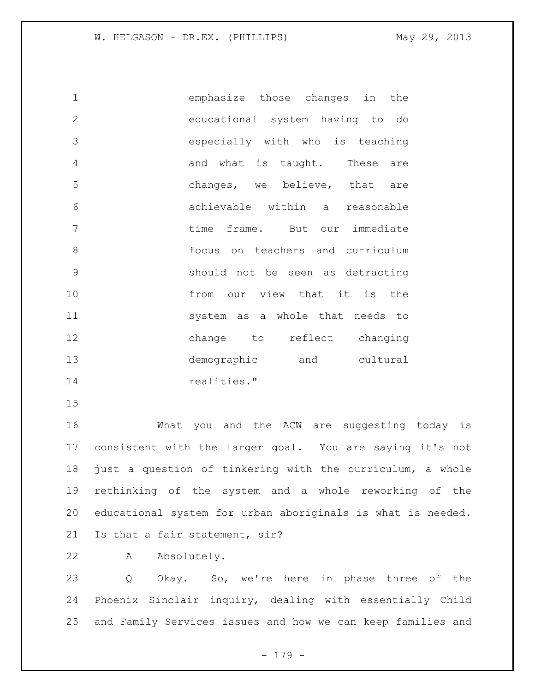emphasize those changes in the educational system having to do especially with who is teaching 4 and what is taught. These are changes, we believe, that are achievable within a reasonable time frame. But our immediate focus on teachers and curriculum should not be seen as detracting 10 from our view that it is the system as a whole that needs to change to reflect changing demographic and cultural 14 realities."

 What you and the ACW are suggesting today is consistent with the larger goal. You are saying it's not just a question of tinkering with the curriculum, a whole rethinking of the system and a whole reworking of the educational system for urban aboriginals is what is needed. Is that a fair statement, sir?

A Absolutely.

 Q Okay. So, we're here in phase three of the Phoenix Sinclair inquiry, dealing with essentially Child and Family Services issues and how we can keep families and

- 179 -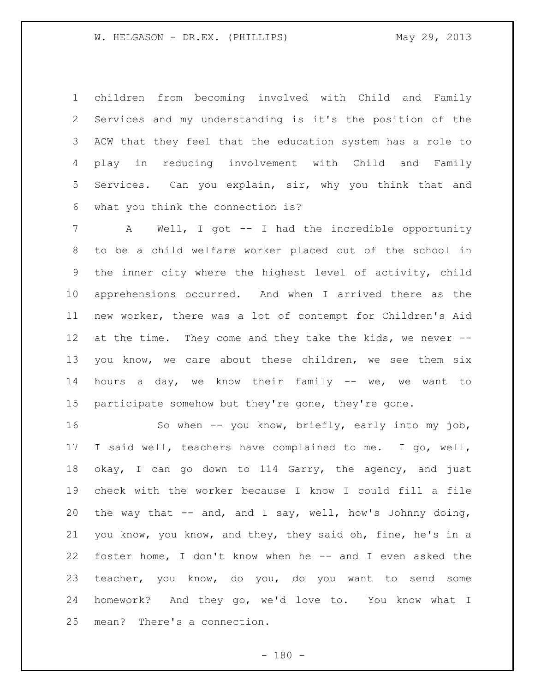children from becoming involved with Child and Family Services and my understanding is it's the position of the ACW that they feel that the education system has a role to play in reducing involvement with Child and Family Services. Can you explain, sir, why you think that and what you think the connection is?

 A Well, I got -- I had the incredible opportunity to be a child welfare worker placed out of the school in the inner city where the highest level of activity, child apprehensions occurred. And when I arrived there as the new worker, there was a lot of contempt for Children's Aid 12 at the time. They come and they take the kids, we never -- you know, we care about these children, we see them six hours a day, we know their family -- we, we want to participate somehow but they're gone, they're gone.

 So when -- you know, briefly, early into my job, I said well, teachers have complained to me. I go, well, okay, I can go down to 114 Garry, the agency, and just check with the worker because I know I could fill a file the way that -- and, and I say, well, how's Johnny doing, you know, you know, and they, they said oh, fine, he's in a foster home, I don't know when he -- and I even asked the teacher, you know, do you, do you want to send some homework? And they go, we'd love to. You know what I mean? There's a connection.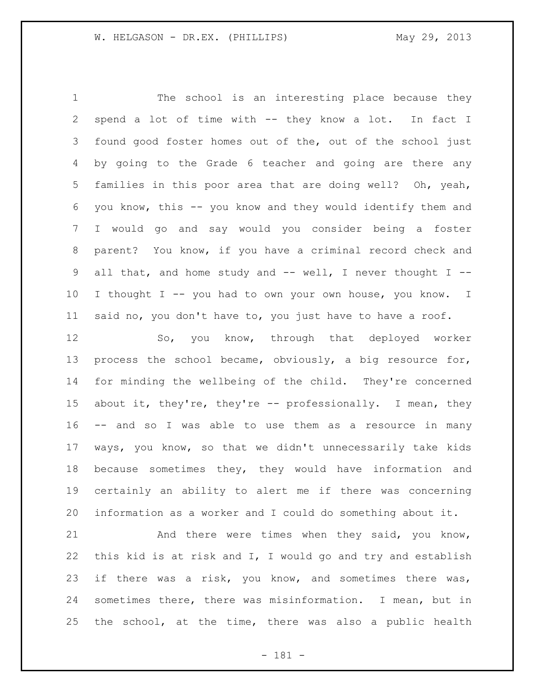The school is an interesting place because they spend a lot of time with -- they know a lot. In fact I found good foster homes out of the, out of the school just by going to the Grade 6 teacher and going are there any families in this poor area that are doing well? Oh, yeah, you know, this -- you know and they would identify them and I would go and say would you consider being a foster parent? You know, if you have a criminal record check and all that, and home study and -- well, I never thought I -- 10 I thought I -- you had to own your own house, you know. I said no, you don't have to, you just have to have a roof.

 So, you know, through that deployed worker process the school became, obviously, a big resource for, for minding the wellbeing of the child. They're concerned about it, they're, they're -- professionally. I mean, they -- and so I was able to use them as a resource in many ways, you know, so that we didn't unnecessarily take kids because sometimes they, they would have information and certainly an ability to alert me if there was concerning information as a worker and I could do something about it.

21 And there were times when they said, you know, this kid is at risk and I, I would go and try and establish if there was a risk, you know, and sometimes there was, sometimes there, there was misinformation. I mean, but in the school, at the time, there was also a public health

- 181 -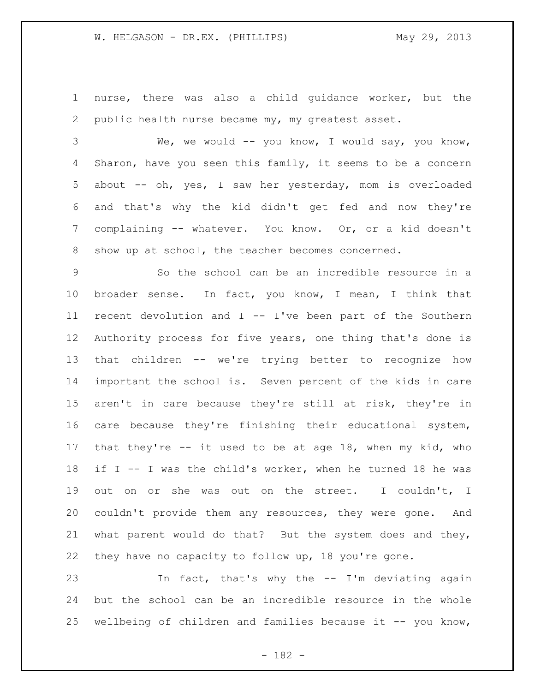nurse, there was also a child guidance worker, but the public health nurse became my, my greatest asset.

 We, we would -- you know, I would say, you know, Sharon, have you seen this family, it seems to be a concern about -- oh, yes, I saw her yesterday, mom is overloaded and that's why the kid didn't get fed and now they're complaining -- whatever. You know. Or, or a kid doesn't show up at school, the teacher becomes concerned.

 So the school can be an incredible resource in a broader sense. In fact, you know, I mean, I think that recent devolution and I -- I've been part of the Southern Authority process for five years, one thing that's done is that children -- we're trying better to recognize how important the school is. Seven percent of the kids in care aren't in care because they're still at risk, they're in care because they're finishing their educational system, that they're -- it used to be at age 18, when my kid, who if I -- I was the child's worker, when he turned 18 he was out on or she was out on the street. I couldn't, I couldn't provide them any resources, they were gone. And what parent would do that? But the system does and they, they have no capacity to follow up, 18 you're gone.

 In fact, that's why the -- I'm deviating again but the school can be an incredible resource in the whole wellbeing of children and families because it -- you know,

- 182 -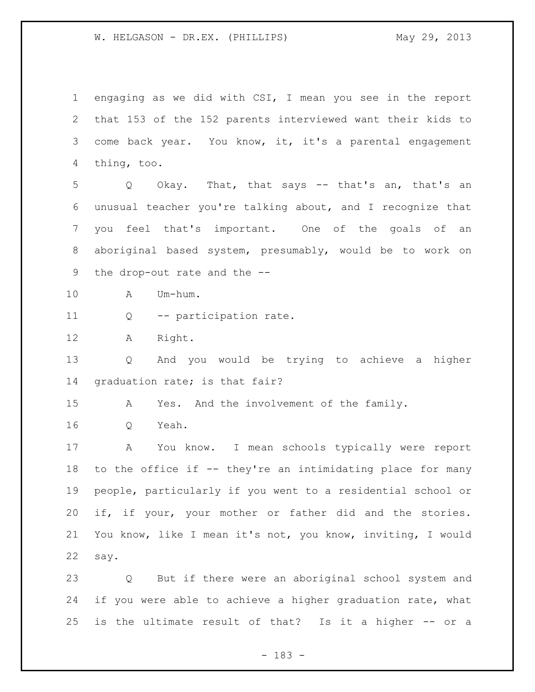engaging as we did with CSI, I mean you see in the report that 153 of the 152 parents interviewed want their kids to come back year. You know, it, it's a parental engagement thing, too. Q Okay. That, that says -- that's an, that's an unusual teacher you're talking about, and I recognize that you feel that's important. One of the goals of an aboriginal based system, presumably, would be to work on the drop-out rate and the -- A Um-hum. Q -- participation rate. A Right. Q And you would be trying to achieve a higher graduation rate; is that fair? A Yes. And the involvement of the family. Q Yeah. A You know. I mean schools typically were report to the office if -- they're an intimidating place for many people, particularly if you went to a residential school or if, if your, your mother or father did and the stories. You know, like I mean it's not, you know, inviting, I would say. Q But if there were an aboriginal school system and 24 if you were able to achieve a higher graduation rate, what

is the ultimate result of that? Is it a higher -- or a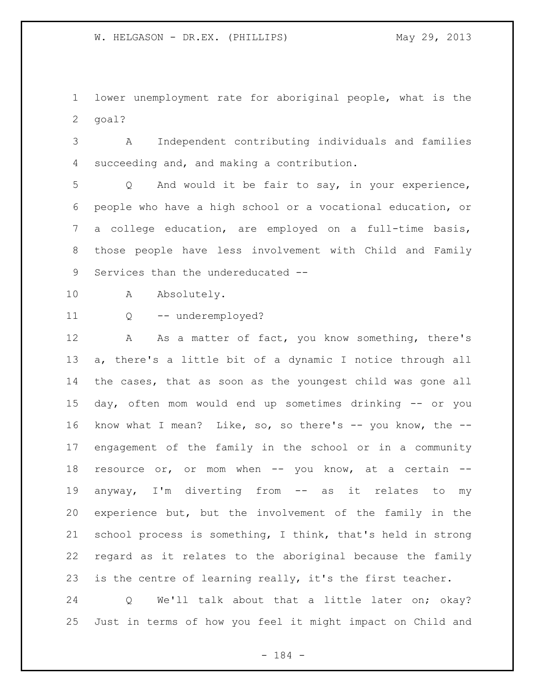lower unemployment rate for aboriginal people, what is the goal?

 A Independent contributing individuals and families succeeding and, and making a contribution.

 Q And would it be fair to say, in your experience, people who have a high school or a vocational education, or a college education, are employed on a full-time basis, those people have less involvement with Child and Family Services than the undereducated --

A Absolutely.

Q -- underemployed?

12 A As a matter of fact, you know something, there's a, there's a little bit of a dynamic I notice through all the cases, that as soon as the youngest child was gone all day, often mom would end up sometimes drinking -- or you 16 know what I mean? Like, so, so there's -- you know, the -- engagement of the family in the school or in a community 18 resource or, or mom when -- you know, at a certain -- anyway, I'm diverting from -- as it relates to my experience but, but the involvement of the family in the school process is something, I think, that's held in strong regard as it relates to the aboriginal because the family is the centre of learning really, it's the first teacher.

 Q We'll talk about that a little later on; okay? Just in terms of how you feel it might impact on Child and

- 184 -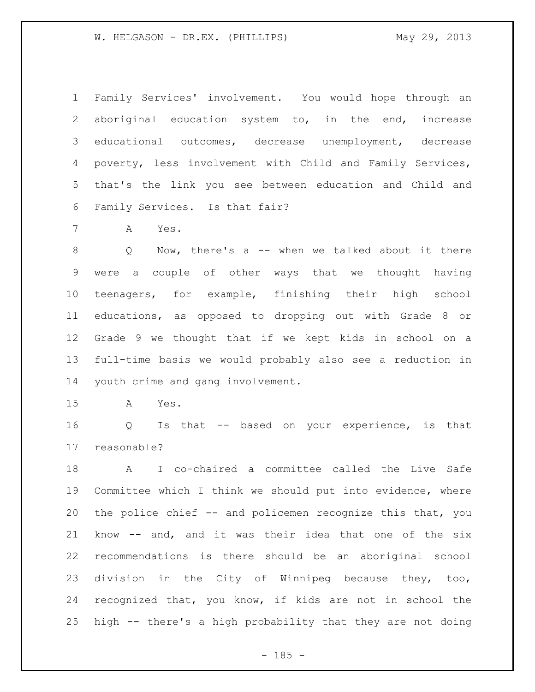Family Services' involvement. You would hope through an aboriginal education system to, in the end, increase educational outcomes, decrease unemployment, decrease poverty, less involvement with Child and Family Services, that's the link you see between education and Child and Family Services. Is that fair?

A Yes.

 Q Now, there's a -- when we talked about it there were a couple of other ways that we thought having teenagers, for example, finishing their high school educations, as opposed to dropping out with Grade 8 or Grade 9 we thought that if we kept kids in school on a full-time basis we would probably also see a reduction in youth crime and gang involvement.

A Yes.

 Q Is that -- based on your experience, is that reasonable?

 A I co-chaired a committee called the Live Safe Committee which I think we should put into evidence, where the police chief -- and policemen recognize this that, you know -- and, and it was their idea that one of the six recommendations is there should be an aboriginal school division in the City of Winnipeg because they, too, recognized that, you know, if kids are not in school the high -- there's a high probability that they are not doing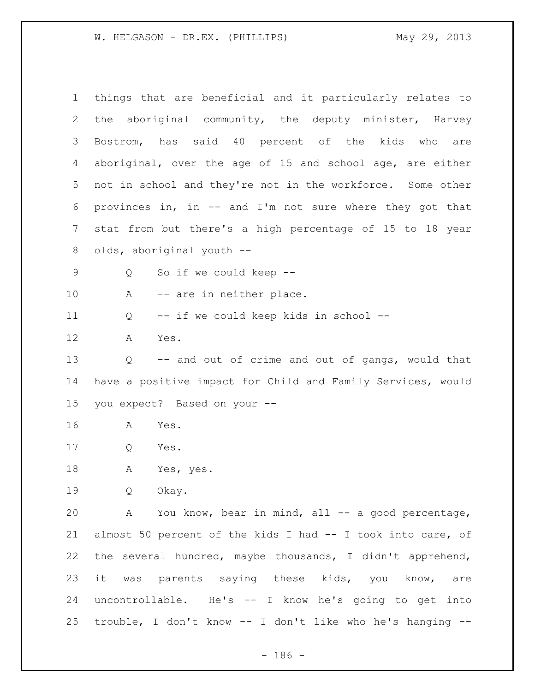| $\mathbf 1$ | things that are beneficial and it particularly relates to   |  |  |  |  |  |  |  |  |
|-------------|-------------------------------------------------------------|--|--|--|--|--|--|--|--|
| 2           | the aboriginal community, the deputy minister, Harvey       |  |  |  |  |  |  |  |  |
| 3           | Bostrom, has said 40 percent of the kids who are            |  |  |  |  |  |  |  |  |
| 4           | aboriginal, over the age of 15 and school age, are either   |  |  |  |  |  |  |  |  |
| 5           | not in school and they're not in the workforce. Some other  |  |  |  |  |  |  |  |  |
| 6           | provinces in, in -- and I'm not sure where they got that    |  |  |  |  |  |  |  |  |
| 7           | stat from but there's a high percentage of 15 to 18 year    |  |  |  |  |  |  |  |  |
| 8           | olds, aboriginal youth --                                   |  |  |  |  |  |  |  |  |
| 9           | So if we could keep --<br>Q                                 |  |  |  |  |  |  |  |  |
| 10          | -- are in neither place.<br>A                               |  |  |  |  |  |  |  |  |
| 11          | -- if we could keep kids in school --<br>Q                  |  |  |  |  |  |  |  |  |
| 12          | Yes.<br>A                                                   |  |  |  |  |  |  |  |  |
| 13          | -- and out of crime and out of gangs, would that<br>Q       |  |  |  |  |  |  |  |  |
| 14          | have a positive impact for Child and Family Services, would |  |  |  |  |  |  |  |  |
| 15          | you expect? Based on your --                                |  |  |  |  |  |  |  |  |
| 16          | Yes.<br>A                                                   |  |  |  |  |  |  |  |  |
| 17          | Q<br>Yes.                                                   |  |  |  |  |  |  |  |  |
| 18          | Α<br>Yes, yes.                                              |  |  |  |  |  |  |  |  |
| 19          | Q<br>Okay.                                                  |  |  |  |  |  |  |  |  |
| 20          | A You know, bear in mind, all -- a good percentage,         |  |  |  |  |  |  |  |  |
| 21          | almost 50 percent of the kids I had -- I took into care, of |  |  |  |  |  |  |  |  |
| 22          | the several hundred, maybe thousands, I didn't apprehend,   |  |  |  |  |  |  |  |  |
| 23          | it was parents saying these kids, you know, are             |  |  |  |  |  |  |  |  |
| 24          | uncontrollable. He's -- I know he's going to get into       |  |  |  |  |  |  |  |  |
| 25          | trouble, I don't know -- I don't like who he's hanging --   |  |  |  |  |  |  |  |  |

- 186 -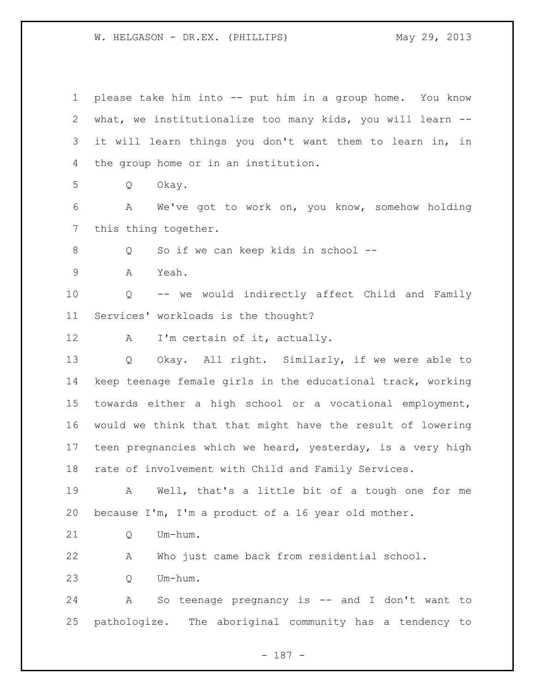please take him into -- put him in a group home. You know what, we institutionalize too many kids, you will learn -- it will learn things you don't want them to learn in, in the group home or in an institution. Q Okay. A We've got to work on, you know, somehow holding this thing together. Q So if we can keep kids in school -- A Yeah. Q -- we would indirectly affect Child and Family Services' workloads is the thought? 12 A I'm certain of it, actually. Q Okay. All right. Similarly, if we were able to keep teenage female girls in the educational track, working towards either a high school or a vocational employment, would we think that that might have the result of lowering teen pregnancies which we heard, yesterday, is a very high rate of involvement with Child and Family Services. A Well, that's a little bit of a tough one for me because I'm, I'm a product of a 16 year old mother. 21 O Um-hum. A Who just came back from residential school. Q Um-hum. A So teenage pregnancy is -- and I don't want to pathologize. The aboriginal community has a tendency to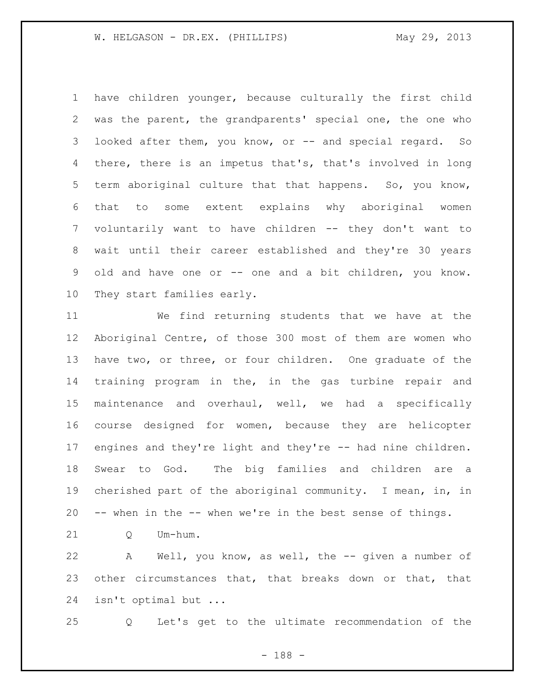have children younger, because culturally the first child was the parent, the grandparents' special one, the one who 3 looked after them, you know, or -- and special regard. So there, there is an impetus that's, that's involved in long term aboriginal culture that that happens. So, you know, that to some extent explains why aboriginal women voluntarily want to have children -- they don't want to wait until their career established and they're 30 years old and have one or -- one and a bit children, you know. They start families early.

 We find returning students that we have at the Aboriginal Centre, of those 300 most of them are women who have two, or three, or four children. One graduate of the training program in the, in the gas turbine repair and maintenance and overhaul, well, we had a specifically course designed for women, because they are helicopter engines and they're light and they're -- had nine children. Swear to God. The big families and children are a cherished part of the aboriginal community. I mean, in, in -- when in the -- when we're in the best sense of things.

Q Um-hum.

 A Well, you know, as well, the -- given a number of other circumstances that, that breaks down or that, that isn't optimal but ...

Q Let's get to the ultimate recommendation of the

- 188 -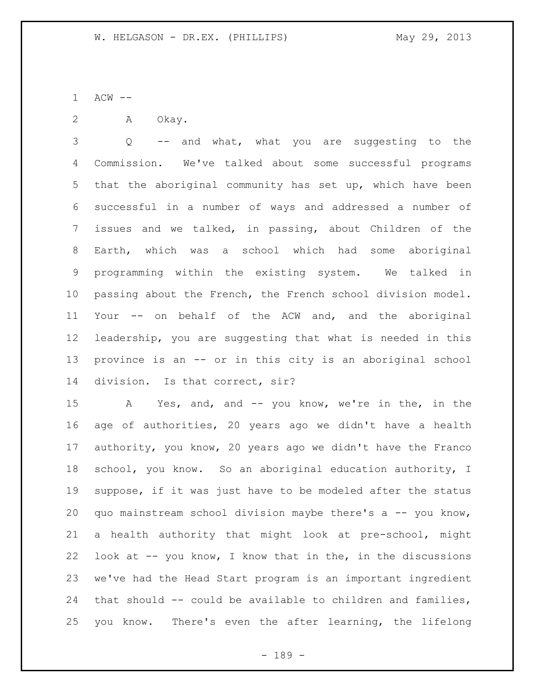ACW --

A Okay.

 Q -- and what, what you are suggesting to the Commission. We've talked about some successful programs that the aboriginal community has set up, which have been successful in a number of ways and addressed a number of issues and we talked, in passing, about Children of the Earth, which was a school which had some aboriginal programming within the existing system. We talked in passing about the French, the French school division model. Your -- on behalf of the ACW and, and the aboriginal leadership, you are suggesting that what is needed in this province is an -- or in this city is an aboriginal school division. Is that correct, sir?

 A Yes, and, and -- you know, we're in the, in the age of authorities, 20 years ago we didn't have a health authority, you know, 20 years ago we didn't have the Franco school, you know. So an aboriginal education authority, I suppose, if it was just have to be modeled after the status quo mainstream school division maybe there's a -- you know, a health authority that might look at pre-school, might look at -- you know, I know that in the, in the discussions we've had the Head Start program is an important ingredient that should -- could be available to children and families, you know. There's even the after learning, the lifelong

- 189 -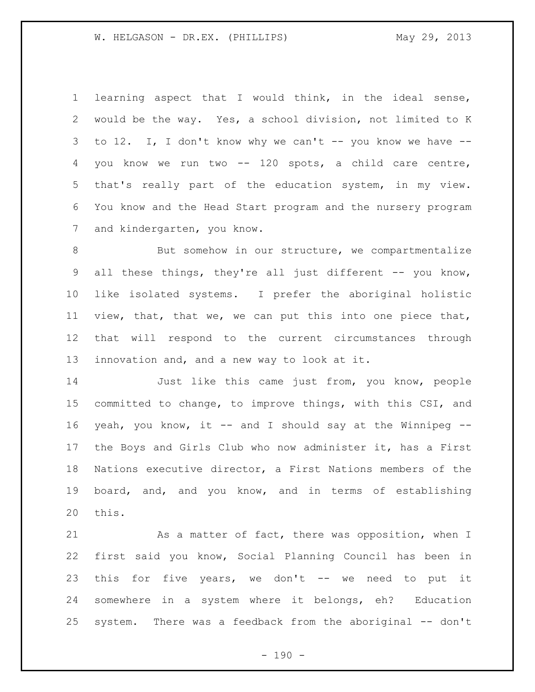learning aspect that I would think, in the ideal sense, would be the way. Yes, a school division, not limited to K to 12. I, I don't know why we can't -- you know we have -- you know we run two -- 120 spots, a child care centre, that's really part of the education system, in my view. You know and the Head Start program and the nursery program and kindergarten, you know.

8 But somehow in our structure, we compartmentalize all these things, they're all just different -- you know, like isolated systems. I prefer the aboriginal holistic view, that, that we, we can put this into one piece that, that will respond to the current circumstances through innovation and, and a new way to look at it.

 Just like this came just from, you know, people committed to change, to improve things, with this CSI, and yeah, you know, it -- and I should say at the Winnipeg -- the Boys and Girls Club who now administer it, has a First Nations executive director, a First Nations members of the board, and, and you know, and in terms of establishing this.

21 As a matter of fact, there was opposition, when I first said you know, Social Planning Council has been in this for five years, we don't -- we need to put it somewhere in a system where it belongs, eh? Education system. There was a feedback from the aboriginal -- don't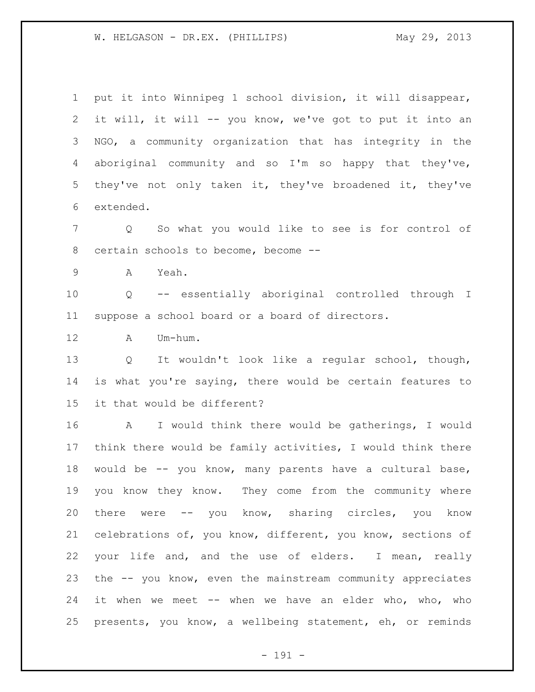it will, it will -- you know, we've got to put it into an NGO, a community organization that has integrity in the aboriginal community and so I'm so happy that they've, they've not only taken it, they've broadened it, they've extended. Q So what you would like to see is for control of certain schools to become, become -- A Yeah. Q -- essentially aboriginal controlled through I suppose a school board or a board of directors. A Um-hum. Q It wouldn't look like a regular school, though, is what you're saying, there would be certain features to it that would be different? A I would think there would be gatherings, I would think there would be family activities, I would think there would be -- you know, many parents have a cultural base, you know they know. They come from the community where there were -- you know, sharing circles, you know celebrations of, you know, different, you know, sections of your life and, and the use of elders. I mean, really the -- you know, even the mainstream community appreciates it when we meet -- when we have an elder who, who, who presents, you know, a wellbeing statement, eh, or reminds

put it into Winnipeg 1 school division, it will disappear,

- 191 -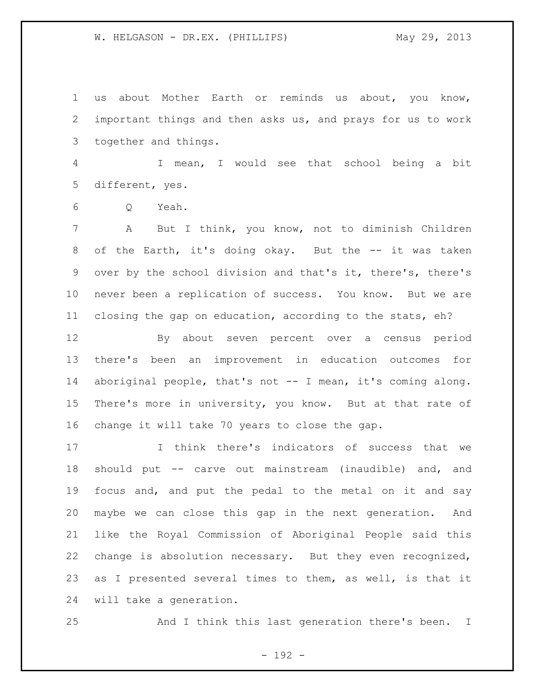us about Mother Earth or reminds us about, you know, important things and then asks us, and prays for us to work together and things.

 I mean, I would see that school being a bit different, yes.

Q Yeah.

 A But I think, you know, not to diminish Children 8 of the Earth, it's doing okay. But the -- it was taken over by the school division and that's it, there's, there's never been a replication of success. You know. But we are closing the gap on education, according to the stats, eh?

 By about seven percent over a census period there's been an improvement in education outcomes for aboriginal people, that's not -- I mean, it's coming along. There's more in university, you know. But at that rate of change it will take 70 years to close the gap.

 I think there's indicators of success that we should put -- carve out mainstream (inaudible) and, and focus and, and put the pedal to the metal on it and say maybe we can close this gap in the next generation. And like the Royal Commission of Aboriginal People said this change is absolution necessary. But they even recognized, as I presented several times to them, as well, is that it will take a generation.

And I think this last generation there's been. I

- 192 -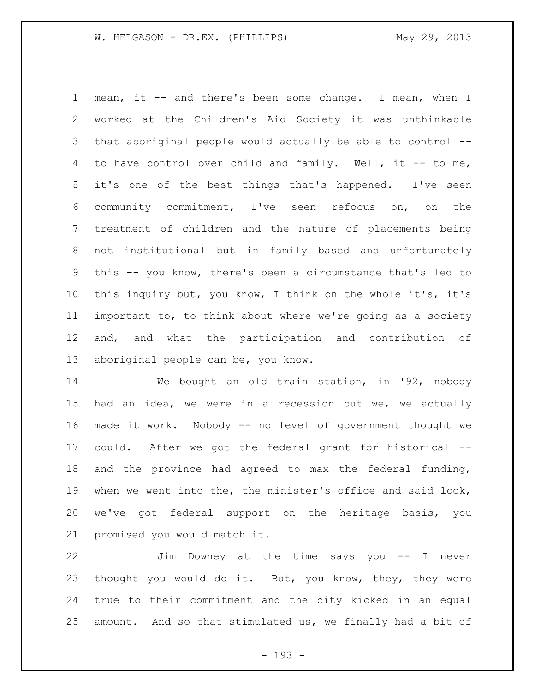mean, it -- and there's been some change. I mean, when I worked at the Children's Aid Society it was unthinkable that aboriginal people would actually be able to control -- to have control over child and family. Well, it -- to me, it's one of the best things that's happened. I've seen community commitment, I've seen refocus on, on the treatment of children and the nature of placements being not institutional but in family based and unfortunately this -- you know, there's been a circumstance that's led to this inquiry but, you know, I think on the whole it's, it's important to, to think about where we're going as a society and, and what the participation and contribution of aboriginal people can be, you know.

 We bought an old train station, in '92, nobody had an idea, we were in a recession but we, we actually made it work. Nobody -- no level of government thought we could. After we got the federal grant for historical -- and the province had agreed to max the federal funding, when we went into the, the minister's office and said look, we've got federal support on the heritage basis, you promised you would match it.

 Jim Downey at the time says you -- I never thought you would do it. But, you know, they, they were true to their commitment and the city kicked in an equal amount. And so that stimulated us, we finally had a bit of

- 193 -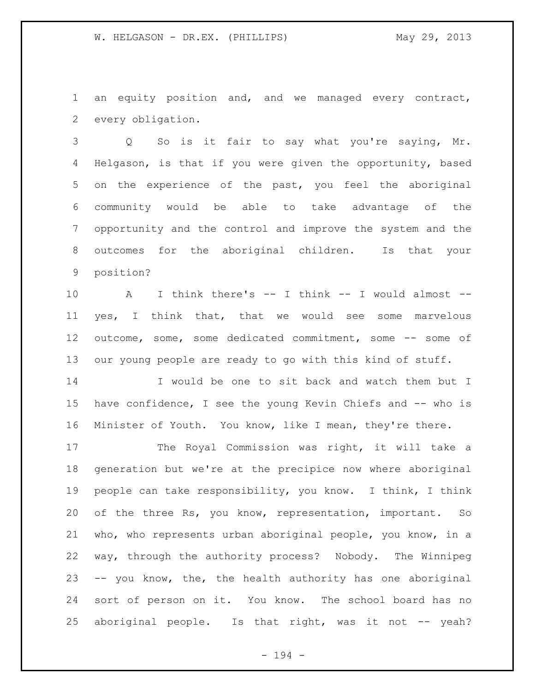an equity position and, and we managed every contract, every obligation.

 Q So is it fair to say what you're saying, Mr. Helgason, is that if you were given the opportunity, based on the experience of the past, you feel the aboriginal community would be able to take advantage of the opportunity and the control and improve the system and the outcomes for the aboriginal children. Is that your position?

 A I think there's -- I think -- I would almost -- yes, I think that, that we would see some marvelous outcome, some, some dedicated commitment, some -- some of our young people are ready to go with this kind of stuff.

 I would be one to sit back and watch them but I have confidence, I see the young Kevin Chiefs and -- who is Minister of Youth. You know, like I mean, they're there.

17 The Royal Commission was right, it will take a generation but we're at the precipice now where aboriginal people can take responsibility, you know. I think, I think of the three Rs, you know, representation, important. So who, who represents urban aboriginal people, you know, in a way, through the authority process? Nobody. The Winnipeg -- you know, the, the health authority has one aboriginal sort of person on it. You know. The school board has no 25 aboriginal people. Is that right, was it not -- yeah?

- 194 -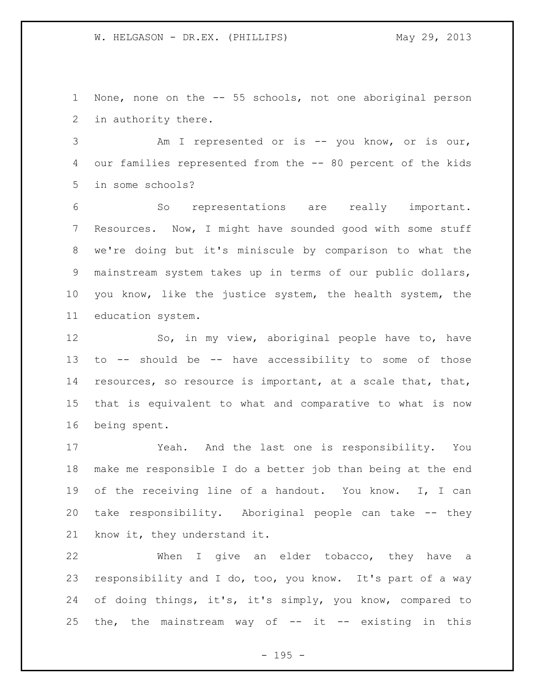None, none on the -- 55 schools, not one aboriginal person in authority there.

 Am I represented or is -- you know, or is our, our families represented from the -- 80 percent of the kids in some schools?

 So representations are really important. Resources. Now, I might have sounded good with some stuff we're doing but it's miniscule by comparison to what the mainstream system takes up in terms of our public dollars, you know, like the justice system, the health system, the education system.

 So, in my view, aboriginal people have to, have to -- should be -- have accessibility to some of those resources, so resource is important, at a scale that, that, that is equivalent to what and comparative to what is now being spent.

 Yeah. And the last one is responsibility. You make me responsible I do a better job than being at the end of the receiving line of a handout. You know. I, I can take responsibility. Aboriginal people can take -- they know it, they understand it.

 When I give an elder tobacco, they have a responsibility and I do, too, you know. It's part of a way of doing things, it's, it's simply, you know, compared to 25 the, the mainstream way of  $-$  it  $-$  existing in this

- 195 -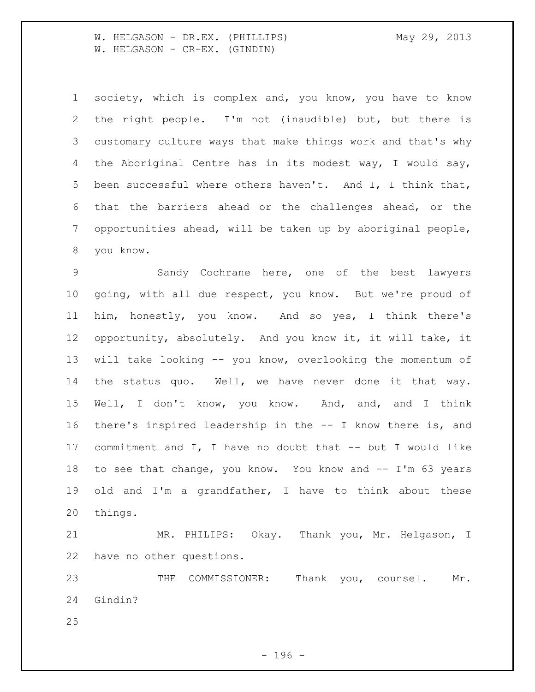W. HELGASON - DR.EX. (PHILLIPS) May 29, 2013 W. HELGASON - CR-EX. (GINDIN)

 society, which is complex and, you know, you have to know the right people. I'm not (inaudible) but, but there is customary culture ways that make things work and that's why the Aboriginal Centre has in its modest way, I would say, been successful where others haven't. And I, I think that, that the barriers ahead or the challenges ahead, or the opportunities ahead, will be taken up by aboriginal people, you know.

 Sandy Cochrane here, one of the best lawyers going, with all due respect, you know. But we're proud of him, honestly, you know. And so yes, I think there's opportunity, absolutely. And you know it, it will take, it will take looking -- you know, overlooking the momentum of the status quo. Well, we have never done it that way. Well, I don't know, you know. And, and, and I think there's inspired leadership in the -- I know there is, and commitment and I, I have no doubt that -- but I would like to see that change, you know. You know and -- I'm 63 years old and I'm a grandfather, I have to think about these things.

 MR. PHILIPS: Okay. Thank you, Mr. Helgason, I have no other questions.

 THE COMMISSIONER: Thank you, counsel. Mr. Gindin?

- 196 -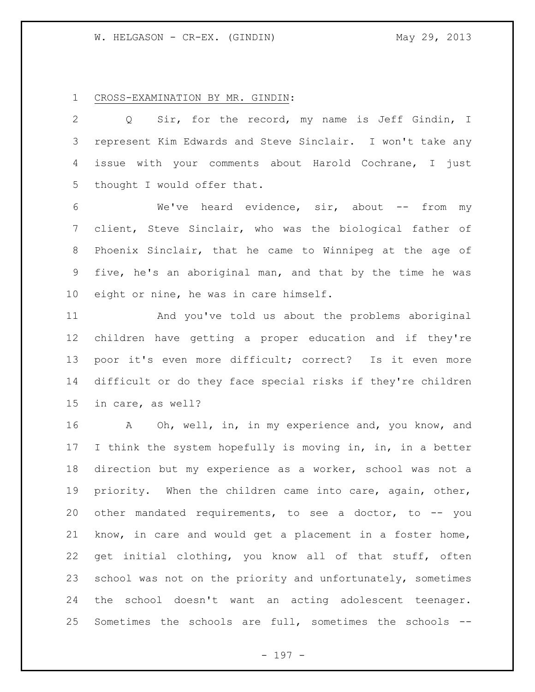CROSS-EXAMINATION BY MR. GINDIN:

 Q Sir, for the record, my name is Jeff Gindin, I represent Kim Edwards and Steve Sinclair. I won't take any issue with your comments about Harold Cochrane, I just thought I would offer that.

6 We've heard evidence, sir, about -- from my client, Steve Sinclair, who was the biological father of Phoenix Sinclair, that he came to Winnipeg at the age of five, he's an aboriginal man, and that by the time he was eight or nine, he was in care himself.

 And you've told us about the problems aboriginal children have getting a proper education and if they're poor it's even more difficult; correct? Is it even more difficult or do they face special risks if they're children in care, as well?

 A Oh, well, in, in my experience and, you know, and I think the system hopefully is moving in, in, in a better direction but my experience as a worker, school was not a priority. When the children came into care, again, other, other mandated requirements, to see a doctor, to -- you know, in care and would get a placement in a foster home, get initial clothing, you know all of that stuff, often school was not on the priority and unfortunately, sometimes the school doesn't want an acting adolescent teenager. Sometimes the schools are full, sometimes the schools --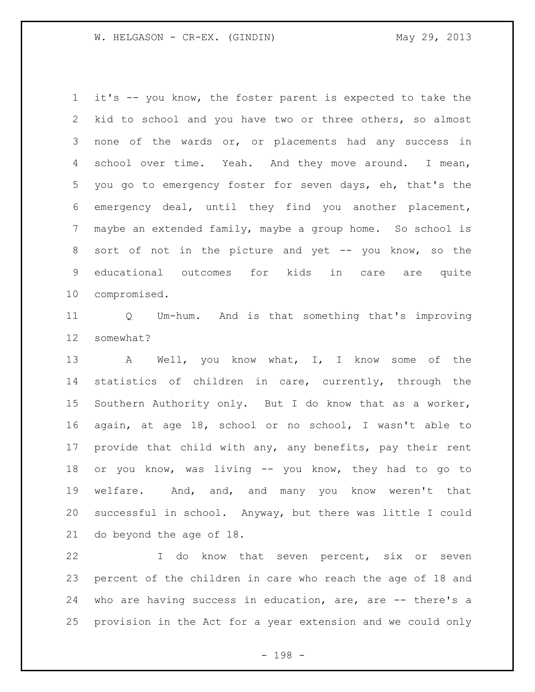it's -- you know, the foster parent is expected to take the kid to school and you have two or three others, so almost none of the wards or, or placements had any success in 4 school over time. Yeah. And they move around. I mean, you go to emergency foster for seven days, eh, that's the emergency deal, until they find you another placement, maybe an extended family, maybe a group home. So school is 8 sort of not in the picture and yet -- you know, so the educational outcomes for kids in care are quite compromised.

 Q Um-hum. And is that something that's improving somewhat?

 A Well, you know what, I, I know some of the statistics of children in care, currently, through the Southern Authority only. But I do know that as a worker, again, at age 18, school or no school, I wasn't able to provide that child with any, any benefits, pay their rent or you know, was living -- you know, they had to go to welfare. And, and, and many you know weren't that successful in school. Anyway, but there was little I could do beyond the age of 18.

 I do know that seven percent, six or seven percent of the children in care who reach the age of 18 and who are having success in education, are, are -- there's a provision in the Act for a year extension and we could only

- 198 -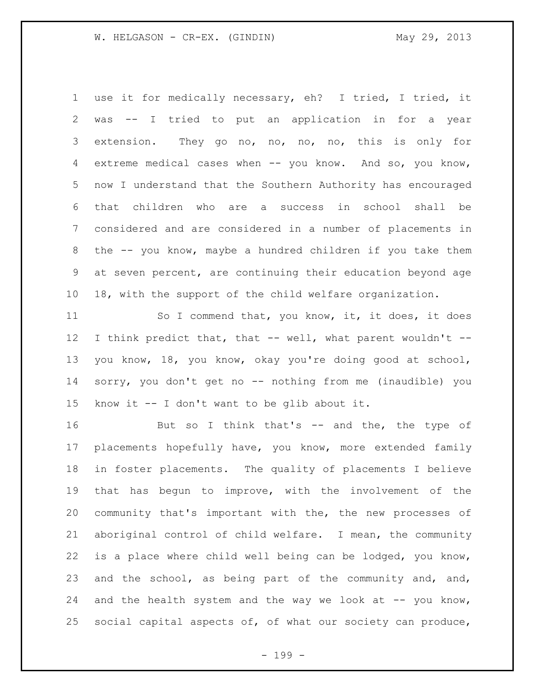use it for medically necessary, eh? I tried, I tried, it was -- I tried to put an application in for a year extension. They go no, no, no, no, this is only for extreme medical cases when -- you know. And so, you know, now I understand that the Southern Authority has encouraged that children who are a success in school shall be considered and are considered in a number of placements in the -- you know, maybe a hundred children if you take them at seven percent, are continuing their education beyond age 18, with the support of the child welfare organization.

11 So I commend that, you know, it, it does, it does I think predict that, that -- well, what parent wouldn't -- you know, 18, you know, okay you're doing good at school, sorry, you don't get no -- nothing from me (inaudible) you know it -- I don't want to be glib about it.

16 But so I think that's -- and the, the type of placements hopefully have, you know, more extended family in foster placements. The quality of placements I believe that has begun to improve, with the involvement of the community that's important with the, the new processes of aboriginal control of child welfare. I mean, the community is a place where child well being can be lodged, you know, and the school, as being part of the community and, and, 24 and the health system and the way we look at  $-$ - you know, social capital aspects of, of what our society can produce,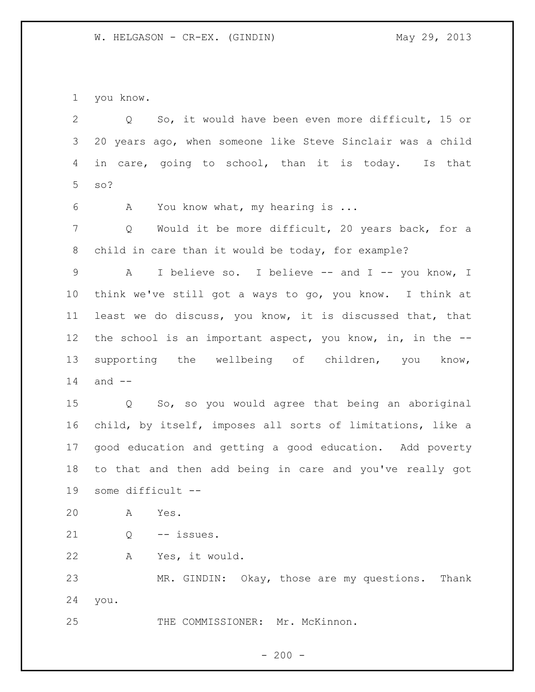you know.

 Q So, it would have been even more difficult, 15 or 20 years ago, when someone like Steve Sinclair was a child in care, going to school, than it is today. Is that so? A You know what, my hearing is ... Q Would it be more difficult, 20 years back, for a child in care than it would be today, for example? 9 A I believe so. I believe -- and I -- you know, I think we've still got a ways to go, you know. I think at least we do discuss, you know, it is discussed that, that the school is an important aspect, you know, in, in the -- supporting the wellbeing of children, you know, and -- Q So, so you would agree that being an aboriginal child, by itself, imposes all sorts of limitations, like a good education and getting a good education. Add poverty to that and then add being in care and you've really got some difficult -- A Yes. Q -- issues. A Yes, it would. MR. GINDIN: Okay, those are my questions. Thank you. THE COMMISSIONER: Mr. McKinnon.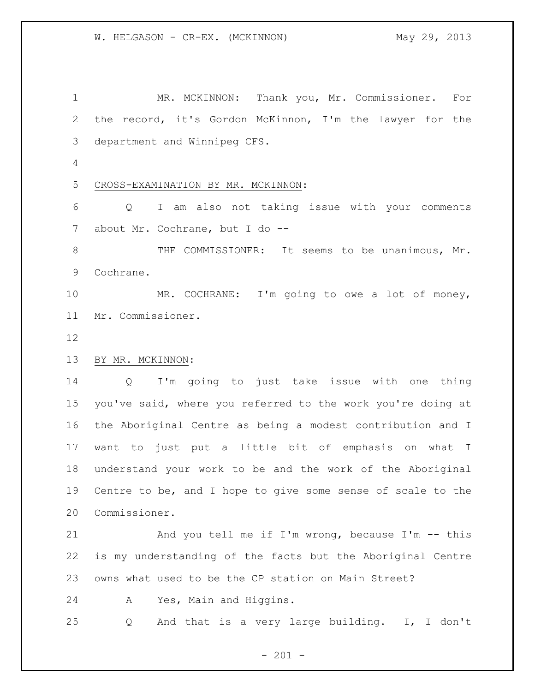MR. MCKINNON: Thank you, Mr. Commissioner. For the record, it's Gordon McKinnon, I'm the lawyer for the department and Winnipeg CFS. CROSS-EXAMINATION BY MR. MCKINNON: Q I am also not taking issue with your comments about Mr. Cochrane, but I do -- 8 THE COMMISSIONER: It seems to be unanimous, Mr. Cochrane. MR. COCHRANE: I'm going to owe a lot of money, Mr. Commissioner. BY MR. MCKINNON: Q I'm going to just take issue with one thing you've said, where you referred to the work you're doing at the Aboriginal Centre as being a modest contribution and I want to just put a little bit of emphasis on what I understand your work to be and the work of the Aboriginal Centre to be, and I hope to give some sense of scale to the Commissioner. 21 And you tell me if I'm wrong, because I'm -- this is my understanding of the facts but the Aboriginal Centre owns what used to be the CP station on Main Street? A Yes, Main and Higgins. Q And that is a very large building. I, I don't

 $- 201 -$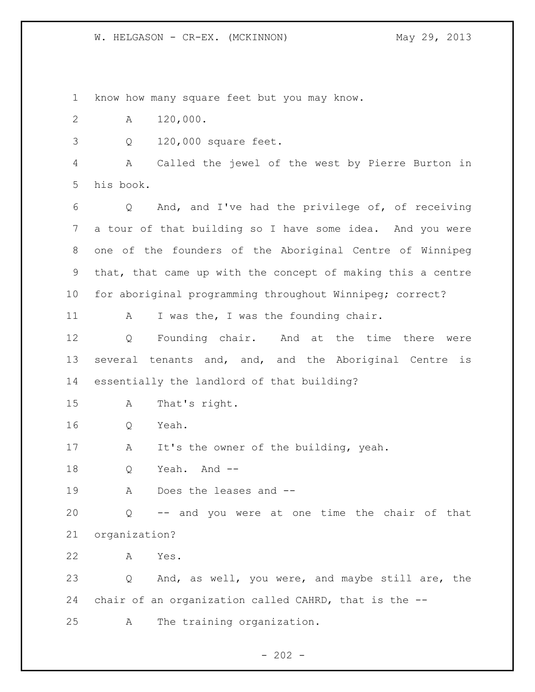W. HELGASON - CR-EX. (MCKINNON) May 29, 2013

 know how many square feet but you may know. A 120,000. Q 120,000 square feet. A Called the jewel of the west by Pierre Burton in his book. Q And, and I've had the privilege of, of receiving a tour of that building so I have some idea. And you were one of the founders of the Aboriginal Centre of Winnipeg that, that came up with the concept of making this a centre for aboriginal programming throughout Winnipeg; correct? 11 A I was the, I was the founding chair. Q Founding chair. And at the time there were several tenants and, and, and the Aboriginal Centre is essentially the landlord of that building? A That's right. Q Yeah. A It's the owner of the building, yeah. 18 Q Yeah. And -- A Does the leases and -- Q -- and you were at one time the chair of that organization? A Yes. Q And, as well, you were, and maybe still are, the chair of an organization called CAHRD, that is the -- A The training organization.

 $- 202 -$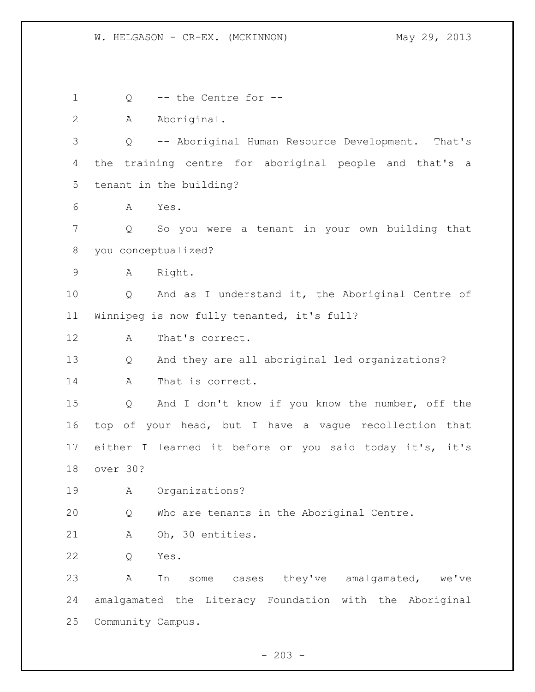Q -- the Centre for -- A Aboriginal. Q -- Aboriginal Human Resource Development. That's the training centre for aboriginal people and that's a tenant in the building? A Yes. Q So you were a tenant in your own building that you conceptualized? A Right. Q And as I understand it, the Aboriginal Centre of Winnipeg is now fully tenanted, it's full? A That's correct. Q And they are all aboriginal led organizations? A That is correct. Q And I don't know if you know the number, off the top of your head, but I have a vague recollection that either I learned it before or you said today it's, it's over 30? A Organizations? Q Who are tenants in the Aboriginal Centre. A Oh, 30 entities. Q Yes. A In some cases they've amalgamated, we've amalgamated the Literacy Foundation with the Aboriginal Community Campus.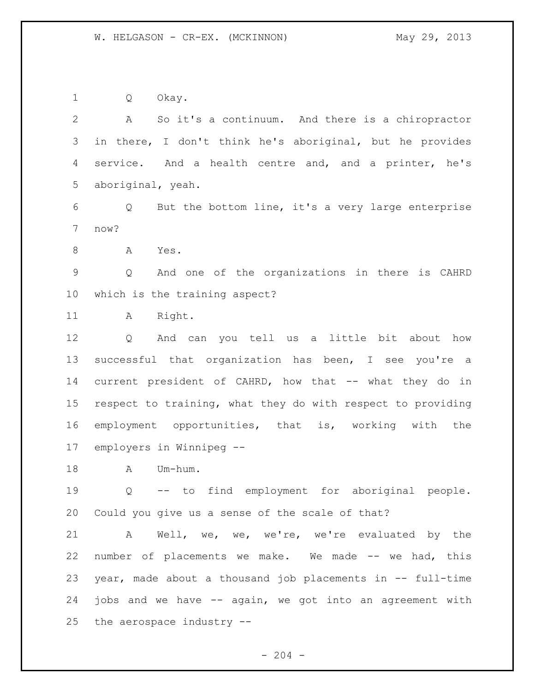Q Okay.

 A So it's a continuum. And there is a chiropractor in there, I don't think he's aboriginal, but he provides 4 service. And a health centre and, and a printer, he's aboriginal, yeah. Q But the bottom line, it's a very large enterprise now? A Yes. Q And one of the organizations in there is CAHRD which is the training aspect? 11 A Right. Q And can you tell us a little bit about how successful that organization has been, I see you're a current president of CAHRD, how that -- what they do in respect to training, what they do with respect to providing employment opportunities, that is, working with the employers in Winnipeg -- 18 A Um-hum. Q -- to find employment for aboriginal people. Could you give us a sense of the scale of that? A Well, we, we, we're, we're evaluated by the number of placements we make. We made -- we had, this year, made about a thousand job placements in -- full-time jobs and we have -- again, we got into an agreement with the aerospace industry --

 $-204 -$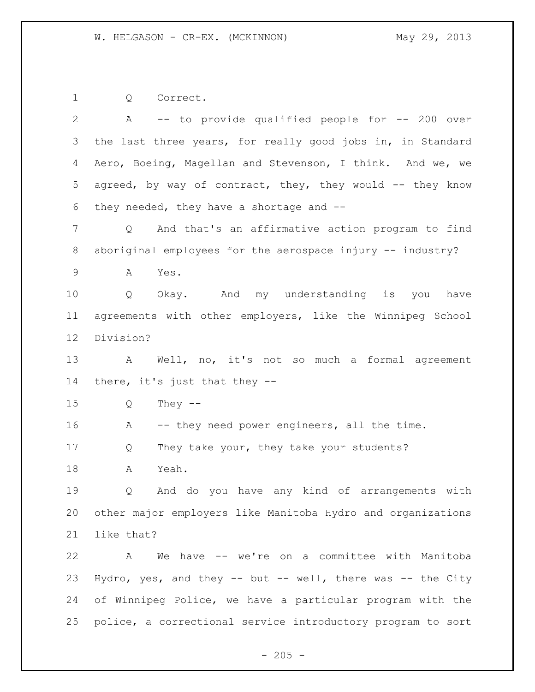Q Correct.

 A -- to provide qualified people for -- 200 over the last three years, for really good jobs in, in Standard Aero, Boeing, Magellan and Stevenson, I think. And we, we agreed, by way of contract, they, they would -- they know they needed, they have a shortage and -- Q And that's an affirmative action program to find 8 aboriginal employees for the aerospace injury -- industry? A Yes. Q Okay. And my understanding is you have agreements with other employers, like the Winnipeg School Division? A Well, no, it's not so much a formal agreement there, it's just that they -- Q They -- 16 A -- they need power engineers, all the time. 17 Q They take your, they take your students? A Yeah. Q And do you have any kind of arrangements with other major employers like Manitoba Hydro and organizations like that? A We have -- we're on a committee with Manitoba Hydro, yes, and they -- but -- well, there was -- the City of Winnipeg Police, we have a particular program with the police, a correctional service introductory program to sort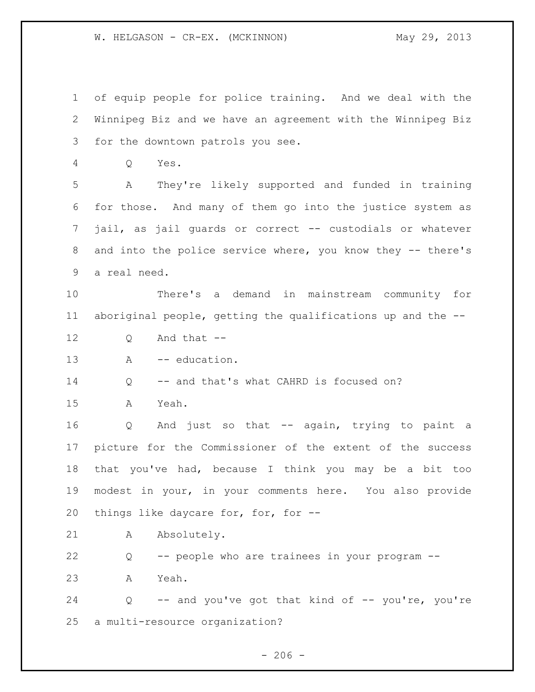W. HELGASON - CR-EX. (MCKINNON) May 29, 2013

 of equip people for police training. And we deal with the Winnipeg Biz and we have an agreement with the Winnipeg Biz for the downtown patrols you see.

Q Yes.

 A They're likely supported and funded in training for those. And many of them go into the justice system as jail, as jail guards or correct -- custodials or whatever 8 and into the police service where, you know they -- there's a real need.

 There's a demand in mainstream community for aboriginal people, getting the qualifications up and the --

- Q And that --
- 13 A -- education.

14 O -- and that's what CAHRD is focused on?

A Yeah.

 Q And just so that -- again, trying to paint a picture for the Commissioner of the extent of the success that you've had, because I think you may be a bit too modest in your, in your comments here. You also provide things like daycare for, for, for --

21 A Absolutely.

Q -- people who are trainees in your program --

A Yeah.

 Q -- and you've got that kind of -- you're, you're a multi-resource organization?

 $-206 -$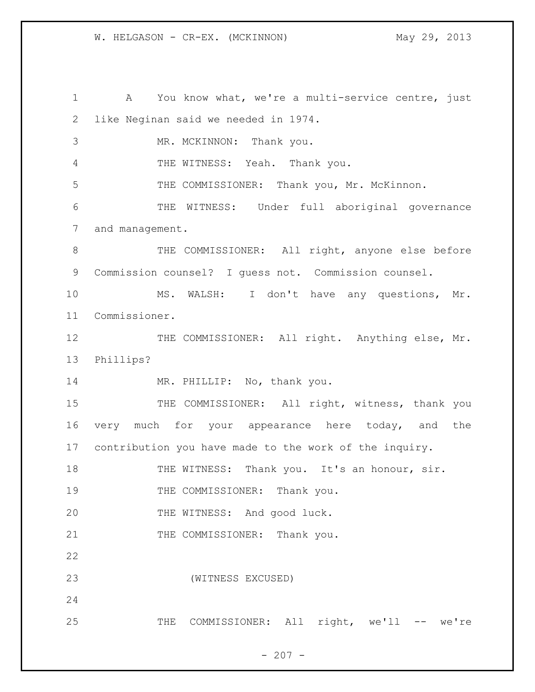W. HELGASON - CR-EX. (MCKINNON) May 29, 2013

 A You know what, we're a multi-service centre, just like Neginan said we needed in 1974. 3 MR. MCKINNON: Thank you. THE WITNESS: Yeah. Thank you. THE COMMISSIONER: Thank you, Mr. McKinnon. THE WITNESS: Under full aboriginal governance and management. 8 THE COMMISSIONER: All right, anyone else before Commission counsel? I guess not. Commission counsel. MS. WALSH: I don't have any questions, Mr. Commissioner. 12 THE COMMISSIONER: All right. Anything else, Mr. Phillips? 14 MR. PHILLIP: No, thank you. 15 THE COMMISSIONER: All right, witness, thank you very much for your appearance here today, and the contribution you have made to the work of the inquiry. 18 THE WITNESS: Thank you. It's an honour, sir. 19 THE COMMISSIONER: Thank you. THE WITNESS: And good luck. 21 THE COMMISSIONER: Thank you. (WITNESS EXCUSED) THE COMMISSIONER: All right, we'll -- we're